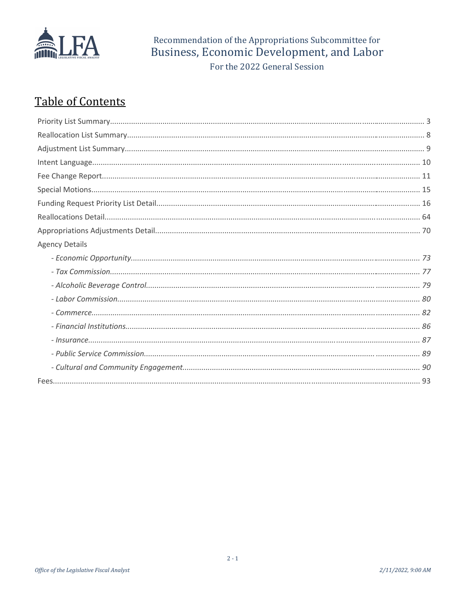

For the 2022 General Session

# **Table of Contents**

| <b>Agency Details</b> |
|-----------------------|
|                       |
|                       |
|                       |
|                       |
|                       |
|                       |
|                       |
|                       |
|                       |
|                       |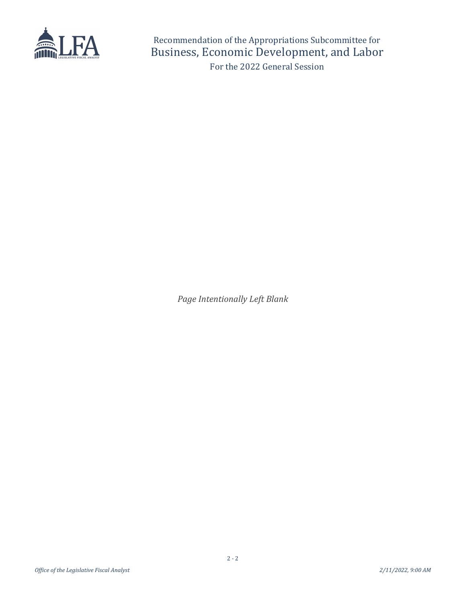

Recommendation of the Appropriations Subcommittee for Business, Economic Development, and Labor For the 2022 General Session

*Page Intentionally Left Blank*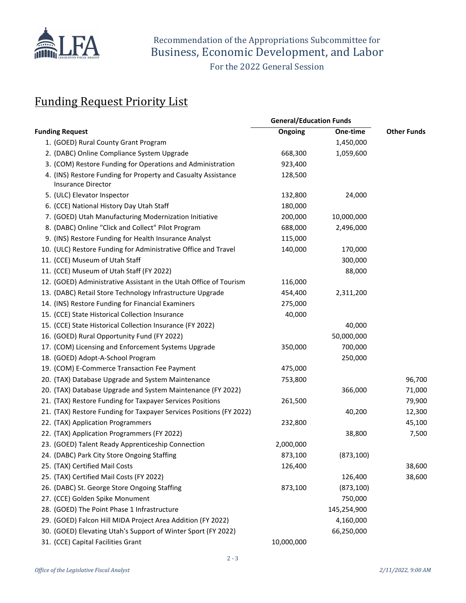

For the 2022 General Session

|                                                                                     | <b>General/Education Funds</b> |             |                    |
|-------------------------------------------------------------------------------------|--------------------------------|-------------|--------------------|
| <b>Funding Request</b>                                                              | Ongoing                        | One-time    | <b>Other Funds</b> |
| 1. (GOED) Rural County Grant Program                                                |                                | 1,450,000   |                    |
| 2. (DABC) Online Compliance System Upgrade                                          | 668,300                        | 1,059,600   |                    |
| 3. (COM) Restore Funding for Operations and Administration                          | 923,400                        |             |                    |
| 4. (INS) Restore Funding for Property and Casualty Assistance<br>Insurance Director | 128,500                        |             |                    |
| 5. (ULC) Elevator Inspector                                                         | 132,800                        | 24,000      |                    |
| 6. (CCE) National History Day Utah Staff                                            | 180,000                        |             |                    |
| 7. (GOED) Utah Manufacturing Modernization Initiative                               | 200,000                        | 10,000,000  |                    |
| 8. (DABC) Online "Click and Collect" Pilot Program                                  | 688,000                        | 2,496,000   |                    |
| 9. (INS) Restore Funding for Health Insurance Analyst                               | 115,000                        |             |                    |
| 10. (ULC) Restore Funding for Administrative Office and Travel                      | 140,000                        | 170,000     |                    |
| 11. (CCE) Museum of Utah Staff                                                      |                                | 300,000     |                    |
| 11. (CCE) Museum of Utah Staff (FY 2022)                                            |                                | 88,000      |                    |
| 12. (GOED) Administrative Assistant in the Utah Office of Tourism                   | 116,000                        |             |                    |
| 13. (DABC) Retail Store Technology Infrastructure Upgrade                           | 454,400                        | 2,311,200   |                    |
| 14. (INS) Restore Funding for Financial Examiners                                   | 275,000                        |             |                    |
| 15. (CCE) State Historical Collection Insurance                                     | 40,000                         |             |                    |
| 15. (CCE) State Historical Collection Insurance (FY 2022)                           |                                | 40,000      |                    |
| 16. (GOED) Rural Opportunity Fund (FY 2022)                                         |                                | 50,000,000  |                    |
| 17. (COM) Licensing and Enforcement Systems Upgrade                                 | 350,000                        | 700,000     |                    |
| 18. (GOED) Adopt-A-School Program                                                   |                                | 250,000     |                    |
| 19. (COM) E-Commerce Transaction Fee Payment                                        | 475,000                        |             |                    |
| 20. (TAX) Database Upgrade and System Maintenance                                   | 753,800                        |             | 96,700             |
| 20. (TAX) Database Upgrade and System Maintenance (FY 2022)                         |                                | 366,000     | 71,000             |
| 21. (TAX) Restore Funding for Taxpayer Services Positions                           | 261,500                        |             | 79,900             |
| 21. (TAX) Restore Funding for Taxpayer Services Positions (FY 2022)                 |                                | 40,200      | 12,300             |
| 22. (TAX) Application Programmers                                                   | 232,800                        |             | 45,100             |
| 22. (TAX) Application Programmers (FY 2022)                                         |                                | 38,800      | 7,500              |
| 23. (GOED) Talent Ready Apprenticeship Connection                                   | 2,000,000                      |             |                    |
| 24. (DABC) Park City Store Ongoing Staffing                                         | 873,100                        | (873, 100)  |                    |
| 25. (TAX) Certified Mail Costs                                                      | 126,400                        |             | 38,600             |
| 25. (TAX) Certified Mail Costs (FY 2022)                                            |                                | 126,400     | 38,600             |
| 26. (DABC) St. George Store Ongoing Staffing                                        | 873,100                        | (873, 100)  |                    |
| 27. (CCE) Golden Spike Monument                                                     |                                | 750,000     |                    |
| 28. (GOED) The Point Phase 1 Infrastructure                                         |                                | 145,254,900 |                    |
| 29. (GOED) Falcon Hill MIDA Project Area Addition (FY 2022)                         |                                | 4,160,000   |                    |
| 30. (GOED) Elevating Utah's Support of Winter Sport (FY 2022)                       |                                | 66,250,000  |                    |
| 31. (CCE) Capital Facilities Grant                                                  | 10,000,000                     |             |                    |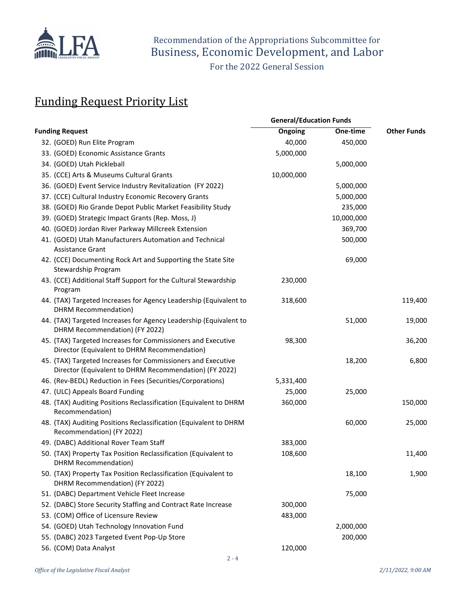

For the 2022 General Session

|                                                                                                                        | <b>General/Education Funds</b> |            |                    |
|------------------------------------------------------------------------------------------------------------------------|--------------------------------|------------|--------------------|
| <b>Funding Request</b>                                                                                                 | Ongoing                        | One-time   | <b>Other Funds</b> |
| 32. (GOED) Run Elite Program                                                                                           | 40,000                         | 450,000    |                    |
| 33. (GOED) Economic Assistance Grants                                                                                  | 5,000,000                      |            |                    |
| 34. (GOED) Utah Pickleball                                                                                             |                                | 5,000,000  |                    |
| 35. (CCE) Arts & Museums Cultural Grants                                                                               | 10,000,000                     |            |                    |
| 36. (GOED) Event Service Industry Revitalization (FY 2022)                                                             |                                | 5,000,000  |                    |
| 37. (CCE) Cultural Industry Economic Recovery Grants                                                                   |                                | 5,000,000  |                    |
| 38. (GOED) Rio Grande Depot Public Market Feasibility Study                                                            |                                | 235,000    |                    |
| 39. (GOED) Strategic Impact Grants (Rep. Moss, J)                                                                      |                                | 10,000,000 |                    |
| 40. (GOED) Jordan River Parkway Millcreek Extension                                                                    |                                | 369,700    |                    |
| 41. (GOED) Utah Manufacturers Automation and Technical<br><b>Assistance Grant</b>                                      |                                | 500,000    |                    |
| 42. (CCE) Documenting Rock Art and Supporting the State Site<br>Stewardship Program                                    |                                | 69,000     |                    |
| 43. (CCE) Additional Staff Support for the Cultural Stewardship<br>Program                                             | 230,000                        |            |                    |
| 44. (TAX) Targeted Increases for Agency Leadership (Equivalent to<br><b>DHRM Recommendation)</b>                       | 318,600                        |            | 119,400            |
| 44. (TAX) Targeted Increases for Agency Leadership (Equivalent to<br>DHRM Recommendation) (FY 2022)                    |                                | 51,000     | 19,000             |
| 45. (TAX) Targeted Increases for Commissioners and Executive<br>Director (Equivalent to DHRM Recommendation)           | 98,300                         |            | 36,200             |
| 45. (TAX) Targeted Increases for Commissioners and Executive<br>Director (Equivalent to DHRM Recommendation) (FY 2022) |                                | 18,200     | 6,800              |
| 46. (Rev-BEDL) Reduction in Fees (Securities/Corporations)                                                             | 5,331,400                      |            |                    |
| 47. (ULC) Appeals Board Funding                                                                                        | 25,000                         | 25,000     |                    |
| 48. (TAX) Auditing Positions Reclassification (Equivalent to DHRM<br>Recommendation)                                   | 360,000                        |            | 150,000            |
| 48. (TAX) Auditing Positions Reclassification (Equivalent to DHRM<br>Recommendation) (FY 2022)                         |                                | 60,000     | 25,000             |
| 49. (DABC) Additional Rover Team Staff                                                                                 | 383,000                        |            |                    |
| 50. (TAX) Property Tax Position Reclassification (Equivalent to<br><b>DHRM Recommendation)</b>                         | 108,600                        |            | 11,400             |
| 50. (TAX) Property Tax Position Reclassification (Equivalent to<br>DHRM Recommendation) (FY 2022)                      |                                | 18,100     | 1,900              |
| 51. (DABC) Department Vehicle Fleet Increase                                                                           |                                | 75,000     |                    |
| 52. (DABC) Store Security Staffing and Contract Rate Increase                                                          | 300,000                        |            |                    |
| 53. (COM) Office of Licensure Review                                                                                   | 483,000                        |            |                    |
| 54. (GOED) Utah Technology Innovation Fund                                                                             |                                | 2,000,000  |                    |
| 55. (DABC) 2023 Targeted Event Pop-Up Store                                                                            |                                | 200,000    |                    |
| 56. (COM) Data Analyst                                                                                                 | 120,000                        |            |                    |
|                                                                                                                        |                                |            |                    |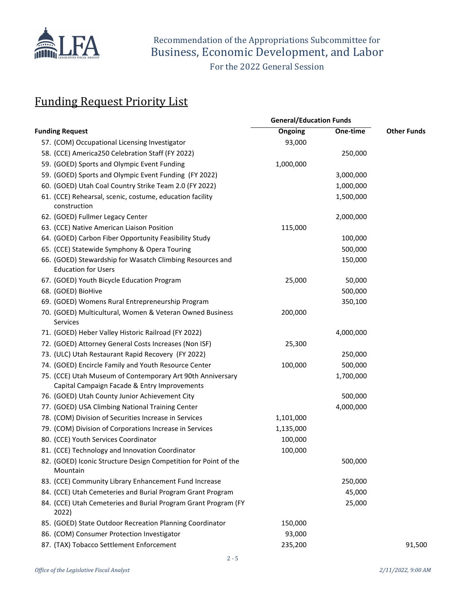

For the 2022 General Session

|                                                                                                            | <b>General/Education Funds</b> |           |                    |
|------------------------------------------------------------------------------------------------------------|--------------------------------|-----------|--------------------|
| <b>Funding Request</b>                                                                                     | Ongoing                        | One-time  | <b>Other Funds</b> |
| 57. (COM) Occupational Licensing Investigator                                                              | 93,000                         |           |                    |
| 58. (CCE) America250 Celebration Staff (FY 2022)                                                           |                                | 250,000   |                    |
| 59. (GOED) Sports and Olympic Event Funding                                                                | 1,000,000                      |           |                    |
| 59. (GOED) Sports and Olympic Event Funding (FY 2022)                                                      |                                | 3,000,000 |                    |
| 60. (GOED) Utah Coal Country Strike Team 2.0 (FY 2022)                                                     |                                | 1,000,000 |                    |
| 61. (CCE) Rehearsal, scenic, costume, education facility<br>construction                                   |                                | 1,500,000 |                    |
| 62. (GOED) Fullmer Legacy Center                                                                           |                                | 2,000,000 |                    |
| 63. (CCE) Native American Liaison Position                                                                 | 115,000                        |           |                    |
| 64. (GOED) Carbon Fiber Opportunity Feasibility Study                                                      |                                | 100,000   |                    |
| 65. (CCE) Statewide Symphony & Opera Touring                                                               |                                | 500,000   |                    |
| 66. (GOED) Stewardship for Wasatch Climbing Resources and<br><b>Education for Users</b>                    |                                | 150,000   |                    |
| 67. (GOED) Youth Bicycle Education Program                                                                 | 25,000                         | 50,000    |                    |
| 68. (GOED) BioHive                                                                                         |                                | 500,000   |                    |
| 69. (GOED) Womens Rural Entrepreneurship Program                                                           |                                | 350,100   |                    |
| 70. (GOED) Multicultural, Women & Veteran Owned Business<br>Services                                       | 200,000                        |           |                    |
| 71. (GOED) Heber Valley Historic Railroad (FY 2022)                                                        |                                | 4,000,000 |                    |
| 72. (GOED) Attorney General Costs Increases (Non ISF)                                                      | 25,300                         |           |                    |
| 73. (ULC) Utah Restaurant Rapid Recovery (FY 2022)                                                         |                                | 250,000   |                    |
| 74. (GOED) Encircle Family and Youth Resource Center                                                       | 100,000                        | 500,000   |                    |
| 75. (CCE) Utah Museum of Contemporary Art 90th Anniversary<br>Capital Campaign Facade & Entry Improvements |                                | 1,700,000 |                    |
| 76. (GOED) Utah County Junior Achievement City                                                             |                                | 500,000   |                    |
| 77. (GOED) USA Climbing National Training Center                                                           |                                | 4,000,000 |                    |
| 78. (COM) Division of Securities Increase in Services                                                      | 1,101,000                      |           |                    |
| 79. (COM) Division of Corporations Increase in Services                                                    | 1,135,000                      |           |                    |
| 80. (CCE) Youth Services Coordinator                                                                       | 100,000                        |           |                    |
| 81. (CCE) Technology and Innovation Coordinator                                                            | 100,000                        |           |                    |
| 82. (GOED) Iconic Structure Design Competition for Point of the<br>Mountain                                |                                | 500,000   |                    |
| 83. (CCE) Community Library Enhancement Fund Increase                                                      |                                | 250,000   |                    |
| 84. (CCE) Utah Cemeteries and Burial Program Grant Program                                                 |                                | 45,000    |                    |
| 84. (CCE) Utah Cemeteries and Burial Program Grant Program (FY<br>2022)                                    |                                | 25,000    |                    |
| 85. (GOED) State Outdoor Recreation Planning Coordinator                                                   | 150,000                        |           |                    |
| 86. (COM) Consumer Protection Investigator                                                                 | 93,000                         |           |                    |
| 87. (TAX) Tobacco Settlement Enforcement                                                                   | 235,200                        |           | 91,500             |
|                                                                                                            |                                |           |                    |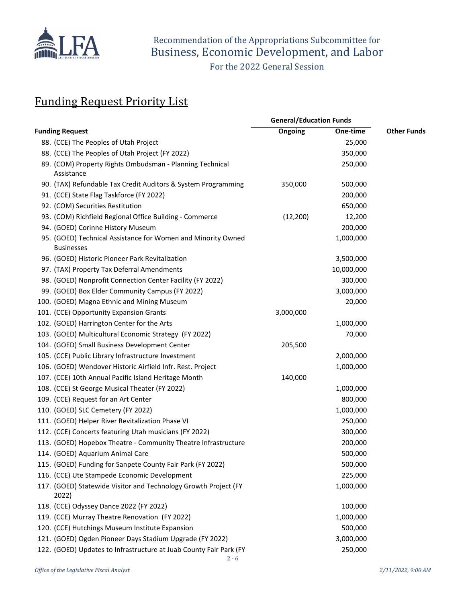

For the 2022 General Session

| <b>Funding Request</b>                                                            | Ongoing   | One-time   | <b>Other Funds</b>             |
|-----------------------------------------------------------------------------------|-----------|------------|--------------------------------|
| 88. (CCE) The Peoples of Utah Project                                             |           | 25,000     |                                |
| 88. (CCE) The Peoples of Utah Project (FY 2022)                                   |           | 350,000    |                                |
| 89. (COM) Property Rights Ombudsman - Planning Technical<br>Assistance            |           | 250,000    |                                |
| 90. (TAX) Refundable Tax Credit Auditors & System Programming                     | 350,000   | 500,000    |                                |
| 91. (CCE) State Flag Taskforce (FY 2022)                                          |           | 200,000    |                                |
| 92. (COM) Securities Restitution                                                  |           | 650,000    |                                |
| 93. (COM) Richfield Regional Office Building - Commerce                           | (12, 200) | 12,200     |                                |
| 94. (GOED) Corinne History Museum                                                 |           | 200,000    |                                |
| 95. (GOED) Technical Assistance for Women and Minority Owned<br><b>Businesses</b> |           | 1,000,000  |                                |
| 96. (GOED) Historic Pioneer Park Revitalization                                   |           | 3,500,000  |                                |
| 97. (TAX) Property Tax Deferral Amendments                                        |           | 10,000,000 |                                |
| 98. (GOED) Nonprofit Connection Center Facility (FY 2022)                         |           | 300,000    |                                |
| 99. (GOED) Box Elder Community Campus (FY 2022)                                   |           | 3,000,000  |                                |
| 100. (GOED) Magna Ethnic and Mining Museum                                        |           | 20,000     |                                |
| 101. (CCE) Opportunity Expansion Grants                                           | 3,000,000 |            |                                |
| 102. (GOED) Harrington Center for the Arts                                        |           | 1,000,000  |                                |
| 103. (GOED) Multicultural Economic Strategy (FY 2022)                             |           | 70,000     |                                |
| 104. (GOED) Small Business Development Center                                     | 205,500   |            |                                |
| 105. (CCE) Public Library Infrastructure Investment                               |           | 2,000,000  |                                |
| 106. (GOED) Wendover Historic Airfield Infr. Rest. Project                        |           | 1,000,000  |                                |
| 107. (CCE) 10th Annual Pacific Island Heritage Month                              | 140,000   |            |                                |
| 108. (CCE) St George Musical Theater (FY 2022)                                    |           | 1,000,000  |                                |
| 109. (CCE) Request for an Art Center                                              |           | 800,000    |                                |
| 110. (GOED) SLC Cemetery (FY 2022)                                                |           | 1,000,000  |                                |
| 111. (GOED) Helper River Revitalization Phase VI                                  |           | 250,000    |                                |
| 112. (CCE) Concerts featuring Utah musicians (FY 2022)                            |           | 300,000    |                                |
| 113. (GOED) Hopebox Theatre - Community Theatre Infrastructure                    |           | 200,000    |                                |
| 114. (GOED) Aquarium Animal Care                                                  |           | 500,000    |                                |
| 115. (GOED) Funding for Sanpete County Fair Park (FY 2022)                        |           | 500,000    |                                |
| 116. (CCE) Ute Stampede Economic Development                                      |           | 225,000    |                                |
| 117. (GOED) Statewide Visitor and Technology Growth Project (FY<br>2022)          |           | 1,000,000  |                                |
| 118. (CCE) Odyssey Dance 2022 (FY 2022)                                           |           | 100,000    |                                |
| 119. (CCE) Murray Theatre Renovation (FY 2022)                                    |           | 1,000,000  |                                |
| 120. (CCE) Hutchings Museum Institute Expansion                                   |           | 500,000    |                                |
| 121. (GOED) Ogden Pioneer Days Stadium Upgrade (FY 2022)                          |           | 3,000,000  |                                |
| 122. (GOED) Updates to Infrastructure at Juab County Fair Park (FY                |           | 250,000    |                                |
|                                                                                   |           |            | <b>General/Education Funds</b> |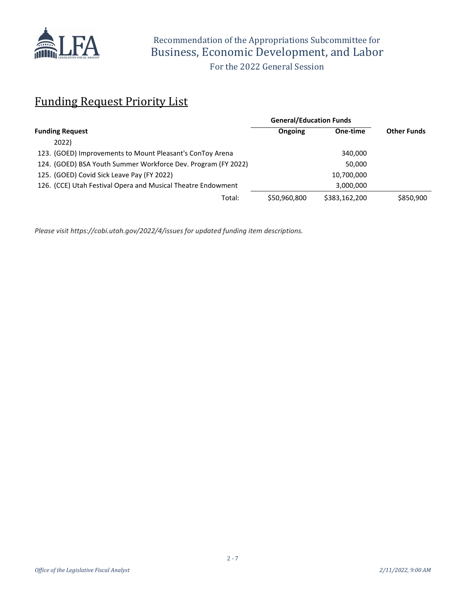

# For the 2022 General Session

# Funding Request Priority List

|                                                               | <b>General/Education Funds</b> |               |                    |
|---------------------------------------------------------------|--------------------------------|---------------|--------------------|
| <b>Funding Request</b>                                        | Ongoing                        | One-time      | <b>Other Funds</b> |
| 2022)                                                         |                                |               |                    |
| 123. (GOED) Improvements to Mount Pleasant's ConToy Arena     |                                | 340,000       |                    |
| 124. (GOED) BSA Youth Summer Workforce Dev. Program (FY 2022) |                                | 50.000        |                    |
| 125. (GOED) Covid Sick Leave Pay (FY 2022)                    |                                | 10,700,000    |                    |
| 126. (CCE) Utah Festival Opera and Musical Theatre Endowment  |                                | 3,000,000     |                    |
| Total:                                                        | \$50,960,800                   | \$383,162,200 | \$850,900          |

*Please visit https://cobi.utah.gov/2022/4/issues for updated funding item descriptions.*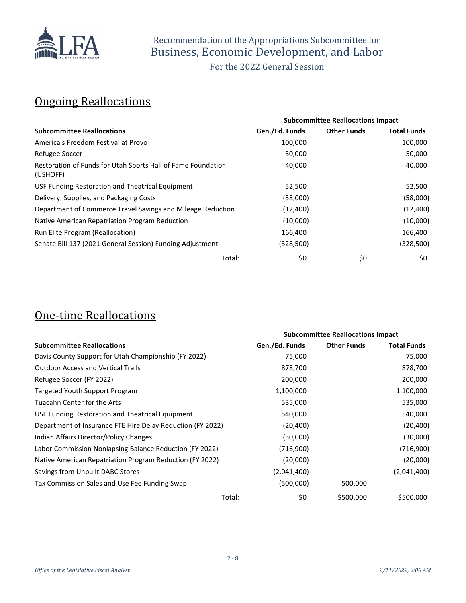

For the 2022 General Session

# Ongoing Reallocations

|                                                                          | <b>Subcommittee Reallocations Impact</b> |                    |                    |
|--------------------------------------------------------------------------|------------------------------------------|--------------------|--------------------|
| <b>Subcommittee Reallocations</b>                                        | Gen./Ed. Funds                           | <b>Other Funds</b> | <b>Total Funds</b> |
| America's Freedom Festival at Provo                                      | 100,000                                  |                    | 100,000            |
| Refugee Soccer                                                           | 50,000                                   |                    | 50,000             |
| Restoration of Funds for Utah Sports Hall of Fame Foundation<br>(USHOFF) | 40,000                                   |                    | 40,000             |
| USF Funding Restoration and Theatrical Equipment                         | 52,500                                   |                    | 52,500             |
| Delivery, Supplies, and Packaging Costs                                  | (58,000)                                 |                    | (58,000)           |
| Department of Commerce Travel Savings and Mileage Reduction              | (12,400)                                 |                    | (12, 400)          |
| Native American Repatriation Program Reduction                           | (10,000)                                 |                    | (10,000)           |
| Run Elite Program (Reallocation)                                         | 166,400                                  |                    | 166,400            |
| Senate Bill 137 (2021 General Session) Funding Adjustment                | (328, 500)                               |                    | (328, 500)         |
| Total:                                                                   | \$0                                      | \$0                | \$0                |

# One-time Reallocations

|                                                            | <b>Subcommittee Reallocations Impact</b> |                    |                    |  |  |
|------------------------------------------------------------|------------------------------------------|--------------------|--------------------|--|--|
| <b>Subcommittee Reallocations</b>                          | Gen./Ed. Funds                           | <b>Other Funds</b> | <b>Total Funds</b> |  |  |
| Davis County Support for Utah Championship (FY 2022)       | 75,000                                   |                    | 75,000             |  |  |
| <b>Outdoor Access and Vertical Trails</b>                  | 878,700                                  |                    | 878,700            |  |  |
| Refugee Soccer (FY 2022)                                   | 200,000                                  |                    | 200,000            |  |  |
| Targeted Youth Support Program                             | 1,100,000                                |                    | 1,100,000          |  |  |
| Tuacahn Center for the Arts                                | 535,000                                  |                    | 535,000            |  |  |
| USF Funding Restoration and Theatrical Equipment           | 540,000                                  |                    | 540,000            |  |  |
| Department of Insurance FTE Hire Delay Reduction (FY 2022) | (20, 400)                                |                    | (20, 400)          |  |  |
| Indian Affairs Director/Policy Changes                     | (30,000)                                 |                    | (30,000)           |  |  |
| Labor Commission Nonlapsing Balance Reduction (FY 2022)    | (716,900)                                |                    | (716,900)          |  |  |
| Native American Repatriation Program Reduction (FY 2022)   | (20,000)                                 |                    | (20,000)           |  |  |
| Savings from Unbuilt DABC Stores                           | (2,041,400)                              |                    | (2,041,400)        |  |  |
| Tax Commission Sales and Use Fee Funding Swap              | (500,000)                                | 500,000            |                    |  |  |
| Total:                                                     | \$0                                      | \$500,000          | \$500,000          |  |  |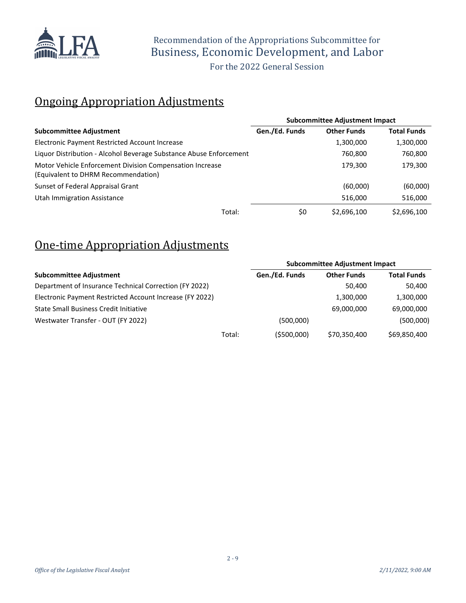

For the 2022 General Session

# Ongoing Appropriation Adjustments

|                                                                                                 | <b>Subcommittee Adjustment Impact</b> |                    |                    |
|-------------------------------------------------------------------------------------------------|---------------------------------------|--------------------|--------------------|
| <b>Subcommittee Adjustment</b>                                                                  | Gen./Ed. Funds                        | <b>Other Funds</b> | <b>Total Funds</b> |
| Electronic Payment Restricted Account Increase                                                  |                                       | 1,300,000          | 1,300,000          |
| Liquor Distribution - Alcohol Beverage Substance Abuse Enforcement                              |                                       | 760,800            | 760,800            |
| Motor Vehicle Enforcement Division Compensation Increase<br>(Equivalent to DHRM Recommendation) |                                       | 179,300            | 179,300            |
| Sunset of Federal Appraisal Grant                                                               |                                       | (60,000)           | (60,000)           |
| Utah Immigration Assistance                                                                     |                                       | 516,000            | 516,000            |
| Total:                                                                                          | \$0                                   | \$2,696,100        | \$2,696,100        |

# One-time Appropriation Adjustments

|                                                          |        |                | <b>Subcommittee Adjustment Impact</b> |                    |
|----------------------------------------------------------|--------|----------------|---------------------------------------|--------------------|
| <b>Subcommittee Adjustment</b>                           |        | Gen./Ed. Funds | <b>Other Funds</b>                    | <b>Total Funds</b> |
| Department of Insurance Technical Correction (FY 2022)   |        |                | 50,400                                | 50,400             |
| Electronic Payment Restricted Account Increase (FY 2022) |        |                | 1,300,000                             | 1,300,000          |
| <b>State Small Business Credit Initiative</b>            |        |                | 69,000,000                            | 69,000,000         |
| Westwater Transfer - OUT (FY 2022)                       |        | (500,000)      |                                       | (500,000)          |
|                                                          | Total: | ( \$500,000)   | \$70,350,400                          | \$69,850,400       |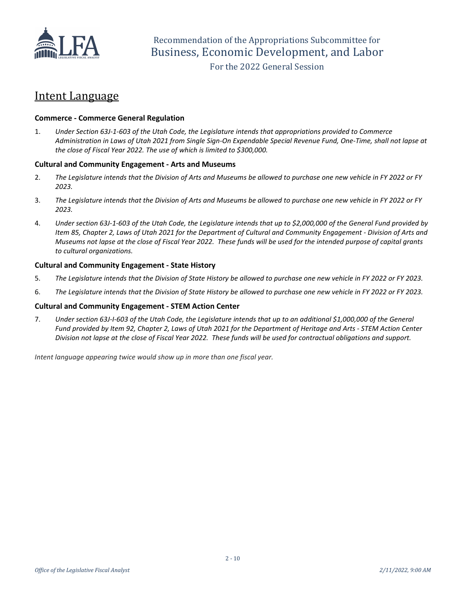

For the 2022 General Session

## Intent Language

### **Commerce ‐ Commerce General Regulation**

Under Section 63J-1-603 of the Utah Code, the Legislature intends that appropriations provided to Commerce Administration in Laws of Utah 2021 from Single Sign-On Expendable Special Revenue Fund, One-Time, shall not lapse at *the close of Fiscal Year 2022. The use of which is limited to \$300,000.* 1.

### **Cultural and Community Engagement ‐ Arts and Museums**

- The Legislature intends that the Division of Arts and Museums be allowed to purchase one new vehicle in FY 2022 or FY *2023.* 2.
- The Legislature intends that the Division of Arts and Museums be allowed to purchase one new vehicle in FY 2022 or FY *2023.* 3.
- Under section 63J-1-603 of the Utah Code, the Legislature intends that up to \$2,000,000 of the General Fund provided by Item 85, Chapter 2, Laws of Utah 2021 for the Department of Cultural and Community Engagement - Division of Arts and Museums not lapse at the close of Fiscal Year 2022. These funds will be used for the intended purpose of capital grants *to cultural organizations.* 4.

### **Cultural and Community Engagement ‐ State History**

- 5. The Legislature intends that the Division of State History be allowed to purchase one new vehicle in FY 2022 or FY 2023.
- 6. The Legislature intends that the Division of State History be allowed to purchase one new vehicle in FY 2022 or FY 2023.

### **Cultural and Community Engagement ‐ STEM Action Center**

Under section 63J-I-603 of the Utah Code, the Legislature intends that up to an additional \$1,000,000 of the General Fund provided by Item 92, Chapter 2, Laws of Utah 2021 for the Department of Heritage and Arts - STEM Action Center Division not lapse at the close of Fiscal Year 2022. These funds will be used for contractual obligations and support. 7.

*Intent language appearing twice would show up in more than one fiscal year.*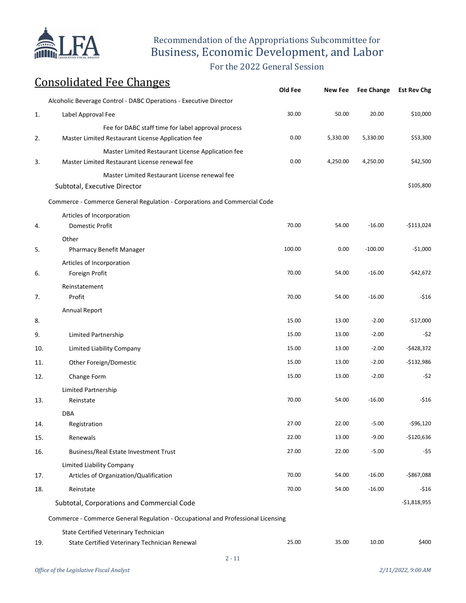

For the 2022 General Session

|     |                                                                                                         | Old Fee | <b>New Fee</b> | <b>Fee Change</b> | <b>Est Rev Chg</b> |
|-----|---------------------------------------------------------------------------------------------------------|---------|----------------|-------------------|--------------------|
|     | Alcoholic Beverage Control - DABC Operations - Executive Director                                       |         |                |                   |                    |
| 1.  | Label Approval Fee                                                                                      | 30.00   | 50.00          | 20.00             | \$10,000           |
| 2.  | Fee for DABC staff time for label approval process<br>Master Limited Restaurant License Application fee | 0.00    | 5,330.00       | 5,330.00          | \$53,300           |
|     | Master Limited Restaurant License Application fee                                                       |         |                |                   |                    |
| 3.  | Master Limited Restaurant License renewal fee                                                           | 0.00    | 4,250.00       | 4,250.00          | \$42,500           |
|     | Master Limited Restaurant License renewal fee                                                           |         |                |                   |                    |
|     | Subtotal, Executive Director                                                                            |         |                |                   | \$105,800          |
|     | Commerce - Commerce General Regulation - Corporations and Commercial Code                               |         |                |                   |                    |
| 4.  | Articles of Incorporation<br><b>Domestic Profit</b>                                                     | 70.00   | 54.00          | $-16.00$          | $-$113,024$        |
|     | Other                                                                                                   |         |                |                   |                    |
| 5.  | Pharmacy Benefit Manager                                                                                | 100.00  | 0.00           | $-100.00$         | $-$1,000$          |
|     | Articles of Incorporation                                                                               |         |                |                   |                    |
| 6.  | Foreign Profit                                                                                          | 70.00   | 54.00          | $-16.00$          | $-$42,672$         |
|     | Reinstatement                                                                                           |         |                |                   |                    |
| 7.  | Profit                                                                                                  | 70.00   | 54.00          | $-16.00$          | $-516$             |
|     | Annual Report                                                                                           |         |                |                   |                    |
| 8.  |                                                                                                         | 15.00   | 13.00          | $-2.00$           | $-$17,000$         |
| 9.  | Limited Partnership                                                                                     | 15.00   | 13.00          | $-2.00$           | -\$2               |
| 10. | Limited Liability Company                                                                               | 15.00   | 13.00          | $-2.00$           | $-$428,372$        |
| 11. | Other Foreign/Domestic                                                                                  | 15.00   | 13.00          | $-2.00$           | $-$132,986$        |
| 12. | Change Form                                                                                             | 15.00   | 13.00          | $-2.00$           | $-52$              |
|     | Limited Partnership                                                                                     |         |                |                   |                    |
| 13. | Reinstate                                                                                               | 70.00   | 54.00          | $-16.00$          | $-516$             |
|     | <b>DBA</b>                                                                                              |         |                |                   |                    |
| 14. | Registration                                                                                            | 27.00   | 22.00          | $-5.00$           | $-596,120$         |
| 15. | Renewals                                                                                                | 22.00   | 13.00          | $-9.00$           | $-$120,636$        |
| 16. | Business/Real Estate Investment Trust                                                                   | 27.00   | 22.00          | $-5.00$           | -\$5               |
|     | Limited Liability Company                                                                               |         |                |                   |                    |
| 17. | Articles of Organization/Qualification                                                                  | 70.00   | 54.00          | $-16.00$          | $-$867,088$        |
| 18. | Reinstate                                                                                               | 70.00   | 54.00          | $-16.00$          | $- $16$            |
|     | Subtotal, Corporations and Commercial Code                                                              |         |                |                   | $-$1,818,955$      |
|     | Commerce - Commerce General Regulation - Occupational and Professional Licensing                        |         |                |                   |                    |
|     | State Certified Veterinary Technician                                                                   |         |                |                   |                    |
| 19. | State Certified Veterinary Technician Renewal                                                           | 25.00   | 35.00          | 10.00             | \$400              |
|     |                                                                                                         |         |                |                   |                    |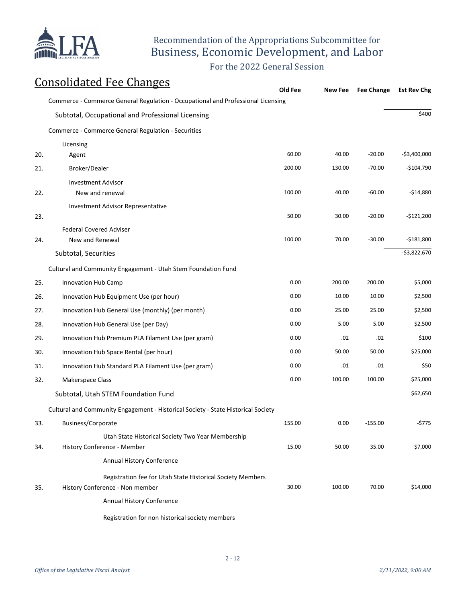

For the 2022 General Session

|     |                                                                                   | Old Fee | New Fee | <b>Fee Change</b> | <b>Est Rev Chg</b> |
|-----|-----------------------------------------------------------------------------------|---------|---------|-------------------|--------------------|
|     | Commerce - Commerce General Regulation - Occupational and Professional Licensing  |         |         |                   |                    |
|     | Subtotal, Occupational and Professional Licensing                                 |         |         |                   | \$400              |
|     | Commerce - Commerce General Regulation - Securities                               |         |         |                   |                    |
|     | Licensing                                                                         |         |         |                   |                    |
| 20. | Agent                                                                             | 60.00   | 40.00   | $-20.00$          | $-$3,400,000$      |
| 21. | Broker/Dealer                                                                     | 200.00  | 130.00  | $-70.00$          | $-$104,790$        |
|     | <b>Investment Advisor</b>                                                         |         |         |                   |                    |
| 22. | New and renewal                                                                   | 100.00  | 40.00   | $-60.00$          | $-514,880$         |
|     | <b>Investment Advisor Representative</b>                                          |         |         |                   |                    |
| 23. |                                                                                   | 50.00   | 30.00   | $-20.00$          | $-$121,200$        |
| 24. | <b>Federal Covered Adviser</b><br>New and Renewal                                 | 100.00  | 70.00   | $-30.00$          | $-5181,800$        |
|     | Subtotal, Securities                                                              |         |         |                   | $-$3,822,670$      |
|     | Cultural and Community Engagement - Utah Stem Foundation Fund                     |         |         |                   |                    |
| 25. | Innovation Hub Camp                                                               | 0.00    | 200.00  | 200.00            | \$5,000            |
| 26. | Innovation Hub Equipment Use (per hour)                                           | 0.00    | 10.00   | 10.00             | \$2,500            |
| 27. | Innovation Hub General Use (monthly) (per month)                                  | 0.00    | 25.00   | 25.00             | \$2,500            |
| 28. | Innovation Hub General Use (per Day)                                              | 0.00    | 5.00    | 5.00              | \$2,500            |
| 29. | Innovation Hub Premium PLA Filament Use (per gram)                                | 0.00    | .02     | .02               | \$100              |
| 30. | Innovation Hub Space Rental (per hour)                                            | 0.00    | 50.00   | 50.00             | \$25,000           |
| 31. | Innovation Hub Standard PLA Filament Use (per gram)                               | 0.00    | .01     | .01               | \$50               |
| 32. | Makerspace Class                                                                  | 0.00    | 100.00  | 100.00            | \$25,000           |
|     | Subtotal, Utah STEM Foundation Fund                                               |         |         |                   | \$62,650           |
|     | Cultural and Community Engagement - Historical Society - State Historical Society |         |         |                   |                    |
| 33. | <b>Business/Corporate</b>                                                         | 155.00  | 0.00    | $-155.00$         | -\$775             |
|     | Utah State Historical Society Two Year Membership                                 |         |         |                   |                    |
| 34. | History Conference - Member                                                       | 15.00   | 50.00   | 35.00             | \$7,000            |
|     | Annual History Conference                                                         |         |         |                   |                    |
|     | Registration fee for Utah State Historical Society Members                        |         |         |                   |                    |
| 35. | History Conference - Non member                                                   | 30.00   | 100.00  | 70.00             | \$14,000           |
|     | Annual History Conference                                                         |         |         |                   |                    |
|     | Registration for non historical society members                                   |         |         |                   |                    |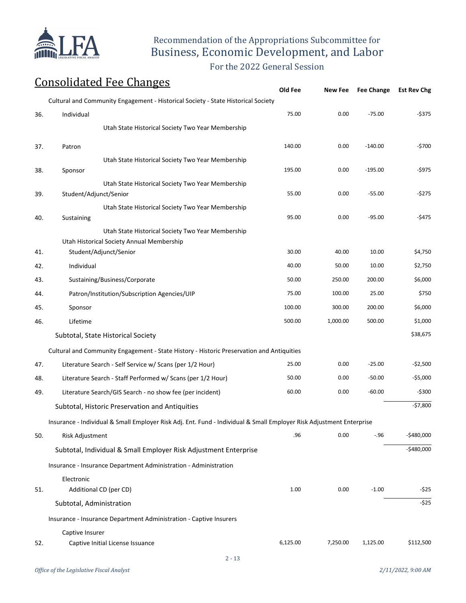

For the 2022 General Session

|     |                                                                                                                      | Old Fee  | New Fee  | <b>Fee Change</b> | <b>Est Rev Chg</b> |
|-----|----------------------------------------------------------------------------------------------------------------------|----------|----------|-------------------|--------------------|
|     | Cultural and Community Engagement - Historical Society - State Historical Society                                    |          |          |                   |                    |
| 36. | Individual                                                                                                           | 75.00    | 0.00     | $-75.00$          | -\$375             |
|     | Utah State Historical Society Two Year Membership                                                                    |          |          |                   |                    |
| 37. | Patron                                                                                                               | 140.00   | 0.00     | $-140.00$         | $-5700$            |
|     | Utah State Historical Society Two Year Membership                                                                    |          |          |                   |                    |
| 38. | Sponsor                                                                                                              | 195.00   | 0.00     | $-195.00$         | -\$975             |
|     | Utah State Historical Society Two Year Membership                                                                    |          |          |                   |                    |
| 39. | Student/Adjunct/Senior                                                                                               | 55.00    | 0.00     | $-55.00$          | $-5275$            |
| 40. | Utah State Historical Society Two Year Membership<br>Sustaining                                                      | 95.00    | 0.00     | $-95.00$          | $-5475$            |
|     | Utah State Historical Society Two Year Membership                                                                    |          |          |                   |                    |
|     | Utah Historical Society Annual Membership                                                                            |          |          |                   |                    |
| 41. | Student/Adjunct/Senior                                                                                               | 30.00    | 40.00    | 10.00             | \$4,750            |
| 42. | Individual                                                                                                           | 40.00    | 50.00    | 10.00             | \$2,750            |
| 43. | Sustaining/Business/Corporate                                                                                        | 50.00    | 250.00   | 200.00            | \$6,000            |
| 44. | Patron/Institution/Subscription Agencies/UIP                                                                         | 75.00    | 100.00   | 25.00             | \$750              |
| 45. | Sponsor                                                                                                              | 100.00   | 300.00   | 200.00            | \$6,000            |
| 46. | Lifetime                                                                                                             | 500.00   | 1,000.00 | 500.00            | \$1,000            |
|     | Subtotal, State Historical Society                                                                                   |          |          |                   | \$38,675           |
|     | Cultural and Community Engagement - State History - Historic Preservation and Antiquities                            |          |          |                   |                    |
| 47. | Literature Search - Self Service w/ Scans (per 1/2 Hour)                                                             | 25.00    | 0.00     | $-25.00$          | $-52,500$          |
| 48. | Literature Search - Staff Performed w/ Scans (per 1/2 Hour)                                                          | 50.00    | 0.00     | $-50.00$          | $-55,000$          |
| 49. | Literature Search/GIS Search - no show fee (per incident)                                                            | 60.00    | 0.00     | $-60.00$          | $-$ \$300          |
|     | Subtotal, Historic Preservation and Antiquities                                                                      |          |          |                   | $-57,800$          |
|     | Insurance - Individual & Small Employer Risk Adj. Ent. Fund - Individual & Small Employer Risk Adjustment Enterprise |          |          |                   |                    |
| 50. | Risk Adjustment                                                                                                      | .96      | 0.00     | $-.96$            | -\$480,000         |
|     | Subtotal, Individual & Small Employer Risk Adjustment Enterprise                                                     |          |          |                   | -\$480,000         |
|     | Insurance - Insurance Department Administration - Administration                                                     |          |          |                   |                    |
|     | Electronic                                                                                                           |          |          |                   |                    |
| 51. | Additional CD (per CD)                                                                                               | 1.00     | 0.00     | $-1.00$           | -\$25              |
|     | Subtotal, Administration                                                                                             |          |          |                   | $-525$             |
|     | Insurance - Insurance Department Administration - Captive Insurers                                                   |          |          |                   |                    |
|     | Captive Insurer                                                                                                      |          |          |                   |                    |
| 52. | Captive Initial License Issuance                                                                                     | 6,125.00 | 7,250.00 | 1,125.00          | \$112,500          |
|     | $2 - 13$                                                                                                             |          |          |                   |                    |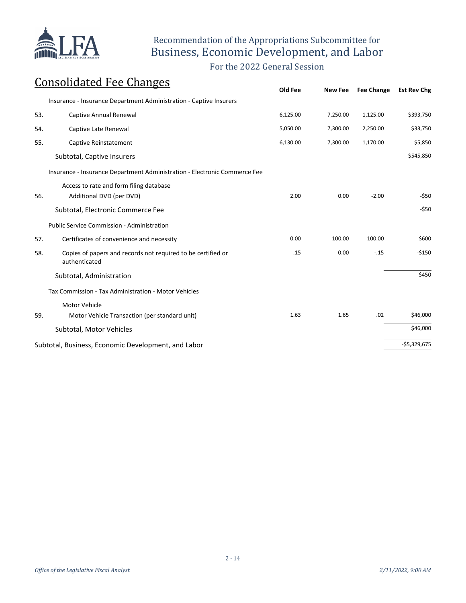

For the 2022 General Session

|     |                                                                               | <b>UID FEE</b> | <b>New Fee</b> | ree change | <b>EST REACHE</b> |
|-----|-------------------------------------------------------------------------------|----------------|----------------|------------|-------------------|
|     | Insurance - Insurance Department Administration - Captive Insurers            |                |                |            |                   |
| 53. | Captive Annual Renewal                                                        | 6,125.00       | 7,250.00       | 1,125.00   | \$393,750         |
| 54. | Captive Late Renewal                                                          | 5,050.00       | 7,300.00       | 2,250.00   | \$33,750          |
| 55. | Captive Reinstatement                                                         | 6,130.00       | 7,300.00       | 1,170.00   | \$5,850           |
|     | Subtotal, Captive Insurers                                                    |                |                |            | \$545,850         |
|     | Insurance - Insurance Department Administration - Electronic Commerce Fee     |                |                |            |                   |
|     | Access to rate and form filing database                                       |                |                |            |                   |
| 56. | Additional DVD (per DVD)                                                      | 2.00           | 0.00           | $-2.00$    | $-550$            |
|     | Subtotal, Electronic Commerce Fee                                             |                |                |            | $-550$            |
|     | <b>Public Service Commission - Administration</b>                             |                |                |            |                   |
| 57. | Certificates of convenience and necessity                                     | 0.00           | 100.00         | 100.00     | \$600             |
| 58. | Copies of papers and records not required to be certified or<br>authenticated | .15            | 0.00           | $-.15$     | $-5150$           |
|     | Subtotal, Administration                                                      |                |                |            | \$450             |
|     | Tax Commission - Tax Administration - Motor Vehicles                          |                |                |            |                   |
|     | Motor Vehicle                                                                 |                |                |            |                   |
| 59. | Motor Vehicle Transaction (per standard unit)                                 | 1.63           | 1.65           | .02        | \$46,000          |
|     | Subtotal, Motor Vehicles                                                      |                |                |            | \$46,000          |
|     | Subtotal, Business, Economic Development, and Labor                           |                |                |            | $-55,329,675$     |
|     |                                                                               |                |                |            |                   |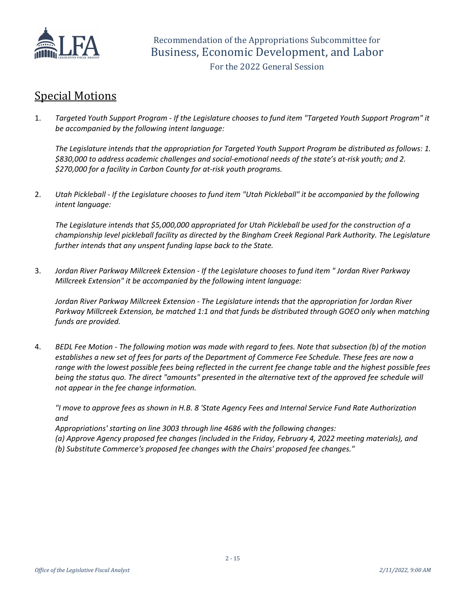

For the 2022 General Session

# Special Motions

Targeted Youth Support Program - If the Legislature chooses to fund item "Targeted Youth Support Program" it *be accompanied by the following intent language:* 1.

*The Legislature intends that the appropriation for Targeted Youth Support Program be distributed as follows: 1.* \$830,000 to address academic challenges and social-emotional needs of the state's at-risk youth; and 2. *\$270,000 for a facility in Carbon County for at‐risk youth programs.*

Utah Pickleball - If the Legislature chooses to fund item "Utah Pickleball" it be accompanied by the following *intent language:* 2.

*The Legislature intends that \$5,000,000 appropriated for Utah Pickleball be used for the construction of a championship level pickleball facility as directed by the Bingham Creek Regional Park Authority. The Legislature further intends that any unspent funding lapse back to the State.*

*Jordan River Parkway Millcreek Extension ‐ If the Legislature chooses to fund item " Jordan River Parkway Millcreek Extension" it be accompanied by the following intent language:* 3.

*Jordan River Parkway Millcreek Extension ‐ The Legislature intends that the appropriation for Jordan River Parkway Millcreek Extension, be matched 1:1 and that funds be distributed through GOEO only when matching funds are provided.*

BEDL Fee Motion - The following motion was made with regard to fees. Note that subsection (b) of the motion establishes a new set of fees for parts of the Department of Commerce Fee Schedule. These fees are now a range with the lowest possible fees being reflected in the current fee change table and the highest possible fees being the status quo. The direct "amounts" presented in the alternative text of the approved fee schedule will *not appear in the fee change information.* 4.

"I move to approve fees as shown in H.B. 8 'State Agency Fees and Internal Service Fund Rate Authorization *and*

*Appropriations' starting on line 3003 through line 4686 with the following changes:*

*(a) Approve Agency proposed fee changes (included in the Friday, February 4, 2022 meeting materials), and*

*(b) Substitute Commerce's proposed fee changes with the Chairs' proposed fee changes."*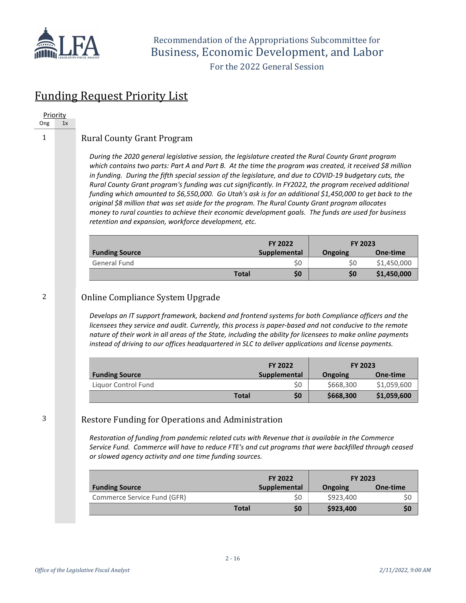

For the 2022 General Session

# Funding Request Priority List

### Ong 1x **Priority**

### 1 Rural County Grant Program

*During the 2020 general legislative session, the legislature created the Rural County Grant program* which contains two parts: Part A and Part B. At the time the program was created, it received \$8 million in funding. During the fifth special session of the legislature, and due to COVID-19 budgetary cuts, the *Rural County Grant program's funding was cut significantly. In FY2022, the program received additional* funding which amounted to \$6,550,000. Go Utah's ask is for an additional \$1,450,000 to get back to the *original \$8 million that was set aside for the program. The Rural County Grant program allocates money to rural counties to achieve their economic development goals. The funds are used for business retention and expansion, workforce development, etc.*

|                       |              | <b>FY 2022</b> | <b>FY 2023</b> |             |
|-----------------------|--------------|----------------|----------------|-------------|
| <b>Funding Source</b> |              | Supplemental   | Ongoing        | One-time    |
| General Fund          |              | Ś0             | Ś0             | \$1,450,000 |
|                       | <b>Total</b> | \$0            | \$0            | \$1,450,000 |

## 2 Online Compliance System Upgrade

*Develops an IT support framework, backend and frontend systems for both Compliance officers and the* licensees they service and audit. Currently, this process is paper-based and not conducive to the remote nature of their work in all areas of the State, including the ability for licensees to make online payments *instead of driving to our offices headquartered in SLC to deliver applications and license payments.*

|                       | <b>FY 2022</b> | <b>FY 2023</b> |             |
|-----------------------|----------------|----------------|-------------|
| <b>Funding Source</b> | Supplemental   | Ongoing        | One-time    |
| Liquor Control Fund   | \$0            | \$668,300      | \$1,059,600 |
|                       | \$0<br>Total   | \$668,300      | \$1,059,600 |

### 3 Restore Funding for Operations and Administration

*Restoration of funding from pandemic related cuts with Revenue that is available in the Commerce Service Fund. Commerce will have to reduce FTE's and cut programs that were backfilled through ceased or slowed agency activity and one time funding sources.*

|                             | <b>FY 2022</b> | <b>FY 2023</b> |          |
|-----------------------------|----------------|----------------|----------|
| <b>Funding Source</b>       | Supplemental   | Ongoing        | One-time |
| Commerce Service Fund (GFR) | \$0            | \$923,400      | \$0      |
| Total                       | \$0            | \$923,400      | \$0      |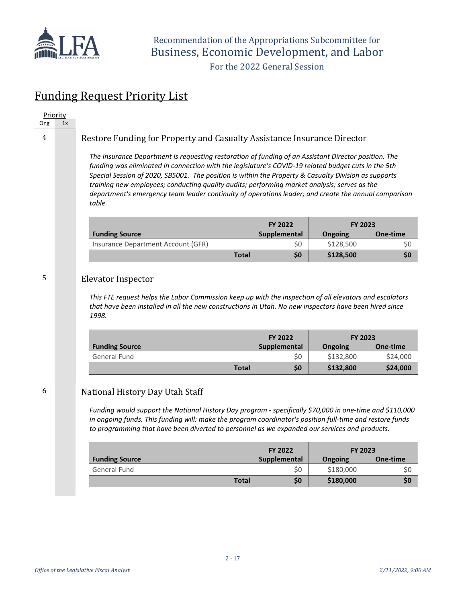

Recommendation of the Appropriations Subcommittee for Business, Economic Development, and Labor

For the 2022 General Session

# Funding Request Priority List

## 4 Restore Funding for Property and Casualty Assistance Insurance Director

*The Insurance Department is requesting restoration of funding of an Assistant Director position. The funding was eliminated in connection with the legislature's COVID‐19 related budget cuts in the 5th Special Session of 2020, SB5001. The position is within the Property & Casualty Division as supports training new employees; conducting quality audits; performing market analysis; serves as the department's emergency team leader continuity of operations leader; and create the annual comparison table.*

|                                    |       | <b>FY 2022</b> | <b>FY 2023</b> |          |
|------------------------------------|-------|----------------|----------------|----------|
| <b>Funding Source</b>              |       | Supplemental   | Ongoing        | One-time |
| Insurance Department Account (GFR) |       | \$0            | \$128,500      |          |
|                                    | Total | \$0            | \$128,500      | \$0      |

### 5 Elevator Inspector

*This FTE request helps the Labor Commission keep up with the inspection of all elevators and escalators* that have been installed in all the new constructions in Utah. No new inspectors have been hired since *1998.*

|                       | FY 2022             |           | <b>FY 2023</b> |
|-----------------------|---------------------|-----------|----------------|
| <b>Funding Source</b> | Supplemental        | Ongoing   | One-time       |
| General Fund          | \$0                 | \$132,800 | \$24,000       |
|                       | \$0<br><b>Total</b> | \$132,800 | \$24,000       |

## 6 National History Day Utah Staff

*Funding would support the National History Day program ‐ specifically \$70,000 in one‐time and \$110,000 in ongoing funds. This funding will: make the program coordinator's position full‐time and restore funds to programming that have been diverted to personnel as we expanded our services and products.*

|                       |       | <b>FY 2022</b> | <b>FY 2023</b> |          |
|-----------------------|-------|----------------|----------------|----------|
| <b>Funding Source</b> |       | Supplemental   | Ongoing        | One-time |
| General Fund          |       | \$0            | \$180,000      | \$0      |
|                       | Total | \$0            | \$180,000      | \$0      |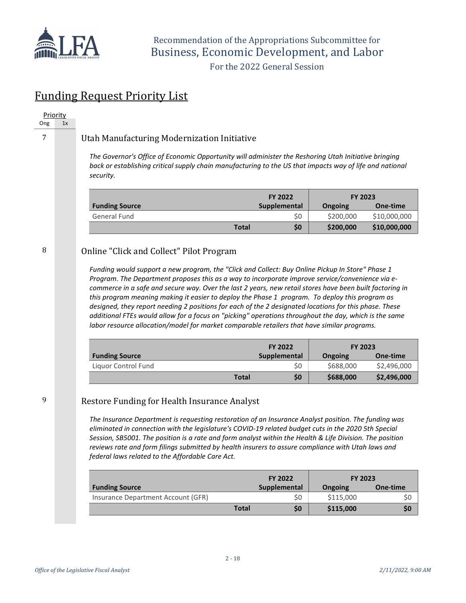

Recommendation of the Appropriations Subcommittee for Business, Economic Development, and Labor

For the 2022 General Session

# Funding Request Priority List

## 7 Utah Manufacturing Modernization Initiative

*The Governor's Office of Economic Opportunity will administer the Reshoring Utah Initiative bringing back or establishing critical supply chain manufacturing to the US that impacts way of life and national security.*

|                       | <b>FY 2022</b> | <b>FY 2023</b> |              |
|-----------------------|----------------|----------------|--------------|
| <b>Funding Source</b> | Supplemental   | Ongoing        | One-time     |
| General Fund          | \$0            | \$200,000      | \$10,000,000 |
|                       | \$0<br>Total   | \$200,000      | \$10,000,000 |

### 8 **Online "Click and Collect" Pilot Program**

*Funding would support a new program, the "Click and Collect: Buy Online Pickup In Store" Phase 1 Program. The Department proposes this as a way to incorporate improve service/convenience via e‐* commerce in a safe and secure way. Over the last 2 years, new retail stores have been built factoring in this program meaning making it easier to deploy the Phase 1 program. To deploy this program as *designed, they report needing 2 positions for each of the 2 designated locations for this phase. These additional FTEs would allow for a focus on "picking" operations throughout the day, which is the same labor resource allocation/model for market comparable retailers that have similar programs.*

|                       |              | <b>FY 2022</b> | <b>FY 2023</b> |             |
|-----------------------|--------------|----------------|----------------|-------------|
| <b>Funding Source</b> |              | Supplemental   | Ongoing        | One-time    |
| Liquor Control Fund   |              | \$0            | \$688,000      | \$2,496,000 |
|                       | <b>Total</b> | \$0            | \$688,000      | \$2,496,000 |

### 9 Restore Funding for Health Insurance Analyst

*The Insurance Department is requesting restoration of an Insurance Analyst position. The funding was eliminated in connection with the legislature's COVID‐19 related budget cuts in the 2020 5th Special* Session, SB5001. The position is a rate and form analyst within the Health & Life Division. The position *reviews rate and form filings submitted by health insurers to assure compliance with Utah laws and federal laws related to the Affordable Care Act.*

|                                    |              | <b>FY 2022</b> | <b>FY 2023</b> |          |
|------------------------------------|--------------|----------------|----------------|----------|
| <b>Funding Source</b>              |              | Supplemental   | Ongoing        | One-time |
| Insurance Department Account (GFR) |              | \$0            | \$115,000      | \$C      |
|                                    | <b>Total</b> | \$0            | \$115,000      | \$0      |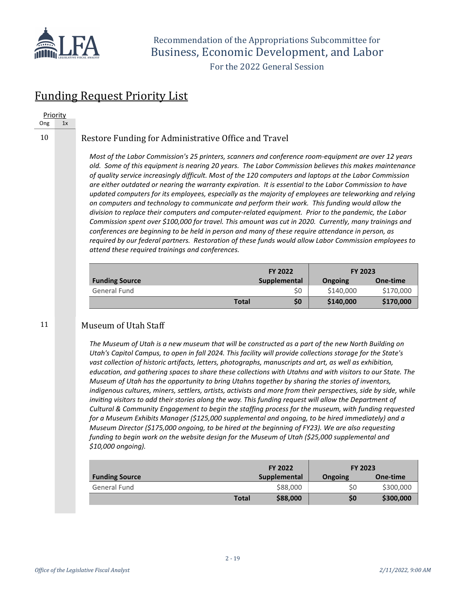

Recommendation of the Appropriations Subcommittee for Business, Economic Development, and Labor

For the 2022 General Session

# Funding Request Priority List

## 10 Restore Funding for Administrative Office and Travel

*Most of the Labor Commission's 25 printers, scanners and conference room‐equipment are over 12 years* old. Some of this equipment is nearing 20 years. The Labor Commission believes this makes maintenance *of quality service increasingly difficult. Most of the 120 computers and laptops at the Labor Commission* are either outdated or nearing the warranty expiration. It is essential to the Labor Commission to have *updated computers for its employees, especially as the majority of employees are teleworking and relying on computers and technology to communicate and perform their work. This funding would allow the division to replace their computers and computer‐related equipment. Prior to the pandemic, the Labor Commission spent over \$100,000 for travel. This amount was cut in 2020. Currently, many trainings and conferences are beginning to be held in person and many of these require attendance in person, as required by our federal partners. Restoration of these funds would allow Labor Commission employees to attend these required trainings and conferences.*

|                       |       | <b>FY 2022</b> | <b>FY 2023</b> |           |
|-----------------------|-------|----------------|----------------|-----------|
| <b>Funding Source</b> |       | Supplemental   | Ongoing        | One-time  |
| General Fund          |       | \$0            | \$140,000      | \$170,000 |
|                       | Total | \$0            | \$140,000      | \$170,000 |

### 11 Museum of Utah Staff

The Museum of Utah is a new museum that will be constructed as a part of the new North Building on Utah's Capitol Campus, to open in fall 2024. This facility will provide collections storage for the State's *vast collection of historic artifacts, letters, photographs, manuscripts and art, as well as exhibition,* education, and gathering spaces to share these collections with Utahns and with visitors to our State. The *Museum of Utah has the opportunity to bring Utahns together by sharing the stories of inventors, indigenous cultures, miners, settlers, artists, activists and more from their perspectives, side by side, while* inviting visitors to add their stories along the way. This funding request will allow the Department of *Cultural & Community Engagement to begin the staffing process for the museum, with funding requested for a Museum Exhibits Manager (\$125,000 supplemental and ongoing, to be hired immediately) and a Museum Director (\$175,000 ongoing, to be hired at the beginning of FY23). We are also requesting funding to begin work on the website design for the Museum of Utah (\$25,000 supplemental and \$10,000 ongoing).*

|                       |       | <b>FY 2022</b> | <b>FY 2023</b> |           |
|-----------------------|-------|----------------|----------------|-----------|
| <b>Funding Source</b> |       | Supplemental   | Ongoing        | One-time  |
| General Fund          |       | \$88,000       | S0             | \$300,000 |
|                       | Total | \$88,000       | \$0            | \$300,000 |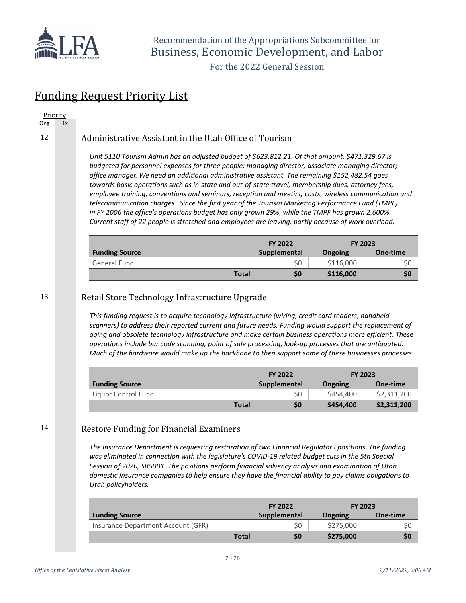

Recommendation of the Appropriations Subcommittee for Business, Economic Development, and Labor

For the 2022 General Session

# Funding Request Priority List

## 12 Administrative Assistant in the Utah Office of Tourism

*Unit 5110 Tourism Admin has an adjusted budget of \$623,812.21. Of that amount, \$471,329.67 is budgeted for personnel expenses for three people: managing director, associate managing director; office manager. We need an addiƟonal administraƟve assistant. The remaining \$152,482.54 goes* towards basic operations such as in-state and out-of-state travel, membership dues, attorney fees, *employee training, conventions and seminars, reception and meeting costs, wireless communication and telecommunicaƟon charges. Since the first year of the Tourism MarkeƟng Performance Fund (TMPF) in FY 2006 the office's operations budget has only grown 29%, while the TMPF has grown 2,600%. Current staff of 22 people is stretched and employees are leaving, partly because of work overload.*

|                       |              | <b>FY 2022</b> | <b>FY 2023</b> |          |
|-----------------------|--------------|----------------|----------------|----------|
| <b>Funding Source</b> |              | Supplemental   | Ongoing        | One-time |
| General Fund          |              | Ś0             | \$116,000      | Ś0       |
|                       | <b>Total</b> | \$0            | \$116,000      | \$0      |

## 13 Retail Store Technology Infrastructure Upgrade

*This funding request is to acquire technology infrastructure (wiring, credit card readers, handheld scanners) to address their reported current and future needs. Funding would support the replacement of aging and obsolete technology infrastructure and make certain business operations more efficient. These operations include bar code scanning, point of sale processing, look‐up processes that are antiquated. Much of the hardware would make up the backbone to then support some of these businesses processes.*

|                       | <b>FY 2022</b> | <b>FY 2023</b> |             |
|-----------------------|----------------|----------------|-------------|
| <b>Funding Source</b> | Supplemental   | Ongoing        | One-time    |
| Liquor Control Fund   | \$0            | \$454,400      | \$2,311,200 |
|                       | \$0<br>Total   | \$454,400      | \$2,311,200 |

### 14 Restore Funding for Financial Examiners

*The Insurance Department is requesting restoration of two Financial Regulator I positions. The funding was eliminated in connection with the legislature's COVID‐19 related budget cuts in the 5th Special Session of 2020, SB5001. The positions perform financial solvency analysis and examination of Utah domestic insurance companies to help ensure they have the financial ability to pay claims obligations to Utah policyholders.*

|                                    |       | <b>FY 2022</b> | <b>FY 2023</b> |          |
|------------------------------------|-------|----------------|----------------|----------|
| <b>Funding Source</b>              |       | Supplemental   | Ongoing        | One-time |
| Insurance Department Account (GFR) |       | Ś0             | \$275,000      | SC       |
|                                    | Total | SO             | \$275,000      | \$0      |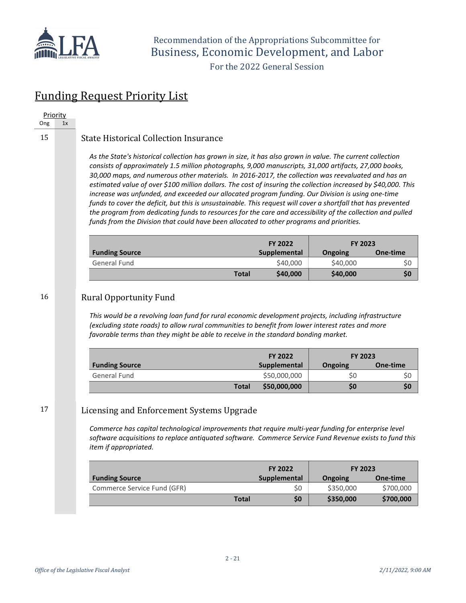

Recommendation of the Appropriations Subcommittee for Business, Economic Development, and Labor

For the 2022 General Session

# Funding Request Priority List

## 15 State Historical Collection Insurance

As the State's historical collection has grown in size, it has also grown in value. The current collection *consists of approximately 1.5 million photographs, 9,000 manuscripts, 31,000 artifacts, 27,000 books,* 30,000 maps, and numerous other materials. In 2016-2017, the collection was reevaluated and has an estimated value of over \$100 million dollars. The cost of insuring the collection increased by \$40,000. This *increase was unfunded, and exceeded our allocated program funding. Our Division is using one‐time* funds to cover the deficit, but this is unsustainable. This request will cover a shortfall that has prevented the program from dedicating funds to resources for the care and accessibility of the collection and pulled *funds from the Division that could have been allocated to other programs and priorities.*

|                       |       | <b>FY 2022</b> | <b>FY 2023</b> |          |
|-----------------------|-------|----------------|----------------|----------|
| <b>Funding Source</b> |       | Supplemental   | Ongoing        | One-time |
| General Fund          |       | \$40,000       | \$40,000       | \$0      |
|                       | Total | \$40,000       | \$40,000       | \$0      |

## 16 Rural Opportunity Fund

*This would be a revolving loan fund for rural economic development projects, including infrastructure (excluding state roads) to allow rural communities to benefit from lower interest rates and more favorable terms than they might be able to receive in the standard bonding market.*

|                       | <b>FY 2022</b> | <b>FY 2023</b> |          |
|-----------------------|----------------|----------------|----------|
| <b>Funding Source</b> | Supplemental   | Ongoing        | One-time |
| General Fund          | \$50,000,000   | Ś0             | Ś0       |
| <b>Total</b>          | \$50,000,000   | \$0            | \$0      |

## 17 Licensing and Enforcement Systems Upgrade

*Commerce has capital technological improvements that require multi‐year funding for enterprise level software acquisitions to replace antiquated software. Commerce Service Fund Revenue exists to fund this item if appropriated.*

|                             |       | <b>FY 2022</b> | <b>FY 2023</b> |           |
|-----------------------------|-------|----------------|----------------|-----------|
| <b>Funding Source</b>       |       | Supplemental   | Ongoing        | One-time  |
| Commerce Service Fund (GFR) |       | S0             | \$350,000      | \$700,000 |
|                             | Total | \$0            | \$350,000      | \$700,000 |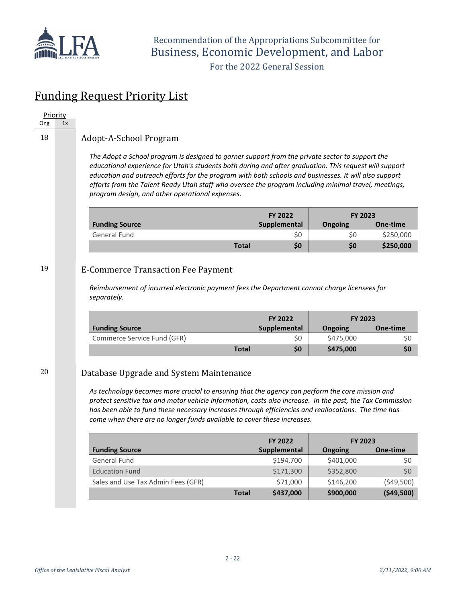

Recommendation of the Appropriations Subcommittee for Business, Economic Development, and Labor

For the 2022 General Session

# Funding Request Priority List

## 18 Adopt-A-School Program

*The Adopt a School program is designed to garner support from the private sector to support the educational experience for Utah's students both during and after graduation. This request will support education and outreach efforts for the program with both schools and businesses. It will also support efforts from the Talent Ready Utah staff who oversee the program including minimal travel, meetings, program design, and other operational expenses.*

|                       |              | <b>FY 2022</b> | <b>FY 2023</b> |           |
|-----------------------|--------------|----------------|----------------|-----------|
| <b>Funding Source</b> |              | Supplemental   | Ongoing        | One-time  |
| General Fund          |              | SO.            | Ś0             | \$250,000 |
|                       | <b>Total</b> | \$0            | \$0            | \$250,000 |

## 19 E-Commerce Transaction Fee Payment

*Reimbursement of incurred electronic payment fees the Department cannot charge licensees for separately.*

|                             |              | <b>FY 2022</b> | <b>FY 2023</b> |          |
|-----------------------------|--------------|----------------|----------------|----------|
| <b>Funding Source</b>       |              | Supplemental   | Ongoing        | One-time |
| Commerce Service Fund (GFR) |              | SO.            | \$475,000      |          |
|                             | <b>Total</b> | \$0            | \$475,000      | \$0      |

## 20 Database Upgrade and System Maintenance

*As technology becomes more crucial to ensuring that the agency can perform the core mission and* protect sensitive tax and motor vehicle information, costs also increase. In the past, the Tax Commission *has been able to fund these necessary increases through efficiencies and reallocations. The time has come when there are no longer funds available to cover these increases.*

|                                    | <b>FY 2022</b>            | <b>FY 2023</b> |             |
|------------------------------------|---------------------------|----------------|-------------|
| <b>Funding Source</b>              | Supplemental              | Ongoing        | One-time    |
| General Fund                       | \$194,700                 | \$401,000      | \$0         |
| <b>Education Fund</b>              | \$171,300                 | \$352,800      | \$0         |
| Sales and Use Tax Admin Fees (GFR) | \$71,000                  | \$146,200      | (549,500)   |
|                                    | \$437,000<br><b>Total</b> | \$900,000      | ( \$49,500) |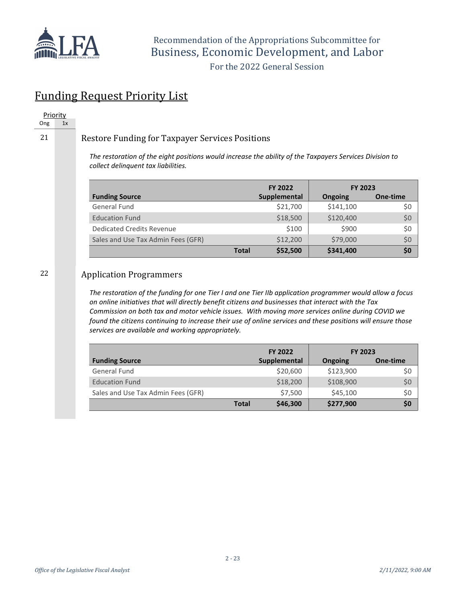

For the 2022 General Session

# Funding Request Priority List

## Ong 1x **Priority**

## 21 Restore Funding for Taxpayer Services Positions

*The restoration of the eight positions would increase the ability of the Taxpayers Services Division to collect delinquent tax liabilities.*

|                                    | <b>FY 2022</b> | <b>FY 2023</b> |          |
|------------------------------------|----------------|----------------|----------|
| <b>Funding Source</b>              | Supplemental   | Ongoing        | One-time |
| General Fund                       | \$21,700       | \$141,100      | \$0      |
| <b>Education Fund</b>              | \$18,500       | \$120,400      | \$0      |
| <b>Dedicated Credits Revenue</b>   | \$100          | \$900          | \$0      |
| Sales and Use Tax Admin Fees (GFR) | \$12,200       | \$79,000       | \$0      |
| <b>Total</b>                       | \$52,500       | \$341,400      | \$0      |

## 22 Application Programmers

The restoration of the funding for one Tier I and one Tier IIb application programmer would allow a focus *on online initiatives that will directly benefit citizens and businesses that interact with the Tax Commission on both tax and motor vehicle issues. With moving more services online during COVID we* found the citizens continuing to increase their use of online services and these positions will ensure those *services are available and working appropriately.*

|                                    |       | <b>FY 2022</b> | <b>FY 2023</b> |          |
|------------------------------------|-------|----------------|----------------|----------|
| <b>Funding Source</b>              |       | Supplemental   | Ongoing        | One-time |
| General Fund                       |       | \$20,600       | \$123,900      | \$0      |
| <b>Education Fund</b>              |       | \$18,200       | \$108,900      | \$0      |
| Sales and Use Tax Admin Fees (GFR) |       | \$7,500        | \$45,100       | \$0      |
|                                    | Total | \$46,300       | \$277,900      | \$0      |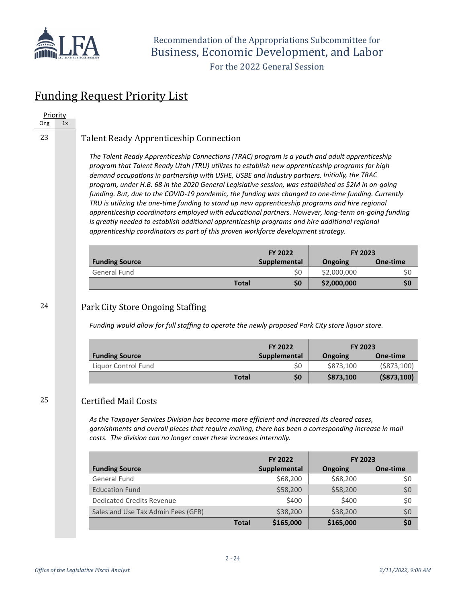

For the 2022 General Session

# Funding Request Priority List

|     | Priority |                                                                                                                                                                                                                                                                                                                                                                                                                                                                                                                                                                                                                                                                                                                                                                                                                                                                                                                  |       |              |                |          |
|-----|----------|------------------------------------------------------------------------------------------------------------------------------------------------------------------------------------------------------------------------------------------------------------------------------------------------------------------------------------------------------------------------------------------------------------------------------------------------------------------------------------------------------------------------------------------------------------------------------------------------------------------------------------------------------------------------------------------------------------------------------------------------------------------------------------------------------------------------------------------------------------------------------------------------------------------|-------|--------------|----------------|----------|
| Ong | 1x       |                                                                                                                                                                                                                                                                                                                                                                                                                                                                                                                                                                                                                                                                                                                                                                                                                                                                                                                  |       |              |                |          |
| 23  |          | <b>Talent Ready Apprenticeship Connection</b>                                                                                                                                                                                                                                                                                                                                                                                                                                                                                                                                                                                                                                                                                                                                                                                                                                                                    |       |              |                |          |
|     |          | The Talent Ready Apprenticeship Connections (TRAC) program is a youth and adult apprenticeship<br>program that Talent Ready Utah (TRU) utilizes to establish new apprenticeship programs for high<br>demand occupations in partnership with USHE, USBE and industry partners. Initially, the TRAC<br>program, under H.B. 68 in the 2020 General Legislative session, was established as \$2M in on-going<br>funding. But, due to the COVID-19 pandemic, the funding was changed to one-time funding. Currently<br>TRU is utilizing the one-time funding to stand up new apprenticeship programs and hire regional<br>apprenticeship coordinators employed with educational partners. However, long-term on-going funding<br>is greatly needed to establish additional apprenticeship programs and hire additional regional<br>apprenticeship coordinators as part of this proven workforce development strategy. |       |              |                |          |
|     |          |                                                                                                                                                                                                                                                                                                                                                                                                                                                                                                                                                                                                                                                                                                                                                                                                                                                                                                                  |       | FY 2022      | <b>FY 2023</b> |          |
|     |          | <b>Funding Source</b>                                                                                                                                                                                                                                                                                                                                                                                                                                                                                                                                                                                                                                                                                                                                                                                                                                                                                            |       | Supplemental | Ongoing        | One-time |
|     |          | General Fund                                                                                                                                                                                                                                                                                                                                                                                                                                                                                                                                                                                                                                                                                                                                                                                                                                                                                                     |       | \$0          | \$2,000,000    | \$0      |
|     |          |                                                                                                                                                                                                                                                                                                                                                                                                                                                                                                                                                                                                                                                                                                                                                                                                                                                                                                                  | Total | \$0          | \$2,000,000    | \$0      |

## 24 Park City Store Ongoing Staffing

*Funding would allow for full staffing to operate the newly proposed Park City store liquor store.*

|                       | <b>FY 2022</b>      | <b>FY 2023</b> |               |
|-----------------------|---------------------|----------------|---------------|
| <b>Funding Source</b> | Supplemental        | Ongoing        | One-time      |
| Liquor Control Fund   | \$0                 | \$873,100      | ( \$873,100)  |
|                       | \$0<br><b>Total</b> | \$873,100      | ( \$873, 100) |

### 25 Certified Mail Costs

*As the Taxpayer Services Division has become more efficient and increased its cleared cases, garnishments and overall pieces that require mailing, there has been a corresponding increase in mail costs. The division can no longer cover these increases internally.*

|                                    | <b>FY 2022</b> |           | <b>FY 2023</b> |
|------------------------------------|----------------|-----------|----------------|
| <b>Funding Source</b>              | Supplemental   | Ongoing   | One-time       |
| General Fund                       | \$68,200       | \$68,200  | \$0            |
| <b>Education Fund</b>              | \$58,200       | \$58,200  | \$0            |
| Dedicated Credits Revenue          | \$400          | \$400     | \$0            |
| Sales and Use Tax Admin Fees (GFR) | \$38,200       | \$38,200  | \$0            |
| <b>Total</b>                       | \$165,000      | \$165,000 | \$0            |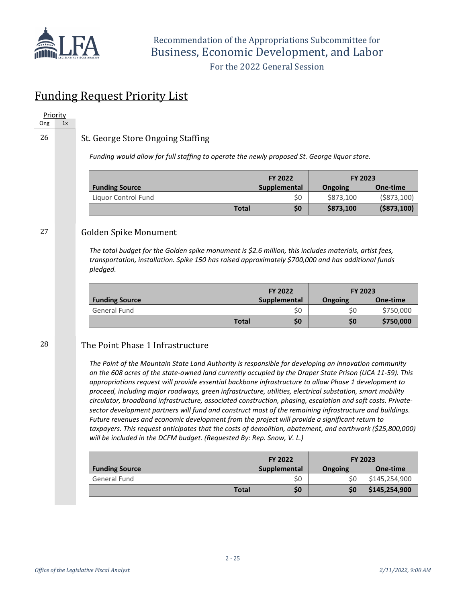

# Funding Request Priority List

## 26 St. George Store Ongoing Staffing

*Funding would allow for full staffing to operate the newly proposed St. George liquor store.*

|                       | <b>FY 2022</b> | <b>FY 2023</b> |                |
|-----------------------|----------------|----------------|----------------|
| <b>Funding Source</b> | Supplemental   | Ongoing        | One-time       |
| Liguor Control Fund   | Ś0             | \$873,100      | $($ \$873,100) |
| Total                 | \$0            | \$873,100      | ( \$873,100)   |

### 27 Golden Spike Monument

*The total budget for the Golden spike monument is \$2.6 million, this includes materials, artist fees, transportation, installation. Spike 150 has raised approximately \$700,000 and has additional funds pledged.*

|                       |       | <b>FY 2022</b> | <b>FY 2023</b> |           |
|-----------------------|-------|----------------|----------------|-----------|
| <b>Funding Source</b> |       | Supplemental   | Ongoing        | One-time  |
| General Fund          |       | Ś0             | Ś0             | \$750,000 |
|                       | Total | \$0            | S0             | \$750,000 |

### 28 The Point Phase 1 Infrastructure

*The Point of the Mountain State Land Authority is responsible for developing an innovation community* on the 608 acres of the state-owned land currently occupied by the Draper State Prison (UCA 11-59). This *appropriations request will provide essential backbone infrastructure to allow Phase 1 development to proceed, including major roadways, green infrastructure, utilities, electrical substation, smart mobility circulator, broadband infrastructure, associated construction, phasing, escalation and soft costs. Private‐ sector development partners will fund and construct most of the remaining infrastructure and buildings. Future revenues and economic development from the project will provide a significant return to taxpayers. This request anticipates that the costs of demolition, abatement, and earthwork (\$25,800,000) will be included in the DCFM budget. (Requested By: Rep. Snow, V. L.)*

|                       |       | <b>FY 2022</b> | <b>FY 2023</b> |               |
|-----------------------|-------|----------------|----------------|---------------|
| <b>Funding Source</b> |       | Supplemental   | Ongoing        | One-time      |
| General Fund          |       | Ś0             | SO.            | \$145,254,900 |
|                       | Total | \$0            | <b>SO</b>      | \$145,254,900 |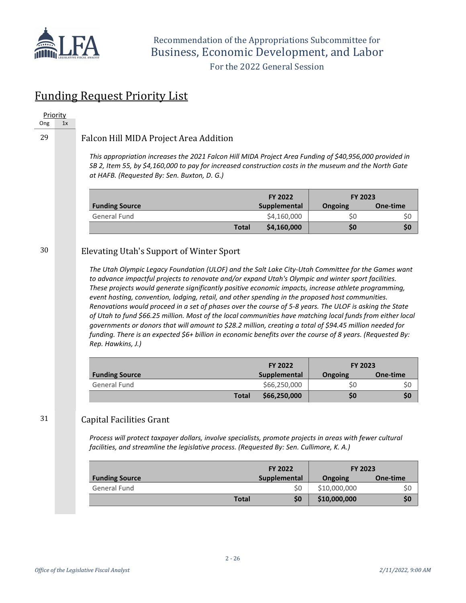

Recommendation of the Appropriations Subcommittee for Business, Economic Development, and Labor

For the 2022 General Session

# Funding Request Priority List

## 29 Falcon Hill MIDA Project Area Addition

*This appropriation increases the 2021 Falcon Hill MIDA Project Area Funding of \$40,956,000 provided in* SB 2, Item 55, by \$4,160,000 to pay for increased construction costs in the museum and the North Gate *at HAFB. (Requested By: Sen. Buxton, D. G.)*

|                       |              | <b>FY 2022</b> | <b>FY 2023</b> |          |
|-----------------------|--------------|----------------|----------------|----------|
| <b>Funding Source</b> |              | Supplemental   | Ongoing        | One-time |
| General Fund          |              | \$4,160,000    | Ś0             | Ś0       |
|                       | <b>Total</b> | \$4,160,000    | \$0            | \$0      |

### 30 Elevating Utah's Support of Winter Sport

*The Utah Olympic Legacy Foundation (ULOF) and the Salt Lake City‐Utah Committee for the Games want to advance impactful projects to renovate and/or expand Utah's Olympic and winter sport facilities. These projects would generate significantly positive economic impacts, increase athlete programming, event hosting, convention, lodging, retail, and other spending in the proposed host communities.* Renovations would proceed in a set of phases over the course of 5-8 years. The ULOF is asking the State of Utah to fund \$66.25 million. Most of the local communities have matching local funds from either local *governments or donors that will amount to \$28.2 million, creating a total of \$94.45 million needed for* funding. There is an expected \$6+ billion in economic benefits over the course of 8 years. (Requested By: *Rep. Hawkins, J.)*

|                       |              | <b>FY 2022</b> | <b>FY 2023</b> |          |
|-----------------------|--------------|----------------|----------------|----------|
| <b>Funding Source</b> |              | Supplemental   | Ongoing        | One-time |
| General Fund          |              | \$66,250,000   | ŚΟ             | Ś0       |
|                       | <b>Total</b> | \$66,250,000   | \$0            | \$0      |

### 31 Capital Facilities Grant

*Process will protect taxpayer dollars, involve specialists, promote projects in areas with fewer cultural facilities, and streamline the legislative process. (Requested By: Sen. Cullimore, K. A.)*

|                       | <b>FY 2022</b>      | <b>FY 2023</b> |          |
|-----------------------|---------------------|----------------|----------|
| <b>Funding Source</b> | Supplemental        | Ongoing        | One-time |
| General Fund          | \$0                 | \$10,000,000   | \$0      |
|                       | \$0<br><b>Total</b> | \$10,000,000   | \$0      |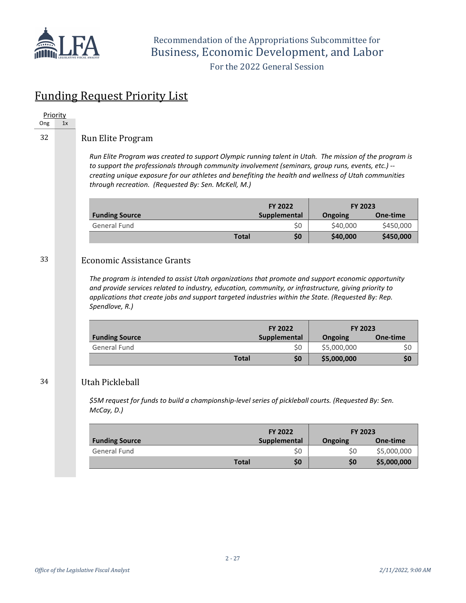

For the 2022 General Session

# Funding Request Priority List

## Ong 1x **Priority** 32 Run Elite Program Run Elite Program was created to support Olympic running talent in Utah. The mission of the program is *to support the professionals through community involvement (seminars, group runs, events, etc.) ‐‐ creating unique exposure for our athletes and benefiting the health and wellness of Utah communities through recreation. (Requested By: Sen. McKell, M.)* **Supplemental Ongoing One‐time FY 2022 FY 2023 Funding Source** General Fund \$40,000 \$450,000 \$0 **Total \$0 \$40,000 \$450,000** 33 Economic Assistance Grants *The program is intended to assist Utah organizations that promote and support economic opportunity and provide services related to industry, education, community, or infrastructure, giving priority to applications that create jobs and support targeted industries within the State. (Requested By: Rep. Spendlove, R.)* **Supplemental Ongoing One‐time FY 2022 FY 2023 Funding Source** General Fund \$5,000,000 \$0 \$0 **Total \$0 \$5,000,000 \$0** 34 Utah Pickleball *\$5M request for funds to build a championship‐level series of pickleball courts. (Requested By: Sen. McCay, D.)* **Supplemental Ongoing One‐time FY 2022 FY 2023 Funding Source** General Fund \$0 \$5,000,000 \$0

**Total \$0 \$0 \$5,000,000**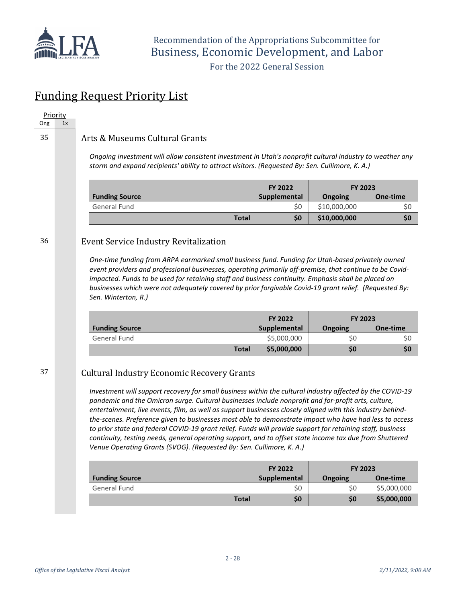

Recommendation of the Appropriations Subcommittee for Business, Economic Development, and Labor

For the 2022 General Session

# Funding Request Priority List

## 35 Arts & Museums Cultural Grants

*Ongoing investment will allow consistent investment in Utah's nonprofit cultural industry to weather any storm and expand recipients' ability to attract visitors. (Requested By: Sen. Cullimore, K. A.)*

|                       | <b>FY 2022</b>      |              | <b>FY 2023</b> |
|-----------------------|---------------------|--------------|----------------|
| <b>Funding Source</b> | Supplemental        | Ongoing      | One-time       |
| General Fund          | \$0                 | \$10,000,000 |                |
|                       | \$0<br><b>Total</b> | \$10,000,000 | \$0            |

### 36 Event Service Industry Revitalization

*One‐time funding from ARPA earmarked small business fund. Funding for Utah‐based privately owned event providers and professional businesses, operating primarily off‐premise, that continue to be Covid‐ impacted. Funds to be used for retaining staff and business continuity. Emphasis shall be placed on businesses which were not adequately covered by prior forgivable Covid‐19 grant relief. (Requested By: Sen. Winterton, R.)*

|                       |              | <b>FY 2022</b> | <b>FY 2023</b> |          |
|-----------------------|--------------|----------------|----------------|----------|
| <b>Funding Source</b> |              | Supplemental   | Ongoing        | One-time |
| General Fund          |              | \$5,000,000    | Ś0             | \$0      |
|                       | <b>Total</b> | \$5,000,000    | \$0            | \$0      |

## 37 Cultural Industry Economic Recovery Grants

*Investment will support recovery for small business within the cultural industry affected by the COVID‐19 pandemic and the Omicron surge. Cultural businesses include nonprofit and for‐profit arts, culture, entertainment, live events, film, as well as support businesses closely aligned with this industry behind‐* the-scenes. Preference given to businesses most able to demonstrate impact who have had less to access to prior state and federal COVID-19 grant relief. Funds will provide support for retaining staff, business *continuity, testing needs, general operating support, and to offset state income tax due from Shuttered Venue Operating Grants (SVOG). (Requested By: Sen. Cullimore, K. A.)*

|                       |              | <b>FY 2022</b> | <b>FY 2023</b> |             |
|-----------------------|--------------|----------------|----------------|-------------|
| <b>Funding Source</b> |              | Supplemental   | Ongoing        | One-time    |
| General Fund          |              | SO.            | S0             | \$5,000,000 |
|                       | <b>Total</b> | \$0            | \$0            | \$5,000,000 |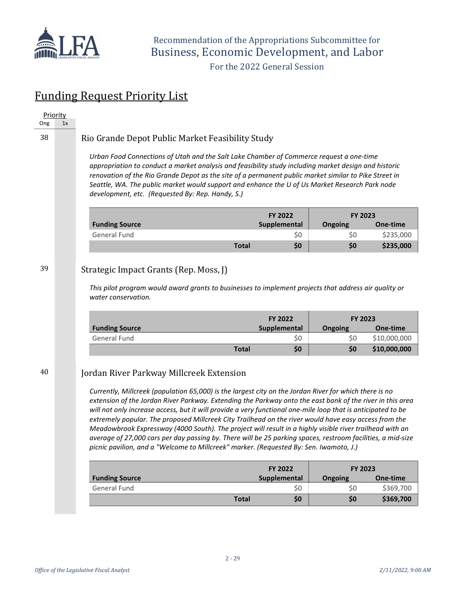

For the 2022 General Session

| Ong | Priority<br>1x |                                                                                                                                                                                                                                                                                                                                                                                                                                                                                                                                                                                                                                                                                                                                                                   |                |                 |              |
|-----|----------------|-------------------------------------------------------------------------------------------------------------------------------------------------------------------------------------------------------------------------------------------------------------------------------------------------------------------------------------------------------------------------------------------------------------------------------------------------------------------------------------------------------------------------------------------------------------------------------------------------------------------------------------------------------------------------------------------------------------------------------------------------------------------|----------------|-----------------|--------------|
| 38  |                | Rio Grande Depot Public Market Feasibility Study                                                                                                                                                                                                                                                                                                                                                                                                                                                                                                                                                                                                                                                                                                                  |                |                 |              |
|     |                | Urban Food Connections of Utah and the Salt Lake Chamber of Commerce request a one-time<br>appropriation to conduct a market analysis and feasibility study including market design and historic<br>renovation of the Rio Grande Depot as the site of a permanent public market similar to Pike Street in<br>Seattle, WA. The public market would support and enhance the U of Us Market Research Park node<br>development, etc. (Requested By: Rep. Handy, S.)                                                                                                                                                                                                                                                                                                   |                |                 |              |
|     |                |                                                                                                                                                                                                                                                                                                                                                                                                                                                                                                                                                                                                                                                                                                                                                                   | <b>FY 2022</b> | FY 2023         |              |
|     |                | <b>Funding Source</b>                                                                                                                                                                                                                                                                                                                                                                                                                                                                                                                                                                                                                                                                                                                                             | Supplemental   | <b>Ongoing</b>  | One-time     |
|     |                | <b>General Fund</b>                                                                                                                                                                                                                                                                                                                                                                                                                                                                                                                                                                                                                                                                                                                                               | \$0            | \$0             | \$235,000    |
|     |                | <b>Total</b>                                                                                                                                                                                                                                                                                                                                                                                                                                                                                                                                                                                                                                                                                                                                                      | \$0            | \$0             | \$235,000    |
| 39  |                | Strategic Impact Grants (Rep. Moss, J)<br>This pilot program would award grants to businesses to implement projects that address air quality or                                                                                                                                                                                                                                                                                                                                                                                                                                                                                                                                                                                                                   |                |                 |              |
|     |                | water conservation.                                                                                                                                                                                                                                                                                                                                                                                                                                                                                                                                                                                                                                                                                                                                               |                |                 |              |
|     |                |                                                                                                                                                                                                                                                                                                                                                                                                                                                                                                                                                                                                                                                                                                                                                                   | <b>FY 2022</b> | FY 2023         |              |
|     |                | <b>Funding Source</b>                                                                                                                                                                                                                                                                                                                                                                                                                                                                                                                                                                                                                                                                                                                                             | Supplemental   | Ongoing         | One-time     |
|     |                | <b>General Fund</b>                                                                                                                                                                                                                                                                                                                                                                                                                                                                                                                                                                                                                                                                                                                                               | \$0            | \$0             | \$10,000,000 |
|     |                | <b>Total</b>                                                                                                                                                                                                                                                                                                                                                                                                                                                                                                                                                                                                                                                                                                                                                      | \$0            | 50 <sub>2</sub> | \$10,000,000 |
| 40  |                | Jordan River Parkway Millcreek Extension                                                                                                                                                                                                                                                                                                                                                                                                                                                                                                                                                                                                                                                                                                                          |                |                 |              |
|     |                | Currently, Millcreek (population 65,000) is the largest city on the Jordan River for which there is no<br>extension of the Jordan River Parkway. Extending the Parkway onto the east bank of the river in this area<br>will not only increase access, but it will provide a very functional one-mile loop that is anticipated to be<br>extremely popular. The proposed Millcreek City Trailhead on the river would have easy access from the<br>Meadowbrook Expressway (4000 South). The project will result in a highly visible river trailhead with an<br>average of 27,000 cars per day passing by. There will be 25 parking spaces, restroom facilities, a mid-size<br>picnic pavilion, and a "Welcome to Millcreek" marker. (Requested By: Sen. Iwamoto, J.) |                |                 |              |
|     |                |                                                                                                                                                                                                                                                                                                                                                                                                                                                                                                                                                                                                                                                                                                                                                                   | <b>FY 2022</b> | FY 2023         |              |
|     |                | <b>Funding Source</b>                                                                                                                                                                                                                                                                                                                                                                                                                                                                                                                                                                                                                                                                                                                                             | Supplemental   | Ongoing         | One-time     |
|     |                | <b>General Fund</b>                                                                                                                                                                                                                                                                                                                                                                                                                                                                                                                                                                                                                                                                                                                                               | \$0            | \$0             | \$369,700    |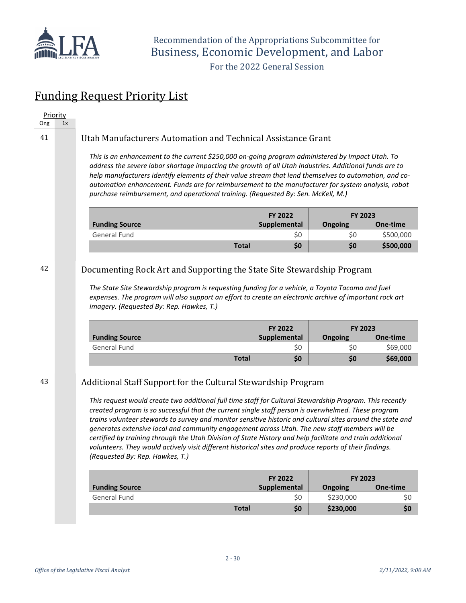

Recommendation of the Appropriations Subcommittee for Business, Economic Development, and Labor

For the 2022 General Session

# Funding Request Priority List

## 41 Utah Manufacturers Automation and Technical Assistance Grant

*This is an enhancement to the current \$250,000 on‐going program administered by Impact Utah. To address the severe labor shortage impacting the growth of all Utah Industries. Additional funds are to help manufacturers identify elements of their value stream that lend themselves to automation, and co‐ automation enhancement. Funds are for reimbursement to the manufacturer for system analysis, robot purchase reimbursement, and operational training. (Requested By: Sen. McKell, M.)*

|                       | <b>FY 2022</b>      | <b>FY 2023</b> |           |
|-----------------------|---------------------|----------------|-----------|
| <b>Funding Source</b> | Supplemental        | Ongoing        | One-time  |
| General Fund          | \$0                 | Ś0             | \$500,000 |
|                       | <b>Total</b><br>\$0 | \$0            | \$500,000 |

## 42 Documenting Rock Art and Supporting the State Site Stewardship Program

*The State Site Stewardship program is requesting funding for a vehicle, a Toyota Tacoma and fuel expenses. The program will also support an effort to create an electronic archive of important rock art imagery. (Requested By: Rep. Hawkes, T.)*

|                       | <b>FY 2022</b> | <b>FY 2023</b> |          |
|-----------------------|----------------|----------------|----------|
| <b>Funding Source</b> | Supplemental   | Ongoing        | One-time |
| General Fund          | S0             | Ś0             | \$69,000 |
|                       | \$0<br>Total   | \$0            | \$69,000 |

## 43 Additional Staff Support for the Cultural Stewardship Program

*This request would create two additional full time staff for Cultural Stewardship Program. This recently created program is so successful that the current single staff person is overwhelmed. These program trains volunteer stewards to survey and monitor sensitive historic and cultural sites around the state and generates extensive local and community engagement across Utah. The new staff members will be certified by training through the Utah Division of State History and help facilitate and train additional volunteers. They would actively visit different historical sites and produce reports of their findings. (Requested By: Rep. Hawkes, T.)*

|                       |              | <b>FY 2022</b> | <b>FY 2023</b> |          |
|-----------------------|--------------|----------------|----------------|----------|
| <b>Funding Source</b> |              | Supplemental   | Ongoing        | One-time |
| General Fund          |              | S0             | \$230,000      | \$0      |
|                       | <b>Total</b> | \$0            | \$230,000      | \$0      |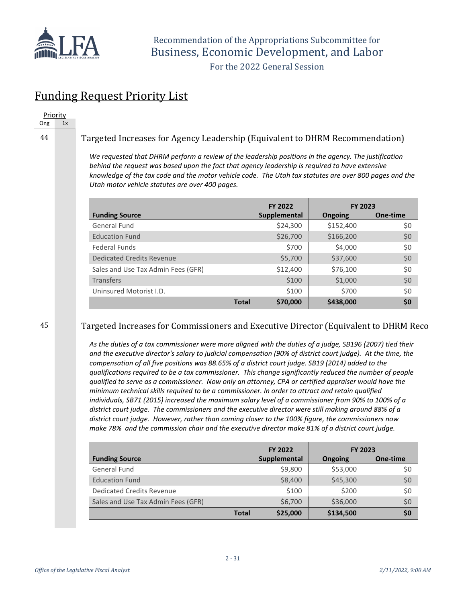

Recommendation of the Appropriations Subcommittee for Business, Economic Development, and Labor

For the 2022 General Session

# Funding Request Priority List

## 44 Targeted Increases for Agency Leadership (Equivalent to DHRM Recommendation)

*We requested that DHRM perform a review of the leadership positions in the agency. The justification behind the request was based upon the fact that agency leadership is required to have extensive* knowledge of the tax code and the motor vehicle code. The Utah tax statutes are over 800 pages and the *Utah motor vehicle statutes are over 400 pages.*

|                                    | <b>FY 2022</b> | <b>FY 2023</b> |          |
|------------------------------------|----------------|----------------|----------|
| <b>Funding Source</b>              | Supplemental   | Ongoing        | One-time |
| General Fund                       | \$24,300       | \$152,400      | \$0      |
| <b>Education Fund</b>              | \$26,700       | \$166,200      | \$0      |
| <b>Federal Funds</b>               | \$700          | \$4,000        | \$0      |
| Dedicated Credits Revenue          | \$5,700        | \$37,600       | \$0      |
| Sales and Use Tax Admin Fees (GFR) | \$12,400       | \$76,100       | \$0      |
| <b>Transfers</b>                   | \$100          | \$1,000        | \$0      |
| Uninsured Motorist I.D.            | \$100          | \$700          | \$0      |
| <b>Total</b>                       | \$70,000       | \$438,000      | \$0      |

### 45 Targeted Increases for Commissioners and Executive Director (Equivalent to DHRM Reco

As the duties of a tax commissioner were more aligned with the duties of a judge, SB196 (2007) tied their and the executive director's salary to judicial compensation (90% of district court judge). At the time, the *compensation of all five positions was 88.65% of a district court judge. SB19 (2014) added to the qualifications required to be a tax commissioner. This change significantly reduced the number of people* qualified to serve as a commissioner. Now only an attorney, CPA or certified appraiser would have the *minimum technical skills required to be a commissioner. In order to attract and retain qualified individuals, SB71 (2015) increased the maximum salary level of a commissioner from 90% to 100% of a district court judge. The commissioners and the executive director were still making around 88% of a district court judge. However, rather than coming closer to the 100% figure, the commissioners now make 78% and the commission chair and the executive director make 81% of a district court judge.*

|                                    | <b>FY 2022</b>    | <b>FY 2023</b> |          |
|------------------------------------|-------------------|----------------|----------|
| <b>Funding Source</b>              | Supplemental      | Ongoing        | One-time |
| General Fund                       | \$9,800           | \$53,000       | \$0      |
| <b>Education Fund</b>              | \$8,400           | \$45,300       | \$0      |
| Dedicated Credits Revenue          | \$100             | \$200          | \$0      |
| Sales and Use Tax Admin Fees (GFR) | \$6,700           | \$36,000       | \$0      |
|                                    | \$25,000<br>Total | \$134,500      | \$0      |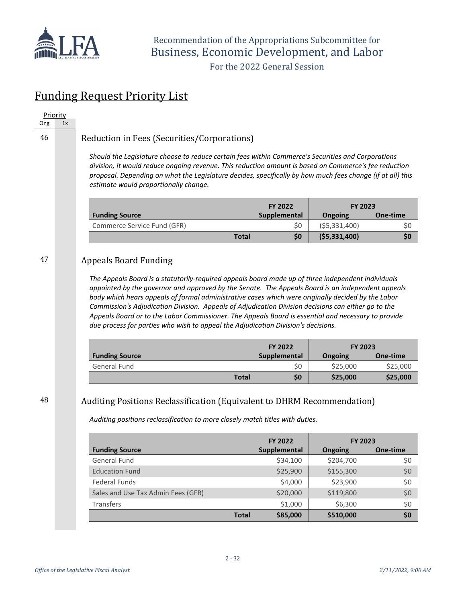

 $\overline{\phantom{0}}$ 

Recommendation of the Appropriations Subcommittee for Business, Economic Development, and Labor

For the 2022 General Session

| Ong | Priority<br>1x |                                                                                                                                                                                                                                                                                                                                                                                                                                                                                                                                                                                                                                                  |              |                |                      |                      |
|-----|----------------|--------------------------------------------------------------------------------------------------------------------------------------------------------------------------------------------------------------------------------------------------------------------------------------------------------------------------------------------------------------------------------------------------------------------------------------------------------------------------------------------------------------------------------------------------------------------------------------------------------------------------------------------------|--------------|----------------|----------------------|----------------------|
| 46  |                | Reduction in Fees (Securities/Corporations)                                                                                                                                                                                                                                                                                                                                                                                                                                                                                                                                                                                                      |              |                |                      |                      |
|     |                | Should the Legislature choose to reduce certain fees within Commerce's Securities and Corporations<br>division, it would reduce ongoing revenue. This reduction amount is based on Commerce's fee reduction<br>proposal. Depending on what the Legislature decides, specifically by how much fees change (if at all) this<br>estimate would proportionally change.                                                                                                                                                                                                                                                                               |              |                |                      |                      |
|     |                |                                                                                                                                                                                                                                                                                                                                                                                                                                                                                                                                                                                                                                                  |              | <b>FY 2022</b> | FY 2023              |                      |
|     |                | <b>Funding Source</b>                                                                                                                                                                                                                                                                                                                                                                                                                                                                                                                                                                                                                            |              | Supplemental   | Ongoing              | One-time             |
|     |                | Commerce Service Fund (GFR)                                                                                                                                                                                                                                                                                                                                                                                                                                                                                                                                                                                                                      |              | \$0            | (55, 331, 400)       | \$0                  |
|     |                |                                                                                                                                                                                                                                                                                                                                                                                                                                                                                                                                                                                                                                                  | <b>Total</b> | \$0            | ( \$5,331,400)       | \$0                  |
| 47  |                | <b>Appeals Board Funding</b><br>The Appeals Board is a statutorily-required appeals board made up of three independent individuals<br>appointed by the governor and approved by the Senate. The Appeals Board is an independent appeals<br>body which hears appeals of formal administrative cases which were originally decided by the Labor<br>Commission's Adjudication Division. Appeals of Adjudication Division decisions can either go to the<br>Appeals Board or to the Labor Commissioner. The Appeals Board is essential and necessary to provide<br>due process for parties who wish to appeal the Adjudication Division's decisions. |              |                |                      |                      |
|     |                |                                                                                                                                                                                                                                                                                                                                                                                                                                                                                                                                                                                                                                                  |              | FY 2022        | <b>FY 2023</b>       |                      |
|     |                | <b>Funding Source</b><br><b>General Fund</b>                                                                                                                                                                                                                                                                                                                                                                                                                                                                                                                                                                                                     |              | Supplemental   | Ongoing              | One-time             |
|     |                |                                                                                                                                                                                                                                                                                                                                                                                                                                                                                                                                                                                                                                                  | <b>Total</b> | \$0<br>\$0     | \$25,000<br>\$25,000 | \$25,000<br>\$25,000 |
| 48  |                | Auditing Positions Reclassification (Equivalent to DHRM Recommendation)<br>Auditing positions reclassification to more closely match titles with duties.                                                                                                                                                                                                                                                                                                                                                                                                                                                                                         |              |                |                      |                      |
|     |                |                                                                                                                                                                                                                                                                                                                                                                                                                                                                                                                                                                                                                                                  |              | <b>FY 2022</b> | <b>FY 2023</b>       |                      |
|     |                | <b>Funding Source</b>                                                                                                                                                                                                                                                                                                                                                                                                                                                                                                                                                                                                                            |              | Supplemental   | <b>Ongoing</b>       | One-time             |
|     |                | General Fund                                                                                                                                                                                                                                                                                                                                                                                                                                                                                                                                                                                                                                     |              | \$34,100       | \$204,700            | \$0                  |
|     |                | <b>Education Fund</b>                                                                                                                                                                                                                                                                                                                                                                                                                                                                                                                                                                                                                            |              | \$25,900       | \$155,300            | \$0                  |
|     |                | <b>Federal Funds</b>                                                                                                                                                                                                                                                                                                                                                                                                                                                                                                                                                                                                                             |              | \$4,000        | \$23,900             |                      |
|     |                | Sales and Use Tax Admin Fees (GFR)                                                                                                                                                                                                                                                                                                                                                                                                                                                                                                                                                                                                               |              |                |                      | \$0                  |
|     |                |                                                                                                                                                                                                                                                                                                                                                                                                                                                                                                                                                                                                                                                  |              | \$20,000       | \$119,800            | \$0                  |
|     |                | Transfers                                                                                                                                                                                                                                                                                                                                                                                                                                                                                                                                                                                                                                        |              | \$1,000        | \$6,300              | \$0                  |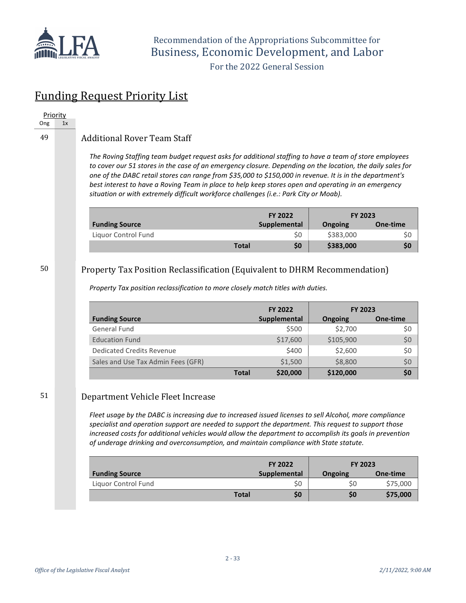

Recommendation of the Appropriations Subcommittee for Business, Economic Development, and Labor

For the 2022 General Session

# Funding Request Priority List

## 49 Additional Rover Team Staff

*The Roving Staffing team budget request asks for additional staffing to have a team of store employees* to cover our 51 stores in the case of an emergency closure. Depending on the location, the daily sales for one of the DABC retail stores can range from \$35,000 to \$150,000 in revenue. It is in the department's best interest to have a Roving Team in place to help keep stores open and operating in an emergency *situation or with extremely difficult workforce challenges (i.e.: Park City or Moab).*

|                       |       | <b>FY 2022</b> | <b>FY 2023</b> |          |
|-----------------------|-------|----------------|----------------|----------|
| <b>Funding Source</b> |       | Supplemental   | Ongoing        | One-time |
| Liquor Control Fund   |       | S0             | \$383,000      | S0       |
|                       | Total | \$0            | \$383,000      | \$0      |

## 50 Property Tax Position Reclassification (Equivalent to DHRM Recommendation)

*Property Tax position reclassification to more closely match titles with duties.*

|                                    | <b>FY 2022</b> | <b>FY 2023</b> |          |
|------------------------------------|----------------|----------------|----------|
| <b>Funding Source</b>              | Supplemental   | Ongoing        | One-time |
| General Fund                       | \$500          | \$2,700        | \$0      |
| <b>Education Fund</b>              | \$17,600       | \$105,900      | \$0      |
| Dedicated Credits Revenue          | \$400          | \$2,600        | \$0      |
| Sales and Use Tax Admin Fees (GFR) | \$1,500        | \$8,800        | \$0      |
| <b>Total</b>                       | \$20,000       | \$120,000      | \$0      |

### 51 Department Vehicle Fleet Increase

*Fleet usage by the DABC is increasing due to increased issued licenses to sell Alcohol, more compliance specialist and operation support are needed to support the department. This request to support those increased costs for additional vehicles would allow the department to accomplish its goals in prevention of underage drinking and overconsumption, and maintain compliance with State statute.*

|                       |       | <b>FY 2022</b> | FY 2023 |          |
|-----------------------|-------|----------------|---------|----------|
| <b>Funding Source</b> |       | Supplemental   | Ongoing | One-time |
| Liquor Control Fund   |       | Ś0             | S0      | \$75,000 |
|                       | Total | \$0            | \$0     | \$75,000 |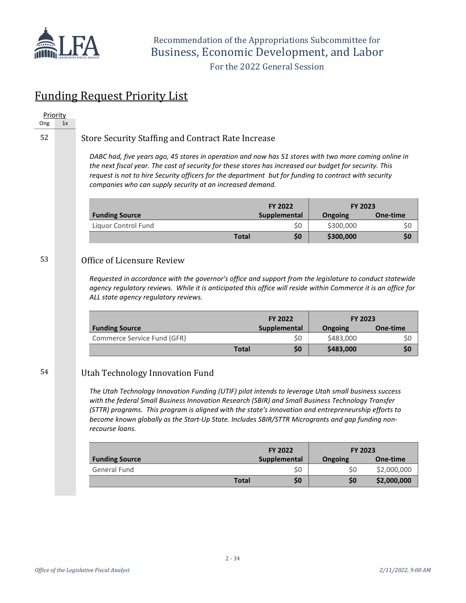

For the 2022 General Session

# Funding Request Priority List

## 52 Store Security Staffing and Contract Rate Increase

DABC had, five years ago, 45 stores in operation and now has 51 stores with two more coming online in the next fiscal year. The cost of security for these stores has increased our budget for security. This request is not to hire Security officers for the department but for funding to contract with security *companies who can supply security at an increased demand.*

|                       | <b>FY 2022</b>      | <b>FY 2023</b> |          |
|-----------------------|---------------------|----------------|----------|
| <b>Funding Source</b> | Supplemental        | Ongoing        | One-time |
| Liquor Control Fund   | \$0                 | \$300,000      | \$0      |
|                       | \$0<br><b>Total</b> | \$300,000      | \$0      |

## 53 Office of Licensure Review

*Requested in accordance with the governor's office and support from the legislature to conduct statewide* agency regulatory reviews. While it is anticipated this office will reside within Commerce it is an office for *ALL state agency regulatory reviews.*

|                             |              | <b>FY 2022</b> | <b>FY 2023</b> |          |
|-----------------------------|--------------|----------------|----------------|----------|
| <b>Funding Source</b>       |              | Supplemental   | Ongoing        | One-time |
| Commerce Service Fund (GFR) |              | SO.            | \$483,000      | \$0      |
|                             | <b>Total</b> | \$0            | \$483,000      | \$0      |

## 54 Utah Technology Innovation Fund

*The Utah Technology Innovation Funding (UTIF) pilot intends to leverage Utah small business success with the federal Small Business Innovation Research (SBIR) and Small Business Technology Transfer (STTR) programs. This program is aligned with the state's innovation and entrepreneurship efforts to become known globally as the Start‐Up State. Includes SBIR/STTR Microgrants and gap funding non‐ recourse loans.*

|                       |       | <b>FY 2022</b> | <b>FY 2023</b> |             |
|-----------------------|-------|----------------|----------------|-------------|
| <b>Funding Source</b> |       | Supplemental   | Ongoing        | One-time    |
| General Fund          |       | \$0            | S0             | \$2,000,000 |
|                       | Total | \$0            | \$0            | \$2,000,000 |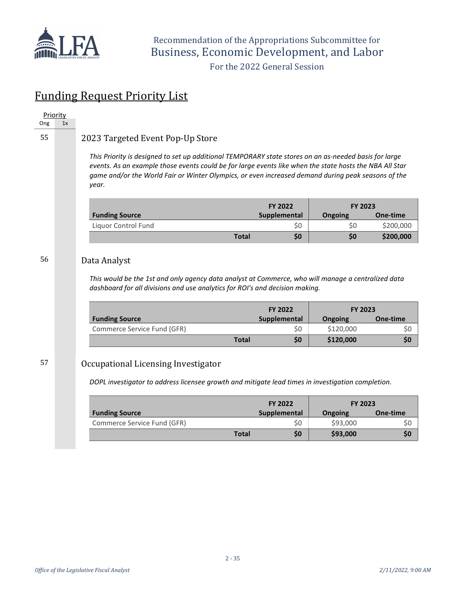

Recommendation of the Appropriations Subcommittee for Business, Economic Development, and Labor

For the 2022 General Session

# Funding Request Priority List

## 55 2023 Targeted Event Pop-Up Store

This Priority is designed to set up additional TEMPORARY state stores on an as-needed basis for large events. As an example those events could be for large events like when the state hosts the NBA All Star *game and/or the World Fair or Winter Olympics, or even increased demand during peak seasons of the year.*

|                       | <b>FY 2022</b>      | <b>FY 2023</b> |           |
|-----------------------|---------------------|----------------|-----------|
| <b>Funding Source</b> | Supplemental        | Ongoing        | One-time  |
| Liquor Control Fund   | Ś0                  | S0             | \$200,000 |
|                       | \$0<br><b>Total</b> | \$0            | \$200,000 |

### 56 Data Analyst

*This would be the 1st and only agency data analyst at Commerce, who will manage a centralized data dashboard for all divisions and use analytics for ROI's and decision making.*

|                             |       | <b>FY 2022</b> | <b>FY 2023</b> |          |
|-----------------------------|-------|----------------|----------------|----------|
| <b>Funding Source</b>       |       | Supplemental   | Ongoing        | One-time |
| Commerce Service Fund (GFR) |       | \$0            | \$120,000      | \$0      |
|                             | Total | \$0            | \$120,000      | \$0      |

### 57 Occupational Licensing Investigator

*DOPL investigator to address licensee growth and mitigate lead times in investigation completion.*

|                             |       | <b>FY 2022</b> | <b>FY 2023</b> |          |
|-----------------------------|-------|----------------|----------------|----------|
| <b>Funding Source</b>       |       | Supplemental   | Ongoing        | One-time |
| Commerce Service Fund (GFR) |       | S0             | \$93,000       |          |
|                             | Total | \$0            | \$93,000       |          |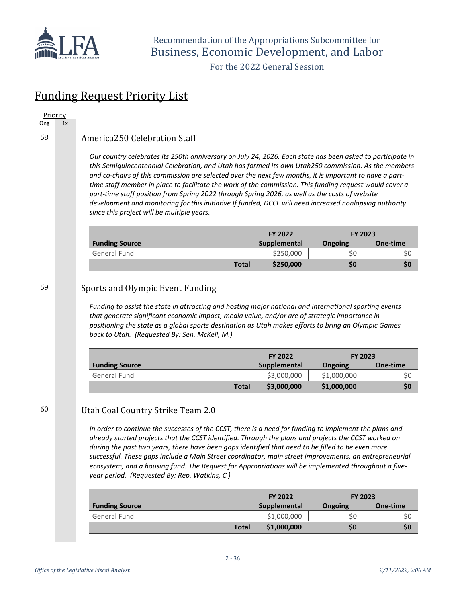

Recommendation of the Appropriations Subcommittee for Business, Economic Development, and Labor

For the 2022 General Session

# Funding Request Priority List

## 58 America250 Celebration Staff

Our country celebrates its 250th anniversary on July 24, 2026. Each state has been asked to participate in *this Semiquincentennial Celebration, and Utah has formed its own Utah250 commission. As the members* and co-chairs of this commission are selected over the next few months, it is important to have a parttime staff member in place to facilitate the work of the commission. This funding request would cover a *part‐time staff position from Spring 2022 through Spring 2026, as well as the costs of website development and monitoring for this iniƟaƟve.If funded, DCCE will need increased nonlapsing authority since this project will be multiple years.*

|                       |              | <b>FY 2022</b> | <b>FY 2023</b> |          |
|-----------------------|--------------|----------------|----------------|----------|
| <b>Funding Source</b> |              | Supplemental   | Ongoing        | One-time |
| General Fund          |              | \$250,000      | S0             | \$0      |
|                       | <b>Total</b> | \$250,000      | S0             | S0       |

### 59 Sports and Olympic Event Funding

*Funding to assist the state in attracting and hosting major national and international sporting events that generate significant economic impact, media value, and/or are of strategic importance in positioning the state as a global sports destination as Utah makes efforts to bring an Olympic Games back to Utah. (Requested By: Sen. McKell, M.)*

|                       | <b>FY 2022</b> | <b>FY 2023</b> |          |
|-----------------------|----------------|----------------|----------|
| <b>Funding Source</b> | Supplemental   | Ongoing        | One-time |
| General Fund          | \$3,000,000    | \$1,000,000    | Ś0       |
| <b>Total</b>          | \$3,000,000    | \$1,000,000    | \$0      |

### 60 Utah Coal Country Strike Team 2.0

In order to continue the successes of the CCST, there is a need for funding to implement the plans and *already started projects that the CCST identified. Through the plans and projects the CCST worked on* during the past two years, there have been gaps identified that need to be filled to be even more *successful. These gaps include a Main Street coordinator, main street improvements, an entrepreneurial ecosystem, and a housing fund. The Request for Appropriations will be implemented throughout a five‐ year period. (Requested By: Rep. Watkins, C.)*

|                       | <b>FY 2022</b> | <b>FY 2023</b> |          |
|-----------------------|----------------|----------------|----------|
| <b>Funding Source</b> | Supplemental   | Ongoing        | One-time |
| General Fund          | \$1,000,000    | \$0            | SC       |
| <b>Total</b>          | \$1,000,000    | \$0            | \$0      |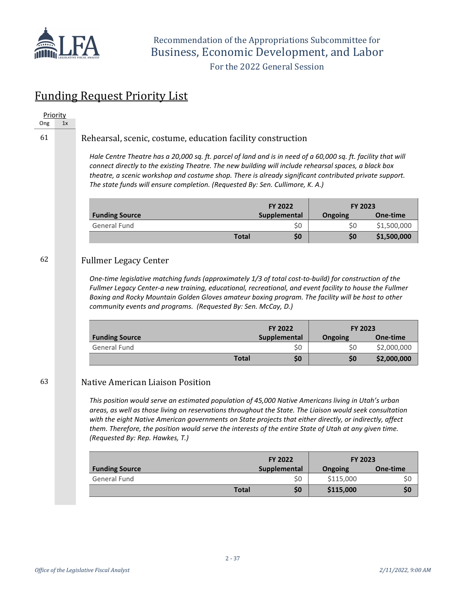

Priority

For the 2022 General Session

# Funding Request Priority List

# $Ong$  1x 61 Rehearsal, scenic, costume, education facility construction Hale Centre Theatre has a 20,000 sq. ft. parcel of land and is in need of a 60,000 sq. ft. facility that will *connect directly to the existing Theatre. The new building will include rehearsal spaces, a black box theatre, a scenic workshop and costume shop. There is already significant contributed private support. The state funds will ensure completion. (Requested By: Sen. Cullimore, K. A.)* **Supplemental Ongoing One‐time FY 2022 FY 2023 Funding Source** General Fund  $\begin{array}{c|c|c|c|c} \text{General Fund} & \text{S} & \text{S} & \text{S} & \text{S} & \text{S} & \text{S} & \text{S} & \text{S} & \text{S} & \text{S} & \text{S} & \text{S} & \text{S} & \text{S} & \text{S} & \text{S} & \text{S} & \text{S} & \text{S} & \text{S} & \text{S} & \text{S} & \text{S} & \text{S} & \text{S} & \text{S} & \text{S} & \text{S} & \text{S} & \text{S} & \text{S}$ **Total \$0 \$0 \$1,500,000** 62 Fullmer Legacy Center One-time legislative matching funds (approximately 1/3 of total cost-to-build) for construction of the *Fullmer Legacy Center‐a new training, educational, recreational, and event facility to house the Fullmer Boxing and Rocky Mountain Golden Gloves amateur boxing program. The facility will be host to other community events and programs. (Requested By: Sen. McCay, D.)* **Supplemental Ongoing One‐time FY 2022 FY 2023 Funding Source** General Fund \$0 \$2,000,000 \$0 **Total \$0 \$0 \$2,000,000** 63 Native American Liaison Position *This position would serve an estimated population of 45,000 Native Americans living in Utah's urban areas, as well as those living on reservations throughout the State. The Liaison would seek consultation with the eight Native American governments on State projects that either directly, or indirectly, affect* them. Therefore, the position would serve the interests of the entire State of Utah at any given time. *(Requested By: Rep. Hawkes, T.)* **Supplemental Ongoing One‐time FY 2022 FY 2023 Funding Source** General Fund  $\begin{array}{c|c|c|c|c} \text{General Fund} & \text{S} & \text{S} & \text{S} & \text{S} & \text{S} \end{array}$ **Total \$0 \$115,000 \$0**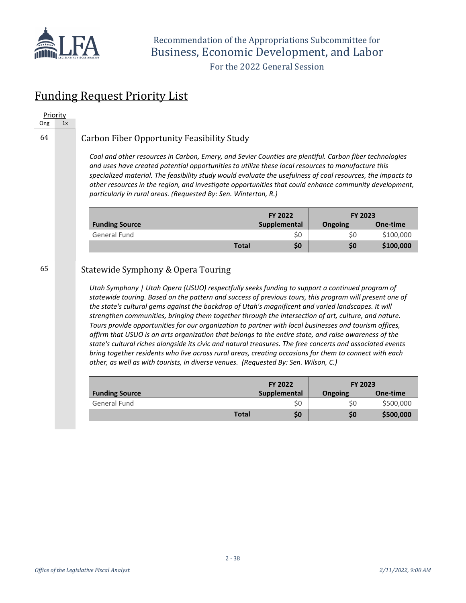

For the 2022 General Session

# Funding Request Priority List

|     | Priority |                                                                                                                                                                                                                                                                                                                                                                                                                                                                                                           |                |                |           |
|-----|----------|-----------------------------------------------------------------------------------------------------------------------------------------------------------------------------------------------------------------------------------------------------------------------------------------------------------------------------------------------------------------------------------------------------------------------------------------------------------------------------------------------------------|----------------|----------------|-----------|
| Ong | 1x       |                                                                                                                                                                                                                                                                                                                                                                                                                                                                                                           |                |                |           |
| 64  |          | Carbon Fiber Opportunity Feasibility Study                                                                                                                                                                                                                                                                                                                                                                                                                                                                |                |                |           |
|     |          | Coal and other resources in Carbon, Emery, and Sevier Counties are plentiful. Carbon fiber technologies<br>and uses have created potential opportunities to utilize these local resources to manufacture this<br>specialized material. The feasibility study would evaluate the usefulness of coal resources, the impacts to<br>other resources in the region, and investigate opportunities that could enhance community development,<br>particularly in rural areas. (Requested By: Sen. Winterton, R.) |                |                |           |
|     |          |                                                                                                                                                                                                                                                                                                                                                                                                                                                                                                           | <b>FY 2022</b> | <b>FY 2023</b> |           |
|     |          | <b>Funding Source</b>                                                                                                                                                                                                                                                                                                                                                                                                                                                                                     | Supplemental   | <b>Ongoing</b> | One-time  |
|     |          | <b>General Fund</b>                                                                                                                                                                                                                                                                                                                                                                                                                                                                                       | \$0            | \$0            | \$100,000 |
|     |          |                                                                                                                                                                                                                                                                                                                                                                                                                                                                                                           |                |                |           |
|     |          | <b>Total</b>                                                                                                                                                                                                                                                                                                                                                                                                                                                                                              | \$0            | \$0            | \$100,000 |

*strengthen communities, bringing them together through the intersection of art, culture, and nature. Tours provide opportunities for our organization to partner with local businesses and tourism offices,* affirm that USUO is an arts organization that belongs to the entire state, and raise awareness of the *state's cultural riches alongside its civic and natural treasures. The free concerts and associated events bring together residents who live across rural areas, creating occasions for them to connect with each other, as well as with tourists, in diverse venues. (Requested By: Sen. Wilson, C.)*

|                       |              | <b>FY 2022</b> | <b>FY 2023</b> |           |
|-----------------------|--------------|----------------|----------------|-----------|
| <b>Funding Source</b> |              | Supplemental   | Ongoing        | One-time  |
| General Fund          |              | Ś0             | Ś0             | \$500,000 |
|                       | <b>Total</b> | \$0            | \$0            | \$500,000 |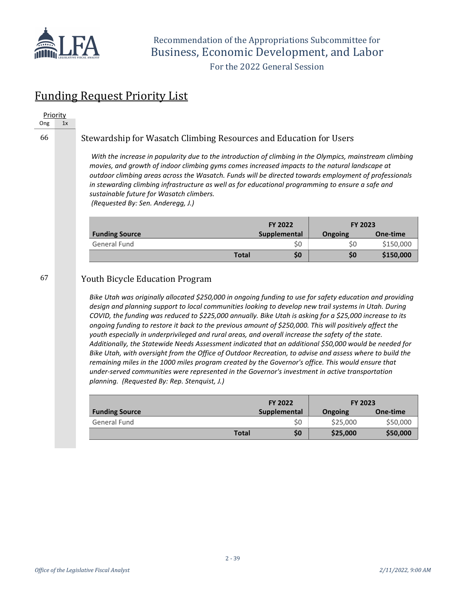

Recommendation of the Appropriations Subcommittee for Business, Economic Development, and Labor

For the 2022 General Session

# Funding Request Priority List

# 66 Stewardship for Wasatch Climbing Resources and Education for Users

*With the increase in popularity due to the introduction of climbing in the Olympics, mainstream climbing movies, and growth of indoor climbing gyms comes increased impacts to the natural landscape at outdoor climbing areas across the Wasatch. Funds will be directed towards employment of professionals in stewarding climbing infrastructure as well as for educational programming to ensure a safe and sustainable future for Wasatch climbers. (Requested By: Sen. Anderegg, J.)*

|                       |              | <b>FY 2022</b> | <b>FY 2023</b> |           |
|-----------------------|--------------|----------------|----------------|-----------|
| <b>Funding Source</b> |              | Supplemental   | Ongoing        | One-time  |
| General Fund          |              | Ś0             | Ś0             | \$150,000 |
|                       | <b>Total</b> | \$0            | \$0            | \$150,000 |

# 67 Youth Bicycle Education Program

*Bike Utah was originally allocated \$250,000 in ongoing funding to use for safety education and providing design and planning support to local communities looking to develop new trail systems in Utah. During* COVID, the funding was reduced to \$225,000 annually. Bike Utah is asking for a \$25,000 increase to its *ongoing funding to restore it back to the previous amount of \$250,000. This will positively affect the youth especially in underprivileged and rural areas, and overall increase the safety of the state. Additionally, the Statewide Needs Assessment indicated that an additional \$50,000 would be needed for* Bike Utah, with oversight from the Office of Outdoor Recreation, to advise and assess where to build the *remaining miles in the 1000 miles program created by the Governor's office. This would ensure that under‐served communities were represented in the Governor's investment in active transportation planning. (Requested By: Rep. Stenquist, J.)*

|                       |              | <b>FY 2022</b> | <b>FY 2023</b> |          |
|-----------------------|--------------|----------------|----------------|----------|
| <b>Funding Source</b> |              | Supplemental   | Ongoing        | One-time |
| General Fund          |              | \$0            | \$25,000       | \$50,000 |
|                       | <b>Total</b> | \$0            | \$25,000       | \$50,000 |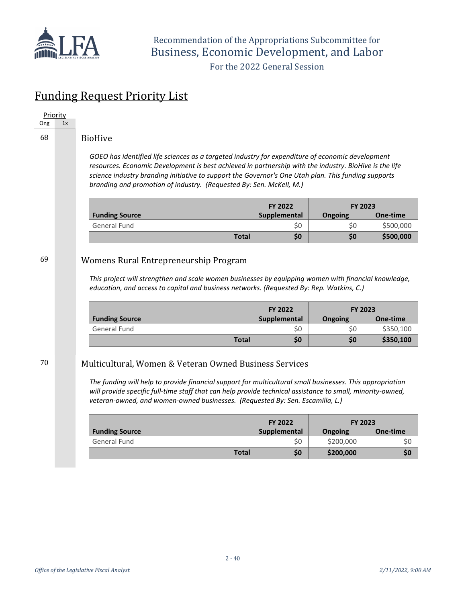

Ong **Priority**  For the 2022 General Session

# Funding Request Priority List

| 68<br><b>BioHive</b>                                                                                                                                                                                                                                                                                                                                                                     |                |          |
|------------------------------------------------------------------------------------------------------------------------------------------------------------------------------------------------------------------------------------------------------------------------------------------------------------------------------------------------------------------------------------------|----------------|----------|
|                                                                                                                                                                                                                                                                                                                                                                                          |                |          |
| GOEO has identified life sciences as a targeted industry for expenditure of economic development<br>resources. Economic Development is best achieved in partnership with the industry. BioHive is the life<br>science industry branding initiative to support the Governor's One Utah plan. This funding supports<br>branding and promotion of industry. (Requested By: Sen. McKell, M.) |                |          |
|                                                                                                                                                                                                                                                                                                                                                                                          |                |          |
| <b>FY 2022</b>                                                                                                                                                                                                                                                                                                                                                                           | <b>FY 2023</b> |          |
| Supplemental<br><b>Funding Source</b>                                                                                                                                                                                                                                                                                                                                                    | <b>Ongoing</b> | One-time |

## 69 Womens Rural Entrepreneurship Program

*This project will strengthen and scale women businesses by equipping women with financial knowledge, education, and access to capital and business networks. (Requested By: Rep. Watkins, C.)*

**Total \$0 \$0 \$500,000**

|                       |              | <b>FY 2022</b> | <b>FY 2023</b> |           |
|-----------------------|--------------|----------------|----------------|-----------|
| <b>Funding Source</b> |              | Supplemental   | Ongoing        | One-time  |
| General Fund          |              | Ś0             | Ś0             | \$350,100 |
|                       | <b>Total</b> | \$0            | \$0            | \$350,100 |

#### 70 Multicultural, Women & Veteran Owned Business Services

*The funding will help to provide financial support for multicultural small businesses. This appropriation* will provide specific full-time staff that can help provide technical assistance to small, minority-owned, *veteran‐owned, and women‐owned businesses. (Requested By: Sen. Escamilla, L.)*

|                       |              | <b>FY 2022</b> | <b>FY 2023</b> |          |
|-----------------------|--------------|----------------|----------------|----------|
| <b>Funding Source</b> |              | Supplemental   | Ongoing        | One-time |
| General Fund          |              | \$0            | \$200,000      | Ś0       |
|                       | <b>Total</b> | \$0            | \$200,000      | \$0      |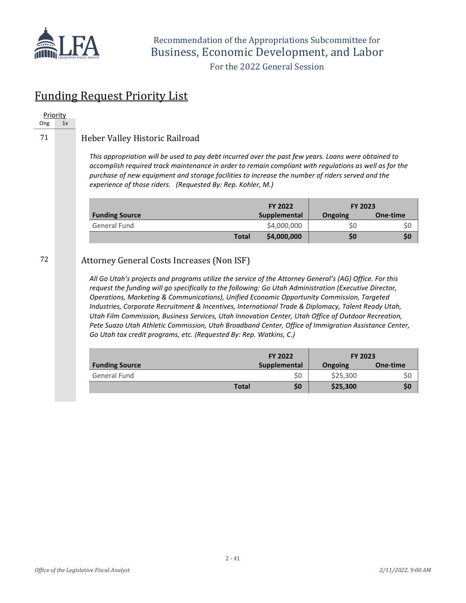

Recommendation of the Appropriations Subcommittee for Business, Economic Development, and Labor

For the 2022 General Session

# Funding Request Priority List

# 71 Heber Valley Historic Railroad

This appropriation will be used to pay debt incurred over the past few years. Loans were obtained to *accomplish required track maintenance in order to remain compliant with regulations as well as for the purchase of new equipment and storage facilities to increase the number of riders served and the experience of those riders. (Requested By: Rep. Kohler, M.)*

|                       | <b>FY 2022</b>       |         | <b>FY 2023</b> |          |
|-----------------------|----------------------|---------|----------------|----------|
| <b>Funding Source</b> | <b>Supplemental</b>  | Ongoing |                | One-time |
| General Fund          | \$4,000,000          |         | Ś0             | Ś0       |
|                       | \$4,000,000<br>Total |         | \$0            | \$0      |

## 72 Attorney General Costs Increases (Non ISF)

*All Go Utah's projects and programs utilize the service of the Attorney General's (AG) Office. For this request the funding will go specifically to the following: Go Utah Administration (Executive Director, Operations, Marketing & Communications), Unified Economic Opportunity Commission, Targeted Industries, Corporate Recruitment & Incentives, International Trade & Diplomacy, Talent Ready Utah, Utah Film Commission, Business Services, Utah Innovation Center, Utah Office of Outdoor Recreation, Pete Suazo Utah Athletic Commission, Utah Broadband Center, Office of Immigration Assistance Center, Go Utah tax credit programs, etc. (Requested By: Rep. Watkins, C.)*

|                       |       | <b>FY 2022</b> | <b>FY 2023</b> |          |
|-----------------------|-------|----------------|----------------|----------|
| <b>Funding Source</b> |       | Supplemental   | Ongoing        | One-time |
| General Fund          |       | S0             | \$25,300       | \$C      |
|                       | Total | \$0            | \$25,300       | \$0      |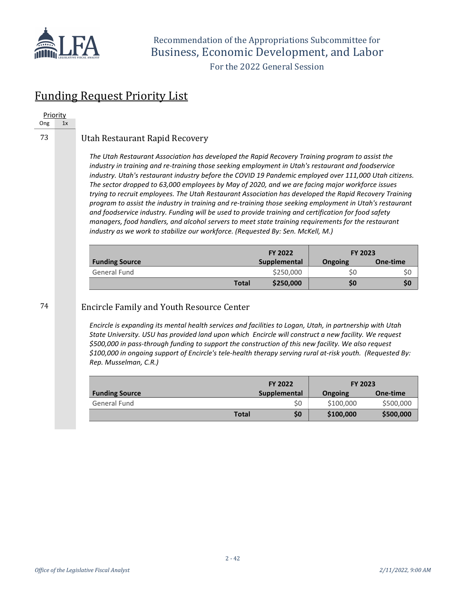

Recommendation of the Appropriations Subcommittee for Business, Economic Development, and Labor

For the 2022 General Session

# Funding Request Priority List

# 73 Utah Restaurant Rapid Recovery

*The Utah Restaurant Association has developed the Rapid Recovery Training program to assist the industry in training and re‐training those seeking employment in Utah's restaurant and foodservice industry. Utah's restaurant industry before the COVID 19 Pandemic employed over 111,000 Utah citizens. The sector dropped to 63,000 employees by May of 2020, and we are facing major workforce issues trying to recruit employees. The Utah Restaurant Association has developed the Rapid Recovery Training program to assist the industry in training and re‐training those seeking employment in Utah's restaurant and foodservice industry. Funding will be used to provide training and certification for food safety managers, food handlers, and alcohol servers to meet state training requirements for the restaurant industry as we work to stabilize our workforce. (Requested By: Sen. McKell, M.)*

|                       | <b>FY 2022</b> | <b>FY 2023</b> |          |
|-----------------------|----------------|----------------|----------|
| <b>Funding Source</b> | Supplemental   | Ongoing        | One-time |
| General Fund          | \$250,000      | S0             | \$0      |
| <b>Total</b>          | \$250,000      | \$0            | \$0      |

# 74 Encircle Family and Youth Resource Center

*Encircle is expanding its mental health services and facilities to Logan, Utah, in partnership with Utah State University. USU has provided land upon which Encircle will construct a new facility. We request \$500,000 in pass‐through funding to support the construction of this new facility. We also request* \$100,000 in ongoing support of Encircle's tele-health therapy serving rural at-risk youth. (Requested By: *Rep. Musselman, C.R.)*

|                       |              | <b>FY 2022</b> | <b>FY 2023</b> |           |
|-----------------------|--------------|----------------|----------------|-----------|
| <b>Funding Source</b> |              | Supplemental   | Ongoing        | One-time  |
| General Fund          |              | \$0            | \$100,000      | \$500,000 |
|                       | <b>Total</b> | \$0            | \$100,000      | \$500,000 |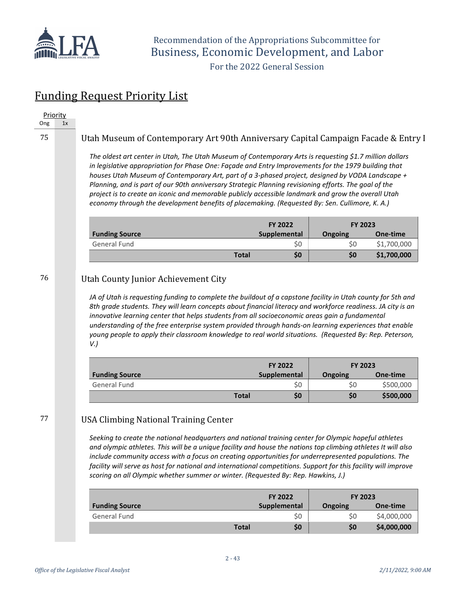

For the 2022 General Session

# Funding Request Priority List

|     | Priority |                                                                                                                                                                                                                                                                                                                                                                                                                                                                                                                                                                                                                                       |                |                |             |
|-----|----------|---------------------------------------------------------------------------------------------------------------------------------------------------------------------------------------------------------------------------------------------------------------------------------------------------------------------------------------------------------------------------------------------------------------------------------------------------------------------------------------------------------------------------------------------------------------------------------------------------------------------------------------|----------------|----------------|-------------|
| Ong | 1x       |                                                                                                                                                                                                                                                                                                                                                                                                                                                                                                                                                                                                                                       |                |                |             |
| 75  |          | Utah Museum of Contemporary Art 90th Anniversary Capital Campaign Facade & Entry I                                                                                                                                                                                                                                                                                                                                                                                                                                                                                                                                                    |                |                |             |
|     |          | The oldest art center in Utah, The Utah Museum of Contemporary Arts is requesting \$1.7 million dollars<br>in legislative appropriation for Phase One: Façade and Entry Improvements for the 1979 building that<br>houses Utah Museum of Contemporary Art, part of a 3-phased project, designed by VODA Landscape +<br>Planning, and is part of our 90th anniversary Strategic Planning revisioning efforts. The goal of the<br>project is to create an iconic and memorable publicly accessible landmark and grow the overall Utah<br>economy through the development benefits of placemaking. (Requested By: Sen. Cullimore, K. A.) |                |                |             |
|     |          |                                                                                                                                                                                                                                                                                                                                                                                                                                                                                                                                                                                                                                       | <b>FY 2022</b> | <b>FY 2023</b> |             |
|     |          | <b>Funding Source</b>                                                                                                                                                                                                                                                                                                                                                                                                                                                                                                                                                                                                                 | Supplemental   | Ongoing        | One-time    |
|     |          | General Fund                                                                                                                                                                                                                                                                                                                                                                                                                                                                                                                                                                                                                          | \$0            | \$0            | \$1,700,000 |
|     |          | <b>Total</b>                                                                                                                                                                                                                                                                                                                                                                                                                                                                                                                                                                                                                          | \$0            | \$0            | \$1,700,000 |
|     |          |                                                                                                                                                                                                                                                                                                                                                                                                                                                                                                                                                                                                                                       |                |                |             |
| 76  |          | JA of Utah is requesting funding to complete the buildout of a capstone facility in Utah county for 5th and<br>8th grade students. They will learn concepts about financial literacy and workforce readiness. JA city is an                                                                                                                                                                                                                                                                                                                                                                                                           |                |                |             |
|     |          | innovative learning center that helps students from all socioeconomic areas gain a fundamental<br>understanding of the free enterprise system provided through hands-on learning experiences that enable<br>young people to apply their classroom knowledge to real world situations. (Requested By: Rep. Peterson,<br>V.                                                                                                                                                                                                                                                                                                             |                |                |             |
|     |          |                                                                                                                                                                                                                                                                                                                                                                                                                                                                                                                                                                                                                                       | <b>FY 2022</b> |                |             |
|     |          | <b>Funding Source</b>                                                                                                                                                                                                                                                                                                                                                                                                                                                                                                                                                                                                                 | Supplemental   | <b>FY 2023</b> | One-time    |
|     |          | General Fund                                                                                                                                                                                                                                                                                                                                                                                                                                                                                                                                                                                                                          | \$0            | Ongoing<br>\$0 | \$500,000   |
|     |          | <b>Total</b>                                                                                                                                                                                                                                                                                                                                                                                                                                                                                                                                                                                                                          | \$0            | \$0            | \$500,000   |
| 77  |          | <b>USA Climbing National Training Center</b><br>Seeking to create the national headquarters and national training center for Olympic hopeful athletes<br>and olympic athletes. This will be a unique facility and house the nations top climbing athletes It will also<br>include community access with a focus on creating opportunities for underrepresented populations. The<br>facility will serve as host for national and international competitions. Support for this facility will improve<br>scoring on all Olympic whether summer or winter. (Requested By: Rep. Hawkins, J.)                                               |                |                |             |

|                       |              | <b>FY 2022</b> | <b>FY 2023</b> |             |
|-----------------------|--------------|----------------|----------------|-------------|
| <b>Funding Source</b> |              | Supplemental   | Ongoing        | One-time    |
| General Fund          |              | \$0            | \$0            | \$4,000,000 |
|                       | <b>Total</b> | \$0            | \$0            | \$4,000,000 |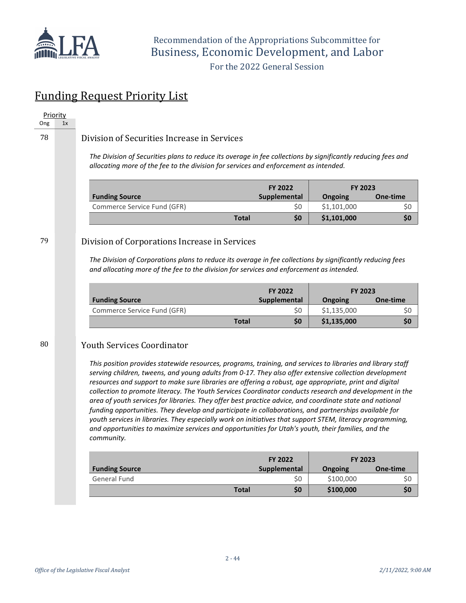

l.

Recommendation of the Appropriations Subcommittee for Business, Economic Development, and Labor

For the 2022 General Session

# Funding Request Priority List

| Priority<br>Ong | 1x |                                                                                                                                                                                                                                                                                                                                                                                                                                                                                                                                                                                                                                                                         |                            |                           |            |
|-----------------|----|-------------------------------------------------------------------------------------------------------------------------------------------------------------------------------------------------------------------------------------------------------------------------------------------------------------------------------------------------------------------------------------------------------------------------------------------------------------------------------------------------------------------------------------------------------------------------------------------------------------------------------------------------------------------------|----------------------------|---------------------------|------------|
| 78              |    | Division of Securities Increase in Services                                                                                                                                                                                                                                                                                                                                                                                                                                                                                                                                                                                                                             |                            |                           |            |
|                 |    | The Division of Securities plans to reduce its overage in fee collections by significantly reducing fees and<br>allocating more of the fee to the division for services and enforcement as intended.                                                                                                                                                                                                                                                                                                                                                                                                                                                                    |                            |                           |            |
|                 |    | <b>Funding Source</b>                                                                                                                                                                                                                                                                                                                                                                                                                                                                                                                                                                                                                                                   | FY 2022<br>Supplemental    | <b>FY 2023</b><br>Ongoing | One-time   |
|                 |    | Commerce Service Fund (GFR)                                                                                                                                                                                                                                                                                                                                                                                                                                                                                                                                                                                                                                             | \$0                        | \$1,101,000               | \$0        |
|                 |    |                                                                                                                                                                                                                                                                                                                                                                                                                                                                                                                                                                                                                                                                         | \$0<br><b>Total</b>        | \$1,101,000               | \$0        |
|                 |    |                                                                                                                                                                                                                                                                                                                                                                                                                                                                                                                                                                                                                                                                         |                            |                           |            |
| 79              |    | Division of Corporations Increase in Services                                                                                                                                                                                                                                                                                                                                                                                                                                                                                                                                                                                                                           |                            |                           |            |
|                 |    | The Division of Corporations plans to reduce its overage in fee collections by significantly reducing fees<br>and allocating more of the fee to the division for services and enforcement as intended.                                                                                                                                                                                                                                                                                                                                                                                                                                                                  |                            |                           |            |
|                 |    | <b>Funding Source</b>                                                                                                                                                                                                                                                                                                                                                                                                                                                                                                                                                                                                                                                   | FY 2022<br>Supplemental    | FY 2023<br>Ongoing        | One-time   |
|                 |    | Commerce Service Fund (GFR)                                                                                                                                                                                                                                                                                                                                                                                                                                                                                                                                                                                                                                             | \$0                        | \$1,135,000               | \$0        |
|                 |    |                                                                                                                                                                                                                                                                                                                                                                                                                                                                                                                                                                                                                                                                         | \$0<br><b>Total</b>        | \$1,135,000               | \$0        |
| 80              |    | <b>Youth Services Coordinator</b><br>This position provides statewide resources, programs, training, and services to libraries and library staff<br>serving children, tweens, and young adults from 0-17. They also offer extensive collection development                                                                                                                                                                                                                                                                                                                                                                                                              |                            |                           |            |
|                 |    | resources and support to make sure libraries are offering a robust, age appropriate, print and digital<br>collection to promote literacy. The Youth Services Coordinator conducts research and development in the<br>area of youth services for libraries. They offer best practice advice, and coordinate state and national<br>funding opportunities. They develop and participate in collaborations, and partnerships available for<br>youth services in libraries. They especially work on initiatives that support STEM, literacy programming,<br>and opportunities to maximize services and opportunities for Utah's youth, their families, and the<br>community. |                            |                           |            |
|                 |    |                                                                                                                                                                                                                                                                                                                                                                                                                                                                                                                                                                                                                                                                         | FY 2022                    | <b>FY 2023</b>            |            |
|                 |    | <b>Funding Source</b>                                                                                                                                                                                                                                                                                                                                                                                                                                                                                                                                                                                                                                                   | Supplemental               | Ongoing                   | One-time   |
|                 |    | <b>General Fund</b>                                                                                                                                                                                                                                                                                                                                                                                                                                                                                                                                                                                                                                                     | \$0<br>\$0<br><b>Total</b> | \$100,000<br>\$100,000    | \$0<br>\$0 |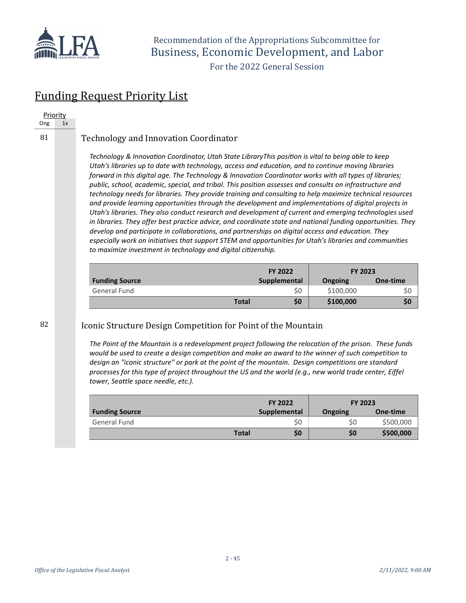

Recommendation of the Appropriations Subcommittee for Business, Economic Development, and Labor

For the 2022 General Session

# Funding Request Priority List

# 81 Technology and Innovation Coordinator

Technology & Innovation Coordinator, Utah State LibraryThis position is vital to being able to keep *Utah's libraries up to date with technology, access and education, and to continue moving libraries forward in this digital age. The Technology & Innovation Coordinator works with all types of libraries; public, school, academic, special, and tribal. This position assesses and consults on infrastructure and technology needs for libraries. They provide training and consulting to help maximize technical resources and provide learning opportunities through the development and implementations of digital projects in Utah's libraries. They also conduct research and development of current and emerging technologies used in libraries. They offer best practice advice, and coordinate state and national funding opportunities. They develop and participate in collaborations, and partnerships on digital access and education. They especially work on initiatives that support STEM and opportunities for Utah's libraries and communities to maximize investment in technology and digital ciƟzenship.*

|                       |              | <b>FY 2022</b> | <b>FY 2023</b> |          |
|-----------------------|--------------|----------------|----------------|----------|
| <b>Funding Source</b> |              | Supplemental   | Ongoing        | One-time |
| General Fund          |              | \$0            | \$100,000      |          |
|                       | <b>Total</b> | \$0            | \$100,000      | \$0      |

# 82 Iconic Structure Design Competition for Point of the Mountain

The Point of the Mountain is a redevelopment project following the relocation of the prison. These funds would be used to create a design competition and make an award to the winner of such competition to *design an "iconic structure" or park at the point of the mountain. Design competitions are standard* processes for this type of project throughout the US and the world (e.g., new world trade center, Eiffel *tower, Seattle space needle, etc.).*

|                       |              | <b>FY 2022</b> | <b>FY 2023</b> |           |
|-----------------------|--------------|----------------|----------------|-----------|
| <b>Funding Source</b> |              | Supplemental   | Ongoing        | One-time  |
| General Fund          |              | Ś0             | ŚΟ             | \$500,000 |
|                       | <b>Total</b> | \$0            | \$0            | \$500,000 |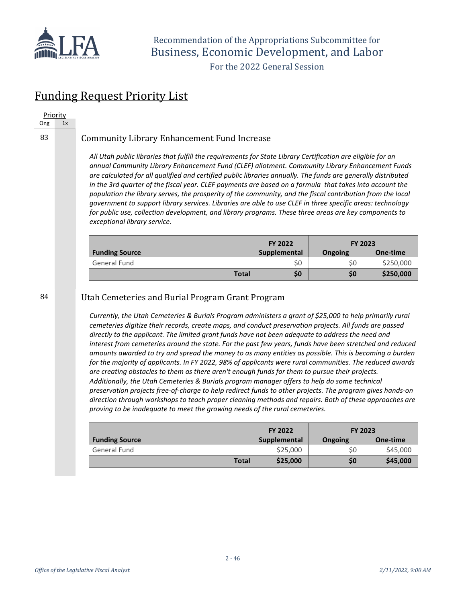

Recommendation of the Appropriations Subcommittee for Business, Economic Development, and Labor

For the 2022 General Session

# Funding Request Priority List

# 83 Community Library Enhancement Fund Increase

*All Utah public libraries that fulfill the requirements for State Library Certification are eligible for an annual Community Library Enhancement Fund (CLEF) allotment. Community Library Enhancement Funds are calculated for all qualified and certified public libraries annually. The funds are generally distributed* in the 3rd quarter of the fiscal year. CLEF payments are based on a formula that takes into account the *population the library serves, the prosperity of the community, and the fiscal contribution from the local government to support library services. Libraries are able to use CLEF in three specific areas: technology for public use, collection development, and library programs. These three areas are key components to exceptional library service.*

|                       |              | <b>FY 2022</b> | <b>FY 2023</b> |           |
|-----------------------|--------------|----------------|----------------|-----------|
| <b>Funding Source</b> |              | Supplemental   | Ongoing        | One-time  |
| General Fund          |              | Ś0             | S0             | \$250,000 |
|                       | <b>Total</b> | \$0            | \$0            | \$250,000 |

# 84 Utah Cemeteries and Burial Program Grant Program

*Currently, the Utah Cemeteries & Burials Program administers a grant of \$25,000 to help primarily rural cemeteries digitize their records, create maps, and conduct preservation projects. All funds are passed directly to the applicant. The limited grant funds have not been adequate to address the need and interest from cemeteries around the state. For the past few years, funds have been stretched and reduced* amounts awarded to try and spread the money to as many entities as possible. This is becoming a burden *for the majority of applicants. In FY 2022, 98% of applicants were rural communities. The reduced awards are creating obstacles to them as there aren't enough funds for them to pursue their projects. Additionally, the Utah Cemeteries & Burials program manager offers to help do some technical* preservation projects free-of-charge to help redirect funds to other projects. The program gives hands-on *direction through workshops to teach proper cleaning methods and repairs. Both of these approaches are proving to be inadequate to meet the growing needs of the rural cemeteries.*

|                       |              | <b>FY 2022</b> | <b>FY 2023</b> |          |
|-----------------------|--------------|----------------|----------------|----------|
| <b>Funding Source</b> |              | Supplemental   | Ongoing        | One-time |
| General Fund          |              | \$25,000       | \$0            | \$45,000 |
|                       | <b>Total</b> | \$25,000       | \$0            | \$45,000 |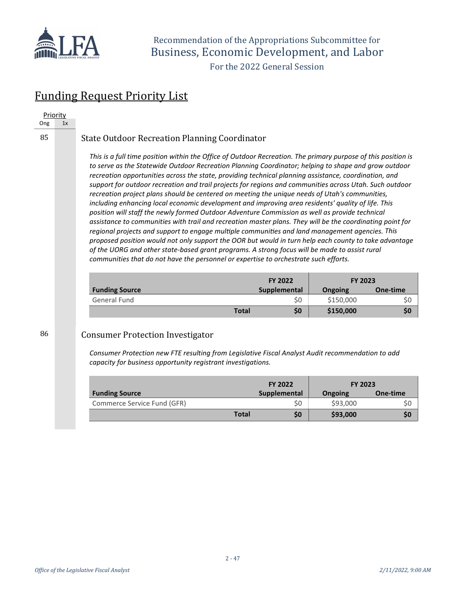

Recommendation of the Appropriations Subcommittee for Business, Economic Development, and Labor

For the 2022 General Session

# Funding Request Priority List

# 85 State Outdoor Recreation Planning Coordinator

This is a full time position within the Office of Outdoor Recreation. The primary purpose of this position is *to serve as the Statewide Outdoor Recreation Planning Coordinator; helping to shape and grow outdoor recreation opportunities across the state, providing technical planning assistance, coordination, and support for outdoor recreation and trail projects for regions and communities across Utah. Such outdoor recreation project plans should be centered on meeting the unique needs of Utah's communities, including enhancing local economic development and improving area residents' quality of life. This position will staff the newly formed Outdoor Adventure Commission as well as provide technical assistance to communities with trail and recreation master plans. They will be the coordinating point for regional projects and support to engage mulƟple communiƟes and land management agencies. This* proposed position would not only support the OOR but would in turn help each county to take advantage of the UORG and other state-based grant programs. A strong focus will be made to assist rural *communities that do not have the personnel or expertise to orchestrate such efforts.*

|                       |              | <b>FY 2022</b> | <b>FY 2023</b> |          |
|-----------------------|--------------|----------------|----------------|----------|
| <b>Funding Source</b> |              | Supplemental   | Ongoing        | One-time |
| General Fund          |              | \$0            | \$150,000      | Ś0       |
|                       | <b>Total</b> | \$0            | \$150,000      | \$0      |

## 86 **Consumer Protection Investigator**

*Consumer Protection new FTE resulting from Legislative Fiscal Analyst Audit recommendation to add capacity for business opportunity registrant investigations.*

|                             |       | <b>FY 2022</b> | <b>FY 2023</b> |          |
|-----------------------------|-------|----------------|----------------|----------|
| <b>Funding Source</b>       |       | Supplemental   | Ongoing        | One-time |
| Commerce Service Fund (GFR) |       | \$0            | \$93,000       | Ś0       |
|                             | Total | \$0            | \$93,000       | \$0      |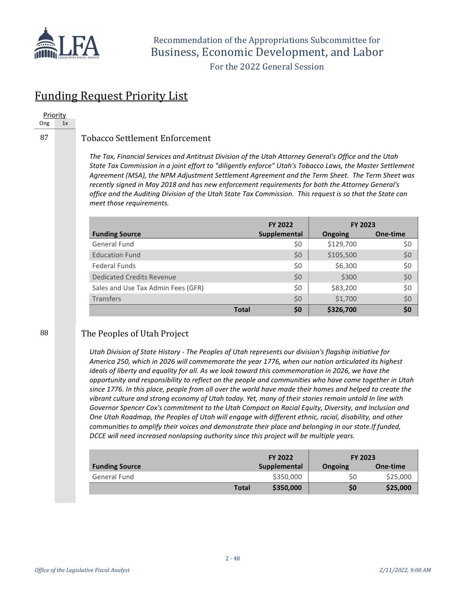

For the 2022 General Session

# Funding Request Priority List

## Ong 1x Priority

## 87 Tobacco Settlement Enforcement

*The Tax, Financial Services and Antitrust Division of the Utah Attorney General's Office and the Utah State Tax Commission in a joint effort to "diligently enforce" Utah's Tobacco Laws, the Master Settlement Agreement (MSA), the NPM Adjustment Settlement Agreement and the Term Sheet. The Term Sheet was recently signed in May 2018 and has new enforcement requirements for both the Attorney General's* office and the Auditing Division of the Utah State Tax Commission. This request is so that the State can *meet those requirements.*

|                                    | <b>FY 2022</b> | <b>FY 2023</b> |          |
|------------------------------------|----------------|----------------|----------|
| <b>Funding Source</b>              | Supplemental   | Ongoing        | One-time |
| General Fund                       | \$0            | \$129,700      | \$0      |
| <b>Education Fund</b>              | \$0            | \$105,500      | \$0      |
| Federal Funds                      | \$0            | \$6,300        | \$0      |
| Dedicated Credits Revenue          | \$0            | \$300          | \$0      |
| Sales and Use Tax Admin Fees (GFR) | \$0            | \$83,200       | \$0      |
| <b>Transfers</b>                   | \$0            | \$1,700        | \$0      |
|                                    | \$0<br>Total   | \$326,700      | \$0      |

## 88 The Peoples of Utah Project

*Utah Division of State History ‐ The Peoples of Utah represents our division's flagship initiative for America 250, which in 2026 will commemorate the year 1776, when our nation articulated its highest ideals of liberty and equality for all. As we look toward this commemoration in 2026, we have the opportunity and responsibility to reflect on the people and communities who have come together in Utah* since 1776. In this place, people from all over the world have made their homes and helped to create the vibrant culture and strong economy of Utah today. Yet, many of their stories remain untold In line with *Governor Spencer Cox's commitment to the Utah Compact on Racial Equity, Diversity, and Inclusion and One Utah Roadmap, the Peoples of Utah will engage with different ethnic, racial, disability, and other communiƟes to amplify their voices and demonstrate their place and belonging in our state.If funded, DCCE will need increased nonlapsing authority since this project will be multiple years.*

|                       |              | <b>FY 2022</b> | <b>FY 2023</b> |          |
|-----------------------|--------------|----------------|----------------|----------|
| <b>Funding Source</b> |              | Supplemental   | Ongoing        | One-time |
| General Fund          |              | \$350,000      | S0             | \$25,000 |
|                       | <b>Total</b> | \$350,000      | \$0            | \$25,000 |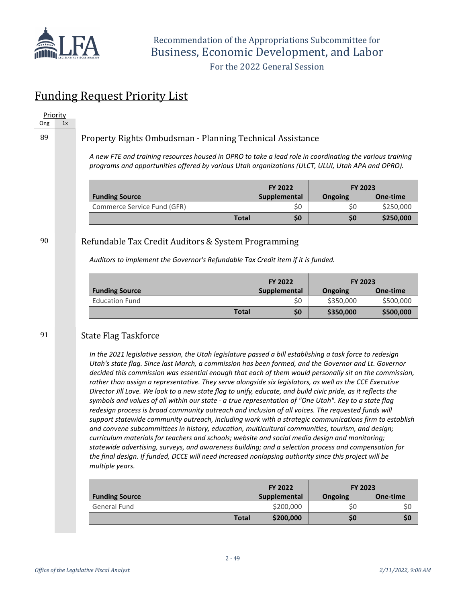

For the 2022 General Session

# Funding Request Priority List

| Ong | Priority<br>1x |                                                                                                                                                                                                                                                                                                                                                                                                                                                                                                                                                                                                                                                                                                                                                                                                                                                                                                                                                                                                                                                                                                                                                                                                                                                                                                                                                          |              |                |                |           |
|-----|----------------|----------------------------------------------------------------------------------------------------------------------------------------------------------------------------------------------------------------------------------------------------------------------------------------------------------------------------------------------------------------------------------------------------------------------------------------------------------------------------------------------------------------------------------------------------------------------------------------------------------------------------------------------------------------------------------------------------------------------------------------------------------------------------------------------------------------------------------------------------------------------------------------------------------------------------------------------------------------------------------------------------------------------------------------------------------------------------------------------------------------------------------------------------------------------------------------------------------------------------------------------------------------------------------------------------------------------------------------------------------|--------------|----------------|----------------|-----------|
| 89  |                | Property Rights Ombudsman - Planning Technical Assistance                                                                                                                                                                                                                                                                                                                                                                                                                                                                                                                                                                                                                                                                                                                                                                                                                                                                                                                                                                                                                                                                                                                                                                                                                                                                                                |              |                |                |           |
|     |                |                                                                                                                                                                                                                                                                                                                                                                                                                                                                                                                                                                                                                                                                                                                                                                                                                                                                                                                                                                                                                                                                                                                                                                                                                                                                                                                                                          |              |                |                |           |
|     |                | A new FTE and training resources housed in OPRO to take a lead role in coordinating the various training<br>programs and opportunities offered by various Utah organizations (ULCT, ULUI, Utah APA and OPRO).                                                                                                                                                                                                                                                                                                                                                                                                                                                                                                                                                                                                                                                                                                                                                                                                                                                                                                                                                                                                                                                                                                                                            |              |                |                |           |
|     |                |                                                                                                                                                                                                                                                                                                                                                                                                                                                                                                                                                                                                                                                                                                                                                                                                                                                                                                                                                                                                                                                                                                                                                                                                                                                                                                                                                          |              | <b>FY 2022</b> | <b>FY 2023</b> |           |
|     |                | <b>Funding Source</b>                                                                                                                                                                                                                                                                                                                                                                                                                                                                                                                                                                                                                                                                                                                                                                                                                                                                                                                                                                                                                                                                                                                                                                                                                                                                                                                                    |              | Supplemental   | Ongoing        | One-time  |
|     |                | Commerce Service Fund (GFR)                                                                                                                                                                                                                                                                                                                                                                                                                                                                                                                                                                                                                                                                                                                                                                                                                                                                                                                                                                                                                                                                                                                                                                                                                                                                                                                              |              | \$0            | \$0            | \$250,000 |
|     |                |                                                                                                                                                                                                                                                                                                                                                                                                                                                                                                                                                                                                                                                                                                                                                                                                                                                                                                                                                                                                                                                                                                                                                                                                                                                                                                                                                          | <b>Total</b> | \$0            | \$0            | \$250,000 |
| 90  |                | Refundable Tax Credit Auditors & System Programming<br>Auditors to implement the Governor's Refundable Tax Credit item if it is funded.                                                                                                                                                                                                                                                                                                                                                                                                                                                                                                                                                                                                                                                                                                                                                                                                                                                                                                                                                                                                                                                                                                                                                                                                                  |              | FY 2022        | FY 2023        |           |
|     |                | <b>Funding Source</b>                                                                                                                                                                                                                                                                                                                                                                                                                                                                                                                                                                                                                                                                                                                                                                                                                                                                                                                                                                                                                                                                                                                                                                                                                                                                                                                                    |              | Supplemental   | Ongoing        | One-time  |
|     |                | <b>Education Fund</b>                                                                                                                                                                                                                                                                                                                                                                                                                                                                                                                                                                                                                                                                                                                                                                                                                                                                                                                                                                                                                                                                                                                                                                                                                                                                                                                                    |              | \$0            | \$350,000      | \$500,000 |
|     |                |                                                                                                                                                                                                                                                                                                                                                                                                                                                                                                                                                                                                                                                                                                                                                                                                                                                                                                                                                                                                                                                                                                                                                                                                                                                                                                                                                          | <b>Total</b> | \$0            | \$350,000      | \$500,000 |
| 91  |                | <b>State Flag Taskforce</b><br>In the 2021 legislative session, the Utah legislature passed a bill establishing a task force to redesign<br>Utah's state flag. Since last March, a commission has been formed, and the Governor and Lt. Governor<br>decided this commission was essential enough that each of them would personally sit on the commission,<br>rather than assign a representative. They serve alongside six legislators, as well as the CCE Executive<br>Director Jill Love. We look to a new state flag to unify, educate, and build civic pride, as it reflects the<br>symbols and values of all within our state - a true representation of "One Utah". Key to a state flag<br>redesign process is broad community outreach and inclusion of all voices. The requested funds will<br>support statewide community outreach, including work with a strategic communications firm to establish<br>and convene subcommittees in history, education, multicultural communities, tourism, and design;<br>curriculum materials for teachers and schools; website and social media design and monitoring;<br>statewide advertising, surveys, and awareness building; and a selection process and compensation for<br>the final design. If funded, DCCE will need increased nonlapsing authority since this project will be<br>multiple years. |              |                |                |           |
|     |                |                                                                                                                                                                                                                                                                                                                                                                                                                                                                                                                                                                                                                                                                                                                                                                                                                                                                                                                                                                                                                                                                                                                                                                                                                                                                                                                                                          |              | FY 2022        | FY 2023        |           |
|     |                | <b>Funding Source</b>                                                                                                                                                                                                                                                                                                                                                                                                                                                                                                                                                                                                                                                                                                                                                                                                                                                                                                                                                                                                                                                                                                                                                                                                                                                                                                                                    |              | Supplemental   | <b>Ongoing</b> | One-time  |
|     |                | General Fund                                                                                                                                                                                                                                                                                                                                                                                                                                                                                                                                                                                                                                                                                                                                                                                                                                                                                                                                                                                                                                                                                                                                                                                                                                                                                                                                             |              | \$200,000      | \$0            | \$0       |
|     |                |                                                                                                                                                                                                                                                                                                                                                                                                                                                                                                                                                                                                                                                                                                                                                                                                                                                                                                                                                                                                                                                                                                                                                                                                                                                                                                                                                          | <b>Total</b> | \$200,000      | \$0            | \$0       |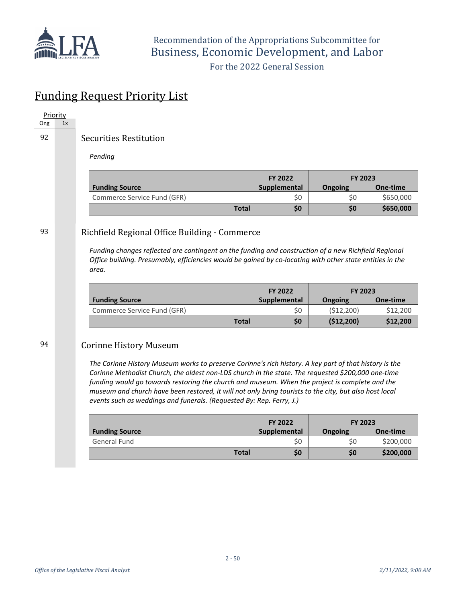

# Funding Request Priority List

# 92 Securities Restitution

*Pending*

|                             | <b>FY 2022</b>      | <b>FY 2023</b> |           |
|-----------------------------|---------------------|----------------|-----------|
| <b>Funding Source</b>       | Supplemental        | Ongoing        | One-time  |
| Commerce Service Fund (GFR) | SO.                 | Ś0             | \$650,000 |
|                             | \$0<br><b>Total</b> | \$0            | \$650,000 |

# 93 Richfield Regional Office Building - Commerce

*Funding changes reflected are contingent on the funding and construction of a new Richfield Regional Office building. Presumably, efficiencies would be gained by co‐locating with other state entities in the area.*

|                             |       | <b>FY 2022</b> | <b>FY 2023</b> |          |
|-----------------------------|-------|----------------|----------------|----------|
| <b>Funding Source</b>       |       | Supplemental   | Ongoing        | One-time |
| Commerce Service Fund (GFR) |       | \$0            | (512, 200)     | \$12,200 |
|                             | Total | \$0            | (512, 200)     | \$12,200 |

# 94 **Corinne History Museum**

The Corinne History Museum works to preserve Corinne's rich history. A key part of that history is the *Corinne Methodist Church, the oldest non‐LDS church in the state. The requested \$200,000 one‐time funding would go towards restoring the church and museum. When the project is complete and the* museum and church have been restored, it will not only bring tourists to the city, but also host local *events such as weddings and funerals. (Requested By: Rep. Ferry, J.)*

|                       |              | <b>FY 2022</b> | <b>FY 2023</b> |           |
|-----------------------|--------------|----------------|----------------|-----------|
| <b>Funding Source</b> |              | Supplemental   | Ongoing        | One-time  |
| General Fund          |              | Ś0             | Ś0             | \$200,000 |
|                       | <b>Total</b> | \$0            | \$0            | \$200,000 |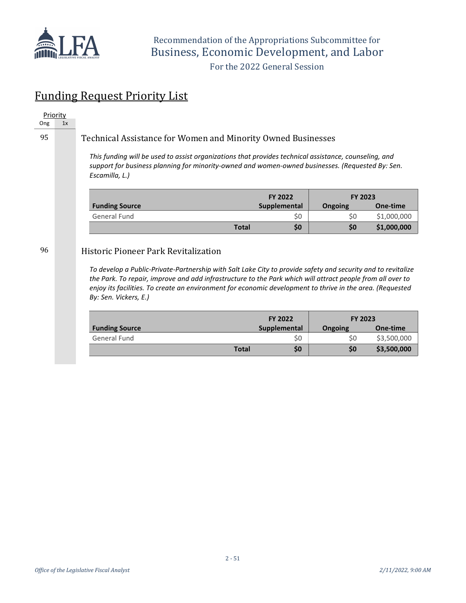

Recommendation of the Appropriations Subcommittee for Business, Economic Development, and Labor

For the 2022 General Session

# Funding Request Priority List

# 95 Technical Assistance for Women and Minority Owned Businesses

*This funding will be used to assist organizations that provides technical assistance, counseling, and support for business planning for minority‐owned and women‐owned businesses. (Requested By: Sen. Escamilla, L.)*

|                       | <b>FY 2022</b>      | <b>FY 2023</b> |             |
|-----------------------|---------------------|----------------|-------------|
| <b>Funding Source</b> | Supplemental        | Ongoing        | One-time    |
| General Fund          | Ś0                  | S0             | \$1,000,000 |
|                       | \$0<br><b>Total</b> | \$0            | \$1,000,000 |

# 96 Historic Pioneer Park Revitalization

To develop a Public-Private-Partnership with Salt Lake City to provide safety and security and to revitalize the Park. To repair, improve and add infrastructure to the Park which will attract people from all over to *enjoy its facilities. To create an environment for economic development to thrive in the area. (Requested By: Sen. Vickers, E.)*

|                       |       | <b>FY 2022</b> | <b>FY 2023</b> |             |
|-----------------------|-------|----------------|----------------|-------------|
| <b>Funding Source</b> |       | Supplemental   | Ongoing        | One-time    |
| General Fund          |       | \$0            | Ś0             | \$3,500,000 |
|                       | Total | \$0            | \$0            | \$3,500,000 |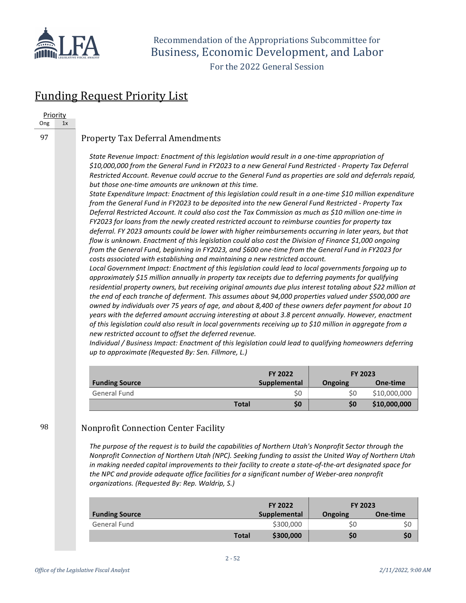

For the 2022 General Session

# Funding Request Priority List

Ong 1x Priority

## 97 Property Tax Deferral Amendments

*State Revenue Impact: Enactment of this legislation would result in a one‐time appropriation of \$10,000,000 from the General Fund in FY2023 to a new General Fund Restricted ‐ Property Tax Deferral Restricted Account. Revenue could accrue to the General Fund as properties are sold and deferrals repaid, but those one‐time amounts are unknown at this time.*

State Expenditure Impact: Enactment of this legislation could result in a one-time \$10 million expenditure from the General Fund in FY2023 to be deposited into the new General Fund Restricted - Property Tax Deferral Restricted Account. It could also cost the Tax Commission as much as \$10 million one-time in *FY2023 for loans from the newly created restricted account to reimburse counties for property tax deferral. FY 2023 amounts could be lower with higher reimbursements occurring in later years, but that flow is unknown. Enactment of this legislation could also cost the Division of Finance \$1,000 ongoing* from the General Fund, beginning in FY2023, and \$600 one-time from the General Fund in FY2023 for *costs associated with establishing and maintaining a new restricted account.*

*Local Government Impact: Enactment of this legislation could lead to local governments forgoing up to approximately \$15 million annually in property tax receipts due to deferring payments for qualifying residential property owners, but receiving original amounts due plus interest totaling about \$22 million at the end of each tranche of deferment. This assumes about 94,000 properties valued under \$500,000 are* owned by individuals over 75 years of age, and about 8,400 of these owners defer payment for about 10 *years with the deferred amount accruing interesting at about 3.8 percent annually. However, enactment* of this legislation could also result in local governments receiving up to \$10 million in aggregate from a *new restricted account to offset the deferred revenue.*

*Individual / Business Impact: Enactment of this legislation could lead to qualifying homeowners deferring up to approximate (Requested By: Sen. Fillmore, L.)*

|                       |              | <b>FY 2022</b> | <b>FY 2023</b> |              |
|-----------------------|--------------|----------------|----------------|--------------|
| <b>Funding Source</b> |              | Supplemental   | Ongoing        | One-time     |
| General Fund          |              | \$0            | S0             | \$10,000,000 |
|                       | <b>Total</b> | \$0            | \$0            | \$10,000,000 |

## 98 **Nonprofit Connection Center Facility**

*The purpose of the request is to build the capabilities of Northern Utah's Nonprofit Sector through the Nonprofit Connection of Northern Utah (NPC). Seeking funding to assist the United Way of Northern Utah* in making needed capital improvements to their facility to create a state-of-the-art designated space for *the NPC and provide adequate office facilities for a significant number of Weber‐area nonprofit organizations. (Requested By: Rep. Waldrip, S.)*

|                       |              | <b>FY 2022</b> | <b>FY 2023</b> |          |
|-----------------------|--------------|----------------|----------------|----------|
| <b>Funding Source</b> |              | Supplemental   | Ongoing        | One-time |
| General Fund          |              | \$300,000      | S0             | \$C      |
|                       | <b>Total</b> | \$300,000      | \$0            | \$0      |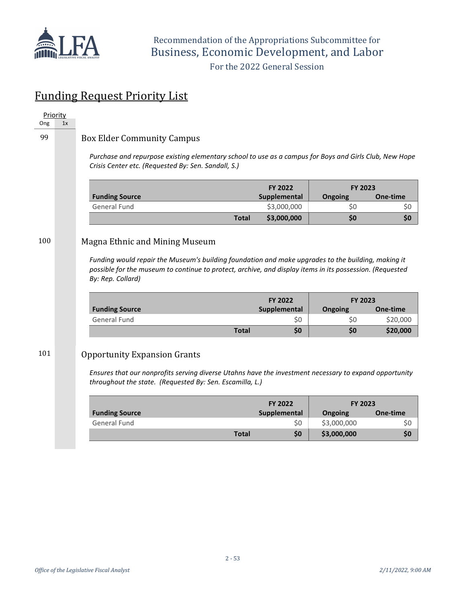

 $\overline{a}$ 

Recommendation of the Appropriations Subcommittee for Business, Economic Development, and Labor

For the 2022 General Session

# Funding Request Priority List

| Priority<br>Ong | 1x |                                                                                                                                                                                                           |                     |                |          |
|-----------------|----|-----------------------------------------------------------------------------------------------------------------------------------------------------------------------------------------------------------|---------------------|----------------|----------|
| 99              |    | <b>Box Elder Community Campus</b>                                                                                                                                                                         |                     |                |          |
|                 |    | Purchase and repurpose existing elementary school to use as a campus for Boys and Girls Club, New Hope<br>Crisis Center etc. (Requested By: Sen. Sandall, S.)                                             |                     |                |          |
|                 |    |                                                                                                                                                                                                           | <b>FY 2022</b>      | FY 2023        |          |
|                 |    | <b>Funding Source</b>                                                                                                                                                                                     | Supplemental        | <b>Ongoing</b> | One-time |
|                 |    | <b>General Fund</b>                                                                                                                                                                                       | \$3,000,000         | \$0            | \$0      |
|                 |    | <b>Total</b>                                                                                                                                                                                              | \$3,000,000         | \$0            | \$0      |
|                 |    | Funding would repair the Museum's building foundation and make upgrades to the building, making it                                                                                                        |                     |                |          |
|                 |    | possible for the museum to continue to protect, archive, and display items in its possession. (Requested<br>By: Rep. Collard)                                                                             | FY 2022             | FY 2023        |          |
|                 |    | <b>Funding Source</b>                                                                                                                                                                                     | <b>Supplemental</b> | Ongoing        | One-time |
|                 |    | <b>General Fund</b>                                                                                                                                                                                       | \$0                 | \$0            | \$20,000 |
|                 |    | <b>Total</b>                                                                                                                                                                                              | \$0                 | \$0            | \$20,000 |
|                 |    | <b>Opportunity Expansion Grants</b><br>Ensures that our nonprofits serving diverse Utahns have the investment necessary to expand opportunity<br>throughout the state. (Requested By: Sen. Escamilla, L.) |                     |                |          |
| 101             |    |                                                                                                                                                                                                           | <b>FY 2022</b>      | <b>FY 2023</b> |          |
|                 |    | <b>Funding Source</b>                                                                                                                                                                                     | Supplemental        | Ongoing        | One-time |
|                 |    | General Fund                                                                                                                                                                                              | \$0                 | \$3,000,000    | \$0      |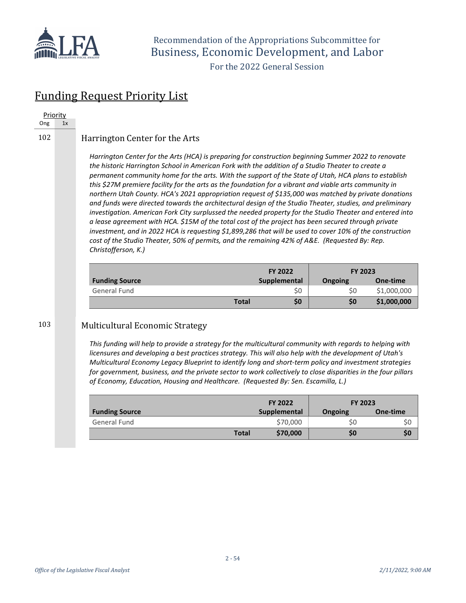

For the 2022 General Session

# Funding Request Priority List

# Ong 1x **Priority**

102 Harrington Center for the Arts

*Harrington Center for the Arts (HCA) is preparing for construction beginning Summer 2022 to renovate the historic Harrington School in American Fork with the addition of a Studio Theater to create a* permanent community home for the arts. With the support of the State of Utah, HCA plans to establish this \$27M premiere facility for the arts as the foundation for a vibrant and viable arts community in *northern Utah County. HCA's 2021 appropriation request of \$135,000 was matched by private donations and funds were directed towards the architectural design of the Studio Theater, studies, and preliminary investigation. American Fork City surplussed the needed property for the Studio Theater and entered into a lease agreement with HCA. \$15M of the total cost of the project has been secured through private* investment, and in 2022 HCA is requesting \$1,899,286 that will be used to cover 10% of the construction *cost of the Studio Theater, 50% of permits, and the remaining 42% of A&E. (Requested By: Rep. Christofferson, K.)*

|                       |              | <b>FY 2022</b> | <b>FY 2023</b> |             |
|-----------------------|--------------|----------------|----------------|-------------|
| <b>Funding Source</b> |              | Supplemental   | Ongoing        | One-time    |
| General Fund          |              | Ś0             | S0             | \$1,000,000 |
|                       | <b>Total</b> | \$0            | \$0            | \$1,000,000 |

# 103 Multicultural Economic Strategy

*This funding will help to provide a strategy for the multicultural community with regards to helping with licensures and developing a best practices strategy. This will also help with the development of Utah's Multicultural Economy Legacy Blueprint to identify long and short‐term policy and investment strategies* for government, business, and the private sector to work collectively to close disparities in the four pillars *of Economy, Education, Housing and Healthcare. (Requested By: Sen. Escamilla, L.)*

|                       |              | <b>FY 2022</b> | FY 2023 |          |
|-----------------------|--------------|----------------|---------|----------|
| <b>Funding Source</b> |              | Supplemental   | Ongoing | One-time |
| General Fund          |              | \$70,000       | S0      | \$C      |
|                       | <b>Total</b> | \$70,000       | \$0     | \$0      |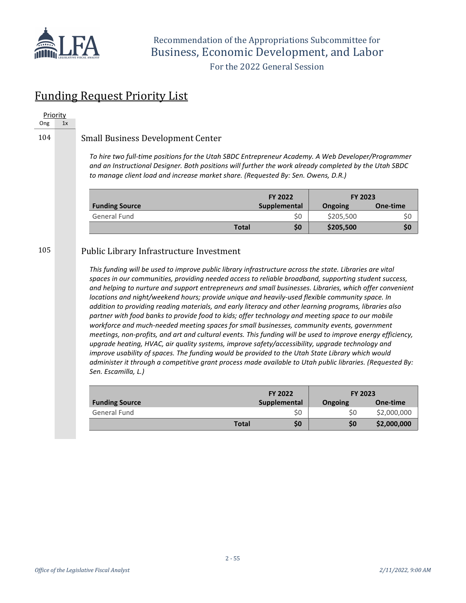

Recommendation of the Appropriations Subcommittee for Business, Economic Development, and Labor

For the 2022 General Session

# Funding Request Priority List

# 104 Small Business Development Center

*To hire two full‐time positions for the Utah SBDC Entrepreneur Academy. A Web Developer/Programmer and an Instructional Designer. Both positions will further the work already completed by the Utah SBDC to manage client load and increase market share. (Requested By: Sen. Owens, D.R.)*

|                       | <b>FY 2022</b>      | <b>FY 2023</b> |          |
|-----------------------|---------------------|----------------|----------|
| <b>Funding Source</b> | Supplemental        | Ongoing        | One-time |
| General Fund          | SO.                 | \$205,500      | \$0      |
|                       | \$0<br><b>Total</b> | \$205,500      | \$0      |

## 105 Public Library Infrastructure Investment

*This funding will be used to improve public library infrastructure across the state. Libraries are vital spaces in our communities, providing needed access to reliable broadband, supporting student success, and helping to nurture and support entrepreneurs and small businesses. Libraries, which offer convenient locations and night/weekend hours; provide unique and heavily‐used flexible community space. In addition to providing reading materials, and early literacy and other learning programs, libraries also partner with food banks to provide food to kids; offer technology and meeting space to our mobile workforce and much‐needed meeting spaces for small businesses, community events, government* meetings, non-profits, and art and cultural events. This funding will be used to improve energy efficiency, *upgrade heating, HVAC, air quality systems, improve safety/accessibility, upgrade technology and improve usability of spaces. The funding would be provided to the Utah State Library which would administer it through a competitive grant process made available to Utah public libraries. (Requested By: Sen. Escamilla, L.)*

|                       |       | <b>FY 2022</b> | FY 2023 |             |
|-----------------------|-------|----------------|---------|-------------|
| <b>Funding Source</b> |       | Supplemental   | Ongoing | One-time    |
| General Fund          |       | Ś0             | Ś0      | \$2,000,000 |
|                       | Total | \$0            | \$0     | \$2,000,000 |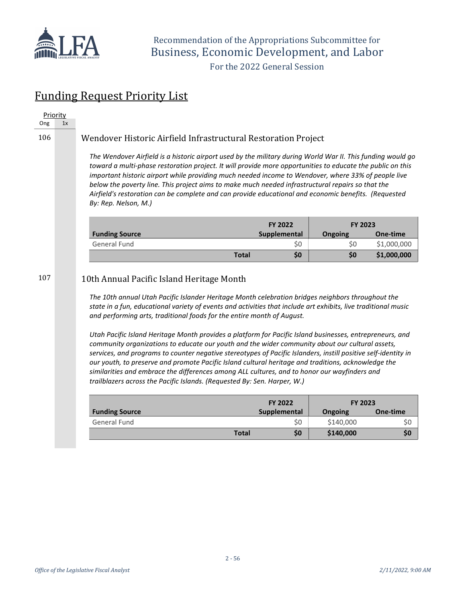

Recommendation of the Appropriations Subcommittee for Business, Economic Development, and Labor

For the 2022 General Session

# Funding Request Priority List

# 106 Wendover Historic Airfield Infrastructural Restoration Project

The Wendover Airfield is a historic airport used by the military during World War II. This funding would go toward a multi-phase restoration project. It will provide more opportunities to educate the public on this *important historic airport while providing much needed income to Wendover, where 33% of people live below the poverty line. This project aims to make much needed infrastructural repairs so that the Airfield's restoration can be complete and can provide educational and economic benefits. (Requested By: Rep. Nelson, M.)*

|                       |              | <b>FY 2022</b> | <b>FY 2023</b> |             |
|-----------------------|--------------|----------------|----------------|-------------|
| <b>Funding Source</b> |              | Supplemental   | Ongoing        | One-time    |
| General Fund          |              | \$0            | S0             | \$1,000,000 |
|                       | <b>Total</b> | \$0            | \$0            | \$1,000,000 |

# 107 10th Annual Pacific Island Heritage Month

*The 10th annual Utah Pacific Islander Heritage Month celebration bridges neighbors throughout the* state in a fun, educational variety of events and activities that include art exhibits, live traditional music *and performing arts, traditional foods for the entire month of August.*

*Utah Pacific Island Heritage Month provides a platform for Pacific Island businesses, entrepreneurs, and community organizations to educate our youth and the wider community about our cultural assets, services, and programs to counter negative stereotypes of Pacific Islanders, instill positive self‐identity in our youth, to preserve and promote Pacific Island cultural heritage and traditions, acknowledge the similarities and embrace the differences among ALL cultures, and to honor our wayfinders and trailblazers across the Pacific Islands. (Requested By: Sen. Harper, W.)*

|                       |              | <b>FY 2022</b> | <b>FY 2023</b> |          |
|-----------------------|--------------|----------------|----------------|----------|
| <b>Funding Source</b> |              | Supplemental   | Ongoing        | One-time |
| General Fund          |              | \$0            | \$140,000      | \$0      |
|                       | <b>Total</b> | \$0            | \$140,000      | \$0      |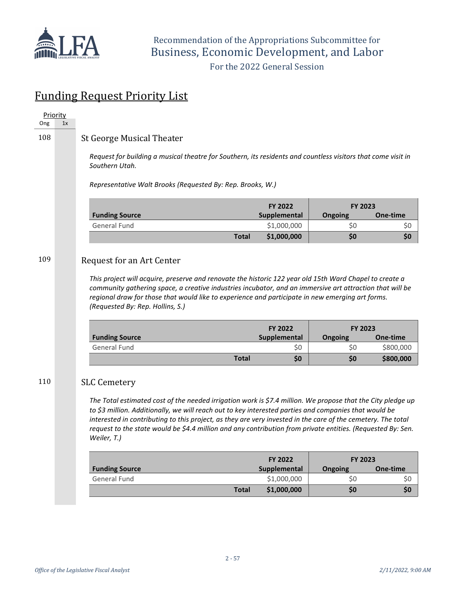

Recommendation of the Appropriations Subcommittee for Business, Economic Development, and Labor

For the 2022 General Session

# Funding Request Priority List

# 108 St George Musical Theater

Request for building a musical theatre for Southern, its residents and countless visitors that come visit in *Southern Utah.*

*Representative Walt Brooks (Requested By: Rep. Brooks, W.)*

|                       |              | <b>FY 2022</b> | <b>FY 2023</b> |          |
|-----------------------|--------------|----------------|----------------|----------|
| <b>Funding Source</b> |              | Supplemental   | Ongoing        | One-time |
| General Fund          |              | \$1,000,000    | Ś0             | Ś0       |
|                       | <b>Total</b> | \$1,000,000    | \$0            | \$0      |

## 109 Request for an Art Center

This project will acquire, preserve and renovate the historic 122 year old 15th Ward Chapel to create a *community gathering space, a creative industries incubator, and an immersive art attraction that will be regional draw for those that would like to experience and participate in new emerging art forms. (Requested By: Rep. Hollins, S.)*

|                       |              | <b>FY 2022</b> | <b>FY 2023</b> |           |
|-----------------------|--------------|----------------|----------------|-----------|
| <b>Funding Source</b> |              | Supplemental   | Ongoing        | One-time  |
| General Fund          |              | \$0            | Ś0             | \$800,000 |
|                       | <b>Total</b> | \$0            | \$0            | \$800,000 |

# 110 SLC Cemetery

The Total estimated cost of the needed irrigation work is \$7.4 million. We propose that the City pledge up *to \$3 million. Additionally, we will reach out to key interested parties and companies that would be* interested in contributing to this project, as they are very invested in the care of the cemetery. The total request to the state would be \$4.4 million and any contribution from private entities. (Requested By: Sen. *Weiler, T.)*

|                       |              | <b>FY 2022</b> | FY 2023 |          |
|-----------------------|--------------|----------------|---------|----------|
| <b>Funding Source</b> |              | Supplemental   | Ongoing | One-time |
| General Fund          |              | \$1,000,000    | Ś0      | \$0      |
|                       | <b>Total</b> | \$1,000,000    | \$0     | \$0      |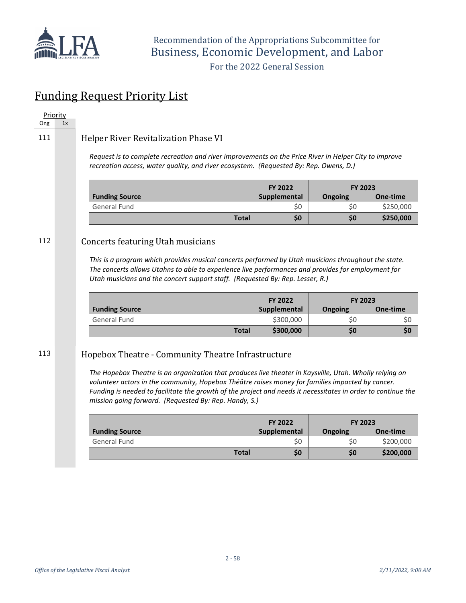

For the 2022 General Session

# Funding Request Priority List

| Ong | Priority<br>1x |                                                                                                                                                                                                                                                                                                                                                                                                                                            |                           |                |           |
|-----|----------------|--------------------------------------------------------------------------------------------------------------------------------------------------------------------------------------------------------------------------------------------------------------------------------------------------------------------------------------------------------------------------------------------------------------------------------------------|---------------------------|----------------|-----------|
| 111 |                |                                                                                                                                                                                                                                                                                                                                                                                                                                            |                           |                |           |
|     |                | Helper River Revitalization Phase VI                                                                                                                                                                                                                                                                                                                                                                                                       |                           |                |           |
|     |                | Request is to complete recreation and river improvements on the Price River in Helper City to improve<br>recreation access, water quality, and river ecosystem. (Requested By: Rep. Owens, D.)                                                                                                                                                                                                                                             |                           |                |           |
|     |                |                                                                                                                                                                                                                                                                                                                                                                                                                                            | <b>FY 2022</b>            | <b>FY 2023</b> |           |
|     |                | <b>Funding Source</b>                                                                                                                                                                                                                                                                                                                                                                                                                      | Supplemental              | Ongoing        | One-time  |
|     |                | <b>General Fund</b>                                                                                                                                                                                                                                                                                                                                                                                                                        | \$0                       | \$0            | \$250,000 |
|     |                | <b>Total</b>                                                                                                                                                                                                                                                                                                                                                                                                                               | \$0                       | \$0            | \$250,000 |
|     |                | This is a program which provides musical concerts performed by Utah musicians throughout the state.<br>The concerts allows Utahns to able to experience live performances and provides for employment for<br>Utah musicians and the concert support staff. (Requested By: Rep. Lesser, R.)                                                                                                                                                 |                           |                |           |
|     |                |                                                                                                                                                                                                                                                                                                                                                                                                                                            |                           |                |           |
|     |                |                                                                                                                                                                                                                                                                                                                                                                                                                                            | <b>FY 2022</b>            | FY 2023        | One-time  |
|     |                | <b>Funding Source</b><br><b>General Fund</b>                                                                                                                                                                                                                                                                                                                                                                                               | Supplemental<br>\$300,000 | Ongoing<br>\$0 | \$0       |
|     |                | <b>Total</b>                                                                                                                                                                                                                                                                                                                                                                                                                               | \$300,000                 | \$0            | \$0       |
| 113 |                | Hopebox Theatre - Community Theatre Infrastructure<br>The Hopebox Theatre is an organization that produces live theater in Kaysville, Utah. Wholly relying on<br>volunteer actors in the community, Hopebox Théâtre raises money for families impacted by cancer.<br>Funding is needed to facilitate the growth of the project and needs it necessitates in order to continue the<br>mission going forward. (Requested By: Rep. Handy, S.) |                           |                |           |
|     |                |                                                                                                                                                                                                                                                                                                                                                                                                                                            | <b>FY 2022</b>            | FY 2023        |           |
|     |                | <b>Funding Source</b>                                                                                                                                                                                                                                                                                                                                                                                                                      | Supplemental              | Ongoing        | One-time  |
|     |                | General Fund                                                                                                                                                                                                                                                                                                                                                                                                                               | \$0                       | \$0            | \$200,000 |
|     |                | <b>Total</b>                                                                                                                                                                                                                                                                                                                                                                                                                               | \$0                       | \$0            | \$200,000 |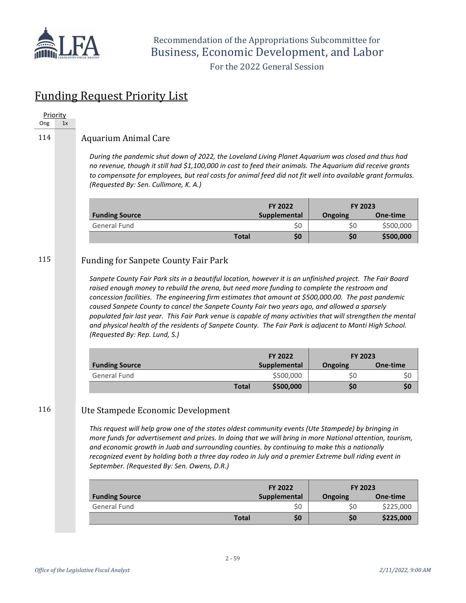

Recommendation of the Appropriations Subcommittee for Business, Economic Development, and Labor

For the 2022 General Session

# Funding Request Priority List

# 114 Aquarium Animal Care

*During the pandemic shut down of 2022, the Loveland Living Planet Aquarium was closed and thus had* no revenue, though it still had \$1,100,000 in cost to feed their animals. The Aquarium did receive grants to compensate for employees, but real costs for animal feed did not fit well into available grant formulas. *(Requested By: Sen. Cullimore, K. A.)*

|                       |       | <b>FY 2022</b> | <b>FY 2023</b> |           |
|-----------------------|-------|----------------|----------------|-----------|
| <b>Funding Source</b> |       | Supplemental   | Ongoing        | One-time  |
| General Fund          |       | Ś0             | Ś0             | \$500,000 |
|                       | Total | \$0            | \$0            | \$500,000 |

# 115 Funding for Sanpete County Fair Park

Sanpete County Fair Park sits in a beautiful location, however it is an unfinished project. The Fair Board *raised enough money to rebuild the arena, but need more funding to complete the restroom and concession facilities. The engineering firm estimates that amount at \$500,000.00. The past pandemic caused Sanpete County to cancel the Sanpete County Fair two years ago, and allowed a sparsely* populated fair last year. This Fair Park venue is capable of many activities that will strengthen the mental and physical health of the residents of Sanpete County. The Fair Park is adjacent to Manti High School. *(Requested By: Rep. Lund, S.)*

|                       |              | <b>FY 2022</b> | <b>FY 2023</b> |          |
|-----------------------|--------------|----------------|----------------|----------|
| <b>Funding Source</b> |              | Supplemental   | Ongoing        | One-time |
| General Fund          |              | \$500,000      | Ś0             | \$C      |
|                       | <b>Total</b> | \$500,000      | \$0            | \$0      |

# 116 Ute Stampede Economic Development

*This request will help grow one of the states oldest community events (Ute Stampede) by bringing in more funds for advertisement and prizes. In doing that we will bring in more National attention, tourism, and economic growth in Juab and surrounding counties. by continuing to make this a nationally* recognized event by holding both a three day rodeo in July and a premier Extreme bull riding event in *September. (Requested By: Sen. Owens, D.R.)*

|                       |              | <b>FY 2022</b> | <b>FY 2023</b> |           |
|-----------------------|--------------|----------------|----------------|-----------|
| <b>Funding Source</b> |              | Supplemental   | Ongoing        | One-time  |
| General Fund          |              | Ś0             | S0             | \$225,000 |
|                       | <b>Total</b> | \$0            | S0             | \$225,000 |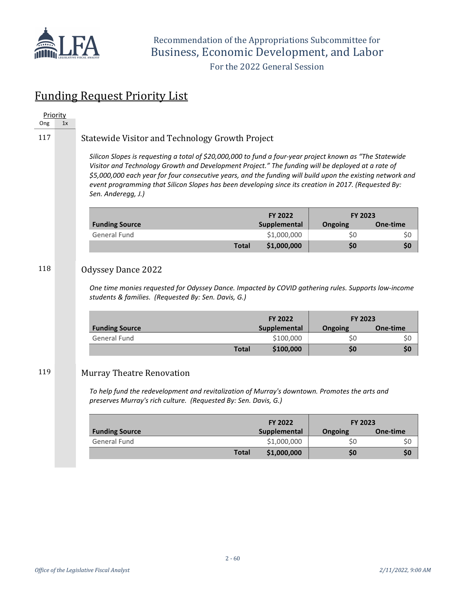

 $\overline{a}$ 

For the 2022 General Session

# Funding Request Priority List

|     | Priority |                                                                                                                                                                                                                                                                                                                                                                                                                                                           |                            |                    |            |
|-----|----------|-----------------------------------------------------------------------------------------------------------------------------------------------------------------------------------------------------------------------------------------------------------------------------------------------------------------------------------------------------------------------------------------------------------------------------------------------------------|----------------------------|--------------------|------------|
| Ong | 1x       |                                                                                                                                                                                                                                                                                                                                                                                                                                                           |                            |                    |            |
| 117 |          | Statewide Visitor and Technology Growth Project                                                                                                                                                                                                                                                                                                                                                                                                           |                            |                    |            |
|     |          | Silicon Slopes is requesting a total of \$20,000,000 to fund a four-year project known as "The Statewide<br>Visitor and Technology Growth and Development Project." The funding will be deployed at a rate of<br>\$5,000,000 each year for four consecutive years, and the funding will build upon the existing network and<br>event programming that Silicon Slopes has been developing since its creation in 2017. (Requested By:<br>Sen. Anderegg, J.) |                            |                    |            |
|     |          |                                                                                                                                                                                                                                                                                                                                                                                                                                                           | <b>FY 2022</b>             | <b>FY 2023</b>     |            |
|     |          | <b>Funding Source</b>                                                                                                                                                                                                                                                                                                                                                                                                                                     | Supplemental               | Ongoing            | One-time   |
|     |          | <b>General Fund</b>                                                                                                                                                                                                                                                                                                                                                                                                                                       | \$1,000,000                | \$0                | \$0        |
|     |          | <b>Total</b>                                                                                                                                                                                                                                                                                                                                                                                                                                              | \$1,000,000                | \$0                | \$0        |
|     |          | One time monies requested for Odyssey Dance. Impacted by COVID gathering rules. Supports low-income                                                                                                                                                                                                                                                                                                                                                       |                            |                    |            |
|     |          | students & families. (Requested By: Sen. Davis, G.)                                                                                                                                                                                                                                                                                                                                                                                                       | <b>FY 2022</b>             |                    |            |
|     |          | <b>Funding Source</b>                                                                                                                                                                                                                                                                                                                                                                                                                                     | Supplemental               | FY 2023<br>Ongoing | One-time   |
|     |          | <b>General Fund</b>                                                                                                                                                                                                                                                                                                                                                                                                                                       | \$100,000                  | \$0                | \$0        |
|     |          | <b>Total</b>                                                                                                                                                                                                                                                                                                                                                                                                                                              | \$100,000                  | \$0                | \$0        |
| 119 |          | <b>Murray Theatre Renovation</b><br>To help fund the redevelopment and revitalization of Murray's downtown. Promotes the arts and<br>preserves Murray's rich culture. (Requested By: Sen. Davis, G.)                                                                                                                                                                                                                                                      |                            |                    |            |
|     |          |                                                                                                                                                                                                                                                                                                                                                                                                                                                           | <b>FY 2022</b>             | <b>FY 2023</b>     |            |
|     |          | <b>Funding Source</b>                                                                                                                                                                                                                                                                                                                                                                                                                                     | Supplemental               | Ongoing            | One-time   |
|     |          | General Fund<br><b>Total</b>                                                                                                                                                                                                                                                                                                                                                                                                                              | \$1,000,000<br>\$1,000,000 | \$0<br>\$0         | \$0<br>\$0 |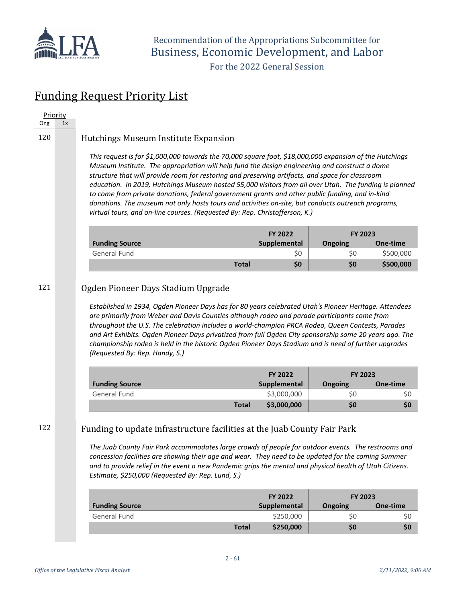

Recommendation of the Appropriations Subcommittee for Business, Economic Development, and Labor

For the 2022 General Session

# Funding Request Priority List

# 120 Hutchings Museum Institute Expansion

*This request is for \$1,000,000 towards the 70,000 square foot, \$18,000,000 expansion of the Hutchings Museum Institute. The appropriation will help fund the design engineering and construct a dome structure that will provide room for restoring and preserving artifacts, and space for classroom* education. In 2019, Hutchings Museum hosted 55,000 visitors from all over Utah. The funding is planned *to come from private donations, federal government grants and other public funding, and in‐kind donations. The museum not only hosts tours and activities on‐site, but conducts outreach programs, virtual tours, and on‐line courses. (Requested By: Rep. Christofferson, K.)*

|                       |              | <b>FY 2022</b> | <b>FY 2023</b> |           |
|-----------------------|--------------|----------------|----------------|-----------|
| <b>Funding Source</b> |              | Supplemental   | Ongoing        | One-time  |
| General Fund          |              | SO.            | Ś0             | \$500,000 |
|                       | <b>Total</b> | \$0            | \$0            | \$500,000 |

# 121 Ogden Pioneer Days Stadium Upgrade

*Established in 1934, Ogden Pioneer Days has for 80 years celebrated Utah's Pioneer Heritage. Attendees are primarily from Weber and Davis Counties although rodeo and parade participants come from throughout the U.S. The celebration includes a world‐champion PRCA Rodeo, Queen Contests, Parades and Art Exhibits. Ogden Pioneer Days privatized from full Ogden City sponsorship some 20 years ago. The* championship rodeo is held in the historic Ogden Pioneer Days Stadium and is need of further upgrades *(Requested By: Rep. Handy, S.)*

|                       |              | <b>FY 2022</b> | <b>FY 2023</b> |          |
|-----------------------|--------------|----------------|----------------|----------|
| <b>Funding Source</b> |              | Supplemental   | Ongoing        | One-time |
| General Fund          |              | \$3,000,000    | Ś0             | SÜ       |
|                       | <b>Total</b> | \$3,000,000    | \$0            | \$0      |

# 122 Funding to update infrastructure facilities at the Juab County Fair Park

*The Juab County Fair Park accommodates large crowds of people for outdoor events. The restrooms and* concession facilities are showing their age and wear. They need to be updated for the coming Summer and to provide relief in the event a new Pandemic grips the mental and physical health of Utah Citizens. *Estimate, \$250,000 (Requested By: Rep. Lund, S.)*

|                       | <b>FY 2022</b> | <b>FY 2023</b> |          |
|-----------------------|----------------|----------------|----------|
| <b>Funding Source</b> | Supplemental   | Ongoing        | One-time |
| General Fund          | \$250,000      | Ś0             | SU       |
| <b>Total</b>          | \$250,000      | \$0            | \$0      |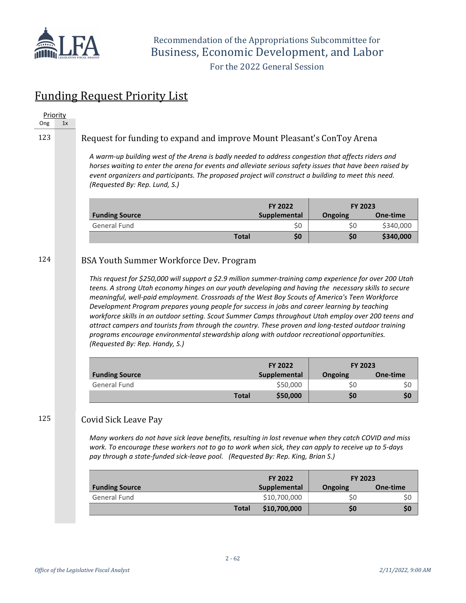

Recommendation of the Appropriations Subcommittee for Business, Economic Development, and Labor

For the 2022 General Session

# Funding Request Priority List

# 123 Request for funding to expand and improve Mount Pleasant's ConToy Arena

A warm-up building west of the Arena is badly needed to address congestion that affects riders and horses waiting to enter the arena for events and alleviate serious safety issues that have been raised by *event organizers and participants. The proposed project will construct a building to meet this need. (Requested By: Rep. Lund, S.)*

|                       | <b>FY 2022</b>      | <b>FY 2023</b> |           |
|-----------------------|---------------------|----------------|-----------|
| <b>Funding Source</b> | Supplemental        | Ongoing        | One-time  |
| General Fund          | \$0                 | Ś0             | \$340,000 |
|                       | \$0<br><b>Total</b> | \$0            | \$340,000 |

## 124 BSA Youth Summer Workforce Dev. Program

This request for \$250,000 will support a \$2.9 million summer-training camp experience for over 200 Utah teens. A strong Utah economy hinges on our youth developing and having the necessary skills to secure *meaningful, well‐paid employment. Crossroads of the West Boy Scouts of America's Teen Workforce Development Program prepares young people for success in jobs and career learning by teaching workforce skills in an outdoor setting. Scout Summer Camps throughout Utah employ over 200 teens and attract campers and tourists from through the country. These proven and long‐tested outdoor training programs encourage environmental stewardship along with outdoor recreational opportunities. (Requested By: Rep. Handy, S.)*

|                       |              | <b>FY 2022</b> | <b>FY 2023</b> |          |
|-----------------------|--------------|----------------|----------------|----------|
| <b>Funding Source</b> |              | Supplemental   | Ongoing        | One-time |
| General Fund          |              | \$50,000       | S0             | \$0      |
|                       | <b>Total</b> | \$50,000       | \$0            | \$0      |

# 125 Covid Sick Leave Pay

Many workers do not have sick leave benefits, resulting in lost revenue when they catch COVID and miss work. To encourage these workers not to go to work when sick, they can apply to receive up to 5-days *pay through a state‐funded sick‐leave pool. (Requested By: Rep. King, Brian S.)*

|                       | <b>FY 2022</b> | <b>FY 2023</b> |          |
|-----------------------|----------------|----------------|----------|
| <b>Funding Source</b> | Supplemental   | Ongoing        | One-time |
| General Fund          | \$10,700,000   | SO             | \$0      |
| <b>Total</b>          | \$10,700,000   | \$0            | \$0      |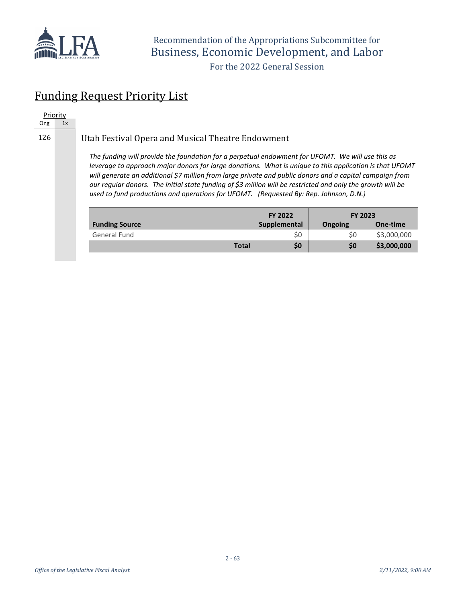

For the 2022 General Session

General Fund **60 \$3,000,000** \$0 \$3,000,000 \$0 \$3,000,000 \$1,000 \$1,000 \$1,000 \$1,000 \$1,000 \$1,000 \$1,000 \$1,000

**Total \$0 \$0 \$3,000,000**

# Funding Request Priority List

|          |    | <b>Funding Source</b>                                                                                                                                                                                                                                                                                                                                                                                                                                                                                                           | <b>FY 2022</b><br>Supplemental | <b>FY 2023</b><br>Ongoing<br>One-time |
|----------|----|---------------------------------------------------------------------------------------------------------------------------------------------------------------------------------------------------------------------------------------------------------------------------------------------------------------------------------------------------------------------------------------------------------------------------------------------------------------------------------------------------------------------------------|--------------------------------|---------------------------------------|
|          |    | The funding will provide the foundation for a perpetual endowment for UFOMT. We will use this as<br>leverage to approach major donors for large donations. What is unique to this application is that UFOMT<br>will generate an additional \$7 million from large private and public donors and a capital campaign from<br>our regular donors. The initial state funding of \$3 million will be restricted and only the growth will be<br>used to fund productions and operations for UFOMT. (Requested By: Rep. Johnson, D.N.) |                                |                                       |
| 126      |    | Utah Festival Opera and Musical Theatre Endowment                                                                                                                                                                                                                                                                                                                                                                                                                                                                               |                                |                                       |
| Ong      | 1x |                                                                                                                                                                                                                                                                                                                                                                                                                                                                                                                                 |                                |                                       |
| Priority |    |                                                                                                                                                                                                                                                                                                                                                                                                                                                                                                                                 |                                |                                       |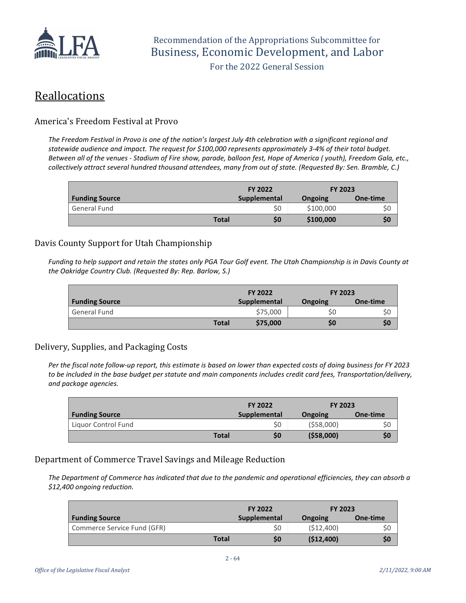

For the 2022 General Session

# Reallocations

# America's Freedom Festival at Provo

The Freedom Festival in Provo is one of the nation's largest July 4th celebration with a significant regional and statewide audience and impact. The request for \$100,000 represents approximately 3-4% of their total budget. Between all of the venues - Stadium of Fire show, parade, balloon fest, Hope of America (youth), Freedom Gala, etc., collectively attract several hundred thousand attendees, many from out of state. (Requested By: Sen. Bramble, C.)

|                       |              | <b>FY 2022</b> | <b>FY 2023</b> |          |
|-----------------------|--------------|----------------|----------------|----------|
| <b>Funding Source</b> |              | Supplemental   | Ongoing        | One-time |
| General Fund          |              | \$0            | \$100,000      | ŚС       |
|                       | <b>Total</b> | SO             | \$100,000      | \$0      |

## Davis County Support for Utah Championship

Funding to help support and retain the states only PGA Tour Golf event. The Utah Championship is in Davis County at *the Oakridge Country Club. (Requested By: Rep. Barlow, S.)*

|                       |              | <b>FY 2022</b> | <b>FY 2023</b> |          |
|-----------------------|--------------|----------------|----------------|----------|
| <b>Funding Source</b> |              | Supplemental   | Ongoing        | One-time |
| General Fund          |              | \$75,000       | \$0            | Ś0       |
|                       | <b>Total</b> | \$75,000       | \$0            | \$0      |

# Delivery, Supplies, and Packaging Costs

Per the fiscal note follow-up report, this estimate is based on lower than expected costs of doing business for FY 2023 to be included in the base budget per statute and main components includes credit card fees, Transportation/delivery, *and package agencies.*

|                       |              | <b>FY 2022</b> | <b>FY 2023</b> |          |
|-----------------------|--------------|----------------|----------------|----------|
| <b>Funding Source</b> |              | Supplemental   | Ongoing        | One-time |
| Liguor Control Fund   |              | \$0            | (558,000)      |          |
|                       | <b>Total</b> | SO             | (558,000)      | \$C      |

## Department of Commerce Travel Savings and Mileage Reduction

The Department of Commerce has indicated that due to the pandemic and operational efficiencies, they can absorb a *\$12,400 ongoing reduction.*

|                             | <b>FY 2022</b>     | <b>FY 2023</b> |          |
|-----------------------------|--------------------|----------------|----------|
| <b>Funding Source</b>       | Supplemental       | Ongoing        | One-time |
| Commerce Service Fund (GFR) | S0                 | (512,400)      | SΟ       |
|                             | <b>Total</b><br>S0 | (\$12,400)     | \$0      |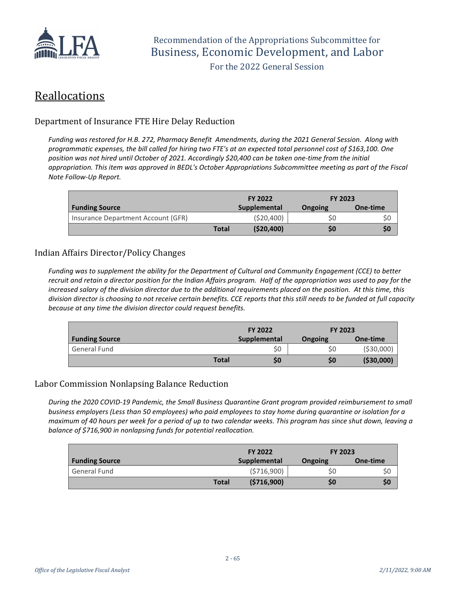

For the 2022 General Session

# Reallocations

# Department of Insurance FTE Hire Delay Reduction

Funding was restored for H.B. 272, Pharmacy Benefit Amendments, during the 2021 General Session. Along with programmatic expenses, the bill called for hiring two FTE's at an expected total personnel cost of \$163,100. One position was not hired until October of 2021. Accordingly \$20,400 can be taken one-time from the initial appropriation. This item was approved in BEDL's October Appropriations Subcommittee meeting as part of the Fiscal *Note Follow‐Up Report.*

|                                    |              | <b>FY 2022</b> | <b>FY 2023</b> |          |
|------------------------------------|--------------|----------------|----------------|----------|
| <b>Funding Source</b>              |              | Supplemental   | Ongoing        | One-time |
| Insurance Department Account (GFR) |              | (520, 400)     | Ś0             |          |
|                                    | <b>Total</b> | ( \$20,400)    | \$0            | \$0      |

# Indian Affairs Director/Policy Changes

Funding was to supplement the ability for the Department of Cultural and Community Engagement (CCE) to better recruit and retain a director position for the Indian Affairs program. Half of the appropriation was used to pay for the increased salary of the division director due to the additional requirements placed on the position. At this time, this division director is choosing to not receive certain benefits. CCE reports that this still needs to be funded at full capacity *because at any time the division director could request benefits.*

|                       |              | <b>FY 2022</b> |         | <b>FY 2023</b> |
|-----------------------|--------------|----------------|---------|----------------|
| <b>Funding Source</b> |              | Supplemental   | Ongoing | One-time       |
| General Fund          |              | \$0            |         | ( \$30,000)    |
|                       | <b>Total</b> | S0             | \$0     | ( \$30,000]    |

## Labor Commission Nonlapsing Balance Reduction

During the 2020 COVID-19 Pandemic, the Small Business Quarantine Grant program provided reimbursement to small business employers (Less than 50 employees) who paid employees to stay home during quarantine or isolation for a maximum of 40 hours per week for a period of up to two calendar weeks. This program has since shut down, leaving a *balance of \$716,900 in nonlapsing funds for potential reallocation.*

|                       |              | <b>FY 2022</b> | <b>FY 2023</b> |          |
|-----------------------|--------------|----------------|----------------|----------|
| <b>Funding Source</b> |              | Supplemental   | Ongoing        | One-time |
| General Fund          |              | (5716,900)     | SO             | \$0      |
|                       | <b>Total</b> | ( \$716, 900)  | \$0            | \$0      |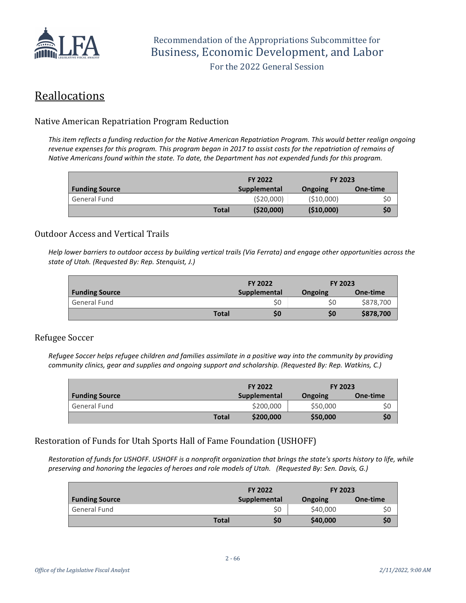

For the 2022 General Session

# Reallocations

# Native American Repatriation Program Reduction

This item reflects a funding reduction for the Native American Repatriation Program. This would better realign ongoing revenue expenses for this program. This program began in 2017 to assist costs for the repatriation of remains of *Native Americans found within the state. To date, the Department has not expended funds for this program.*

|                       |              | <b>FY 2022</b> | <b>FY 2023</b> |          |
|-----------------------|--------------|----------------|----------------|----------|
| <b>Funding Source</b> |              | Supplemental   | Ongoing        | One-time |
| General Fund          |              | (520,000)      | ( \$10,000]    | \$0      |
|                       | <b>Total</b> | ( \$20,000]    | ( \$10,000]    | \$0      |

## Outdoor Access and Vertical Trails

Help lower barriers to outdoor access by building vertical trails (Via Ferrata) and engage other opportunities across the *state of Utah. (Requested By: Rep. Stenquist, J.)*

|                       |       | <b>FY 2022</b> |         | <b>FY 2023</b> |
|-----------------------|-------|----------------|---------|----------------|
| <b>Funding Source</b> |       | Supplemental   | Ongoing | One-time       |
| General Fund          |       | Ś0             | S0      | \$878,700      |
|                       | Total | \$0            | \$0     | \$878,700      |

## Refugee Soccer

Refugee Soccer helps refugee children and families assimilate in a positive way into the community by providing *community clinics, gear and supplies and ongoing support and scholarship. (Requested By: Rep. Watkins, C.)*

|                       |              | <b>FY 2022</b> | <b>FY 2023</b> |          |
|-----------------------|--------------|----------------|----------------|----------|
| <b>Funding Source</b> |              | Supplemental   | Ongoing        | One-time |
| General Fund          |              | \$200,000      | \$50,000       | S0       |
|                       | <b>Total</b> | \$200,000      | \$50,000       | \$0      |

# Restoration of Funds for Utah Sports Hall of Fame Foundation (USHOFF)

Restoration of funds for USHOFF. USHOFF is a nonprofit organization that brings the state's sports history to life, while preserving and honoring the legacies of heroes and role models of Utah. (Requested By: Sen. Davis, G.)

|                       |              | <b>FY 2022</b> | <b>FY 2023</b> |          |
|-----------------------|--------------|----------------|----------------|----------|
| <b>Funding Source</b> |              | Supplemental   | Ongoing        | One-time |
| General Fund          |              | \$0            | \$40,000       | ŚС       |
|                       | <b>Total</b> | \$0            | \$40,000       | \$0      |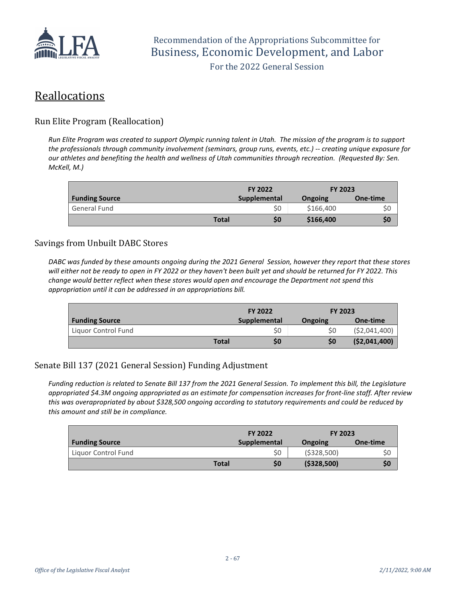

For the 2022 General Session

# Reallocations

# Run Elite Program (Reallocation)

Run Elite Program was created to support Olympic running talent in Utah. The mission of the program is to support *the professionals through community involvement (seminars, group runs, events, etc.) ‐‐ creating unique exposure for* our athletes and benefiting the health and wellness of Utah communities through recreation. (Requested By: Sen. *McKell, M.)*

|                       |              | <b>FY 2022</b> | <b>FY 2023</b> |          |
|-----------------------|--------------|----------------|----------------|----------|
| <b>Funding Source</b> |              | Supplemental   | Ongoing        | One-time |
| General Fund          |              | \$0            | \$166,400      |          |
|                       | <b>Total</b> | \$0            | \$166,400      | \$0      |

## Savings from Unbuilt DABC Stores

DABC was funded by these amounts ongoing during the 2021 General Session, however they report that these stores will either not be ready to open in FY 2022 or they haven't been built yet and should be returned for FY 2022. This *change would better reflect when these stores would open and encourage the Department not spend this appropriation until it can be addressed in an appropriations bill.*

|                       |              | <b>FY 2022</b> |           | <b>FY 2023</b> |
|-----------------------|--------------|----------------|-----------|----------------|
| <b>Funding Source</b> |              | Supplemental   | Ongoing   | One-time       |
| Liquor Control Fund   |              | S0             |           | ( \$2,041,400) |
|                       | <b>Total</b> | S0             | <b>SO</b> | ( \$2,041,400) |

# Senate Bill 137 (2021 General Session) Funding Adjustment

Funding reduction is related to Senate Bill 137 from the 2021 General Session. To implement this bill, the Legislature appropriated \$4.3M ongoing appropriated as an estimate for compensation increases for front-line staff. After review *this was overapropriated by about \$328,500 ongoing according to statutory requirements and could be reduced by this amount and still be in compliance.*

|                       | <b>FY 2022</b>     |              | <b>FY 2023</b> |
|-----------------------|--------------------|--------------|----------------|
| <b>Funding Source</b> | Supplemental       | Ongoing      | One-time       |
| Liguor Control Fund   | \$0                | ( \$328,500) |                |
|                       | S0<br><b>Total</b> | ( \$328,500) | \$0            |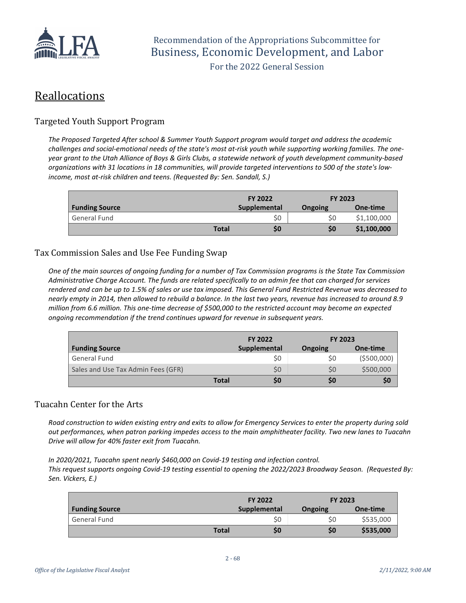

For the 2022 General Session

# Reallocations

# Targeted Youth Support Program

*The Proposed Targeted After school & Summer Youth Support program would target and address the academic* challenges and social-emotional needs of the state's most at-risk youth while supporting working families. The oneyear grant to the Utah Alliance of Boys & Girls Clubs, a statewide network of youth development community-based organizations with 31 locations in 18 communities, will provide targeted interventions to 500 of the state's low*income, most at‐risk children and teens. (Requested By: Sen. Sandall, S.)*

|                       |              | FY 2022      |         | <b>FY 2023</b> |
|-----------------------|--------------|--------------|---------|----------------|
| <b>Funding Source</b> |              | Supplemental | Ongoing | One-time       |
| General Fund          |              | \$0          | S0      | \$1,100,000    |
|                       | <b>Total</b> | \$0          | \$0     | \$1,100,000    |

## Tax Commission Sales and Use Fee Funding Swap

One of the main sources of ongoing funding for a number of Tax Commission programs is the State Tax Commission Administrative Charge Account. The funds are related specifically to an admin fee that can charged for services rendered and can be up to 1.5% of sales or use tax imposed. This General Fund Restricted Revenue was decreased to nearly empty in 2014, then allowed to rebuild a balance. In the last two years, revenue has increased to around 8.9 million from 6.6 million. This one-time decrease of \$500,000 to the restricted account may become an expected *ongoing recommendation if the trend continues upward for revenue in subsequent years.*

|                                    |              | <b>FY 2022</b> | <b>FY 2023</b> |              |
|------------------------------------|--------------|----------------|----------------|--------------|
| <b>Funding Source</b>              |              | Supplemental   | Ongoing        | One-time     |
| General Fund                       |              | \$0            | \$0            | ( \$500,000) |
| Sales and Use Tax Admin Fees (GFR) |              | \$0            | \$0            | \$500,000    |
|                                    | <b>Total</b> | \$0            | \$0            | \$0          |

# Tuacahn Center for the Arts

Road construction to widen existing entry and exits to allow for Emergency Services to enter the property during sold out performances, when patron parking impedes access to the main amphitheater facility. Two new lanes to Tuacahn *Drive will allow for 40% faster exit from Tuacahn.*

*In 2020/2021, Tuacahn spent nearly \$460,000 on Covid‐19 testing and infection control.*

This request supports ongoing Covid-19 testing essential to opening the 2022/2023 Broadway Season. (Requested By: *Sen. Vickers, E.)*

|                       |              | <b>FY 2022</b> |         | <b>FY 2023</b> |
|-----------------------|--------------|----------------|---------|----------------|
| <b>Funding Source</b> |              | Supplemental   | Ongoing | One-time       |
| General Fund          |              | \$0            | S0      | \$535,000      |
|                       | <b>Total</b> | \$0            | \$0     | \$535,000      |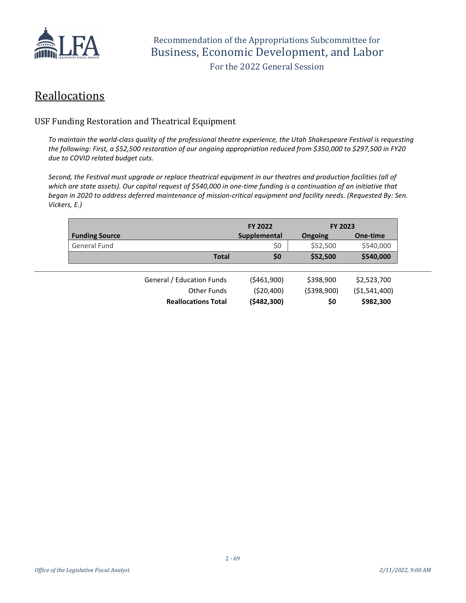

For the 2022 General Session

# Reallocations

# USF Funding Restoration and Theatrical Equipment

To maintain the world-class quality of the professional theatre experience, the Utah Shakespeare Festival is requesting the following: First, a \$52,500 restoration of our ongoing appropriation reduced from \$350,000 to \$297,500 in FY20 *due to COVID related budget cuts.*

Second, the Festival must upgrade or replace theatrical equipment in our theatres and production facilities (all of which are state assets). Our capital request of \$540,000 in one-time funding is a continuation of an initiative that began in 2020 to address deferred maintenance of mission-critical equipment and facility needs. (Requested By: Sen. *Vickers, E.)*

|                       |                            | <b>FY 2022</b> | <b>FY 2023</b> |                |
|-----------------------|----------------------------|----------------|----------------|----------------|
| <b>Funding Source</b> |                            | Supplemental   | Ongoing        | One-time       |
| General Fund          |                            | \$0            | \$52,500       | \$540,000      |
|                       | <b>Total</b>               | \$0            | \$52,500       | \$540,000      |
|                       |                            |                |                |                |
|                       | General / Education Funds  | ( \$461,900)   | \$398,900      | \$2,523,700    |
|                       | Other Funds                | ( \$20,400)    | (5398,900)     | ( \$1,541,400) |
|                       | <b>Reallocations Total</b> | (5482,300)     | \$0            | \$982,300      |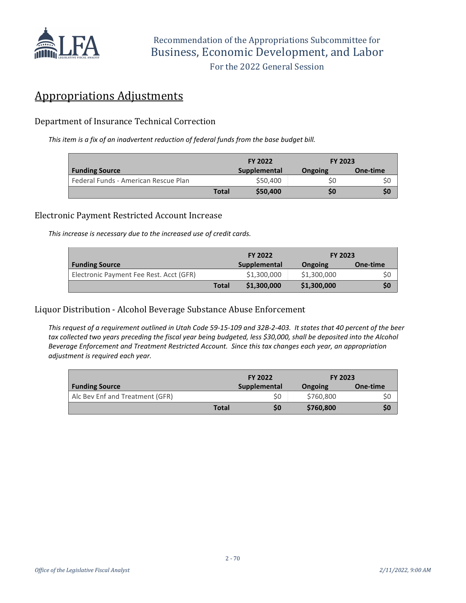

# Appropriations Adjustments

# Department of Insurance Technical Correction

*This item is a fix of an inadvertent reduction of federal funds from the base budget bill.*

|                                      |              | <b>FY 2022</b> | <b>FY 2023</b> |          |
|--------------------------------------|--------------|----------------|----------------|----------|
| <b>Funding Source</b>                |              | Supplemental   | Ongoing        | One-time |
| Federal Funds - American Rescue Plan |              | \$50,400       | S0             |          |
|                                      | <b>Total</b> | \$50,400       | \$0            | S0       |

## Electronic Payment Restricted Account Increase

*This increase is necessary due to the increased use of credit cards.*

|                                         |              | <b>FY 2022</b> | <b>FY 2023</b> |          |
|-----------------------------------------|--------------|----------------|----------------|----------|
| <b>Funding Source</b>                   |              | Supplemental   | Ongoing        | One-time |
| Electronic Payment Fee Rest. Acct (GFR) |              | \$1,300,000    | \$1,300,000    | ŚС       |
|                                         | <b>Total</b> | \$1,300,000    | \$1,300,000    | \$0      |

## Liquor Distribution - Alcohol Beverage Substance Abuse Enforcement

This request of a requirement outlined in Utah Code 59-15-109 and 32B-2-403. It states that 40 percent of the beer tax collected two years preceding the fiscal year being budgeted, less \$30,000, shall be deposited into the Alcohol *Beverage Enforcement and Treatment Restricted Account. Since this tax changes each year, an appropriation adjustment is required each year.*

|                                 |       | <b>FY 2022</b> | <b>FY 2023</b> |          |
|---------------------------------|-------|----------------|----------------|----------|
| <b>Funding Source</b>           |       | Supplemental   | Ongoing        | One-time |
| Alc Bev Enf and Treatment (GFR) |       | \$0            | \$760,800      | ŚС       |
|                                 | Total | \$0            | \$760,800      | S0       |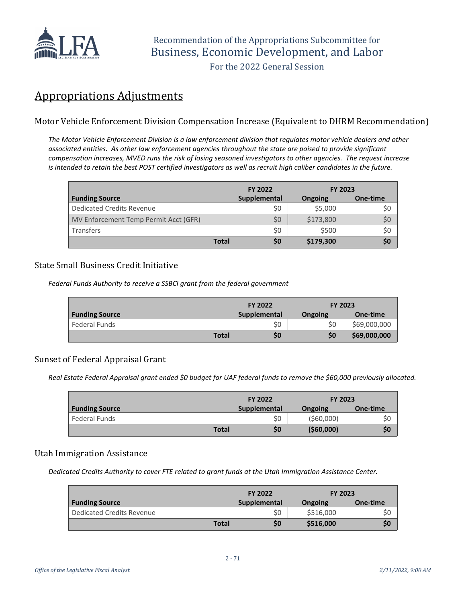

For the 2022 General Session

# Appropriations Adjustments

# Motor Vehicle Enforcement Division Compensation Increase (Equivalent to DHRM Recommendation)

The Motor Vehicle Enforcement Division is a law enforcement division that regulates motor vehicle dealers and other *associated entities. As other law enforcement agencies throughout the state are poised to provide significant* compensation increases, MVED runs the risk of losing seasoned investigators to other agencies. The request increase is intended to retain the best POST certified investigators as well as recruit high caliber candidates in the future.

|                                       | <b>FY 2022</b> |           | <b>FY 2023</b> |
|---------------------------------------|----------------|-----------|----------------|
| <b>Funding Source</b>                 | Supplemental   | Ongoing   | One-time       |
| <b>Dedicated Credits Revenue</b>      | \$0            | \$5,000   | \$0            |
| MV Enforcement Temp Permit Acct (GFR) | \$0            | \$173,800 | \$0            |
| <b>Transfers</b>                      | \$0            | \$500     | \$0            |
|                                       | Total<br>S0    | \$179,300 | \$0            |

## State Small Business Credit Initiative

*Federal Funds Authority to receive a SSBCI grant from the federal government*

|                       |       | <b>FY 2022</b> |           | <b>FY 2023</b> |
|-----------------------|-------|----------------|-----------|----------------|
| <b>Funding Source</b> |       | Supplemental   | Ongoing   | One-time       |
| Federal Funds         |       | \$0            | S0        | \$69,000,000   |
|                       | Total | \$0            | <b>SO</b> | \$69,000,000   |

# Sunset of Federal Appraisal Grant

Real Estate Federal Appraisal grant ended \$0 budget for UAF federal funds to remove the \$60,000 previously allocated.

|                       |              | <b>FY 2022</b> | <b>FY 2023</b> |          |
|-----------------------|--------------|----------------|----------------|----------|
| <b>Funding Source</b> |              | Supplemental   | Ongoing        | One-time |
| Federal Funds         |              | \$0            | (560,000)      | SΟ       |
|                       | <b>Total</b> | \$0            | ( \$60,000]    | \$0      |

#### Utah Immigration Assistance

*Dedicated Credits Authority to cover FTE related to grant funds at the Utah Immigration Assistance Center.*

|                           | <b>FY 2022</b> |           | <b>FY 2023</b> |
|---------------------------|----------------|-----------|----------------|
| <b>Funding Source</b>     | Supplemental   | Ongoing   | One-time       |
| Dedicated Credits Revenue | S0             | \$516,000 |                |
|                           | Total<br>S0    | \$516,000 | \$0            |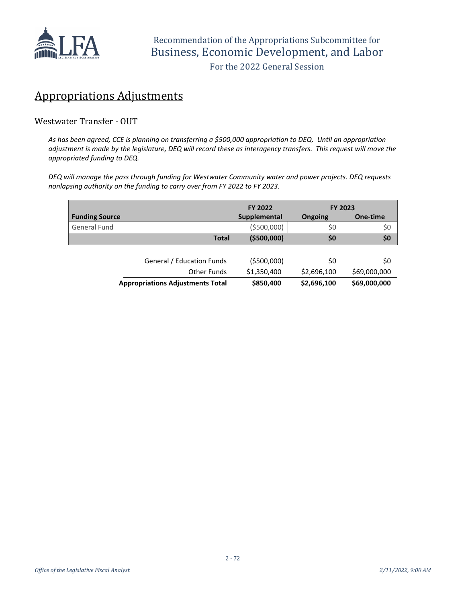

For the 2022 General Session

# Appropriations Adjustments

# Westwater Transfer - OUT

As has been agreed, CCE is planning on transferring a \$500,000 appropriation to DEQ. Until an appropriation adjustment is made by the legislature, DEQ will record these as interagency transfers. This request will move the *appropriated funding to DEQ.*

*DEQ will manage the pass through funding for Westwater Community water and power projects. DEQ requests nonlapsing authority on the funding to carry over from FY 2022 to FY 2023.*

|                       |                                         | FY 2022      | FY 2023     |              |
|-----------------------|-----------------------------------------|--------------|-------------|--------------|
| <b>Funding Source</b> |                                         | Supplemental | Ongoing     | One-time     |
| General Fund          |                                         | ( \$500,000) | \$0         | \$0          |
|                       | <b>Total</b>                            | ( \$500,000] | \$0         | \$0          |
|                       |                                         |              |             |              |
|                       | General / Education Funds               | ( \$500,000) | \$0         | \$0          |
|                       | <b>Other Funds</b>                      | \$1,350,400  | \$2,696,100 | \$69,000,000 |
|                       | <b>Appropriations Adjustments Total</b> | \$850,400    | \$2,696,100 | \$69,000,000 |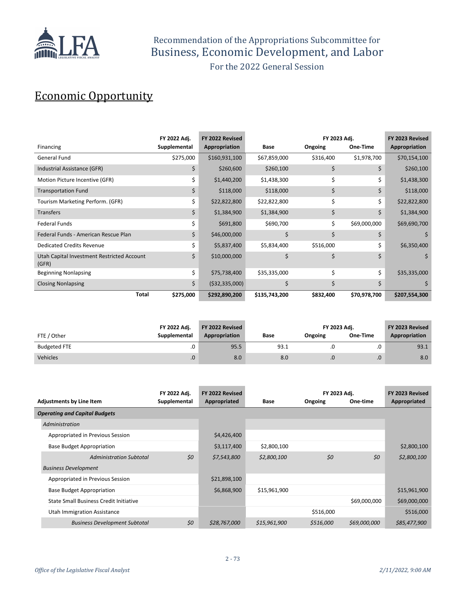

For the 2022 General Session

|                                                     | FY 2022 Adj. | FY 2022 Revised   |               |           | FY 2023 Adj. | FY 2023 Revised |
|-----------------------------------------------------|--------------|-------------------|---------------|-----------|--------------|-----------------|
| Financing                                           | Supplemental | Appropriation     | Base          | Ongoing   | One Time     | Appropriation   |
| General Fund                                        | \$275,000    | \$160,931,100     | \$67,859,000  | \$316,400 | \$1,978,700  | \$70,154,100    |
| Industrial Assistance (GFR)                         | \$           | \$260,600         | \$260,100     | \$        | \$           | \$260,100       |
| Motion Picture Incentive (GFR)                      | \$           | \$1,440,200       | \$1,438,300   | \$        | Ś.           | \$1,438,300     |
| <b>Transportation Fund</b>                          | \$           | \$118,000         | \$118,000     | \$        | \$           | \$118,000       |
| Tourism Marketing Perform. (GFR)                    | \$           | \$22,822,800      | \$22,822,800  | \$        | \$           | \$22,822,800    |
| <b>Transfers</b>                                    | \$           | \$1,384,900       | \$1,384,900   | \$        | \$           | \$1,384,900     |
| <b>Federal Funds</b>                                | \$           | \$691,800         | \$690,700     | \$        | \$69,000,000 | \$69,690,700    |
| Federal Funds - American Rescue Plan                | \$           | \$46,000,000      | \$            | \$        | \$           | S               |
| <b>Dedicated Credits Revenue</b>                    | \$           | \$5,837,400       | \$5,834,400   | \$516,000 | Ś.           | \$6,350,400     |
| Utah Capital Investment Restricted Account<br>(GFR) | \$           | \$10,000,000      | \$            | \$        | \$           | \$              |
| <b>Beginning Nonlapsing</b>                         | \$           | \$75,738,400      | \$35,335,000  | \$        | Ś.           | \$35,335,000    |
| <b>Closing Nonlapsing</b>                           | \$           | ( \$32, 335, 000) | \$            | \$        | \$           | \$              |
| Total                                               | \$275,000    | \$292,890,200     | \$135,743,200 | \$832,400 | \$70,978,700 | \$207,554,300   |

|                     | FY 2022 Adj. | FY 2022 Revised |      | FY 2023 Adj. |                 | FY 2023 Revised |
|---------------------|--------------|-----------------|------|--------------|-----------------|-----------------|
| FTE / Other         | Supplemental | Appropriation   | Base | Ongoing      | One-Time        | Appropriation   |
| <b>Budgeted FTE</b> |              | 95.5            | 93.1 |              | ٠υ              | 93.1            |
| Vehicles            |              | 8.0             | 8.0  | .0           | .0 <sub>1</sub> | 8.0             |

|                                        | FY 2022 Adj. | FY 2022 Revised |              | FY 2023 Adj. |              | FY 2023 Revised |
|----------------------------------------|--------------|-----------------|--------------|--------------|--------------|-----------------|
| <b>Adjustments by Line Item</b>        | Supplemental | Appropriated    | Base         | Ongoing      | One-time     | Appropriated    |
| <b>Operating and Capital Budgets</b>   |              |                 |              |              |              |                 |
| Administration                         |              |                 |              |              |              |                 |
| Appropriated in Previous Session       |              | \$4,426,400     |              |              |              |                 |
| <b>Base Budget Appropriation</b>       |              | \$3,117,400     | \$2,800,100  |              |              | \$2,800,100     |
| <b>Administration Subtotal</b>         | 50           | \$7,543,800     | \$2,800,100  | \$0          | \$0          | \$2,800,100     |
| <b>Business Development</b>            |              |                 |              |              |              |                 |
| Appropriated in Previous Session       |              | \$21,898,100    |              |              |              |                 |
| <b>Base Budget Appropriation</b>       |              | \$6,868,900     | \$15,961,900 |              |              | \$15,961,900    |
| State Small Business Credit Initiative |              |                 |              |              | \$69,000,000 | \$69,000,000    |
| <b>Utah Immigration Assistance</b>     |              |                 |              | \$516,000    |              | \$516,000       |
| <b>Business Development Subtotal</b>   | 50           | \$28,767,000    | \$15,961,900 | \$516,000    | \$69,000,000 | \$85,477,900    |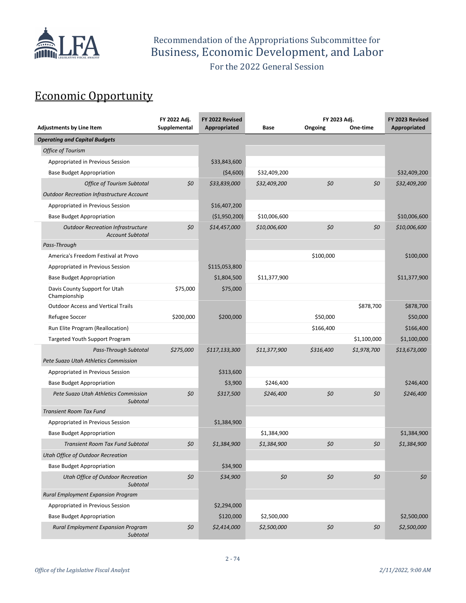

Î

## Recommendation of the Appropriations Subcommittee for Business, Economic Development, and Labor

For the 2022 General Session

|                                                                     | FY 2022 Adj. | FY 2022 Revised |              | FY 2023 Adj. |             | FY 2023 Revised |
|---------------------------------------------------------------------|--------------|-----------------|--------------|--------------|-------------|-----------------|
| <b>Adjustments by Line Item</b>                                     | Supplemental | Appropriated    | Base         | Ongoing      | One-time    | Appropriated    |
| <b>Operating and Capital Budgets</b>                                |              |                 |              |              |             |                 |
| <b>Office of Tourism</b>                                            |              |                 |              |              |             |                 |
| Appropriated in Previous Session                                    |              | \$33,843,600    |              |              |             |                 |
| <b>Base Budget Appropriation</b>                                    |              | (54,600)        | \$32,409,200 |              |             | \$32,409,200    |
| <b>Office of Tourism Subtotal</b>                                   | \$0          | \$33,839,000    | \$32,409,200 | \$0          | \$0         | \$32,409,200    |
| <b>Outdoor Recreation Infrastructure Account</b>                    |              |                 |              |              |             |                 |
| Appropriated in Previous Session                                    |              | \$16,407,200    |              |              |             |                 |
| <b>Base Budget Appropriation</b>                                    |              | ( \$1,950,200)  | \$10,006,600 |              |             | \$10,006,600    |
| <b>Outdoor Recreation Infrastructure</b><br><b>Account Subtotal</b> | \$0          | \$14,457,000    | \$10,006,600 | \$0          | \$0         | \$10,006,600    |
| Pass-Through                                                        |              |                 |              |              |             |                 |
| America's Freedom Festival at Provo                                 |              |                 |              | \$100,000    |             | \$100,000       |
| Appropriated in Previous Session                                    |              | \$115,053,800   |              |              |             |                 |
| <b>Base Budget Appropriation</b>                                    |              | \$1,804,500     | \$11,377,900 |              |             | \$11,377,900    |
| Davis County Support for Utah<br>Championship                       | \$75,000     | \$75,000        |              |              |             |                 |
| <b>Outdoor Access and Vertical Trails</b>                           |              |                 |              |              | \$878,700   | \$878,700       |
| Refugee Soccer                                                      | \$200,000    | \$200,000       |              | \$50,000     |             | \$50,000        |
| Run Elite Program (Reallocation)                                    |              |                 |              | \$166,400    |             | \$166,400       |
| Targeted Youth Support Program                                      |              |                 |              |              | \$1,100,000 | \$1,100,000     |
| Pass-Through Subtotal                                               | \$275,000    | \$117,133,300   | \$11,377,900 | \$316,400    | \$1,978,700 | \$13,673,000    |
| Pete Suazo Utah Athletics Commission                                |              |                 |              |              |             |                 |
| Appropriated in Previous Session                                    |              | \$313,600       |              |              |             |                 |
| <b>Base Budget Appropriation</b>                                    |              | \$3,900         | \$246,400    |              |             | \$246,400       |
| Pete Suazo Utah Athletics Commission<br>Subtotal                    | 50           | \$317,500       | \$246,400    | \$0          | \$0         | \$246,400       |
| <b>Transient Room Tax Fund</b>                                      |              |                 |              |              |             |                 |
| Appropriated in Previous Session                                    |              | \$1,384,900     |              |              |             |                 |
| <b>Base Budget Appropriation</b>                                    |              |                 | \$1,384,900  |              |             | \$1,384,900     |
| <b>Transient Room Tax Fund Subtotal</b>                             | \$0          | \$1,384,900     | \$1,384,900  | \$0          | \$0         | \$1,384,900     |
| Utah Office of Outdoor Recreation                                   |              |                 |              |              |             |                 |
| <b>Base Budget Appropriation</b>                                    |              | \$34,900        |              |              |             |                 |
| <b>Utah Office of Outdoor Recreation</b><br>Subtotal                | $50\,$       | \$34,900        | $$50$        | $$50$        | \$0         | \$0             |
| Rural Employment Expansion Program                                  |              |                 |              |              |             |                 |
| Appropriated in Previous Session                                    |              | \$2,294,000     |              |              |             |                 |
| <b>Base Budget Appropriation</b>                                    |              | \$120,000       | \$2,500,000  |              |             | \$2,500,000     |
| <b>Rural Employment Expansion Program</b><br>Subtotal               | \$0          | \$2,414,000     | \$2,500,000  | $$50$        | \$0         | \$2,500,000     |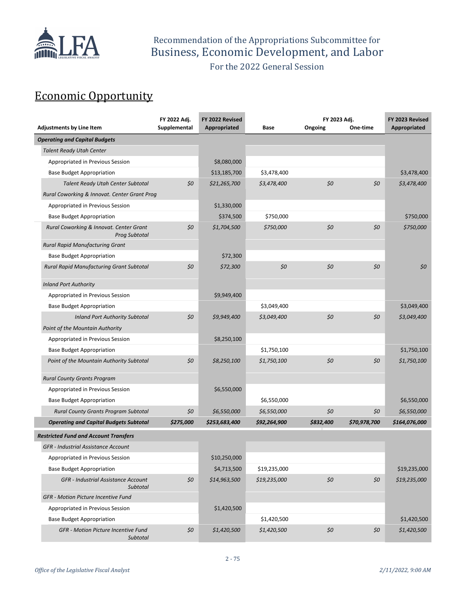

For the 2022 General Session

| <b>Adjustments by Line Item</b>                                 | FY 2022 Adj.<br>Supplemental | FY 2022 Revised<br>Appropriated | Base         | FY 2023 Adj.<br>Ongoing | One-time     | FY 2023 Revised<br>Appropriated |
|-----------------------------------------------------------------|------------------------------|---------------------------------|--------------|-------------------------|--------------|---------------------------------|
| <b>Operating and Capital Budgets</b>                            |                              |                                 |              |                         |              |                                 |
| <b>Talent Ready Utah Center</b>                                 |                              |                                 |              |                         |              |                                 |
| Appropriated in Previous Session                                |                              | \$8,080,000                     |              |                         |              |                                 |
| <b>Base Budget Appropriation</b>                                |                              | \$13,185,700                    | \$3,478,400  |                         |              | \$3,478,400                     |
| <b>Talent Ready Utah Center Subtotal</b>                        | \$0                          | \$21,265,700                    | \$3,478,400  | \$0                     | \$0          | \$3,478,400                     |
| Rural Coworking & Innovat. Center Grant Prog                    |                              |                                 |              |                         |              |                                 |
| Appropriated in Previous Session                                |                              | \$1,330,000                     |              |                         |              |                                 |
| <b>Base Budget Appropriation</b>                                |                              | \$374,500                       | \$750,000    |                         |              | \$750,000                       |
| Rural Coworking & Innovat. Center Grant<br><b>Prog Subtotal</b> | \$0                          | \$1,704,500                     | \$750,000    | \$0                     | \$0          | \$750,000                       |
| <b>Rural Rapid Manufacturing Grant</b>                          |                              |                                 |              |                         |              |                                 |
| <b>Base Budget Appropriation</b>                                |                              | \$72,300                        |              |                         |              |                                 |
| Rural Rapid Manufacturing Grant Subtotal                        | \$0                          | \$72,300                        | \$0          | \$0                     | \$0          | \$0                             |
| <b>Inland Port Authority</b>                                    |                              |                                 |              |                         |              |                                 |
| Appropriated in Previous Session                                |                              | \$9,949,400                     |              |                         |              |                                 |
| <b>Base Budget Appropriation</b>                                |                              |                                 | \$3,049,400  |                         |              | \$3,049,400                     |
| <b>Inland Port Authority Subtotal</b>                           | \$0                          | \$9,949,400                     | \$3,049,400  | \$0                     | \$0          | \$3,049,400                     |
| Point of the Mountain Authority                                 |                              |                                 |              |                         |              |                                 |
| Appropriated in Previous Session                                |                              | \$8,250,100                     |              |                         |              |                                 |
| <b>Base Budget Appropriation</b>                                |                              |                                 | \$1,750,100  |                         |              | \$1,750,100                     |
| Point of the Mountain Authority Subtotal                        | \$0                          | \$8,250,100                     | \$1,750,100  | \$0                     | \$0          | \$1,750,100                     |
| <b>Rural County Grants Program</b>                              |                              |                                 |              |                         |              |                                 |
| Appropriated in Previous Session                                |                              | \$6,550,000                     |              |                         |              |                                 |
| <b>Base Budget Appropriation</b>                                |                              |                                 | \$6,550,000  |                         |              | \$6,550,000                     |
| <b>Rural County Grants Program Subtotal</b>                     | \$0                          | \$6,550,000                     | \$6,550,000  | \$0                     | \$0          | \$6,550,000                     |
| <b>Operating and Capital Budgets Subtotal</b>                   | \$275,000                    | \$253,683,400                   | \$92,264,900 | \$832,400               | \$70,978,700 | \$164,076,000                   |
| <b>Restricted Fund and Account Transfers</b>                    |                              |                                 |              |                         |              |                                 |
| <b>GFR</b> - Industrial Assistance Account                      |                              |                                 |              |                         |              |                                 |
| Appropriated in Previous Session                                |                              | \$10,250,000                    |              |                         |              |                                 |
| <b>Base Budget Appropriation</b>                                |                              | \$4,713,500                     | \$19,235,000 |                         |              | \$19,235,000                    |
| <b>GFR</b> - Industrial Assistance Account<br>Subtotal          | \$0                          | \$14,963,500                    | \$19,235,000 | $50$                    | \$0          | \$19,235,000                    |
| <b>GFR - Motion Picture Incentive Fund</b>                      |                              |                                 |              |                         |              |                                 |
| Appropriated in Previous Session                                |                              | \$1,420,500                     |              |                         |              |                                 |
| <b>Base Budget Appropriation</b>                                |                              |                                 | \$1,420,500  |                         |              | \$1,420,500                     |
| <b>GFR</b> - Motion Picture Incentive Fund<br>Subtotal          | \$0                          | \$1,420,500                     | \$1,420,500  | \$0                     | \$0          | \$1,420,500                     |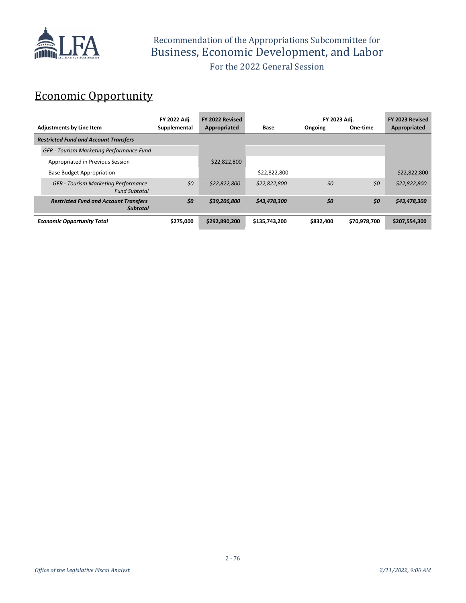

For the 2022 General Session

|                                                                    | FY 2022 Adj. | FY 2022 Revised |               | FY 2023 Adi. |              | FY 2023 Revised |
|--------------------------------------------------------------------|--------------|-----------------|---------------|--------------|--------------|-----------------|
| <b>Adjustments by Line Item</b>                                    | Supplemental | Appropriated    | <b>Base</b>   | Ongoing      | One-time     | Appropriated    |
| <b>Restricted Fund and Account Transfers</b>                       |              |                 |               |              |              |                 |
| GFR - Tourism Marketing Performance Fund                           |              |                 |               |              |              |                 |
| Appropriated in Previous Session                                   |              | \$22,822,800    |               |              |              |                 |
| <b>Base Budget Appropriation</b>                                   |              |                 | \$22,822,800  |              |              | \$22,822,800    |
| <b>GFR - Tourism Marketing Performance</b><br><b>Fund Subtotal</b> | \$0          | \$22,822,800    | \$22,822,800  | \$0          | \$0          | \$22,822,800    |
| <b>Restricted Fund and Account Transfers</b><br>Subtotal           | \$0          | \$39,206,800    | \$43,478,300  | \$0          | \$0          | \$43,478,300    |
| <b>Economic Opportunity Total</b>                                  | \$275,000    | \$292.890.200   | \$135,743,200 | \$832,400    | \$70,978,700 | \$207,554,300   |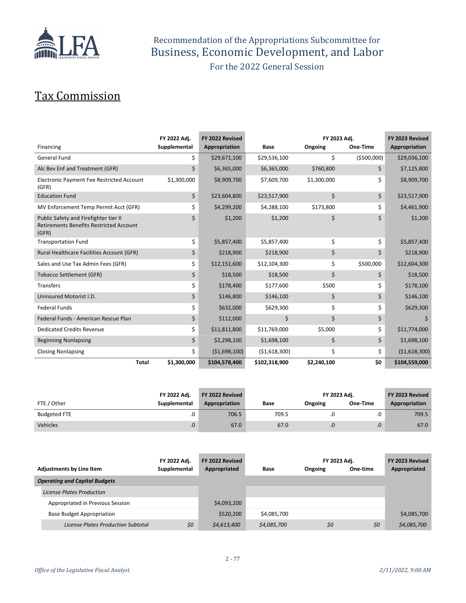

For the 2022 General Session

## Tax Commission

|                                                                                                  | FY 2022 Adj. | FY 2022 Revised |                |             | FY 2023 Adj. | FY 2023 Revised |
|--------------------------------------------------------------------------------------------------|--------------|-----------------|----------------|-------------|--------------|-----------------|
| Financing                                                                                        | Supplemental | Appropriation   | Base           | Ongoing     | One-Time     | Appropriation   |
| <b>General Fund</b>                                                                              | \$           | \$29,671,100    | \$29,536,100   | \$          | ( \$500,000) | \$29,036,100    |
| Alc Bev Enf and Treatment (GFR)                                                                  | \$           | \$6,365,000     | \$6,365,000    | \$760,800   | \$           | \$7,125,800     |
| <b>Electronic Payment Fee Restricted Account</b><br>(GFR)                                        | \$1,300,000  | \$8,909,700     | \$7,609,700    | \$1,300,000 | \$           | \$8,909,700     |
| <b>Education Fund</b>                                                                            | \$           | \$23,604,800    | \$23,517,900   | \$          | \$           | \$23,517,900    |
| MV Enforcement Temp Permit Acct (GFR)                                                            | \$           | \$4,299,200     | \$4,288,100    | \$173,800   | \$           | \$4,461,900     |
| Public Safety and Firefighter tier II<br><b>Retirements Benefits Restricted Account</b><br>(GFR) | \$           | \$1,200         | \$1,200        | \$          | \$           | \$1,200         |
| <b>Transportation Fund</b>                                                                       | \$           | \$5,857,400     | \$5,857,400    | \$          | \$           | \$5,857,400     |
| Rural Healthcare Facilities Account (GFR)                                                        | \$           | \$218,900       | \$218,900      | \$          | \$           | \$218,900       |
| Sales and Use Tax Admin Fees (GFR)                                                               | \$           | \$12,151,600    | \$12,104,300   | \$          | \$500,000    | \$12,604,300    |
| <b>Tobacco Settlement (GFR)</b>                                                                  | \$           | \$18,500        | \$18,500       | \$          | \$           | \$18,500        |
| <b>Transfers</b>                                                                                 | \$           | \$178,400       | \$177,600      | \$500       | \$           | \$178,100       |
| Uninsured Motorist I.D.                                                                          | \$           | \$146,800       | \$146,100      | \$          | \$           | \$146,100       |
| <b>Federal Funds</b>                                                                             | \$           | \$632,000       | \$629,300      | \$          | \$           | \$629,300       |
| Federal Funds - American Rescue Plan                                                             | \$           | \$112,000       | \$             | \$          | \$           | Ś               |
| <b>Dedicated Credits Revenue</b>                                                                 | \$           | \$11,811,800    | \$11,769,000   | \$5,000     | \$           | \$11,774,000    |
| <b>Beginning Nonlapsing</b>                                                                      | \$           | \$2,298,100     | \$1,698,100    | \$          | \$           | \$1,698,100     |
| <b>Closing Nonlapsing</b>                                                                        | \$           | ( \$1,698,100)  | ( \$1,618,300) | \$          | \$           | ( \$1,618,300)  |
| <b>Total</b>                                                                                     | \$1,300,000  | \$104,578,400   | \$102,318,900  | \$2,240,100 | \$0          | \$104,559,000   |

|                     | FY 2022 Adj.    | FY 2022 Revised |             | FY 2023 Adj. | FY 2023 Revised |               |
|---------------------|-----------------|-----------------|-------------|--------------|-----------------|---------------|
| FTE / Other         | Supplemental    | Appropriation   | <b>Base</b> | Ongoing      | One-Time        | Appropriation |
| <b>Budgeted FTE</b> |                 | 706.5           | 709.5       |              | .0              | 709.5         |
| <b>Vehicles</b>     | .0 <sub>1</sub> | 67.0            | 67.0        |              | .0              | 67.0          |

|                                      | FY 2022 Adj. | FY 2022 Revised |             | FY 2023 Adj. |          | FY 2023 Revised |
|--------------------------------------|--------------|-----------------|-------------|--------------|----------|-----------------|
| <b>Adjustments by Line Item</b>      | Supplemental | Appropriated    | Base        | Ongoing      | One-time | Appropriated    |
| <b>Operating and Capital Budgets</b> |              |                 |             |              |          |                 |
| License Plates Production            |              |                 |             |              |          |                 |
| Appropriated in Previous Session     |              | \$4,093,200     |             |              |          |                 |
| <b>Base Budget Appropriation</b>     |              | \$520,200       | \$4,085,700 |              |          | \$4,085,700     |
| License Plates Production Subtotal   | \$0          | \$4,613,400     | \$4,085,700 | \$0          | \$0      | \$4,085,700     |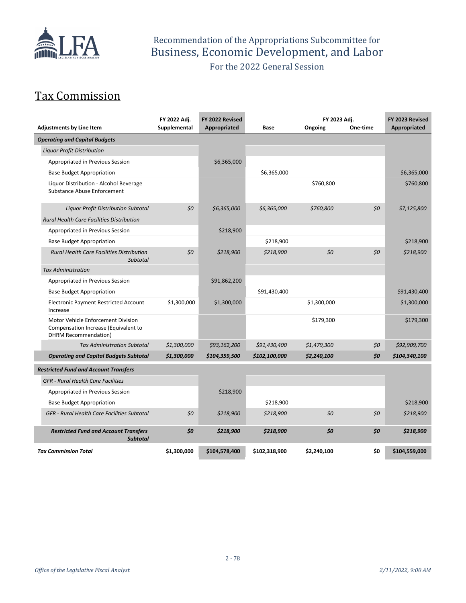

For the 2022 General Session

## Tax Commission

|                                                                                                           | FY 2022 Adj. | FY 2022 Revised |               | FY 2023 Adj. |          | FY 2023 Revised |
|-----------------------------------------------------------------------------------------------------------|--------------|-----------------|---------------|--------------|----------|-----------------|
| <b>Adjustments by Line Item</b>                                                                           | Supplemental | Appropriated    | Base          | Ongoing      | One-time | Appropriated    |
| <b>Operating and Capital Budgets</b>                                                                      |              |                 |               |              |          |                 |
| Liquor Profit Distribution                                                                                |              |                 |               |              |          |                 |
| Appropriated in Previous Session                                                                          |              | \$6,365,000     |               |              |          |                 |
| <b>Base Budget Appropriation</b>                                                                          |              |                 | \$6,365,000   |              |          | \$6,365,000     |
| Liquor Distribution - Alcohol Beverage<br><b>Substance Abuse Enforcement</b>                              |              |                 |               | \$760,800    |          | \$760,800       |
| <b>Liquor Profit Distribution Subtotal</b>                                                                | \$0          | \$6,365,000     | \$6,365,000   | \$760,800    | 50       | \$7,125,800     |
| Rural Health Care Facilities Distribution                                                                 |              |                 |               |              |          |                 |
| Appropriated in Previous Session                                                                          |              | \$218,900       |               |              |          |                 |
| <b>Base Budget Appropriation</b>                                                                          |              |                 | \$218,900     |              |          | \$218,900       |
| <b>Rural Health Care Facilities Distribution</b><br>Subtotal                                              | \$0          | \$218,900       | \$218,900     | \$0          | \$0      | \$218,900       |
| <b>Tax Administration</b>                                                                                 |              |                 |               |              |          |                 |
| Appropriated in Previous Session                                                                          |              | \$91,862,200    |               |              |          |                 |
| <b>Base Budget Appropriation</b>                                                                          |              |                 | \$91,430,400  |              |          | \$91,430,400    |
| <b>Electronic Payment Restricted Account</b><br>Increase                                                  | \$1,300,000  | \$1,300,000     |               | \$1,300,000  |          | \$1,300,000     |
| Motor Vehicle Enforcement Division<br>Compensation Increase (Equivalent to<br><b>DHRM Recommendation)</b> |              |                 |               | \$179,300    |          | \$179,300       |
| <b>Tax Administration Subtotal</b>                                                                        | \$1,300,000  | \$93,162,200    | \$91,430,400  | \$1,479,300  | \$0      | \$92,909,700    |
| <b>Operating and Capital Budgets Subtotal</b>                                                             | \$1,300,000  | \$104,359,500   | \$102,100,000 | \$2,240,100  | \$0      | \$104,340,100   |
| <b>Restricted Fund and Account Transfers</b>                                                              |              |                 |               |              |          |                 |
| <b>GFR - Rural Health Care Facilities</b>                                                                 |              |                 |               |              |          |                 |
| Appropriated in Previous Session                                                                          |              | \$218,900       |               |              |          |                 |
| <b>Base Budget Appropriation</b>                                                                          |              |                 | \$218,900     |              |          | \$218,900       |
| <b>GFR</b> - Rural Health Care Facilities Subtotal                                                        | \$0          | \$218,900       | \$218,900     | 50           | \$0      | \$218,900       |
| <b>Restricted Fund and Account Transfers</b><br><b>Subtotal</b>                                           | \$0          | \$218,900       | \$218,900     | \$0          | \$0      | \$218,900       |
| <b>Tax Commission Total</b>                                                                               | \$1,300,000  | \$104,578,400   | \$102,318,900 | \$2,240,100  | \$0      | \$104,559,000   |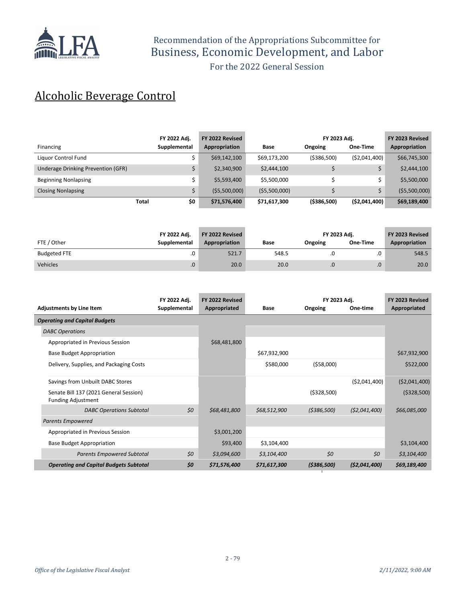

For the 2022 General Session

# Alcoholic Beverage Control

| Financing                          | FY 2022 Adj.<br>Supplemental | FY 2022 Revised<br>Appropriation | <b>Base</b>  | FY 2023 Adj.<br>Ongoing | One-Time       | FY 2023 Revised<br>Appropriation |
|------------------------------------|------------------------------|----------------------------------|--------------|-------------------------|----------------|----------------------------------|
| Liguor Control Fund                |                              | \$69,142,100                     | \$69,173,200 | ( \$386, 500)           | ( \$2,041,400) | \$66,745,300                     |
| Underage Drinking Prevention (GFR) |                              | \$2,340,900                      | \$2,444,100  |                         |                | \$2,444,100                      |
| <b>Beginning Nonlapsing</b>        |                              | \$5,593,400                      | \$5,500,000  |                         |                | \$5,500,000                      |
| <b>Closing Nonlapsing</b>          |                              | ( \$5,500,000)                   | (55,500,000) |                         |                | ( \$5,500,000)                   |
|                                    | \$0<br>Total                 | \$71,576,400                     | \$71,617,300 | ( \$386, 500)           | ( \$2,041,400) | \$69,189,400                     |

|                     | FY 2022 Adj. | FY 2022 Revised |       | FY 2023 Adj. | FY 2023 Revised |               |
|---------------------|--------------|-----------------|-------|--------------|-----------------|---------------|
| FTE / Other         | Supplemental | Appropriation   | Base  | Ongoing      | One-Time        | Appropriation |
| <b>Budgeted FTE</b> | .0           | 521.7           | 548.5 |              | .v              | 548.5         |
| Vehicles            |              | 20.0            | 20.0  |              | .0 <sub>1</sub> | 20.0          |

|                                                                     | FY 2022 Adj. | FY 2022 Revised |              | FY 2023 Adj.  |                | FY 2023 Revised |
|---------------------------------------------------------------------|--------------|-----------------|--------------|---------------|----------------|-----------------|
| <b>Adjustments by Line Item</b>                                     | Supplemental | Appropriated    | <b>Base</b>  | Ongoing       | One-time       | Appropriated    |
| <b>Operating and Capital Budgets</b>                                |              |                 |              |               |                |                 |
| <b>DABC</b> Operations                                              |              |                 |              |               |                |                 |
| Appropriated in Previous Session                                    |              | \$68,481,800    |              |               |                |                 |
| <b>Base Budget Appropriation</b>                                    |              |                 | \$67,932,900 |               |                | \$67,932,900    |
| Delivery, Supplies, and Packaging Costs                             |              |                 | \$580,000    | ( \$58,000)   |                | \$522,000       |
| Savings from Unbuilt DABC Stores                                    |              |                 |              |               | ( \$2,041,400) | ( \$2,041,400)  |
| Senate Bill 137 (2021 General Session)<br><b>Funding Adjustment</b> |              |                 |              | ( \$328,500)  |                | ( \$328,500)    |
| <b>DABC Operations Subtotal</b>                                     | 50           | \$68,481,800    | \$68,512,900 | ( \$386, 500) | (52,041,400)   | \$66,085,000    |
| <b>Parents Empowered</b>                                            |              |                 |              |               |                |                 |
| Appropriated in Previous Session                                    |              | \$3,001,200     |              |               |                |                 |
| <b>Base Budget Appropriation</b>                                    |              | \$93,400        | \$3,104,400  |               |                | \$3,104,400     |
| <b>Parents Empowered Subtotal</b>                                   | \$0          | \$3,094,600     | \$3,104,400  | \$0           | \$0            | \$3,104,400     |
| <b>Operating and Capital Budgets Subtotal</b>                       | \$0          | \$71,576,400    | \$71,617,300 | (5386,500)    | (52,041,400)   | \$69,189,400    |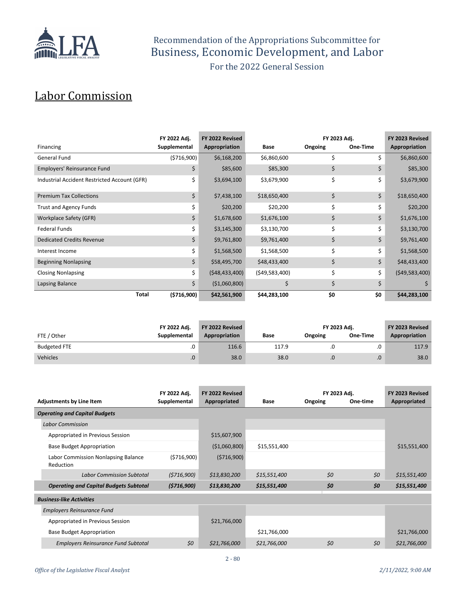

For the 2022 General Session

# Labor Commission

|                                              | FY 2022 Adj. | FY 2022 Revised |               | FY 2023 Adj. |          | FY 2023 Revised |
|----------------------------------------------|--------------|-----------------|---------------|--------------|----------|-----------------|
| Financing                                    | Supplemental | Appropriation   | Base          | Ongoing      | One-Time | Appropriation   |
| General Fund                                 | (5716,900)   | \$6,168,200     | \$6,860,600   | \$           | \$       | \$6,860,600     |
| Employers' Reinsurance Fund                  | \$           | \$85,600        | \$85,300      | \$           | \$       | \$85,300        |
| Industrial Accident Restricted Account (GFR) | \$           | \$3,694,100     | \$3,679,900   | \$           | \$       | \$3,679,900     |
| <b>Premium Tax Collections</b>               | \$           | \$7,438,100     | \$18,650,400  | \$           | \$       | \$18,650,400    |
| <b>Trust and Agency Funds</b>                | \$           | \$20,200        | \$20,200      | \$           | \$       | \$20,200        |
| Workplace Safety (GFR)                       | \$           | \$1,678,600     | \$1,676,100   | \$           | \$       | \$1,676,100     |
| <b>Federal Funds</b>                         | \$           | \$3,145,300     | \$3,130,700   | \$           | Ś.       | \$3,130,700     |
| <b>Dedicated Credits Revenue</b>             | \$           | \$9,761,800     | \$9,761,400   | \$           | \$       | \$9,761,400     |
| Interest Income                              | \$           | \$1,568,500     | \$1,568,500   | \$           | \$       | \$1,568,500     |
| <b>Beginning Nonlapsing</b>                  | \$           | \$58,495,700    | \$48,433,400  | \$           | \$       | \$48,433,400    |
| <b>Closing Nonlapsing</b>                    | \$           | (548, 433, 400) | (549,583,400) | \$           | \$       | (549,583,400)   |
| Lapsing Balance                              | \$           | ( \$1,060,800)  | \$            | \$           | \$       |                 |
| <b>Total</b>                                 | (\$716,900)  | \$42,561,900    | \$44,283,100  | \$0          | \$0      | \$44,283,100    |

|                     | FY 2022 Adj.    | FY 2022 Revised |       | FY 2023 Adj. |                 | FY 2023 Revised |
|---------------------|-----------------|-----------------|-------|--------------|-----------------|-----------------|
| FTE / Other         | Supplemental    | Appropriation   | Base  | Ongoing      | One-Time        | Appropriation   |
| <b>Budgeted FTE</b> |                 | 116.6           | 117.9 | .0           |                 | 117.9           |
| Vehicles            | .0 <sub>1</sub> | 38.0            | 38.0  | .0           | .0 <sub>1</sub> | 38.0            |

|                                                  | FY 2022 Adj. | FY 2022 Revised |              | FY 2023 Adj. |          | FY 2023 Revised |
|--------------------------------------------------|--------------|-----------------|--------------|--------------|----------|-----------------|
| <b>Adjustments by Line Item</b>                  | Supplemental | Appropriated    | Base         | Ongoing      | One-time | Appropriated    |
| <b>Operating and Capital Budgets</b>             |              |                 |              |              |          |                 |
| <b>Labor Commission</b>                          |              |                 |              |              |          |                 |
| Appropriated in Previous Session                 |              | \$15,607,900    |              |              |          |                 |
| <b>Base Budget Appropriation</b>                 |              | (\$1,060,800)   | \$15,551,400 |              |          | \$15,551,400    |
| Labor Commission Nonlapsing Balance<br>Reduction | (5716,900)   | (5716,900)      |              |              |          |                 |
| <b>Labor Commission Subtotal</b>                 | (5716,900)   | \$13,830,200    | \$15,551,400 | \$0          | \$0      | \$15,551,400    |
| <b>Operating and Capital Budgets Subtotal</b>    | (5716,900)   | \$13,830,200    | \$15,551,400 | \$0          | \$0      | \$15,551,400    |
| <b>Business-like Activities</b>                  |              |                 |              |              |          |                 |
| <b>Employers Reinsurance Fund</b>                |              |                 |              |              |          |                 |
| Appropriated in Previous Session                 |              | \$21,766,000    |              |              |          |                 |
| <b>Base Budget Appropriation</b>                 |              |                 | \$21,766,000 |              |          | \$21,766,000    |
| <b>Employers Reinsurance Fund Subtotal</b>       | \$0          | \$21,766,000    | \$21,766,000 | \$0          | \$0      | \$21,766,000    |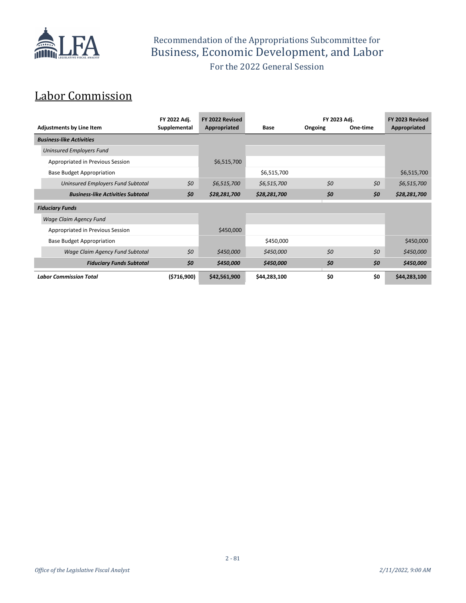

For the 2022 General Session

# Labor Commission

|                                          | FY 2022 Adj. | FY 2022 Revised |              | FY 2023 Adj. |          | FY 2023 Revised |
|------------------------------------------|--------------|-----------------|--------------|--------------|----------|-----------------|
| <b>Adjustments by Line Item</b>          | Supplemental | Appropriated    | <b>Base</b>  | Ongoing      | One-time | Appropriated    |
| <b>Business-like Activities</b>          |              |                 |              |              |          |                 |
| <b>Uninsured Employers Fund</b>          |              |                 |              |              |          |                 |
| Appropriated in Previous Session         |              | \$6,515,700     |              |              |          |                 |
| <b>Base Budget Appropriation</b>         |              |                 | \$6,515,700  |              |          | \$6,515,700     |
| Uninsured Employers Fund Subtotal        | \$0          | \$6,515,700     | \$6,515,700  | \$0          | \$0      | \$6,515,700     |
| <b>Business-like Activities Subtotal</b> | \$0          | \$28,281,700    | \$28,281,700 | \$0          | \$0      | \$28,281,700    |
| <b>Fiduciary Funds</b>                   |              |                 |              |              |          |                 |
| Wage Claim Agency Fund                   |              |                 |              |              |          |                 |
| Appropriated in Previous Session         |              | \$450,000       |              |              |          |                 |
| <b>Base Budget Appropriation</b>         |              |                 | \$450,000    |              |          | \$450,000       |
| Wage Claim Agency Fund Subtotal          | 50           | \$450,000       | \$450,000    | \$0          | \$0      | \$450,000       |
| <b>Fiduciary Funds Subtotal</b>          | \$0          | \$450,000       | \$450,000    | \$0          | \$0      | \$450,000       |
| <b>Labor Commission Total</b>            | (5716,900)   | \$42,561,900    | \$44,283,100 | \$0          | \$0      | \$44,283,100    |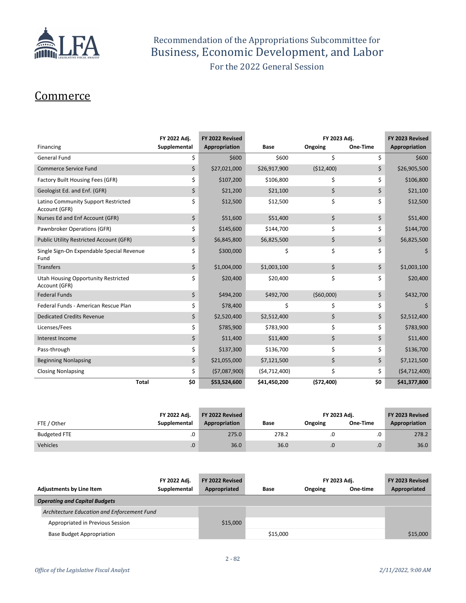

For the 2022 General Session

### **Commerce**

|                                                      | FY 2022 Adj. | FY 2022 Revised |                | FY 2023 Adj. |          | FY 2023 Revised |
|------------------------------------------------------|--------------|-----------------|----------------|--------------|----------|-----------------|
| Financing                                            | Supplemental | Appropriation   | <b>Base</b>    | Ongoing      | One-Time | Appropriation   |
| <b>General Fund</b>                                  | \$           | \$600           | \$600          | \$           | \$       | \$600           |
| <b>Commerce Service Fund</b>                         | \$           | \$27,021,000    | \$26,917,900   | (\$12,400)   | \$       | \$26,905,500    |
| Factory Built Housing Fees (GFR)                     | \$           | \$107,200       | \$106,800      | \$           | \$       | \$106,800       |
| Geologist Ed. and Enf. (GFR)                         | \$           | \$21,200        | \$21,100       | \$           | \$       | \$21,100        |
| Latino Community Support Restricted<br>Account (GFR) | \$           | \$12,500        | \$12,500       | \$           | \$       | \$12,500        |
| Nurses Ed and Enf Account (GFR)                      | \$           | \$51,600        | \$51,400       | \$           | \$       | \$51,400        |
| Pawnbroker Operations (GFR)                          | \$           | \$145,600       | \$144,700      | \$           | \$       | \$144,700       |
| <b>Public Utility Restricted Account (GFR)</b>       | \$           | \$6,845,800     | \$6,825,500    | \$           | \$       | \$6,825,500     |
| Single Sign-On Expendable Special Revenue<br>Fund    | \$           | \$300,000       | \$             | \$           | \$       | Ś               |
| <b>Transfers</b>                                     | \$           | \$1,004,000     | \$1,003,100    | \$           | \$       | \$1,003,100     |
| Utah Housing Opportunity Restricted<br>Account (GFR) | \$           | \$20,400        | \$20,400       | \$           | \$       | \$20,400        |
| <b>Federal Funds</b>                                 | \$           | \$494,200       | \$492,700      | ( \$60,000)  | \$       | \$432,700       |
| Federal Funds - American Rescue Plan                 | \$           | \$78,400        | \$             | \$           | \$       | Ś               |
| <b>Dedicated Credits Revenue</b>                     | \$           | \$2,520,400     | \$2,512,400    | \$           | \$       | \$2,512,400     |
| Licenses/Fees                                        | \$           | \$785,900       | \$783,900      | \$           | \$       | \$783,900       |
| Interest Income                                      | \$           | \$11,400        | \$11,400       | \$           | \$       | \$11,400        |
| Pass-through                                         | \$           | \$137,300       | \$136,700      | \$           | \$       | \$136,700       |
| <b>Beginning Nonlapsing</b>                          | \$           | \$21,055,000    | \$7,121,500    | \$           | \$       | \$7,121,500     |
| <b>Closing Nonlapsing</b>                            | \$           | (57,087,900)    | (54, 712, 400) | \$           | \$       | (54, 712, 400)  |
| <b>Total</b>                                         | \$0          | \$53,524,600    | \$41,450,200   | (572, 400)   | \$0      | \$41,377,800    |

|                     | FY 2022 Adj.    | FY 2022 Revised |       |         | FY 2023 Adj. | FY 2023 Revised |
|---------------------|-----------------|-----------------|-------|---------|--------------|-----------------|
| FTE / Other         | Supplemental    | Appropriation   | Base  | Ongoing | One Time     | Appropriation   |
| <b>Budgeted FTE</b> |                 | 275.0           | 278.2 |         |              | 278.2           |
| Vehicles            | .0 <sub>1</sub> | 36.0            | 36.0  |         | .0           | 36.0            |

|                                      |                                             | FY 2022 Adj. | FY 2022 Revised |             |         | FY 2023 Adj. | FY 2023 Revised |
|--------------------------------------|---------------------------------------------|--------------|-----------------|-------------|---------|--------------|-----------------|
| <b>Adjustments by Line Item</b>      |                                             | Supplemental | Appropriated    | <b>Base</b> | Ongoing | One-time     | Appropriated    |
| <b>Operating and Capital Budgets</b> |                                             |              |                 |             |         |              |                 |
|                                      | Architecture Education and Enforcement Fund |              |                 |             |         |              |                 |
|                                      | Appropriated in Previous Session            |              | \$15,000        |             |         |              |                 |
| <b>Base Budget Appropriation</b>     |                                             |              |                 | \$15,000    |         |              | \$15,000        |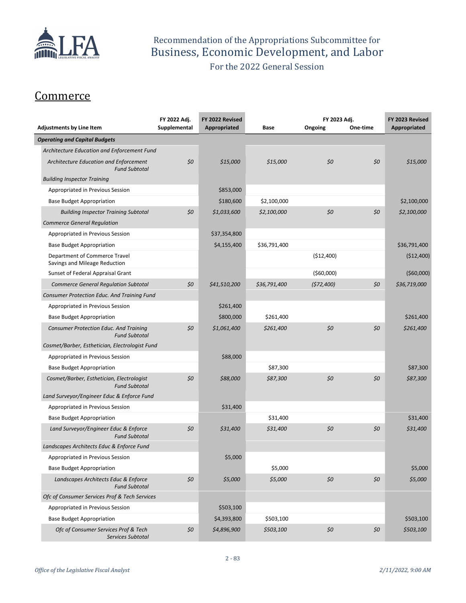

For the 2022 General Session

### **Commerce**

Ī

| <b>Adjustments by Line Item</b>                                       | FY 2022 Adj.<br>Supplemental | FY 2022 Revised<br>Appropriated | Base         | FY 2023 Adj.<br>Ongoing | One-time | FY 2023 Revised<br>Appropriated |
|-----------------------------------------------------------------------|------------------------------|---------------------------------|--------------|-------------------------|----------|---------------------------------|
| <b>Operating and Capital Budgets</b>                                  |                              |                                 |              |                         |          |                                 |
| Architecture Education and Enforcement Fund                           |                              |                                 |              |                         |          |                                 |
| Architecture Education and Enforcement<br><b>Fund Subtotal</b>        | \$0                          | \$15,000                        | \$15,000     | \$0                     | \$0      | \$15,000                        |
| <b>Building Inspector Training</b>                                    |                              |                                 |              |                         |          |                                 |
| Appropriated in Previous Session                                      |                              | \$853,000                       |              |                         |          |                                 |
| <b>Base Budget Appropriation</b>                                      |                              | \$180,600                       | \$2,100,000  |                         |          | \$2,100,000                     |
| <b>Building Inspector Training Subtotal</b>                           | \$0                          | \$1,033,600                     | \$2,100,000  | \$0                     | \$0      | \$2,100,000                     |
| <b>Commerce General Regulation</b>                                    |                              |                                 |              |                         |          |                                 |
| Appropriated in Previous Session                                      |                              | \$37,354,800                    |              |                         |          |                                 |
| <b>Base Budget Appropriation</b>                                      |                              | \$4,155,400                     | \$36,791,400 |                         |          | \$36,791,400                    |
| Department of Commerce Travel<br>Savings and Mileage Reduction        |                              |                                 |              | (\$12,400)              |          | (\$12,400)                      |
| Sunset of Federal Appraisal Grant                                     |                              |                                 |              | ( \$60,000]             |          | ( \$60,000]                     |
| <b>Commerce General Regulation Subtotal</b>                           | \$0                          | \$41,510,200                    | \$36,791,400 | (572, 400)              | \$0      | \$36,719,000                    |
| <b>Consumer Protection Educ. And Training Fund</b>                    |                              |                                 |              |                         |          |                                 |
| Appropriated in Previous Session                                      |                              | \$261,400                       |              |                         |          |                                 |
| <b>Base Budget Appropriation</b>                                      |                              | \$800,000                       | \$261,400    |                         |          | \$261,400                       |
| <b>Consumer Protection Educ. And Training</b><br><b>Fund Subtotal</b> | 50                           | \$1,061,400                     | \$261,400    | \$0                     | \$0      | \$261,400                       |
| Cosmet/Barber, Esthetician, Electrologist Fund                        |                              |                                 |              |                         |          |                                 |
| Appropriated in Previous Session                                      |                              | \$88,000                        |              |                         |          |                                 |
| <b>Base Budget Appropriation</b>                                      |                              |                                 | \$87,300     |                         |          | \$87,300                        |
| Cosmet/Barber, Esthetician, Electrologist<br><b>Fund Subtotal</b>     | \$0                          | \$88,000                        | \$87,300     | \$0                     | \$0      | \$87,300                        |
| Land Surveyor/Engineer Educ & Enforce Fund                            |                              |                                 |              |                         |          |                                 |
| Appropriated in Previous Session                                      |                              | \$31,400                        |              |                         |          |                                 |
| <b>Base Budget Appropriation</b>                                      |                              |                                 | \$31,400     |                         |          | \$31,400                        |
| Land Surveyor/Engineer Educ & Enforce<br><b>Fund Subtotal</b>         | \$0                          | \$31,400                        | \$31,400     | \$0                     | \$0      | \$31,400                        |
| Landscapes Architects Educ & Enforce Fund                             |                              |                                 |              |                         |          |                                 |
| Appropriated in Previous Session                                      |                              | \$5,000                         |              |                         |          |                                 |
| <b>Base Budget Appropriation</b>                                      |                              |                                 | \$5,000      |                         |          | \$5,000                         |
| Landscapes Architects Educ & Enforce<br><b>Fund Subtotal</b>          | \$0                          | \$5,000                         | \$5,000      | $50$                    | \$0      | \$5,000                         |
| Ofc of Consumer Services Prof & Tech Services                         |                              |                                 |              |                         |          |                                 |
| Appropriated in Previous Session                                      |                              | \$503,100                       |              |                         |          |                                 |
| <b>Base Budget Appropriation</b>                                      |                              | \$4,393,800                     | \$503,100    |                         |          | \$503,100                       |
| Ofc of Consumer Services Prof & Tech<br>Services Subtotal             | \$0                          | \$4,896,900                     | \$503,100    | \$0                     | \$0      | \$503,100                       |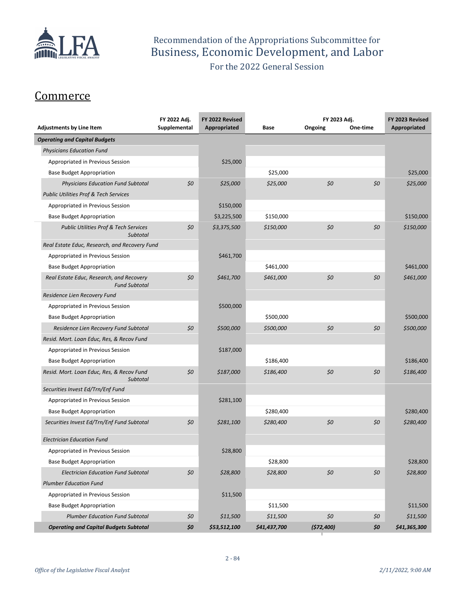

For the 2022 General Session

### **Commerce**

| <b>Adjustments by Line Item</b>                                  | FY 2022 Adj.<br>Supplemental | FY 2022 Revised<br><b>Appropriated</b> | Base         | FY 2023 Adj.<br>Ongoing | One-time | FY 2023 Revised<br>Appropriated |
|------------------------------------------------------------------|------------------------------|----------------------------------------|--------------|-------------------------|----------|---------------------------------|
| <b>Operating and Capital Budgets</b>                             |                              |                                        |              |                         |          |                                 |
| <b>Physicians Education Fund</b>                                 |                              |                                        |              |                         |          |                                 |
| Appropriated in Previous Session                                 |                              | \$25,000                               |              |                         |          |                                 |
| <b>Base Budget Appropriation</b>                                 |                              |                                        | \$25,000     |                         |          | \$25,000                        |
| <b>Physicians Education Fund Subtotal</b>                        | \$0                          | \$25,000                               | \$25,000     | \$0                     | \$0      | \$25,000                        |
| <b>Public Utilities Prof &amp; Tech Services</b>                 |                              |                                        |              |                         |          |                                 |
| Appropriated in Previous Session                                 |                              | \$150,000                              |              |                         |          |                                 |
| <b>Base Budget Appropriation</b>                                 |                              | \$3,225,500                            | \$150,000    |                         |          | \$150,000                       |
| <b>Public Utilities Prof &amp; Tech Services</b><br>Subtotal     | 50                           | \$3,375,500                            | \$150,000    | 50                      | \$0      | \$150,000                       |
| Real Estate Educ, Research, and Recovery Fund                    |                              |                                        |              |                         |          |                                 |
| Appropriated in Previous Session                                 |                              | \$461,700                              |              |                         |          |                                 |
| <b>Base Budget Appropriation</b>                                 |                              |                                        | \$461,000    |                         |          | \$461,000                       |
| Real Estate Educ, Research, and Recovery<br><b>Fund Subtotal</b> | \$0                          | \$461,700                              | \$461,000    | \$0                     | \$0      | \$461,000                       |
| Residence Lien Recovery Fund                                     |                              |                                        |              |                         |          |                                 |
| Appropriated in Previous Session                                 |                              | \$500,000                              |              |                         |          |                                 |
| <b>Base Budget Appropriation</b>                                 |                              |                                        | \$500,000    |                         |          | \$500,000                       |
| Residence Lien Recovery Fund Subtotal                            | \$0                          | \$500,000                              | \$500,000    | 50                      | \$0      | \$500,000                       |
| Resid. Mort. Loan Educ, Res, & Recov Fund                        |                              |                                        |              |                         |          |                                 |
| Appropriated in Previous Session                                 |                              | \$187,000                              |              |                         |          |                                 |
| <b>Base Budget Appropriation</b>                                 |                              |                                        | \$186,400    |                         |          | \$186,400                       |
| Resid. Mort. Loan Educ, Res, & Recov Fund<br>Subtotal            | \$0                          | \$187,000                              | \$186,400    | \$0                     | \$0      | \$186,400                       |
| Securities Invest Ed/Trn/Enf Fund                                |                              |                                        |              |                         |          |                                 |
| Appropriated in Previous Session                                 |                              | \$281,100                              |              |                         |          |                                 |
| <b>Base Budget Appropriation</b>                                 |                              |                                        | \$280,400    |                         |          | \$280,400                       |
| Securities Invest Ed/Trn/Enf Fund Subtotal                       | \$0                          | \$281,100                              | \$280,400    | \$0                     | \$0      | \$280,400                       |
| <b>Electrician Education Fund</b>                                |                              |                                        |              |                         |          |                                 |
| Appropriated in Previous Session                                 |                              | \$28,800                               |              |                         |          |                                 |
| <b>Base Budget Appropriation</b>                                 |                              |                                        | \$28,800     |                         |          | \$28,800                        |
| <b>Electrician Education Fund Subtotal</b>                       | \$0                          | \$28,800                               | \$28,800     | \$0                     | \$0      | \$28,800                        |
| <b>Plumber Education Fund</b>                                    |                              |                                        |              |                         |          |                                 |
| Appropriated in Previous Session                                 |                              | \$11,500                               |              |                         |          |                                 |
| <b>Base Budget Appropriation</b>                                 |                              |                                        | \$11,500     |                         |          | \$11,500                        |
| <b>Plumber Education Fund Subtotal</b>                           | \$0                          | \$11,500                               | \$11,500     | \$0                     | \$0      | \$11,500                        |
| <b>Operating and Capital Budgets Subtotal</b>                    | \$0\$                        | \$53,512,100                           | \$41,437,700 | (572, 400)              | \$0      | \$41,365,300                    |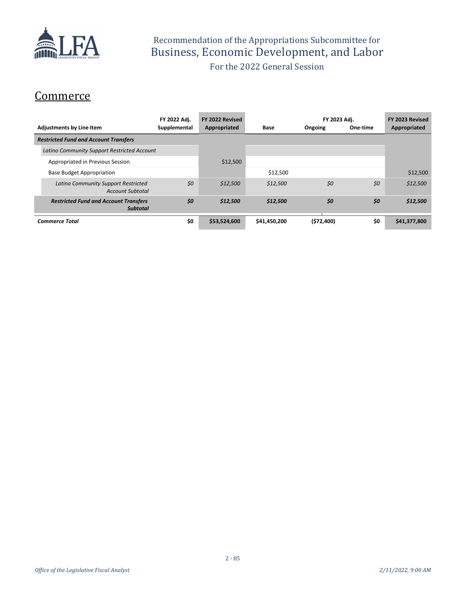

For the 2022 General Session

### **Commerce**

|                                                                | FY 2022 Adj. | FY 2022 Revised |              | FY 2023 Adi. |          | FY 2023 Revised |
|----------------------------------------------------------------|--------------|-----------------|--------------|--------------|----------|-----------------|
| <b>Adjustments by Line Item</b>                                | Supplemental | Appropriated    | <b>Base</b>  | Ongoing      | One-time | Appropriated    |
| <b>Restricted Fund and Account Transfers</b>                   |              |                 |              |              |          |                 |
| Latino Community Support Restricted Account                    |              |                 |              |              |          |                 |
| Appropriated in Previous Session                               |              | \$12,500        |              |              |          |                 |
| <b>Base Budget Appropriation</b>                               |              |                 | \$12,500     |              |          | \$12,500        |
| Latino Community Support Restricted<br><b>Account Subtotal</b> | \$0          | \$12,500        | \$12,500     | \$0          | \$0      | \$12,500        |
| <b>Restricted Fund and Account Transfers</b><br>Subtotal       | \$0          | \$12,500        | \$12,500     | \$0          | \$0      | \$12,500        |
| <b>Commerce Total</b>                                          | \$0          | \$53,524,600    | \$41,450,200 | (572, 400)   | \$0      | \$41,377,800    |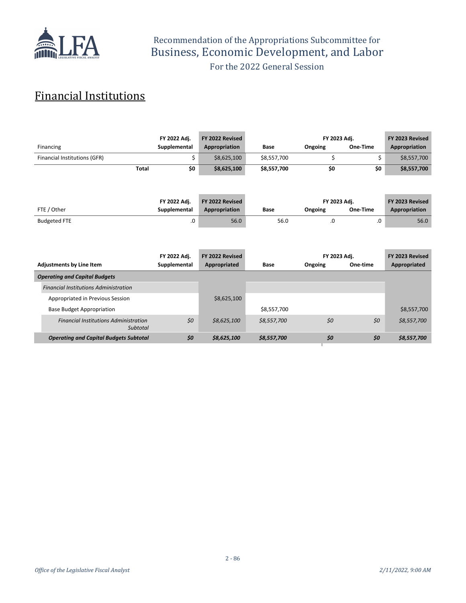

For the 2022 General Session

## Financial Institutions

|                                              | FY 2022 Adj. | FY 2022 Revised                       |             | FY 2023 Adj. |          | FY 2023 Revised |
|----------------------------------------------|--------------|---------------------------------------|-------------|--------------|----------|-----------------|
| Financing                                    | Supplemental | Appropriation                         | Base        | Ongoing      | One-Time | Appropriation   |
| Financial Institutions (GFR)                 | \$           | \$8,625,100                           | \$8,557,700 | \$           | \$       | \$8,557,700     |
|                                              | \$0<br>Total | \$8,625,100                           | \$8,557,700 | \$0          | \$0      | \$8,557,700     |
|                                              |              |                                       |             |              |          |                 |
|                                              |              |                                       |             |              |          |                 |
|                                              | FY 2022 Adj. | FY 2022 Revised                       |             | FY 2023 Adj. |          | FY 2023 Revised |
| FTE / Other                                  | Supplemental | Appropriation                         | Base        | Ongoing      | One-Time | Appropriation   |
| <b>Budgeted FTE</b>                          | .0           | 56.0                                  | 56.0        | .0           | .0       | 56.0            |
|                                              |              |                                       |             |              |          |                 |
|                                              |              |                                       |             |              |          |                 |
|                                              | FY 2022 Adj. | FY 2022 Revised                       |             | FY 2023 Adj. |          | FY 2023 Revised |
| <b>Adjustments by Line Item</b>              | Supplemental | Appropriated                          | Base        | Ongoing      | One-time | Appropriated    |
| <b>Operating and Capital Budgets</b>         |              |                                       |             |              |          |                 |
| <b>Financial Institutions Administration</b> |              |                                       |             |              |          |                 |
| .                                            |              | $\lambda$ and $\lambda$ and $\lambda$ |             |              |          |                 |

| <b>Operating and Capital Budgets Subtotal</b>            | \$0 | \$8,625,100 | \$8,557,700 | \$0 | \$0 | \$8,557,700 |
|----------------------------------------------------------|-----|-------------|-------------|-----|-----|-------------|
| <b>Financial Institutions Administration</b><br>Subtotal | 50  | \$8,625,100 | \$8,557,700 | \$0 | \$0 | \$8,557,700 |
| <b>Base Budget Appropriation</b>                         |     |             | \$8,557,700 |     |     | \$8,557,700 |
| Appropriated in Previous Session                         |     | \$8,625,100 |             |     |     |             |
| Financial Institutions Administration                    |     |             |             |     |     |             |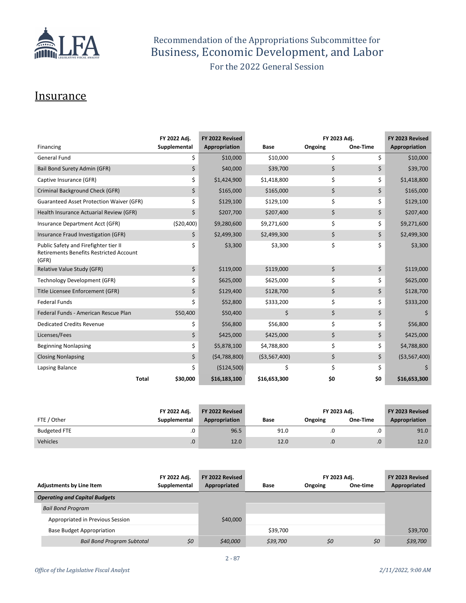

For the 2022 General Session

#### **Insurance**

| Financing                                                                                 | FY 2022 Adj.<br>Supplemental | FY 2022 Revised<br>Appropriation | Base           | FY 2023 Adj.<br>Ongoing | One-Time | FY 2023 Revised<br>Appropriation |
|-------------------------------------------------------------------------------------------|------------------------------|----------------------------------|----------------|-------------------------|----------|----------------------------------|
| <b>General Fund</b>                                                                       | \$                           | \$10,000                         | \$10,000       | \$                      | \$       | \$10,000                         |
| Bail Bond Surety Admin (GFR)                                                              | \$                           | \$40,000                         | \$39,700       | \$                      | \$       | \$39,700                         |
| Captive Insurance (GFR)                                                                   | \$                           | \$1,424,900                      | \$1,418,800    | \$                      | \$       | \$1,418,800                      |
| Criminal Background Check (GFR)                                                           | \$                           | \$165,000                        | \$165,000      | \$                      | \$       | \$165,000                        |
| <b>Guaranteed Asset Protection Waiver (GFR)</b>                                           | \$                           | \$129,100                        | \$129,100      | \$                      | \$       | \$129,100                        |
| Health Insurance Actuarial Review (GFR)                                                   | \$                           | \$207,700                        | \$207,400      | \$                      | \$       | \$207,400                        |
| Insurance Department Acct (GFR)                                                           | ( \$20,400)                  | \$9,280,600                      | \$9,271,600    | \$                      | \$       | \$9,271,600                      |
| Insurance Fraud Investigation (GFR)                                                       | \$                           | \$2,499,300                      | \$2,499,300    | \$                      | \$       | \$2,499,300                      |
| Public Safety and Firefighter tier II<br>Retirements Benefits Restricted Account<br>(GFR) | \$                           | \$3,300                          | \$3,300        | \$                      | \$       | \$3,300                          |
| Relative Value Study (GFR)                                                                | \$                           | \$119,000                        | \$119,000      | \$                      | \$       | \$119,000                        |
| Technology Development (GFR)                                                              | \$                           | \$625,000                        | \$625,000      | \$                      | \$       | \$625,000                        |
| Title Licensee Enforcement (GFR)                                                          | \$                           | \$129,400                        | \$128,700      | \$                      | \$       | \$128,700                        |
| <b>Federal Funds</b>                                                                      | \$                           | \$52,800                         | \$333,200      | \$                      | \$       | \$333,200                        |
| Federal Funds - American Rescue Plan                                                      | \$50,400                     | \$50,400                         | \$             | \$                      | \$       | Ś                                |
| <b>Dedicated Credits Revenue</b>                                                          | \$                           | \$56,800                         | \$56,800       | \$                      | \$       | \$56,800                         |
| Licenses/Fees                                                                             | \$                           | \$425,000                        | \$425,000      | \$                      | \$       | \$425,000                        |
| <b>Beginning Nonlapsing</b>                                                               | \$                           | \$5,878,100                      | \$4,788,800    | \$                      | \$       | \$4,788,800                      |
| <b>Closing Nonlapsing</b>                                                                 | \$                           | (54, 788, 800)                   | ( \$3,567,400) | \$                      | \$       | ( \$3,567,400)                   |
| Lapsing Balance                                                                           | \$                           | ( \$124,500)                     | \$             | \$                      | Ś        |                                  |
| <b>Total</b>                                                                              | \$30,000                     | \$16,183,100                     | \$16,653,300   | \$0                     | \$0      | \$16,653,300                     |

|                     | FY 2022 Adj. | FY 2022 Revised |      | FY 2023 Adj. |          | FY 2023 Revised |
|---------------------|--------------|-----------------|------|--------------|----------|-----------------|
| FTE / Other         | Supplemental | Appropriation   | Base | Ongoing      | One-Time | Appropriation   |
| <b>Budgeted FTE</b> | .0           | 96.5            | 91.0 |              | ٠.       | 91.0            |
| Vehicles            |              | 12.0            | 12.0 | .0           | .0       | 12.0            |

| <b>Adjustments by Line Item</b>      | FY 2022 Adj.<br>Supplemental | FY 2022 Revised<br>Appropriated | Base     | Ongoing | FY 2023 Adj.<br>One-time | FY 2023 Revised<br>Appropriated |
|--------------------------------------|------------------------------|---------------------------------|----------|---------|--------------------------|---------------------------------|
| <b>Operating and Capital Budgets</b> |                              |                                 |          |         |                          |                                 |
| <b>Bail Bond Program</b>             |                              |                                 |          |         |                          |                                 |
| Appropriated in Previous Session     |                              | \$40,000                        |          |         |                          |                                 |
| <b>Base Budget Appropriation</b>     |                              |                                 | \$39,700 |         |                          | \$39,700                        |
| <b>Bail Bond Program Subtotal</b>    | \$0                          | \$40,000                        | \$39,700 | \$0     | \$0                      | \$39,700                        |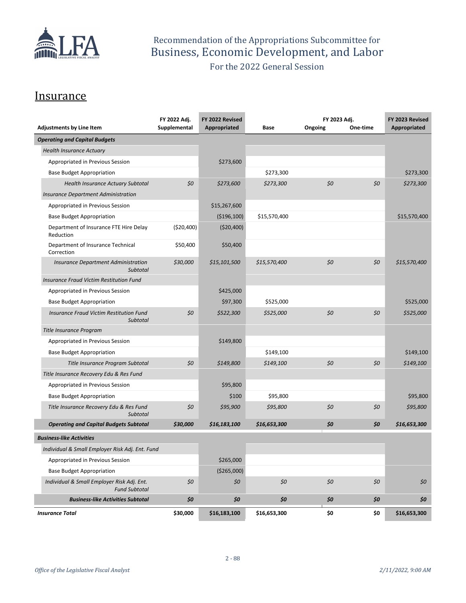

For the 2022 General Session

#### **Insurance**

| <b>Adjustments by Line Item</b>                                    | FY 2022 Adj.<br>Supplemental | FY 2022 Revised<br>Appropriated | Base         | FY 2023 Adj.<br>Ongoing | One-time  | FY 2023 Revised<br>Appropriated |
|--------------------------------------------------------------------|------------------------------|---------------------------------|--------------|-------------------------|-----------|---------------------------------|
| <b>Operating and Capital Budgets</b>                               |                              |                                 |              |                         |           |                                 |
| <b>Health Insurance Actuary</b>                                    |                              |                                 |              |                         |           |                                 |
| Appropriated in Previous Session                                   |                              | \$273,600                       |              |                         |           |                                 |
| <b>Base Budget Appropriation</b>                                   |                              |                                 | \$273,300    |                         |           | \$273,300                       |
| Health Insurance Actuary Subtotal                                  | \$0                          | \$273,600                       | \$273,300    | \$0                     | \$0       | \$273,300                       |
| Insurance Department Administration                                |                              |                                 |              |                         |           |                                 |
| Appropriated in Previous Session                                   |                              | \$15,267,600                    |              |                         |           |                                 |
| <b>Base Budget Appropriation</b>                                   |                              | ( \$196, 100)                   | \$15,570,400 |                         |           | \$15,570,400                    |
| Department of Insurance FTE Hire Delay<br>Reduction                | ( \$20,400)                  | ( \$20,400)                     |              |                         |           |                                 |
| Department of Insurance Technical<br>Correction                    | \$50,400                     | \$50,400                        |              |                         |           |                                 |
| Insurance Department Administration<br>Subtotal                    | \$30,000                     | \$15,101,500                    | \$15,570,400 | \$0                     | 50        | \$15,570,400                    |
| <b>Insurance Fraud Victim Restitution Fund</b>                     |                              |                                 |              |                         |           |                                 |
| Appropriated in Previous Session                                   |                              | \$425,000                       |              |                         |           |                                 |
| <b>Base Budget Appropriation</b>                                   |                              | \$97,300                        | \$525,000    |                         |           | \$525,000                       |
| Insurance Fraud Victim Restitution Fund<br>Subtotal                | \$0                          | \$522,300                       | \$525,000    | \$0                     | \$0       | \$525,000                       |
| Title Insurance Program                                            |                              |                                 |              |                         |           |                                 |
| Appropriated in Previous Session                                   |                              | \$149,800                       |              |                         |           |                                 |
| <b>Base Budget Appropriation</b>                                   |                              |                                 | \$149,100    |                         |           | \$149,100                       |
| Title Insurance Program Subtotal                                   | \$0                          | \$149,800                       | \$149,100    | 50                      | \$0       | \$149,100                       |
| Title Insurance Recovery Edu & Res Fund                            |                              |                                 |              |                         |           |                                 |
| Appropriated in Previous Session                                   |                              | \$95,800                        |              |                         |           |                                 |
| <b>Base Budget Appropriation</b>                                   |                              | \$100                           | \$95,800     |                         |           | \$95,800                        |
| Title Insurance Recovery Edu & Res Fund<br>Subtotal                | \$0                          | \$95,900                        | \$95,800     | \$0                     | \$0       | \$95,800                        |
| <b>Operating and Capital Budgets Subtotal</b>                      | \$30,000                     | \$16,183,100                    | \$16,653,300 | \$0                     | \$0       | \$16,653,300                    |
| <b>Business-like Activities</b>                                    |                              |                                 |              |                         |           |                                 |
| Individual & Small Employer Risk Adj. Ent. Fund                    |                              |                                 |              |                         |           |                                 |
| Appropriated in Previous Session                                   |                              | \$265,000                       |              |                         |           |                                 |
| <b>Base Budget Appropriation</b>                                   |                              | (\$265,000)                     |              |                         |           |                                 |
| Individual & Small Employer Risk Adj. Ent.<br><b>Fund Subtotal</b> | \$0                          | \$0                             | $$50$        | $$50$                   | $\zeta_0$ | \$0                             |
| <b>Business-like Activities Subtotal</b>                           | \$0                          | \$0                             | \$0          | \$0                     | \$0       | \$0                             |
| <b>Insurance Total</b>                                             | \$30,000                     | \$16,183,100                    | \$16,653,300 | \$0                     | \$0       | \$16,653,300                    |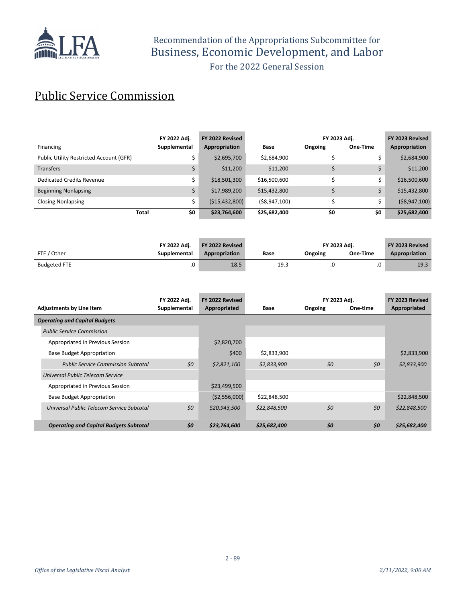

For the 2022 General Session

# Public Service Commission

|                                                | FY 2022 Adj. | FY 2022 Revised |                | FY 2023 Adj. |          | FY 2023 Revised |
|------------------------------------------------|--------------|-----------------|----------------|--------------|----------|-----------------|
| Financing                                      | Supplemental | Appropriation   | Base           | Ongoing      | One-Time | Appropriation   |
| <b>Public Utility Restricted Account (GFR)</b> |              | \$2,695,700     | \$2,684,900    |              |          | \$2,684,900     |
| <b>Transfers</b>                               | Ś.           | \$11,200        | \$11,200       | \$           |          | \$11,200        |
| <b>Dedicated Credits Revenue</b>               | Ś.           | \$18,501,300    | \$16,500,600   |              |          | \$16,500,600    |
| <b>Beginning Nonlapsing</b>                    | Ś.           | \$17,989,200    | \$15,432,800   |              |          | \$15,432,800    |
| <b>Closing Nonlapsing</b>                      | Ś.           | ( \$15,432,800) | ( \$8,947,100) | Ś            |          | ( \$8,947,100)  |
|                                                | \$0<br>Total | \$23,764,600    | \$25,682,400   | \$0          | \$0      | \$25,682,400    |

|              | FY 2022 Adi. | FY 2022 Revised | FY 2023 Adi. |         | FY 2023 Revised |               |
|--------------|--------------|-----------------|--------------|---------|-----------------|---------------|
| FTE / Other  | Supplemental | Appropriation   | Base         | Ongoing | One Time        | Appropriation |
| Budgeted FTE |              | 18.5            | 19.3         |         |                 | 19.3          |

|                                               | FY 2022 Adj. | FY 2022 Revised |              | FY 2023 Adj. |          | FY 2023 Revised |
|-----------------------------------------------|--------------|-----------------|--------------|--------------|----------|-----------------|
| <b>Adjustments by Line Item</b>               | Supplemental | Appropriated    | Base         | Ongoing      | One-time | Appropriated    |
| <b>Operating and Capital Budgets</b>          |              |                 |              |              |          |                 |
| <b>Public Service Commission</b>              |              |                 |              |              |          |                 |
| Appropriated in Previous Session              |              | \$2,820,700     |              |              |          |                 |
| <b>Base Budget Appropriation</b>              |              | \$400           | \$2,833,900  |              |          | \$2,833,900     |
| <b>Public Service Commission Subtotal</b>     | \$0          | \$2,821,100     | \$2,833,900  | \$0          | 50       | \$2,833,900     |
| Universal Public Telecom Service              |              |                 |              |              |          |                 |
| Appropriated in Previous Session              |              | \$23,499,500    |              |              |          |                 |
| <b>Base Budget Appropriation</b>              |              | ( \$2,556,000)  | \$22,848,500 |              |          | \$22,848,500    |
| Universal Public Telecom Service Subtotal     | 50           | \$20,943,500    | \$22,848,500 | \$0          | \$0      | \$22,848,500    |
| <b>Operating and Capital Budgets Subtotal</b> | \$0          | \$23,764,600    | \$25,682,400 | \$0          | \$0      | \$25,682,400    |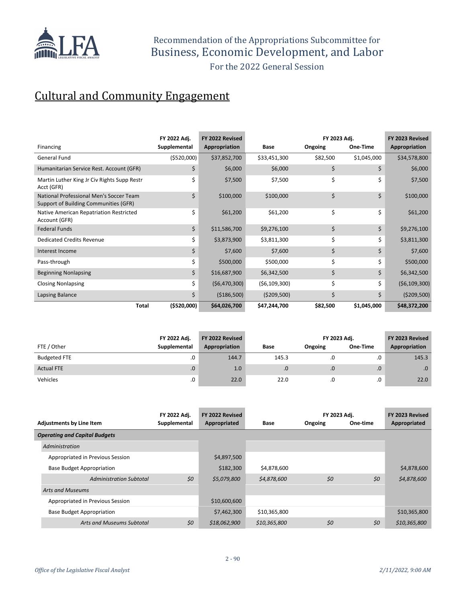

For the 2022 General Session

## Cultural and Community Engagement

|                                                                                  | FY 2022 Adj. | FY 2022 Revised |                | FY 2023 Adj. |             | FY 2023 Revised |
|----------------------------------------------------------------------------------|--------------|-----------------|----------------|--------------|-------------|-----------------|
| Financing                                                                        | Supplemental | Appropriation   | Base           | Ongoing      | One-Time    | Appropriation   |
| <b>General Fund</b>                                                              | ( \$520,000) | \$37,852,700    | \$33,451,300   | \$82,500     | \$1,045,000 | \$34,578,800    |
| Humanitarian Service Rest. Account (GFR)                                         | \$           | \$6,000         | \$6,000        | \$           | \$          | \$6,000         |
| Martin Luther King Jr Civ Rights Supp Restr<br>Acct (GFR)                        | \$           | \$7,500         | \$7,500        | \$           | Ś.          | \$7,500         |
| National Professional Men's Soccer Team<br>Support of Building Communities (GFR) | \$           | \$100,000       | \$100,000      | \$           | \$          | \$100,000       |
| Native American Repatriation Restricted<br>Account (GFR)                         | \$           | \$61,200        | \$61,200       | \$           | Ś.          | \$61,200        |
| <b>Federal Funds</b>                                                             | \$           | \$11,586,700    | \$9,276,100    | \$           | \$          | \$9,276,100     |
| <b>Dedicated Credits Revenue</b>                                                 | \$           | \$3,873,900     | \$3,811,300    | \$           | Ś.          | \$3,811,300     |
| Interest Income                                                                  | \$           | \$7,600         | \$7,600        | \$           | \$          | \$7,600         |
| Pass-through                                                                     | \$           | \$500,000       | \$500,000      | \$           | \$          | \$500,000       |
| <b>Beginning Nonlapsing</b>                                                      | \$           | \$16,687,900    | \$6,342,500    | \$           | \$          | \$6,342,500     |
| <b>Closing Nonlapsing</b>                                                        | \$           | (56, 470, 300)  | (56, 109, 300) | \$           | \$          | (56, 109, 300)  |
| Lapsing Balance                                                                  | \$           | ( \$186,500)    | (5209,500)     | \$           | \$          | ( \$209,500)    |
| <b>Total</b>                                                                     | ( \$520,000] | \$64,026,700    | \$47,244,700   | \$82,500     | \$1,045,000 | \$48,372,200    |

|                     | FY 2022 Adj.    | FY 2022 Revised |             | FY 2023 Adj. |          | FY 2023 Revised |
|---------------------|-----------------|-----------------|-------------|--------------|----------|-----------------|
| FTE / Other         | Supplemental    | Appropriation   | <b>Base</b> | Ongoing      | One-Time | Appropriation   |
| <b>Budgeted FTE</b> | .0              | 144.7           | 145.3       | .0           | .0       | 145.3           |
| <b>Actual FTE</b>   | .0 <sub>1</sub> | 1.0             | .U          | .0           | .0       | .0 <sub>1</sub> |
| Vehicles            | $.0\,$          | 22.0            | 22.0        | .0           | .0       | 22.0            |

|                                      | FY 2022 Adj. | FY 2022 Revised |              | FY 2023 Adj. |          | FY 2023 Revised |
|--------------------------------------|--------------|-----------------|--------------|--------------|----------|-----------------|
| <b>Adjustments by Line Item</b>      | Supplemental | Appropriated    | <b>Base</b>  | Ongoing      | One-time | Appropriated    |
| <b>Operating and Capital Budgets</b> |              |                 |              |              |          |                 |
| Administration                       |              |                 |              |              |          |                 |
| Appropriated in Previous Session     |              | \$4,897,500     |              |              |          |                 |
| <b>Base Budget Appropriation</b>     |              | \$182,300       | \$4,878,600  |              |          | \$4,878,600     |
| <b>Administration Subtotal</b>       | 50           | \$5,079,800     | \$4,878,600  | \$0          | \$0      | \$4,878,600     |
| <b>Arts and Museums</b>              |              |                 |              |              |          |                 |
| Appropriated in Previous Session     |              | \$10,600,600    |              |              |          |                 |
| <b>Base Budget Appropriation</b>     |              | \$7,462,300     | \$10,365,800 |              |          | \$10,365,800    |
| <b>Arts and Museums Subtotal</b>     | \$0          | \$18,062,900    | \$10,365,800 | \$0          | \$0      | \$10,365,800    |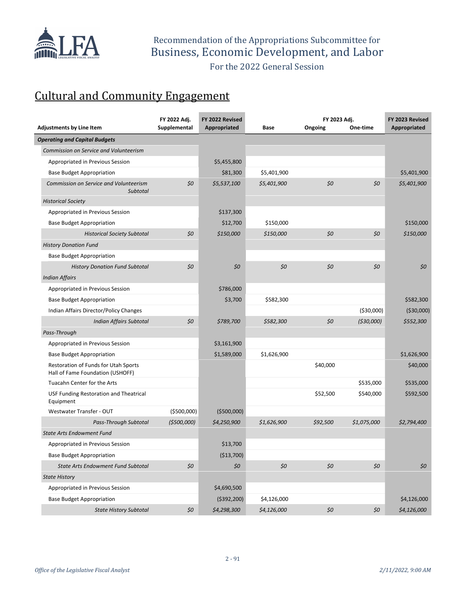

ĺ

Recommendation of the Appropriations Subcommittee for Business, Economic Development, and Labor

For the 2022 General Session

## Cultural and Community Engagement

|                                                                          | FY 2022 Adj. | FY 2022 Revised |             | FY 2023 Adj.               |             | FY 2023 Revised |
|--------------------------------------------------------------------------|--------------|-----------------|-------------|----------------------------|-------------|-----------------|
| <b>Adjustments by Line Item</b>                                          | Supplemental | Appropriated    | Base        | Ongoing                    | One-time    | Appropriated    |
| <b>Operating and Capital Budgets</b>                                     |              |                 |             |                            |             |                 |
| Commission on Service and Volunteerism                                   |              |                 |             |                            |             |                 |
| Appropriated in Previous Session                                         |              | \$5,455,800     |             |                            |             |                 |
| <b>Base Budget Appropriation</b>                                         |              | \$81,300        | \$5,401,900 |                            |             | \$5,401,900     |
| Commission on Service and Volunteerism<br>Subtotal                       | \$0          | \$5,537,100     | \$5,401,900 | \$0                        | \$0         | \$5,401,900     |
| <b>Historical Society</b>                                                |              |                 |             |                            |             |                 |
| Appropriated in Previous Session                                         |              | \$137,300       |             |                            |             |                 |
| <b>Base Budget Appropriation</b>                                         |              | \$12,700        | \$150,000   |                            |             | \$150,000       |
| <b>Historical Society Subtotal</b>                                       | \$0          | \$150,000       | \$150,000   | 50                         | \$0         | \$150,000       |
| <b>History Donation Fund</b>                                             |              |                 |             |                            |             |                 |
| <b>Base Budget Appropriation</b>                                         |              |                 |             |                            |             |                 |
| <b>History Donation Fund Subtotal</b>                                    | 50           | \$0             | \$0         | 50                         | \$0         | \$0\$           |
| <b>Indian Affairs</b>                                                    |              |                 |             |                            |             |                 |
| Appropriated in Previous Session                                         |              | \$786,000       |             |                            |             |                 |
| <b>Base Budget Appropriation</b>                                         |              | \$3,700         | \$582,300   |                            |             | \$582,300       |
| Indian Affairs Director/Policy Changes                                   |              |                 |             |                            | ( \$30,000) | ( \$30,000)     |
| <b>Indian Affairs Subtotal</b>                                           | 50           | \$789,700       | \$582,300   | 50                         | (530,000)   | \$552,300       |
| Pass-Through                                                             |              |                 |             |                            |             |                 |
| Appropriated in Previous Session                                         |              | \$3,161,900     |             |                            |             |                 |
| <b>Base Budget Appropriation</b>                                         |              | \$1,589,000     | \$1,626,900 |                            |             | \$1,626,900     |
| Restoration of Funds for Utah Sports<br>Hall of Fame Foundation (USHOFF) |              |                 |             | \$40,000                   |             | \$40,000        |
| Tuacahn Center for the Arts                                              |              |                 |             |                            | \$535,000   | \$535,000       |
| USF Funding Restoration and Theatrical<br>Equipment                      |              |                 |             | \$52,500                   | \$540,000   | \$592,500       |
| Westwater Transfer - OUT                                                 | ( \$500,000) | ( \$500,000]    |             |                            |             |                 |
| Pass-Through Subtotal                                                    | (5500,000)   | \$4,250,900     | \$1,626,900 | \$92,500                   | \$1,075,000 | \$2,794,400     |
| <b>State Arts Endowment Fund</b>                                         |              |                 |             |                            |             |                 |
| Appropriated in Previous Session                                         |              | \$13,700        |             |                            |             |                 |
| <b>Base Budget Appropriation</b>                                         |              | ( \$13,700)     |             |                            |             |                 |
| <b>State Arts Endowment Fund Subtotal</b>                                | 50           | \$0             | \$0         | $50$                       | \$0         | \$0\$           |
| <b>State History</b>                                                     |              |                 |             |                            |             |                 |
| Appropriated in Previous Session                                         |              | \$4,690,500     |             |                            |             |                 |
| <b>Base Budget Appropriation</b>                                         |              | ( \$392, 200)   | \$4,126,000 |                            |             | \$4,126,000     |
| <b>State History Subtotal</b>                                            | \$0          | \$4,298,300     | \$4,126,000 | $\boldsymbol{\mathit{50}}$ | \$0         | \$4,126,000     |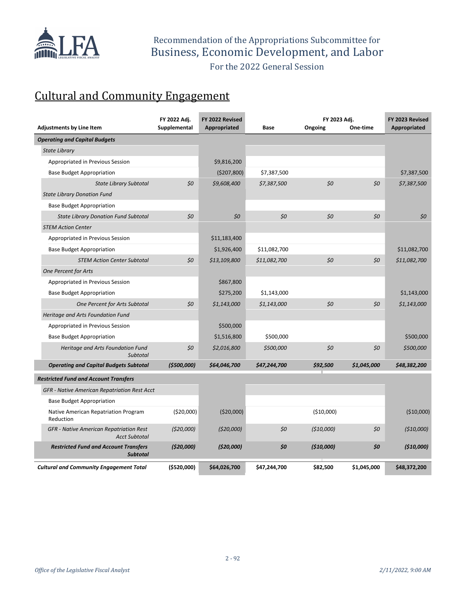

For the 2022 General Session

## Cultural and Community Engagement

| <b>Adjustments by Line Item</b>                                        | FY 2022 Adj.<br>Supplemental | FY 2022 Revised<br>Appropriated | Base         | FY 2023 Adj.<br>Ongoing | One-time    | FY 2023 Revised<br>Appropriated |
|------------------------------------------------------------------------|------------------------------|---------------------------------|--------------|-------------------------|-------------|---------------------------------|
|                                                                        |                              |                                 |              |                         |             |                                 |
| <b>Operating and Capital Budgets</b>                                   |                              |                                 |              |                         |             |                                 |
| <b>State Library</b>                                                   |                              |                                 |              |                         |             |                                 |
| Appropriated in Previous Session                                       |                              | \$9,816,200                     |              |                         |             |                                 |
| <b>Base Budget Appropriation</b>                                       |                              | (5207,800)                      | \$7,387,500  |                         |             | \$7,387,500                     |
| <b>State Library Subtotal</b>                                          | \$0                          | \$9,608,400                     | \$7,387,500  | \$0                     | \$0         | \$7,387,500                     |
| <b>State Library Donation Fund</b>                                     |                              |                                 |              |                         |             |                                 |
| <b>Base Budget Appropriation</b>                                       |                              |                                 |              |                         |             |                                 |
| <b>State Library Donation Fund Subtotal</b>                            | \$0                          | \$0                             | \$0          | \$0                     | \$0         | \$0\$                           |
| <b>STEM Action Center</b>                                              |                              |                                 |              |                         |             |                                 |
| Appropriated in Previous Session                                       |                              | \$11,183,400                    |              |                         |             |                                 |
| <b>Base Budget Appropriation</b>                                       |                              | \$1,926,400                     | \$11,082,700 |                         |             | \$11,082,700                    |
| <b>STEM Action Center Subtotal</b>                                     | \$0                          | \$13,109,800                    | \$11,082,700 | \$0                     | \$0         | \$11,082,700                    |
| One Percent for Arts                                                   |                              |                                 |              |                         |             |                                 |
| Appropriated in Previous Session                                       |                              | \$867,800                       |              |                         |             |                                 |
| <b>Base Budget Appropriation</b>                                       |                              | \$275,200                       | \$1,143,000  |                         |             | \$1,143,000                     |
| One Percent for Arts Subtotal                                          | \$0                          | \$1,143,000                     | \$1,143,000  | \$0                     | \$0         | \$1,143,000                     |
| Heritage and Arts Foundation Fund                                      |                              |                                 |              |                         |             |                                 |
| Appropriated in Previous Session                                       |                              | \$500,000                       |              |                         |             |                                 |
| <b>Base Budget Appropriation</b>                                       |                              | \$1,516,800                     | \$500,000    |                         |             | \$500,000                       |
| Heritage and Arts Foundation Fund<br>Subtotal                          | \$0                          | \$2,016,800                     | \$500,000    | 50                      | \$0         | \$500,000                       |
| <b>Operating and Capital Budgets Subtotal</b>                          | (5500,000)                   | \$64,046,700                    | \$47,244,700 | \$92,500                | \$1,045,000 | \$48,382,200                    |
| <b>Restricted Fund and Account Transfers</b>                           |                              |                                 |              |                         |             |                                 |
| <b>GFR - Native American Repatriation Rest Acct</b>                    |                              |                                 |              |                         |             |                                 |
| <b>Base Budget Appropriation</b>                                       |                              |                                 |              |                         |             |                                 |
| Native American Repatriation Program<br>Reduction                      | (520,000)                    | ( \$20,000)                     |              | (\$10,000)              |             | (\$10,000)                      |
| <b>GFR - Native American Repatriation Rest</b><br><b>Acct Subtotal</b> | (520,000)                    | (520,000)                       | \$0          | (510,000)               | \$0         | (\$10,000)                      |
| <b>Restricted Fund and Account Transfers</b><br>Subtotal               | (520,000)                    | (520,000)                       | \$0          | (510,000)               | \$0         | (510,000)                       |
| <b>Cultural and Community Engagement Total</b>                         | ( \$520,000]                 | \$64,026,700                    | \$47,244,700 | \$82,500                | \$1,045,000 | \$48,372,200                    |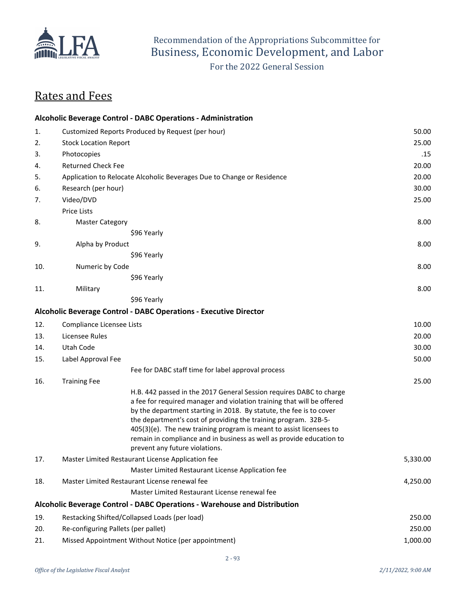

For the 2022 General Session

|     |                                     | Alcoholic Beverage Control - DABC Operations - Administration                                                                                                                                                                                                                                                                                                                                                                                                            |          |
|-----|-------------------------------------|--------------------------------------------------------------------------------------------------------------------------------------------------------------------------------------------------------------------------------------------------------------------------------------------------------------------------------------------------------------------------------------------------------------------------------------------------------------------------|----------|
| 1.  |                                     | Customized Reports Produced by Request (per hour)                                                                                                                                                                                                                                                                                                                                                                                                                        | 50.00    |
| 2.  | <b>Stock Location Report</b>        |                                                                                                                                                                                                                                                                                                                                                                                                                                                                          | 25.00    |
| 3.  | Photocopies                         |                                                                                                                                                                                                                                                                                                                                                                                                                                                                          | .15      |
| 4.  | <b>Returned Check Fee</b>           |                                                                                                                                                                                                                                                                                                                                                                                                                                                                          | 20.00    |
| 5.  |                                     | Application to Relocate Alcoholic Beverages Due to Change or Residence                                                                                                                                                                                                                                                                                                                                                                                                   | 20.00    |
| 6.  | Research (per hour)                 |                                                                                                                                                                                                                                                                                                                                                                                                                                                                          | 30.00    |
| 7.  | Video/DVD                           |                                                                                                                                                                                                                                                                                                                                                                                                                                                                          | 25.00    |
|     | Price Lists                         |                                                                                                                                                                                                                                                                                                                                                                                                                                                                          |          |
| 8.  | <b>Master Category</b>              |                                                                                                                                                                                                                                                                                                                                                                                                                                                                          | 8.00     |
|     |                                     | \$96 Yearly                                                                                                                                                                                                                                                                                                                                                                                                                                                              |          |
| 9.  | Alpha by Product                    |                                                                                                                                                                                                                                                                                                                                                                                                                                                                          | 8.00     |
|     |                                     | \$96 Yearly                                                                                                                                                                                                                                                                                                                                                                                                                                                              |          |
| 10. | Numeric by Code                     |                                                                                                                                                                                                                                                                                                                                                                                                                                                                          | 8.00     |
|     |                                     | \$96 Yearly                                                                                                                                                                                                                                                                                                                                                                                                                                                              |          |
| 11. | Military                            |                                                                                                                                                                                                                                                                                                                                                                                                                                                                          | 8.00     |
|     |                                     | \$96 Yearly                                                                                                                                                                                                                                                                                                                                                                                                                                                              |          |
|     |                                     | Alcoholic Beverage Control - DABC Operations - Executive Director                                                                                                                                                                                                                                                                                                                                                                                                        |          |
| 12. | Compliance Licensee Lists           |                                                                                                                                                                                                                                                                                                                                                                                                                                                                          | 10.00    |
| 13. | Licensee Rules                      |                                                                                                                                                                                                                                                                                                                                                                                                                                                                          | 20.00    |
| 14. | Utah Code                           |                                                                                                                                                                                                                                                                                                                                                                                                                                                                          | 30.00    |
| 15. | Label Approval Fee                  |                                                                                                                                                                                                                                                                                                                                                                                                                                                                          | 50.00    |
|     |                                     | Fee for DABC staff time for label approval process                                                                                                                                                                                                                                                                                                                                                                                                                       |          |
| 16. | <b>Training Fee</b>                 |                                                                                                                                                                                                                                                                                                                                                                                                                                                                          | 25.00    |
|     |                                     | H.B. 442 passed in the 2017 General Session requires DABC to charge<br>a fee for required manager and violation training that will be offered<br>by the department starting in 2018. By statute, the fee is to cover<br>the department's cost of providing the training program. 32B-5-<br>405(3)(e). The new training program is meant to assist licensees to<br>remain in compliance and in business as well as provide education to<br>prevent any future violations. |          |
| 17. |                                     | Master Limited Restaurant License Application fee                                                                                                                                                                                                                                                                                                                                                                                                                        | 5,330.00 |
|     |                                     | Master Limited Restaurant License Application fee                                                                                                                                                                                                                                                                                                                                                                                                                        |          |
| 18. |                                     | Master Limited Restaurant License renewal fee                                                                                                                                                                                                                                                                                                                                                                                                                            | 4,250.00 |
|     |                                     | Master Limited Restaurant License renewal fee                                                                                                                                                                                                                                                                                                                                                                                                                            |          |
|     |                                     | Alcoholic Beverage Control - DABC Operations - Warehouse and Distribution                                                                                                                                                                                                                                                                                                                                                                                                |          |
| 19. |                                     | Restacking Shifted/Collapsed Loads (per load)                                                                                                                                                                                                                                                                                                                                                                                                                            | 250.00   |
| 20. | Re-configuring Pallets (per pallet) |                                                                                                                                                                                                                                                                                                                                                                                                                                                                          | 250.00   |
| 21. |                                     | Missed Appointment Without Notice (per appointment)                                                                                                                                                                                                                                                                                                                                                                                                                      | 1,000.00 |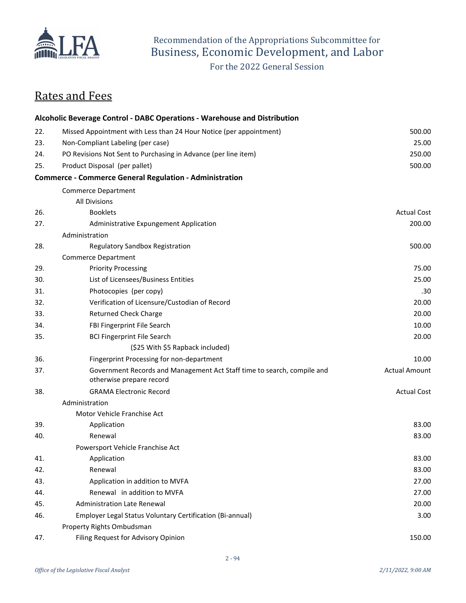

For the 2022 General Session

|     | Alcoholic Beverage Control - DABC Operations - Warehouse and Distribution                           |                      |
|-----|-----------------------------------------------------------------------------------------------------|----------------------|
| 22. | Missed Appointment with Less than 24 Hour Notice (per appointment)                                  | 500.00               |
| 23. | Non-Compliant Labeling (per case)                                                                   | 25.00                |
| 24. | PO Revisions Not Sent to Purchasing in Advance (per line item)                                      | 250.00               |
| 25. | Product Disposal (per pallet)                                                                       | 500.00               |
|     | <b>Commerce - Commerce General Regulation - Administration</b>                                      |                      |
|     | <b>Commerce Department</b>                                                                          |                      |
|     | <b>All Divisions</b>                                                                                |                      |
| 26. | <b>Booklets</b>                                                                                     | <b>Actual Cost</b>   |
| 27. | Administrative Expungement Application                                                              | 200.00               |
|     | Administration                                                                                      |                      |
| 28. | <b>Regulatory Sandbox Registration</b>                                                              | 500.00               |
|     | <b>Commerce Department</b>                                                                          |                      |
| 29. | <b>Priority Processing</b>                                                                          | 75.00                |
| 30. | List of Licensees/Business Entities                                                                 | 25.00                |
| 31. | Photocopies (per copy)                                                                              | .30                  |
| 32. | Verification of Licensure/Custodian of Record                                                       | 20.00                |
| 33. | <b>Returned Check Charge</b>                                                                        | 20.00                |
| 34. | FBI Fingerprint File Search                                                                         | 10.00                |
| 35. | <b>BCI Fingerprint File Search</b>                                                                  | 20.00                |
|     | (\$25 With \$5 Rapback included)                                                                    |                      |
| 36. | Fingerprint Processing for non-department                                                           | 10.00                |
| 37. | Government Records and Management Act Staff time to search, compile and<br>otherwise prepare record | <b>Actual Amount</b> |
| 38. | <b>GRAMA Electronic Record</b>                                                                      | <b>Actual Cost</b>   |
|     | Administration                                                                                      |                      |
|     | Motor Vehicle Franchise Act                                                                         |                      |
| 39. | Application                                                                                         | 83.00                |
| 40. | Renewal                                                                                             | 83.00                |
|     | Powersport Vehicle Franchise Act                                                                    |                      |
| 41. | Application                                                                                         | 83.00                |
| 42. | Renewal                                                                                             | 83.00                |
| 43. | Application in addition to MVFA                                                                     | 27.00                |
| 44. | Renewal in addition to MVFA                                                                         | 27.00                |
| 45. | <b>Administration Late Renewal</b>                                                                  | 20.00                |
| 46. | Employer Legal Status Voluntary Certification (Bi-annual)                                           | 3.00                 |
|     | Property Rights Ombudsman                                                                           |                      |
| 47. | Filing Request for Advisory Opinion                                                                 | 150.00               |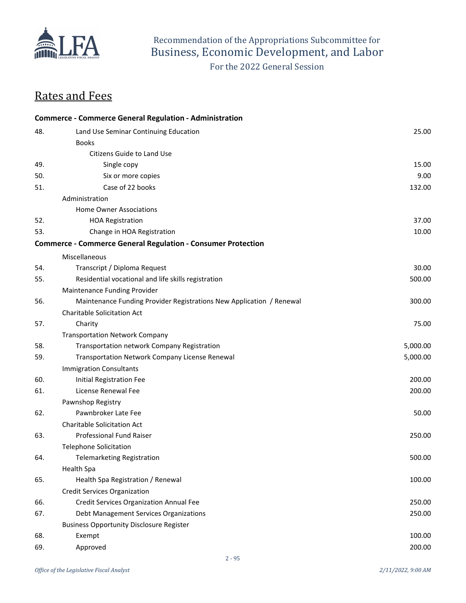

For the 2022 General Session

|     | <b>Commerce - Commerce General Regulation - Administration</b>       |          |
|-----|----------------------------------------------------------------------|----------|
| 48. | Land Use Seminar Continuing Education                                | 25.00    |
|     | <b>Books</b>                                                         |          |
|     | Citizens Guide to Land Use                                           |          |
| 49. | Single copy                                                          | 15.00    |
| 50. | Six or more copies                                                   | 9.00     |
| 51. | Case of 22 books                                                     | 132.00   |
|     | Administration                                                       |          |
|     | <b>Home Owner Associations</b>                                       |          |
| 52. | <b>HOA Registration</b>                                              | 37.00    |
| 53. | Change in HOA Registration                                           | 10.00    |
|     | <b>Commerce - Commerce General Regulation - Consumer Protection</b>  |          |
|     | Miscellaneous                                                        |          |
| 54. | Transcript / Diploma Request                                         | 30.00    |
| 55. | Residential vocational and life skills registration                  | 500.00   |
|     | Maintenance Funding Provider                                         |          |
| 56. | Maintenance Funding Provider Registrations New Application / Renewal | 300.00   |
|     | Charitable Solicitation Act                                          |          |
| 57. | Charity                                                              | 75.00    |
|     | <b>Transportation Network Company</b>                                |          |
| 58. | Transportation network Company Registration                          | 5,000.00 |
| 59. | Transportation Network Company License Renewal                       | 5,000.00 |
|     | <b>Immigration Consultants</b>                                       |          |
| 60. | <b>Initial Registration Fee</b>                                      | 200.00   |
| 61. | License Renewal Fee                                                  | 200.00   |
|     | Pawnshop Registry                                                    |          |
| 62. | Pawnbroker Late Fee                                                  | 50.00    |
|     | Charitable Solicitation Act                                          |          |
| 63. | Professional Fund Raiser                                             | 250.00   |
|     | <b>Telephone Solicitation</b>                                        |          |
| 64. | <b>Telemarketing Registration</b>                                    | 500.00   |
|     | Health Spa                                                           |          |
| 65. | Health Spa Registration / Renewal                                    | 100.00   |
|     | <b>Credit Services Organization</b>                                  |          |
| 66. | <b>Credit Services Organization Annual Fee</b>                       | 250.00   |
| 67. | Debt Management Services Organizations                               | 250.00   |
|     | <b>Business Opportunity Disclosure Register</b>                      |          |
| 68. | Exempt                                                               | 100.00   |
| 69. | Approved                                                             | 200.00   |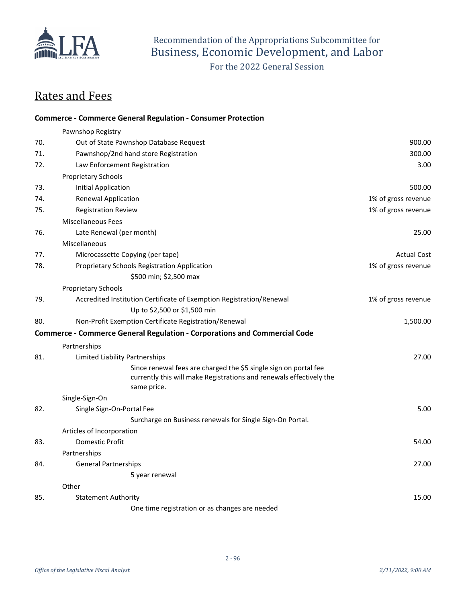

For the 2022 General Session

|     | <b>Commerce - Commerce General Regulation - Consumer Protection</b>                                                                                    |                     |
|-----|--------------------------------------------------------------------------------------------------------------------------------------------------------|---------------------|
|     | Pawnshop Registry                                                                                                                                      |                     |
| 70. | Out of State Pawnshop Database Request                                                                                                                 | 900.00              |
| 71. | Pawnshop/2nd hand store Registration                                                                                                                   | 300.00              |
| 72. | Law Enforcement Registration                                                                                                                           | 3.00                |
|     | <b>Proprietary Schools</b>                                                                                                                             |                     |
| 73. | <b>Initial Application</b>                                                                                                                             | 500.00              |
| 74. | Renewal Application                                                                                                                                    | 1% of gross revenue |
| 75. | <b>Registration Review</b>                                                                                                                             | 1% of gross revenue |
|     | <b>Miscellaneous Fees</b>                                                                                                                              |                     |
| 76. | Late Renewal (per month)                                                                                                                               | 25.00               |
|     | Miscellaneous                                                                                                                                          |                     |
| 77. | Microcassette Copying (per tape)                                                                                                                       | <b>Actual Cost</b>  |
| 78. | Proprietary Schools Registration Application                                                                                                           | 1% of gross revenue |
|     | \$500 min; \$2,500 max                                                                                                                                 |                     |
|     | <b>Proprietary Schools</b>                                                                                                                             |                     |
| 79. | Accredited Institution Certificate of Exemption Registration/Renewal                                                                                   | 1% of gross revenue |
|     | Up to \$2,500 or \$1,500 min                                                                                                                           |                     |
| 80. | Non-Profit Exemption Certificate Registration/Renewal                                                                                                  | 1,500.00            |
|     | <b>Commerce - Commerce General Regulation - Corporations and Commercial Code</b>                                                                       |                     |
|     | Partnerships                                                                                                                                           |                     |
| 81. | <b>Limited Liability Partnerships</b>                                                                                                                  | 27.00               |
|     | Since renewal fees are charged the \$5 single sign on portal fee<br>currently this will make Registrations and renewals effectively the<br>same price. |                     |
|     | Single-Sign-On                                                                                                                                         |                     |
| 82. | Single Sign-On-Portal Fee                                                                                                                              | 5.00                |
|     | Surcharge on Business renewals for Single Sign-On Portal.                                                                                              |                     |
|     | Articles of Incorporation                                                                                                                              |                     |
| 83. | <b>Domestic Profit</b>                                                                                                                                 | 54.00               |
|     | Partnerships                                                                                                                                           |                     |
| 84. | <b>General Partnerships</b>                                                                                                                            | 27.00               |
|     | 5 year renewal                                                                                                                                         |                     |
|     | Other                                                                                                                                                  |                     |
| 85. | <b>Statement Authority</b>                                                                                                                             | 15.00               |
|     | One time registration or as changes are needed                                                                                                         |                     |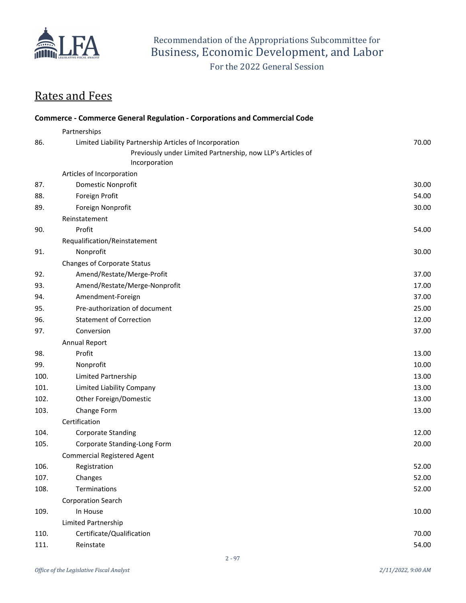

For the 2022 General Session

|      | <b>Commerce - Commerce General Regulation - Corporations and Commercial Code</b> |       |
|------|----------------------------------------------------------------------------------|-------|
|      | Partnerships                                                                     |       |
| 86.  | Limited Liability Partnership Articles of Incorporation                          | 70.00 |
|      | Previously under Limited Partnership, now LLP's Articles of<br>Incorporation     |       |
|      | Articles of Incorporation                                                        |       |
| 87.  | Domestic Nonprofit                                                               | 30.00 |
| 88.  | Foreign Profit                                                                   | 54.00 |
| 89.  | Foreign Nonprofit                                                                | 30.00 |
|      | Reinstatement                                                                    |       |
| 90.  | Profit                                                                           | 54.00 |
|      | Requalification/Reinstatement                                                    |       |
| 91.  | Nonprofit                                                                        | 30.00 |
|      | <b>Changes of Corporate Status</b>                                               |       |
| 92.  | Amend/Restate/Merge-Profit                                                       | 37.00 |
| 93.  | Amend/Restate/Merge-Nonprofit                                                    | 17.00 |
| 94.  | Amendment-Foreign                                                                | 37.00 |
| 95.  | Pre-authorization of document                                                    | 25.00 |
| 96.  | <b>Statement of Correction</b>                                                   | 12.00 |
| 97.  | Conversion                                                                       | 37.00 |
|      | <b>Annual Report</b>                                                             |       |
| 98.  | Profit                                                                           | 13.00 |
| 99.  | Nonprofit                                                                        | 10.00 |
| 100. | Limited Partnership                                                              | 13.00 |
| 101. | Limited Liability Company                                                        | 13.00 |
| 102. | Other Foreign/Domestic                                                           | 13.00 |
| 103. | Change Form                                                                      | 13.00 |
|      | Certification                                                                    |       |
| 104. | <b>Corporate Standing</b>                                                        | 12.00 |
| 105. | Corporate Standing-Long Form                                                     | 20.00 |
|      | <b>Commercial Registered Agent</b>                                               |       |
| 106. | Registration                                                                     | 52.00 |
| 107. | Changes                                                                          | 52.00 |
| 108. | Terminations                                                                     | 52.00 |
|      | <b>Corporation Search</b>                                                        |       |
| 109. | In House                                                                         | 10.00 |
|      | Limited Partnership                                                              |       |
| 110. | Certificate/Qualification                                                        | 70.00 |
| 111. | Reinstate                                                                        | 54.00 |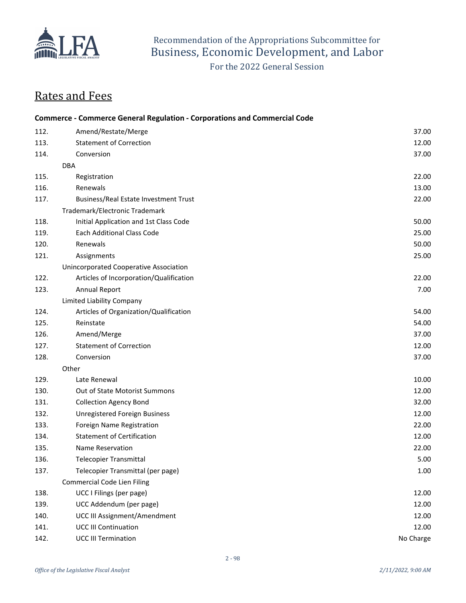

For the 2022 General Session

|      | <b>Commerce - Commerce General Regulation - Corporations and Commercial Code</b> |           |
|------|----------------------------------------------------------------------------------|-----------|
| 112. | Amend/Restate/Merge                                                              | 37.00     |
| 113. | <b>Statement of Correction</b>                                                   | 12.00     |
| 114. | Conversion                                                                       | 37.00     |
|      | <b>DBA</b>                                                                       |           |
| 115. | Registration                                                                     | 22.00     |
| 116. | Renewals                                                                         | 13.00     |
| 117. | <b>Business/Real Estate Investment Trust</b>                                     | 22.00     |
|      | Trademark/Electronic Trademark                                                   |           |
| 118. | Initial Application and 1st Class Code                                           | 50.00     |
| 119. | <b>Each Additional Class Code</b>                                                | 25.00     |
| 120. | Renewals                                                                         | 50.00     |
| 121. | Assignments                                                                      | 25.00     |
|      | Unincorporated Cooperative Association                                           |           |
| 122. | Articles of Incorporation/Qualification                                          | 22.00     |
| 123. | Annual Report                                                                    | 7.00      |
|      | Limited Liability Company                                                        |           |
| 124. | Articles of Organization/Qualification                                           | 54.00     |
| 125. | Reinstate                                                                        | 54.00     |
| 126. | Amend/Merge                                                                      | 37.00     |
| 127. | <b>Statement of Correction</b>                                                   | 12.00     |
| 128. | Conversion                                                                       | 37.00     |
|      | Other                                                                            |           |
| 129. | Late Renewal                                                                     | 10.00     |
| 130. | Out of State Motorist Summons                                                    | 12.00     |
| 131. | <b>Collection Agency Bond</b>                                                    | 32.00     |
| 132. | <b>Unregistered Foreign Business</b>                                             | 12.00     |
| 133. | Foreign Name Registration                                                        | 22.00     |
| 134. | <b>Statement of Certification</b>                                                | 12.00     |
| 135. | <b>Name Reservation</b>                                                          | 22.00     |
| 136. | Telecopier Transmittal                                                           | 5.00      |
| 137. | Telecopier Transmittal (per page)                                                | 1.00      |
|      | <b>Commercial Code Lien Filing</b>                                               |           |
| 138. | UCC I Filings (per page)                                                         | 12.00     |
| 139. | UCC Addendum (per page)                                                          | 12.00     |
| 140. | UCC III Assignment/Amendment                                                     | 12.00     |
| 141. | <b>UCC III Continuation</b>                                                      | 12.00     |
| 142. | <b>UCC III Termination</b>                                                       | No Charge |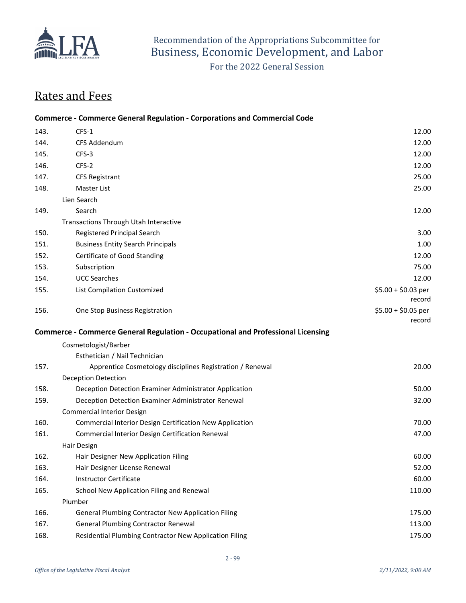

For the 2022 General Session

|      | <b>Commerce - Commerce General Regulation - Corporations and Commercial Code</b>        |                     |
|------|-----------------------------------------------------------------------------------------|---------------------|
| 143. | CFS-1                                                                                   | 12.00               |
| 144. | <b>CFS Addendum</b>                                                                     | 12.00               |
| 145. | CFS-3                                                                                   | 12.00               |
| 146. | CFS-2                                                                                   | 12.00               |
| 147. | <b>CFS Registrant</b>                                                                   | 25.00               |
| 148. | Master List                                                                             | 25.00               |
|      | Lien Search                                                                             |                     |
| 149. | Search                                                                                  | 12.00               |
|      | Transactions Through Utah Interactive                                                   |                     |
| 150. | Registered Principal Search                                                             | 3.00                |
| 151. | <b>Business Entity Search Principals</b>                                                | 1.00                |
| 152. | Certificate of Good Standing                                                            | 12.00               |
| 153. | Subscription                                                                            | 75.00               |
| 154. | <b>UCC Searches</b>                                                                     | 12.00               |
| 155. | <b>List Compilation Customized</b>                                                      | $$5.00 + $0.03$ per |
|      |                                                                                         | record              |
| 156. | One Stop Business Registration                                                          | $$5.00 + $0.05$ per |
|      |                                                                                         | record              |
|      | <b>Commerce - Commerce General Regulation - Occupational and Professional Licensing</b> |                     |
|      | Cosmetologist/Barber                                                                    |                     |
|      | Esthetician / Nail Technician                                                           |                     |
| 157. | Apprentice Cosmetology disciplines Registration / Renewal                               | 20.00               |
|      | <b>Deception Detection</b>                                                              |                     |
| 158. | Deception Detection Examiner Administrator Application                                  | 50.00               |
| 159. | Deception Detection Examiner Administrator Renewal                                      | 32.00               |
|      | <b>Commercial Interior Design</b>                                                       |                     |
| 160. | Commercial Interior Design Certification New Application                                | 70.00               |
| 161. | Commercial Interior Design Certification Renewal                                        | 47.00               |
|      | Hair Design                                                                             |                     |
| 162. | Hair Designer New Application Filing                                                    | 60.00               |
| 163. | Hair Designer License Renewal                                                           | 52.00               |
| 164. | <b>Instructor Certificate</b>                                                           | 60.00               |
| 165. | School New Application Filing and Renewal                                               | 110.00              |
|      | Plumber                                                                                 |                     |
| 166. | <b>General Plumbing Contractor New Application Filing</b>                               | 175.00              |
| 167. | <b>General Plumbing Contractor Renewal</b>                                              | 113.00              |
| 168. | Residential Plumbing Contractor New Application Filing                                  | 175.00              |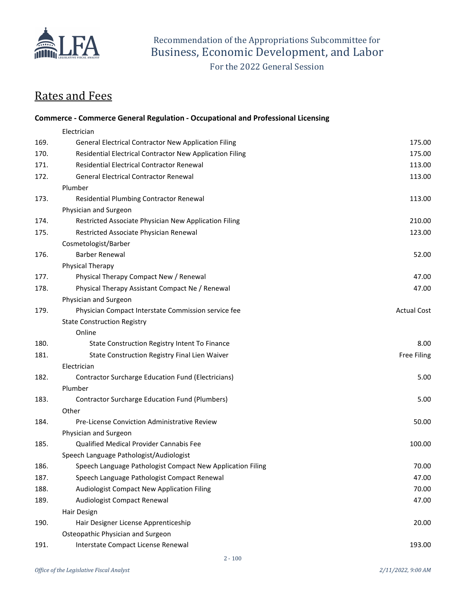

For the 2022 General Session

|      | <b>Commerce - Commerce General Regulation - Occupational and Professional Licensing</b> |                    |
|------|-----------------------------------------------------------------------------------------|--------------------|
|      | Electrician                                                                             |                    |
| 169. | <b>General Electrical Contractor New Application Filing</b>                             | 175.00             |
| 170. | Residential Electrical Contractor New Application Filing                                | 175.00             |
| 171. | <b>Residential Electrical Contractor Renewal</b>                                        | 113.00             |
| 172. | <b>General Electrical Contractor Renewal</b>                                            | 113.00             |
|      | Plumber                                                                                 |                    |
| 173. | Residential Plumbing Contractor Renewal                                                 | 113.00             |
|      | Physician and Surgeon                                                                   |                    |
| 174. | Restricted Associate Physician New Application Filing                                   | 210.00             |
| 175. | Restricted Associate Physician Renewal                                                  | 123.00             |
|      | Cosmetologist/Barber                                                                    |                    |
| 176. | <b>Barber Renewal</b>                                                                   | 52.00              |
|      | Physical Therapy                                                                        |                    |
| 177. | Physical Therapy Compact New / Renewal                                                  | 47.00              |
| 178. | Physical Therapy Assistant Compact Ne / Renewal                                         | 47.00              |
|      | Physician and Surgeon                                                                   |                    |
| 179. | Physician Compact Interstate Commission service fee                                     | <b>Actual Cost</b> |
|      | <b>State Construction Registry</b>                                                      |                    |
|      | Online                                                                                  |                    |
| 180. | State Construction Registry Intent To Finance                                           | 8.00               |
| 181. | State Construction Registry Final Lien Waiver                                           | <b>Free Filing</b> |
|      | Electrician                                                                             |                    |
| 182. | <b>Contractor Surcharge Education Fund (Electricians)</b>                               | 5.00               |
|      | Plumber                                                                                 |                    |
| 183. | <b>Contractor Surcharge Education Fund (Plumbers)</b>                                   | 5.00               |
|      | Other                                                                                   |                    |
| 184. | Pre-License Conviction Administrative Review                                            | 50.00              |
|      | Physician and Surgeon                                                                   |                    |
| 185. | Qualified Medical Provider Cannabis Fee                                                 | 100.00             |
|      | Speech Language Pathologist/Audiologist                                                 |                    |
| 186. | Speech Language Pathologist Compact New Application Filing                              | 70.00              |
| 187. | Speech Language Pathologist Compact Renewal                                             | 47.00              |
| 188. | <b>Audiologist Compact New Application Filing</b>                                       | 70.00              |
| 189. | <b>Audiologist Compact Renewal</b>                                                      | 47.00              |
|      | Hair Design                                                                             |                    |
| 190. | Hair Designer License Apprenticeship                                                    | 20.00              |
|      | Osteopathic Physician and Surgeon                                                       |                    |
| 191. | Interstate Compact License Renewal                                                      | 193.00             |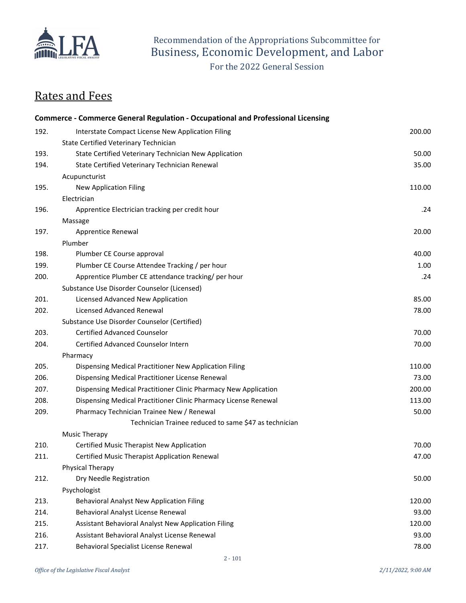

For the 2022 General Session

|      | <b>Commerce - Commerce General Regulation - Occupational and Professional Licensing</b> |        |
|------|-----------------------------------------------------------------------------------------|--------|
| 192. | Interstate Compact License New Application Filing                                       | 200.00 |
|      | State Certified Veterinary Technician                                                   |        |
| 193. | State Certified Veterinary Technician New Application                                   | 50.00  |
| 194. | State Certified Veterinary Technician Renewal                                           | 35.00  |
|      | Acupuncturist                                                                           |        |
| 195. | <b>New Application Filing</b>                                                           | 110.00 |
|      | Electrician                                                                             |        |
| 196. | Apprentice Electrician tracking per credit hour                                         | .24    |
|      | Massage                                                                                 |        |
| 197. | Apprentice Renewal                                                                      | 20.00  |
|      | Plumber                                                                                 |        |
| 198. | Plumber CE Course approval                                                              | 40.00  |
| 199. | Plumber CE Course Attendee Tracking / per hour                                          | 1.00   |
| 200. | Apprentice Plumber CE attendance tracking/ per hour                                     | .24    |
|      | Substance Use Disorder Counselor (Licensed)                                             |        |
| 201. | Licensed Advanced New Application                                                       | 85.00  |
| 202. | <b>Licensed Advanced Renewal</b>                                                        | 78.00  |
|      | Substance Use Disorder Counselor (Certified)                                            |        |
| 203. | <b>Certified Advanced Counselor</b>                                                     | 70.00  |
| 204. | Certified Advanced Counselor Intern                                                     | 70.00  |
|      | Pharmacy                                                                                |        |
| 205. | Dispensing Medical Practitioner New Application Filing                                  | 110.00 |
| 206. | Dispensing Medical Practitioner License Renewal                                         | 73.00  |
| 207. | Dispensing Medical Practitioner Clinic Pharmacy New Application                         | 200.00 |
| 208. | Dispensing Medical Practitioner Clinic Pharmacy License Renewal                         | 113.00 |
| 209. | Pharmacy Technician Trainee New / Renewal                                               | 50.00  |
|      | Technician Trainee reduced to same \$47 as technician                                   |        |
|      | <b>Music Therapy</b>                                                                    |        |
| 210. | Certified Music Therapist New Application                                               | 70.00  |
| 211. | Certified Music Therapist Application Renewal                                           | 47.00  |
|      | Physical Therapy                                                                        |        |
| 212. | Dry Needle Registration                                                                 | 50.00  |
|      | Psychologist                                                                            |        |
| 213. | <b>Behavioral Analyst New Application Filing</b>                                        | 120.00 |
| 214. | Behavioral Analyst License Renewal                                                      | 93.00  |
| 215. | <b>Assistant Behavioral Analyst New Application Filing</b>                              | 120.00 |
| 216. | Assistant Behavioral Analyst License Renewal                                            | 93.00  |
| 217. | Behavioral Specialist License Renewal                                                   | 78.00  |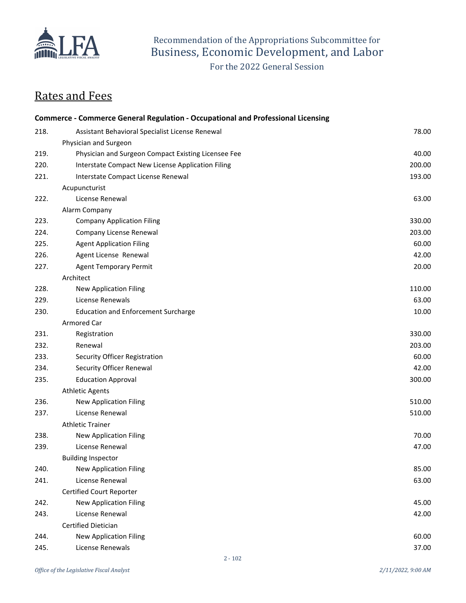

For the 2022 General Session

|      | <b>Commerce - Commerce General Regulation - Occupational and Professional Licensing</b> |        |
|------|-----------------------------------------------------------------------------------------|--------|
| 218. | Assistant Behavioral Specialist License Renewal                                         | 78.00  |
|      | Physician and Surgeon                                                                   |        |
| 219. | Physician and Surgeon Compact Existing Licensee Fee                                     | 40.00  |
| 220. | <b>Interstate Compact New License Application Filing</b>                                | 200.00 |
| 221. | Interstate Compact License Renewal                                                      | 193.00 |
|      | Acupuncturist                                                                           |        |
| 222. | License Renewal                                                                         | 63.00  |
|      | Alarm Company                                                                           |        |
| 223. | <b>Company Application Filing</b>                                                       | 330.00 |
| 224. | Company License Renewal                                                                 | 203.00 |
| 225. | <b>Agent Application Filing</b>                                                         | 60.00  |
| 226. | Agent License Renewal                                                                   | 42.00  |
| 227. | <b>Agent Temporary Permit</b>                                                           | 20.00  |
|      | Architect                                                                               |        |
| 228. | <b>New Application Filing</b>                                                           | 110.00 |
| 229. | License Renewals                                                                        | 63.00  |
| 230. | <b>Education and Enforcement Surcharge</b>                                              | 10.00  |
|      | Armored Car                                                                             |        |
| 231. | Registration                                                                            | 330.00 |
| 232. | Renewal                                                                                 | 203.00 |
| 233. | Security Officer Registration                                                           | 60.00  |
| 234. | Security Officer Renewal                                                                | 42.00  |
| 235. | <b>Education Approval</b>                                                               | 300.00 |
|      | <b>Athletic Agents</b>                                                                  |        |
| 236. | <b>New Application Filing</b>                                                           | 510.00 |
| 237. | License Renewal                                                                         | 510.00 |
|      | <b>Athletic Trainer</b>                                                                 |        |
| 238. | <b>New Application Filing</b>                                                           | 70.00  |
| 239. | License Renewal                                                                         | 47.00  |
|      | <b>Building Inspector</b>                                                               |        |
| 240. | <b>New Application Filing</b>                                                           | 85.00  |
| 241. | License Renewal                                                                         | 63.00  |
|      | Certified Court Reporter                                                                |        |
| 242. | <b>New Application Filing</b>                                                           | 45.00  |
| 243. | License Renewal                                                                         | 42.00  |
|      | Certified Dietician                                                                     |        |
| 244. | <b>New Application Filing</b>                                                           | 60.00  |
| 245. | License Renewals                                                                        | 37.00  |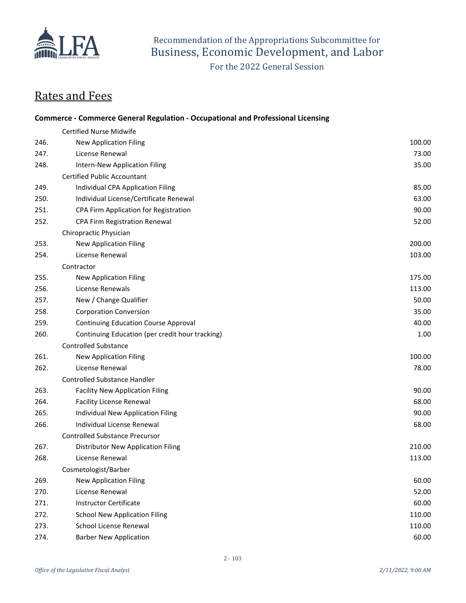

For the 2022 General Session

|      | <b>Commerce - Commerce General Regulation - Occupational and Professional Licensing</b> |        |
|------|-----------------------------------------------------------------------------------------|--------|
|      | <b>Certified Nurse Midwife</b>                                                          |        |
| 246. | <b>New Application Filing</b>                                                           | 100.00 |
| 247. | License Renewal                                                                         | 73.00  |
| 248. | <b>Intern-New Application Filing</b>                                                    | 35.00  |
|      | <b>Certified Public Accountant</b>                                                      |        |
| 249. | Individual CPA Application Filing                                                       | 85.00  |
| 250. | Individual License/Certificate Renewal                                                  | 63.00  |
| 251. | CPA Firm Application for Registration                                                   | 90.00  |
| 252. | <b>CPA Firm Registration Renewal</b>                                                    | 52.00  |
|      | Chiropractic Physician                                                                  |        |
| 253. | <b>New Application Filing</b>                                                           | 200.00 |
| 254. | License Renewal                                                                         | 103.00 |
|      | Contractor                                                                              |        |
| 255. | <b>New Application Filing</b>                                                           | 175.00 |
| 256. | License Renewals                                                                        | 113.00 |
| 257. | New / Change Qualifier                                                                  | 50.00  |
| 258. | <b>Corporation Conversion</b>                                                           | 35.00  |
| 259. | <b>Continuing Education Course Approval</b>                                             | 40.00  |
| 260. | Continuing Education (per credit hour tracking)                                         | 1.00   |
|      | <b>Controlled Substance</b>                                                             |        |
| 261. | <b>New Application Filing</b>                                                           | 100.00 |
| 262. | License Renewal                                                                         | 78.00  |
|      | <b>Controlled Substance Handler</b>                                                     |        |
| 263. | <b>Facility New Application Filing</b>                                                  | 90.00  |
| 264. | <b>Facility License Renewal</b>                                                         | 68.00  |
| 265. | Individual New Application Filing                                                       | 90.00  |
| 266. | Individual License Renewal                                                              | 68.00  |
|      | <b>Controlled Substance Precursor</b>                                                   |        |
| 267. | Distributor New Application Filing                                                      | 210.00 |
| 268. | License Renewal                                                                         | 113.00 |
|      | Cosmetologist/Barber                                                                    |        |
| 269. | <b>New Application Filing</b>                                                           | 60.00  |
| 270. | License Renewal                                                                         | 52.00  |
| 271. | <b>Instructor Certificate</b>                                                           | 60.00  |
| 272. | <b>School New Application Filing</b>                                                    | 110.00 |
| 273. | <b>School License Renewal</b>                                                           | 110.00 |
| 274. | <b>Barber New Application</b>                                                           | 60.00  |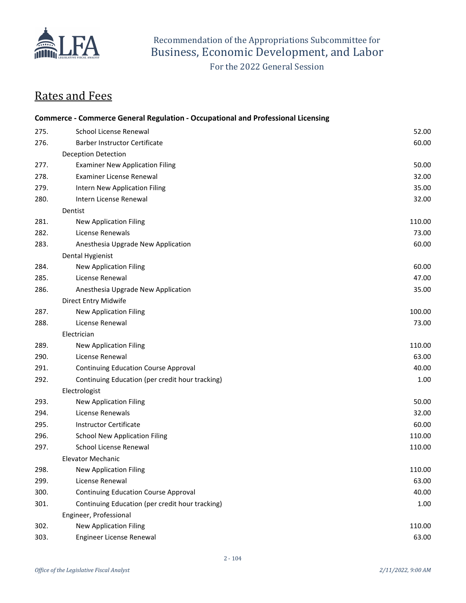

For the 2022 General Session

|      | <b>Commerce - Commerce General Regulation - Occupational and Professional Licensing</b> |        |
|------|-----------------------------------------------------------------------------------------|--------|
| 275. | School License Renewal                                                                  | 52.00  |
| 276. | <b>Barber Instructor Certificate</b>                                                    | 60.00  |
|      | <b>Deception Detection</b>                                                              |        |
| 277. | <b>Examiner New Application Filing</b>                                                  | 50.00  |
| 278. | <b>Examiner License Renewal</b>                                                         | 32.00  |
| 279. | Intern New Application Filing                                                           | 35.00  |
| 280. | Intern License Renewal                                                                  | 32.00  |
|      | Dentist                                                                                 |        |
| 281. | <b>New Application Filing</b>                                                           | 110.00 |
| 282. | License Renewals                                                                        | 73.00  |
| 283. | Anesthesia Upgrade New Application                                                      | 60.00  |
|      | Dental Hygienist                                                                        |        |
| 284. | <b>New Application Filing</b>                                                           | 60.00  |
| 285. | License Renewal                                                                         | 47.00  |
| 286. | Anesthesia Upgrade New Application                                                      | 35.00  |
|      | Direct Entry Midwife                                                                    |        |
| 287. | <b>New Application Filing</b>                                                           | 100.00 |
| 288. | License Renewal                                                                         | 73.00  |
|      | Electrician                                                                             |        |
| 289. | <b>New Application Filing</b>                                                           | 110.00 |
| 290. | License Renewal                                                                         | 63.00  |
| 291. | <b>Continuing Education Course Approval</b>                                             | 40.00  |
| 292. | Continuing Education (per credit hour tracking)                                         | 1.00   |
|      | Electrologist                                                                           |        |
| 293. | <b>New Application Filing</b>                                                           | 50.00  |
| 294. | License Renewals                                                                        | 32.00  |
| 295. | <b>Instructor Certificate</b>                                                           | 60.00  |
| 296. | <b>School New Application Filing</b>                                                    | 110.00 |
| 297. | School License Renewal                                                                  | 110.00 |
|      | Elevator Mechanic                                                                       |        |
| 298. | <b>New Application Filing</b>                                                           | 110.00 |
| 299. | License Renewal                                                                         | 63.00  |
| 300. | <b>Continuing Education Course Approval</b>                                             | 40.00  |
| 301. | Continuing Education (per credit hour tracking)                                         | 1.00   |
|      | Engineer, Professional                                                                  |        |
| 302. | <b>New Application Filing</b>                                                           | 110.00 |
| 303. | Engineer License Renewal                                                                | 63.00  |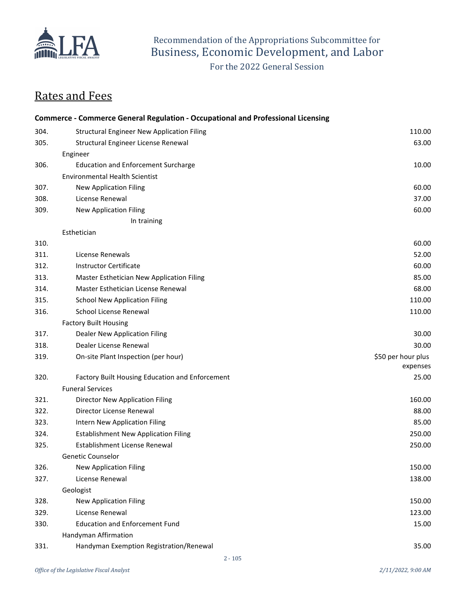

For the 2022 General Session

|      | <b>Commerce - Commerce General Regulation - Occupational and Professional Licensing</b> |                    |
|------|-----------------------------------------------------------------------------------------|--------------------|
| 304. | <b>Structural Engineer New Application Filing</b>                                       | 110.00             |
| 305. | Structural Engineer License Renewal                                                     | 63.00              |
|      | Engineer                                                                                |                    |
| 306. | <b>Education and Enforcement Surcharge</b>                                              | 10.00              |
|      | <b>Environmental Health Scientist</b>                                                   |                    |
| 307. | <b>New Application Filing</b>                                                           | 60.00              |
| 308. | License Renewal                                                                         | 37.00              |
| 309. | <b>New Application Filing</b>                                                           | 60.00              |
|      | In training                                                                             |                    |
|      | Esthetician                                                                             |                    |
| 310. |                                                                                         | 60.00              |
| 311. | License Renewals                                                                        | 52.00              |
| 312. | <b>Instructor Certificate</b>                                                           | 60.00              |
| 313. | Master Esthetician New Application Filing                                               | 85.00              |
| 314. | Master Esthetician License Renewal                                                      | 68.00              |
| 315. | <b>School New Application Filing</b>                                                    | 110.00             |
| 316. | School License Renewal                                                                  | 110.00             |
|      | <b>Factory Built Housing</b>                                                            |                    |
| 317. | <b>Dealer New Application Filing</b>                                                    | 30.00              |
| 318. | Dealer License Renewal                                                                  | 30.00              |
| 319. | On-site Plant Inspection (per hour)                                                     | \$50 per hour plus |
|      |                                                                                         | expenses           |
| 320. | Factory Built Housing Education and Enforcement                                         | 25.00              |
|      | <b>Funeral Services</b>                                                                 |                    |
| 321. | <b>Director New Application Filing</b>                                                  | 160.00             |
| 322. | Director License Renewal                                                                | 88.00              |
| 323. | Intern New Application Filing                                                           | 85.00              |
| 324. | <b>Establishment New Application Filing</b>                                             | 250.00             |
| 325. | Establishment License Renewal                                                           | 250.00             |
|      | Genetic Counselor                                                                       |                    |
| 326. | <b>New Application Filing</b>                                                           | 150.00             |
| 327. | License Renewal                                                                         | 138.00             |
|      | Geologist                                                                               |                    |
| 328. | New Application Filing                                                                  | 150.00             |
| 329. | License Renewal                                                                         | 123.00             |
| 330. | <b>Education and Enforcement Fund</b>                                                   | 15.00              |
|      | Handyman Affirmation                                                                    |                    |
| 331. | Handyman Exemption Registration/Renewal                                                 | 35.00              |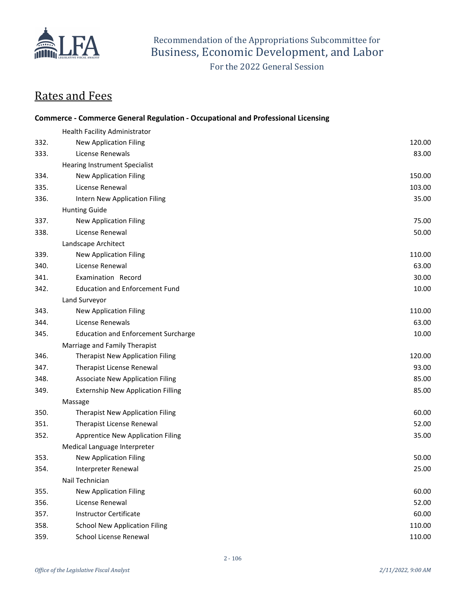

For the 2022 General Session

|      | <b>Commerce - Commerce General Regulation - Occupational and Professional Licensing</b> |        |
|------|-----------------------------------------------------------------------------------------|--------|
|      | Health Facility Administrator                                                           |        |
| 332. | <b>New Application Filing</b>                                                           | 120.00 |
| 333. | License Renewals                                                                        | 83.00  |
|      | <b>Hearing Instrument Specialist</b>                                                    |        |
| 334. | <b>New Application Filing</b>                                                           | 150.00 |
| 335. | License Renewal                                                                         | 103.00 |
| 336. | Intern New Application Filing                                                           | 35.00  |
|      | <b>Hunting Guide</b>                                                                    |        |
| 337. | <b>New Application Filing</b>                                                           | 75.00  |
| 338. | License Renewal                                                                         | 50.00  |
|      | Landscape Architect                                                                     |        |
| 339. | <b>New Application Filing</b>                                                           | 110.00 |
| 340. | License Renewal                                                                         | 63.00  |
| 341. | Examination Record                                                                      | 30.00  |
| 342. | <b>Education and Enforcement Fund</b>                                                   | 10.00  |
|      | Land Surveyor                                                                           |        |
| 343. | <b>New Application Filing</b>                                                           | 110.00 |
| 344. | License Renewals                                                                        | 63.00  |
| 345. | <b>Education and Enforcement Surcharge</b>                                              | 10.00  |
|      | Marriage and Family Therapist                                                           |        |
| 346. | <b>Therapist New Application Filing</b>                                                 | 120.00 |
| 347. | Therapist License Renewal                                                               | 93.00  |
| 348. | <b>Associate New Application Filing</b>                                                 | 85.00  |
| 349. | <b>Externship New Application Filling</b>                                               | 85.00  |
|      | Massage                                                                                 |        |
| 350. | Therapist New Application Filing                                                        | 60.00  |
| 351. | Therapist License Renewal                                                               | 52.00  |
| 352. | <b>Apprentice New Application Filing</b>                                                | 35.00  |
|      | Medical Language Interpreter                                                            |        |
| 353. | <b>New Application Filing</b>                                                           | 50.00  |
| 354. | Interpreter Renewal                                                                     | 25.00  |
|      | Nail Technician                                                                         |        |
| 355. | <b>New Application Filing</b>                                                           | 60.00  |
| 356. | License Renewal                                                                         | 52.00  |
| 357. | <b>Instructor Certificate</b>                                                           | 60.00  |
| 358. | <b>School New Application Filing</b>                                                    | 110.00 |
| 359. | School License Renewal                                                                  | 110.00 |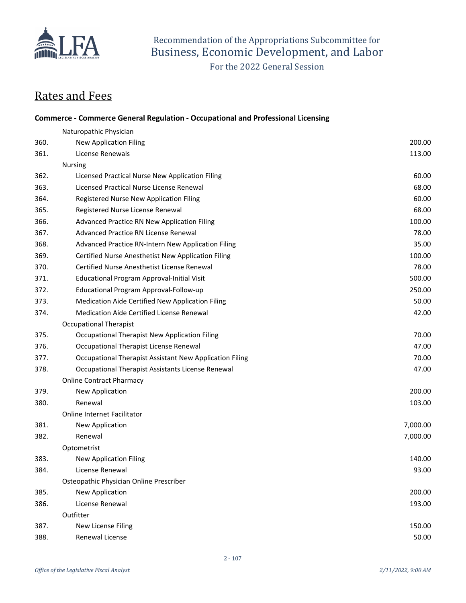

For the 2022 General Session

|      | <b>Commerce - Commerce General Regulation - Occupational and Professional Licensing</b> |          |
|------|-----------------------------------------------------------------------------------------|----------|
|      | Naturopathic Physician                                                                  |          |
| 360. | <b>New Application Filing</b>                                                           | 200.00   |
| 361. | License Renewals                                                                        | 113.00   |
|      | <b>Nursing</b>                                                                          |          |
| 362. | Licensed Practical Nurse New Application Filing                                         | 60.00    |
| 363. | Licensed Practical Nurse License Renewal                                                | 68.00    |
| 364. | Registered Nurse New Application Filing                                                 | 60.00    |
| 365. | Registered Nurse License Renewal                                                        | 68.00    |
| 366. | Advanced Practice RN New Application Filing                                             | 100.00   |
| 367. | Advanced Practice RN License Renewal                                                    | 78.00    |
| 368. | Advanced Practice RN-Intern New Application Filing                                      | 35.00    |
| 369. | Certified Nurse Anesthetist New Application Filing                                      | 100.00   |
| 370. | Certified Nurse Anesthetist License Renewal                                             | 78.00    |
| 371. | Educational Program Approval-Initial Visit                                              | 500.00   |
| 372. | Educational Program Approval-Follow-up                                                  | 250.00   |
| 373. | Medication Aide Certified New Application Filing                                        | 50.00    |
| 374. | Medication Aide Certified License Renewal                                               | 42.00    |
|      | <b>Occupational Therapist</b>                                                           |          |
| 375. | <b>Occupational Therapist New Application Filing</b>                                    | 70.00    |
| 376. | Occupational Therapist License Renewal                                                  | 47.00    |
| 377. | Occupational Therapist Assistant New Application Filing                                 | 70.00    |
| 378. | Occupational Therapist Assistants License Renewal                                       | 47.00    |
|      | <b>Online Contract Pharmacy</b>                                                         |          |
| 379. | New Application                                                                         | 200.00   |
| 380. | Renewal                                                                                 | 103.00   |
|      | Online Internet Facilitator                                                             |          |
| 381. | New Application                                                                         | 7,000.00 |
| 382. | Renewal                                                                                 | 7,000.00 |
|      | Optometrist                                                                             |          |
| 383. | <b>New Application Filing</b>                                                           | 140.00   |
| 384. | License Renewal                                                                         | 93.00    |
|      | Osteopathic Physician Online Prescriber                                                 |          |
| 385. | New Application                                                                         | 200.00   |
| 386. | License Renewal                                                                         | 193.00   |
|      | Outfitter                                                                               |          |
| 387. | New License Filing                                                                      | 150.00   |
| 388. | Renewal License                                                                         | 50.00    |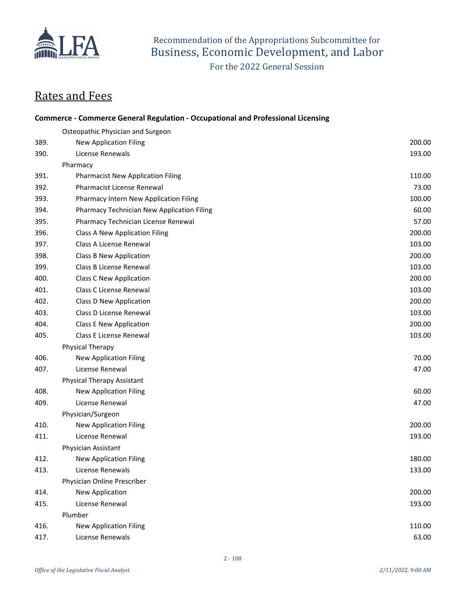

For the 2022 General Session

|      | <b>Commerce - Commerce General Regulation - Occupational and Professional Licensing</b> |        |
|------|-----------------------------------------------------------------------------------------|--------|
|      | Osteopathic Physician and Surgeon                                                       |        |
| 389. | <b>New Application Filing</b>                                                           | 200.00 |
| 390. | License Renewals                                                                        | 193.00 |
|      | Pharmacy                                                                                |        |
| 391. | <b>Pharmacist New Application Filing</b>                                                | 110.00 |
| 392. | Pharmacist License Renewal                                                              | 73.00  |
| 393. | Pharmacy Intern New Application Filing                                                  | 100.00 |
| 394. | <b>Pharmacy Technician New Application Filing</b>                                       | 60.00  |
| 395. | Pharmacy Technician License Renewal                                                     | 57.00  |
| 396. | <b>Class A New Application Filing</b>                                                   | 200.00 |
| 397. | Class A License Renewal                                                                 | 103.00 |
| 398. | Class B New Application                                                                 | 200.00 |
| 399. | Class B License Renewal                                                                 | 103.00 |
| 400. | <b>Class C New Application</b>                                                          | 200.00 |
| 401. | Class C License Renewal                                                                 | 103.00 |
| 402. | Class D New Application                                                                 | 200.00 |
| 403. | Class D License Renewal                                                                 | 103.00 |
| 404. | <b>Class E New Application</b>                                                          | 200.00 |
| 405. | Class E License Renewal                                                                 | 103.00 |
|      | Physical Therapy                                                                        |        |
| 406. | <b>New Application Filing</b>                                                           | 70.00  |
| 407. | License Renewal                                                                         | 47.00  |
|      | <b>Physical Therapy Assistant</b>                                                       |        |
| 408. | <b>New Application Filing</b>                                                           | 60.00  |
| 409. | License Renewal                                                                         | 47.00  |
|      | Physician/Surgeon                                                                       |        |
| 410. | <b>New Application Filing</b>                                                           | 200.00 |
| 411. | License Renewal                                                                         | 193.00 |
|      | Physician Assistant                                                                     |        |
| 412. | <b>New Application Filing</b>                                                           | 180.00 |
| 413. | License Renewals                                                                        | 133.00 |
|      | Physician Online Prescriber                                                             |        |
| 414. | New Application                                                                         | 200.00 |
| 415. | License Renewal                                                                         | 193.00 |
|      | Plumber                                                                                 |        |
| 416. | <b>New Application Filing</b>                                                           | 110.00 |
| 417. | License Renewals                                                                        | 63.00  |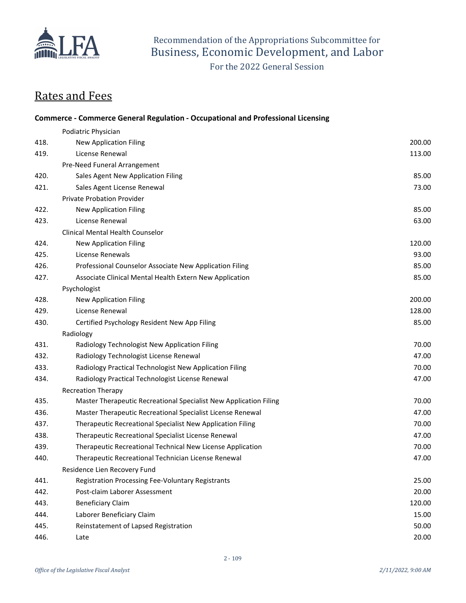

For the 2022 General Session

|      | <b>Commerce - Commerce General Regulation - Occupational and Professional Licensing</b> |        |
|------|-----------------------------------------------------------------------------------------|--------|
|      | Podiatric Physician                                                                     |        |
| 418. | <b>New Application Filing</b>                                                           | 200.00 |
| 419. | License Renewal                                                                         | 113.00 |
|      | Pre-Need Funeral Arrangement                                                            |        |
| 420. | Sales Agent New Application Filing                                                      | 85.00  |
| 421. | Sales Agent License Renewal                                                             | 73.00  |
|      | <b>Private Probation Provider</b>                                                       |        |
| 422. | <b>New Application Filing</b>                                                           | 85.00  |
| 423. | License Renewal                                                                         | 63.00  |
|      | <b>Clinical Mental Health Counselor</b>                                                 |        |
| 424. | <b>New Application Filing</b>                                                           | 120.00 |
| 425. | License Renewals                                                                        | 93.00  |
| 426. | Professional Counselor Associate New Application Filing                                 | 85.00  |
| 427. | Associate Clinical Mental Health Extern New Application                                 | 85.00  |
|      | Psychologist                                                                            |        |
| 428. | <b>New Application Filing</b>                                                           | 200.00 |
| 429. | License Renewal                                                                         | 128.00 |
| 430. | Certified Psychology Resident New App Filing                                            | 85.00  |
|      | Radiology                                                                               |        |
| 431. | Radiology Technologist New Application Filing                                           | 70.00  |
| 432. | Radiology Technologist License Renewal                                                  | 47.00  |
| 433. | Radiology Practical Technologist New Application Filing                                 | 70.00  |
| 434. | Radiology Practical Technologist License Renewal                                        | 47.00  |
|      | <b>Recreation Therapy</b>                                                               |        |
| 435. | Master Therapeutic Recreational Specialist New Application Filing                       | 70.00  |
| 436. | Master Therapeutic Recreational Specialist License Renewal                              | 47.00  |
| 437. | Therapeutic Recreational Specialist New Application Filing                              | 70.00  |
| 438. | Therapeutic Recreational Specialist License Renewal                                     | 47.00  |
| 439. | Therapeutic Recreational Technical New License Application                              | 70.00  |
| 440. | Therapeutic Recreational Technician License Renewal                                     | 47.00  |
|      | Residence Lien Recovery Fund                                                            |        |
| 441. | Registration Processing Fee-Voluntary Registrants                                       | 25.00  |
| 442. | Post-claim Laborer Assessment                                                           | 20.00  |
| 443. | <b>Beneficiary Claim</b>                                                                | 120.00 |
| 444. | Laborer Beneficiary Claim                                                               | 15.00  |
| 445. | Reinstatement of Lapsed Registration                                                    | 50.00  |
| 446. | Late                                                                                    | 20.00  |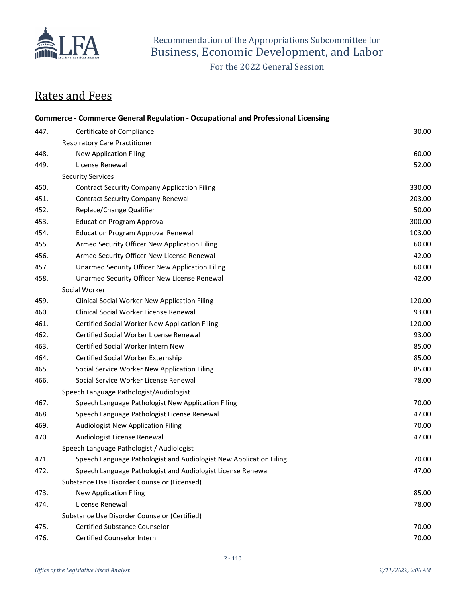

For the 2022 General Session

|      | <b>Commerce - Commerce General Regulation - Occupational and Professional Licensing</b> |        |
|------|-----------------------------------------------------------------------------------------|--------|
| 447. | Certificate of Compliance                                                               | 30.00  |
|      | <b>Respiratory Care Practitioner</b>                                                    |        |
| 448. | <b>New Application Filing</b>                                                           | 60.00  |
| 449. | License Renewal                                                                         | 52.00  |
|      | <b>Security Services</b>                                                                |        |
| 450. | <b>Contract Security Company Application Filing</b>                                     | 330.00 |
| 451. | <b>Contract Security Company Renewal</b>                                                | 203.00 |
| 452. | Replace/Change Qualifier                                                                | 50.00  |
| 453. | <b>Education Program Approval</b>                                                       | 300.00 |
| 454. | <b>Education Program Approval Renewal</b>                                               | 103.00 |
| 455. | Armed Security Officer New Application Filing                                           | 60.00  |
| 456. | Armed Security Officer New License Renewal                                              | 42.00  |
| 457. | Unarmed Security Officer New Application Filing                                         | 60.00  |
| 458. | Unarmed Security Officer New License Renewal                                            | 42.00  |
|      | Social Worker                                                                           |        |
| 459. | Clinical Social Worker New Application Filing                                           | 120.00 |
| 460. | Clinical Social Worker License Renewal                                                  | 93.00  |
| 461. | Certified Social Worker New Application Filing                                          | 120.00 |
| 462. | Certified Social Worker License Renewal                                                 | 93.00  |
| 463. | Certified Social Worker Intern New                                                      | 85.00  |
| 464. | Certified Social Worker Externship                                                      | 85.00  |
| 465. | Social Service Worker New Application Filing                                            | 85.00  |
| 466. | Social Service Worker License Renewal                                                   | 78.00  |
|      | Speech Language Pathologist/Audiologist                                                 |        |
| 467. | Speech Language Pathologist New Application Filing                                      | 70.00  |
| 468. | Speech Language Pathologist License Renewal                                             | 47.00  |
| 469. | <b>Audiologist New Application Filing</b>                                               | 70.00  |
| 470. | Audiologist License Renewal                                                             | 47.00  |
|      | Speech Language Pathologist / Audiologist                                               |        |
| 471. | Speech Language Pathologist and Audiologist New Application Filing                      | 70.00  |
| 472. | Speech Language Pathologist and Audiologist License Renewal                             | 47.00  |
|      | Substance Use Disorder Counselor (Licensed)                                             |        |
| 473. | <b>New Application Filing</b>                                                           | 85.00  |
| 474. | License Renewal                                                                         | 78.00  |
|      | Substance Use Disorder Counselor (Certified)                                            |        |
| 475. | <b>Certified Substance Counselor</b>                                                    | 70.00  |
| 476. | Certified Counselor Intern                                                              | 70.00  |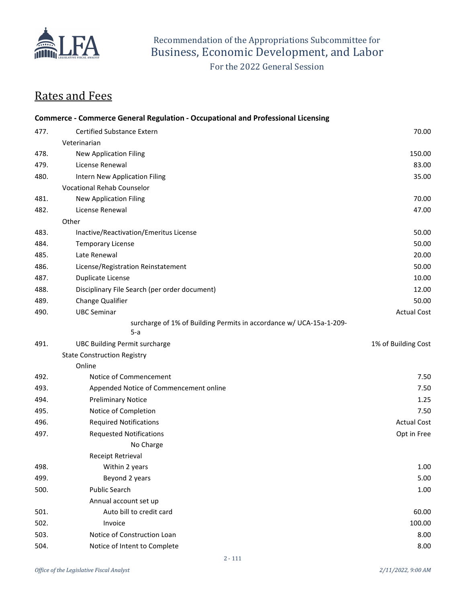

For the 2022 General Session

|      | <b>Commerce - Commerce General Regulation - Occupational and Professional Licensing</b> |                     |
|------|-----------------------------------------------------------------------------------------|---------------------|
| 477. | Certified Substance Extern                                                              | 70.00               |
|      | Veterinarian                                                                            |                     |
| 478. | <b>New Application Filing</b>                                                           | 150.00              |
| 479. | License Renewal                                                                         | 83.00               |
| 480. | Intern New Application Filing                                                           | 35.00               |
|      | <b>Vocational Rehab Counselor</b>                                                       |                     |
| 481. | <b>New Application Filing</b>                                                           | 70.00               |
| 482. | License Renewal                                                                         | 47.00               |
|      | Other                                                                                   |                     |
| 483. | Inactive/Reactivation/Emeritus License                                                  | 50.00               |
| 484. | <b>Temporary License</b>                                                                | 50.00               |
| 485. | Late Renewal                                                                            | 20.00               |
| 486. | License/Registration Reinstatement                                                      | 50.00               |
| 487. | Duplicate License                                                                       | 10.00               |
| 488. | Disciplinary File Search (per order document)                                           | 12.00               |
| 489. | Change Qualifier                                                                        | 50.00               |
| 490. | <b>UBC Seminar</b>                                                                      | <b>Actual Cost</b>  |
|      | surcharge of 1% of Building Permits in accordance w/ UCA-15a-1-209-<br>$5-a$            |                     |
| 491. | <b>UBC Building Permit surcharge</b>                                                    | 1% of Building Cost |
|      | <b>State Construction Registry</b>                                                      |                     |
|      | Online                                                                                  |                     |
| 492. | Notice of Commencement                                                                  | 7.50                |
| 493. | Appended Notice of Commencement online                                                  | 7.50                |
| 494. | <b>Preliminary Notice</b>                                                               | 1.25                |
| 495. | Notice of Completion                                                                    | 7.50                |
| 496. | <b>Required Notifications</b>                                                           | <b>Actual Cost</b>  |
| 497. | <b>Requested Notifications</b>                                                          | Opt in Free         |
|      | No Charge                                                                               |                     |
|      | Receipt Retrieval                                                                       |                     |
| 498. | Within 2 years                                                                          | 1.00                |
| 499. | Beyond 2 years                                                                          | 5.00                |
| 500. | <b>Public Search</b>                                                                    | 1.00                |
|      | Annual account set up                                                                   |                     |
| 501. | Auto bill to credit card                                                                | 60.00               |
| 502. | Invoice                                                                                 | 100.00              |
| 503. | Notice of Construction Loan                                                             | 8.00                |
| 504. | Notice of Intent to Complete                                                            | 8.00                |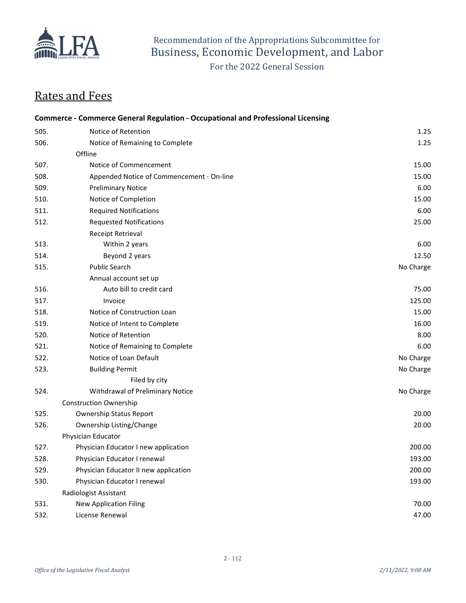

For the 2022 General Session

|      | <b>Commerce - Commerce General Regulation - Occupational and Professional Licensing</b> |           |
|------|-----------------------------------------------------------------------------------------|-----------|
| 505. | Notice of Retention                                                                     | 1.25      |
| 506. | Notice of Remaining to Complete                                                         | 1.25      |
|      | Offline                                                                                 |           |
| 507. | Notice of Commencement                                                                  | 15.00     |
| 508. | Appended Notice of Commencement - On-line                                               | 15.00     |
| 509. | <b>Preliminary Notice</b>                                                               | 6.00      |
| 510. | Notice of Completion                                                                    | 15.00     |
| 511. | <b>Required Notifications</b>                                                           | 6.00      |
| 512. | <b>Requested Notifications</b>                                                          | 25.00     |
|      | Receipt Retrieval                                                                       |           |
| 513. | Within 2 years                                                                          | 6.00      |
| 514. | Beyond 2 years                                                                          | 12.50     |
| 515. | <b>Public Search</b>                                                                    | No Charge |
|      | Annual account set up                                                                   |           |
| 516. | Auto bill to credit card                                                                | 75.00     |
| 517. | Invoice                                                                                 | 125.00    |
| 518. | Notice of Construction Loan                                                             | 15.00     |
| 519. | Notice of Intent to Complete                                                            | 16.00     |
| 520. | Notice of Retention                                                                     | 8.00      |
| 521. | Notice of Remaining to Complete                                                         | 6.00      |
| 522. | Notice of Loan Default                                                                  | No Charge |
| 523. | <b>Building Permit</b>                                                                  | No Charge |
|      | Filed by city                                                                           |           |
| 524. | Withdrawal of Preliminary Notice                                                        | No Charge |
|      | <b>Construction Ownership</b>                                                           |           |
| 525. | <b>Ownership Status Report</b>                                                          | 20.00     |
| 526. | Ownership Listing/Change                                                                | 20.00     |
|      | Physician Educator                                                                      |           |
| 527. | Physician Educator I new application                                                    | 200.00    |
| 528. | Physician Educator I renewal                                                            | 193.00    |
| 529. | Physician Educator II new application                                                   | 200.00    |
| 530. | Physician Educator I renewal                                                            | 193.00    |
|      | Radiologist Assistant                                                                   |           |
| 531. | <b>New Application Filing</b>                                                           | 70.00     |
| 532. | License Renewal                                                                         | 47.00     |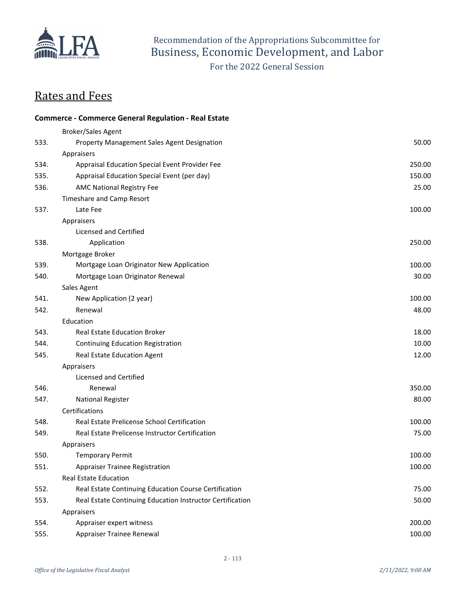

For the 2022 General Session

|      | <b>Commerce - Commerce General Regulation - Real Estate</b> |        |
|------|-------------------------------------------------------------|--------|
|      | <b>Broker/Sales Agent</b>                                   |        |
| 533. | Property Management Sales Agent Designation                 | 50.00  |
|      | Appraisers                                                  |        |
| 534. | Appraisal Education Special Event Provider Fee              | 250.00 |
| 535. | Appraisal Education Special Event (per day)                 | 150.00 |
| 536. | AMC National Registry Fee                                   | 25.00  |
|      | Timeshare and Camp Resort                                   |        |
| 537. | Late Fee                                                    | 100.00 |
|      | Appraisers                                                  |        |
|      | Licensed and Certified                                      |        |
| 538. | Application                                                 | 250.00 |
|      | Mortgage Broker                                             |        |
| 539. | Mortgage Loan Originator New Application                    | 100.00 |
| 540. | Mortgage Loan Originator Renewal                            | 30.00  |
|      | Sales Agent                                                 |        |
| 541. | New Application (2 year)                                    | 100.00 |
| 542. | Renewal                                                     | 48.00  |
|      | Education                                                   |        |
| 543. | <b>Real Estate Education Broker</b>                         | 18.00  |
| 544. | <b>Continuing Education Registration</b>                    | 10.00  |
| 545. | Real Estate Education Agent                                 | 12.00  |
|      | Appraisers                                                  |        |
|      | Licensed and Certified                                      |        |
| 546. | Renewal                                                     | 350.00 |
| 547. | <b>National Register</b>                                    | 80.00  |
|      | Certifications                                              |        |
| 548. | Real Estate Prelicense School Certification                 | 100.00 |
| 549. | Real Estate Prelicense Instructor Certification             | 75.00  |
|      | Appraisers                                                  |        |
| 550. | <b>Temporary Permit</b>                                     | 100.00 |
| 551. | <b>Appraiser Trainee Registration</b>                       | 100.00 |
|      | <b>Real Estate Education</b>                                |        |
| 552. | Real Estate Continuing Education Course Certification       | 75.00  |
| 553. | Real Estate Continuing Education Instructor Certification   | 50.00  |
|      | Appraisers                                                  |        |
| 554. | Appraiser expert witness                                    | 200.00 |
| 555. | Appraiser Trainee Renewal                                   | 100.00 |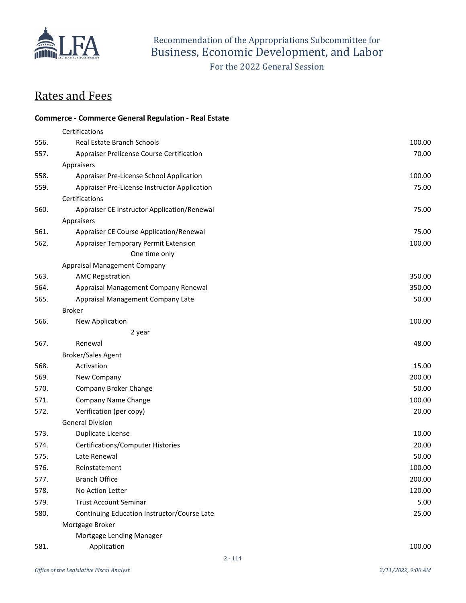

For the 2022 General Session

|      | <b>Commerce - Commerce General Regulation - Real Estate</b> |        |
|------|-------------------------------------------------------------|--------|
|      | Certifications                                              |        |
| 556. | Real Estate Branch Schools                                  | 100.00 |
| 557. | Appraiser Prelicense Course Certification                   | 70.00  |
|      | Appraisers                                                  |        |
| 558. | Appraiser Pre-License School Application                    | 100.00 |
| 559. | Appraiser Pre-License Instructor Application                | 75.00  |
|      | Certifications                                              |        |
| 560. | Appraiser CE Instructor Application/Renewal                 | 75.00  |
|      | Appraisers                                                  |        |
| 561. | Appraiser CE Course Application/Renewal                     | 75.00  |
| 562. | Appraiser Temporary Permit Extension                        | 100.00 |
|      | One time only                                               |        |
|      | Appraisal Management Company                                |        |
| 563. | <b>AMC Registration</b>                                     | 350.00 |
| 564. | Appraisal Management Company Renewal                        | 350.00 |
| 565. | Appraisal Management Company Late                           | 50.00  |
|      | <b>Broker</b>                                               |        |
| 566. | New Application                                             | 100.00 |
|      | 2 year                                                      |        |
| 567. | Renewal                                                     | 48.00  |
|      | <b>Broker/Sales Agent</b>                                   |        |
| 568. | Activation                                                  | 15.00  |
| 569. | New Company                                                 | 200.00 |
| 570. | Company Broker Change                                       | 50.00  |
| 571. | Company Name Change                                         | 100.00 |
| 572. | Verification (per copy)                                     | 20.00  |
|      | <b>General Division</b>                                     |        |
| 573. | <b>Duplicate License</b>                                    | 10.00  |
| 574. | Certifications/Computer Histories                           | 20.00  |
| 575. | Late Renewal                                                | 50.00  |
| 576. | Reinstatement                                               | 100.00 |
| 577. | <b>Branch Office</b>                                        | 200.00 |
| 578. | No Action Letter                                            | 120.00 |
| 579. | <b>Trust Account Seminar</b>                                | 5.00   |
| 580. | Continuing Education Instructor/Course Late                 | 25.00  |
|      | Mortgage Broker                                             |        |
|      | Mortgage Lending Manager                                    |        |
| 581. | Application                                                 | 100.00 |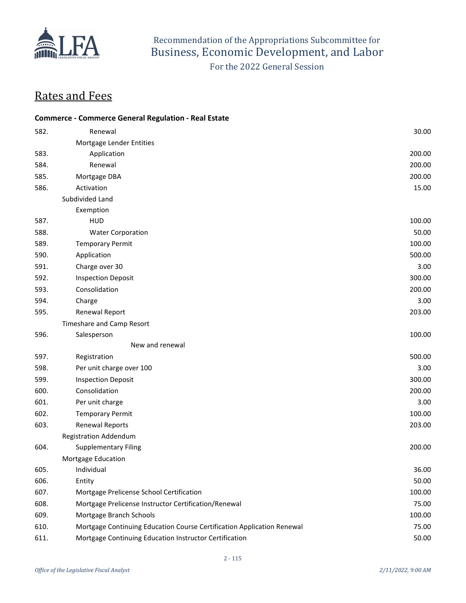

For the 2022 General Session

|      | <b>Commerce - Commerce General Regulation - Real Estate</b>            |        |
|------|------------------------------------------------------------------------|--------|
| 582. | Renewal                                                                | 30.00  |
|      | Mortgage Lender Entities                                               |        |
| 583. | Application                                                            | 200.00 |
| 584. | Renewal                                                                | 200.00 |
| 585. | Mortgage DBA                                                           | 200.00 |
| 586. | Activation                                                             | 15.00  |
|      | Subdivided Land                                                        |        |
|      | Exemption                                                              |        |
| 587. | HUD                                                                    | 100.00 |
| 588. | <b>Water Corporation</b>                                               | 50.00  |
| 589. | <b>Temporary Permit</b>                                                | 100.00 |
| 590. | Application                                                            | 500.00 |
| 591. | Charge over 30                                                         | 3.00   |
| 592. | <b>Inspection Deposit</b>                                              | 300.00 |
| 593. | Consolidation                                                          | 200.00 |
| 594. | Charge                                                                 | 3.00   |
| 595. | <b>Renewal Report</b>                                                  | 203.00 |
|      | Timeshare and Camp Resort                                              |        |
| 596. | Salesperson                                                            | 100.00 |
|      | New and renewal                                                        |        |
| 597. | Registration                                                           | 500.00 |
| 598. | Per unit charge over 100                                               | 3.00   |
| 599. | <b>Inspection Deposit</b>                                              | 300.00 |
| 600. | Consolidation                                                          | 200.00 |
| 601. | Per unit charge                                                        | 3.00   |
| 602. | <b>Temporary Permit</b>                                                | 100.00 |
| 603. | <b>Renewal Reports</b>                                                 | 203.00 |
|      | <b>Registration Addendum</b>                                           |        |
| 604. | <b>Supplementary Filing</b>                                            | 200.00 |
|      | Mortgage Education                                                     |        |
| 605. | Individual                                                             | 36.00  |
| 606. | Entity                                                                 | 50.00  |
| 607. | Mortgage Prelicense School Certification                               | 100.00 |
| 608. | Mortgage Prelicense Instructor Certification/Renewal                   | 75.00  |
| 609. | Mortgage Branch Schools                                                | 100.00 |
| 610. | Mortgage Continuing Education Course Certification Application Renewal | 75.00  |
| 611. | Mortgage Continuing Education Instructor Certification                 | 50.00  |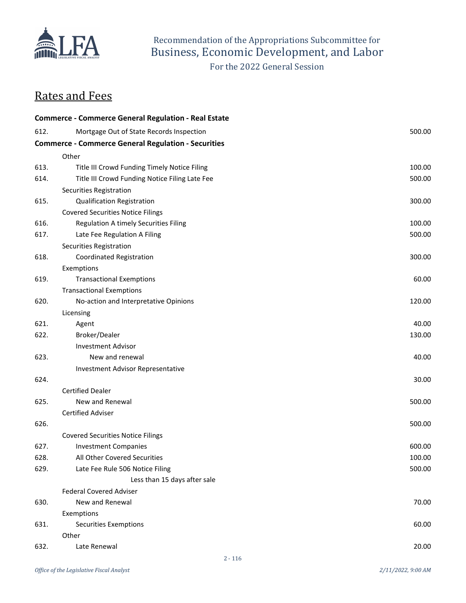

For the 2022 General Session

|      | <b>Commerce - Commerce General Regulation - Real Estate</b> |        |
|------|-------------------------------------------------------------|--------|
| 612. | Mortgage Out of State Records Inspection                    | 500.00 |
|      | <b>Commerce - Commerce General Regulation - Securities</b>  |        |
|      | Other                                                       |        |
| 613. | Title III Crowd Funding Timely Notice Filing                | 100.00 |
| 614. | Title III Crowd Funding Notice Filing Late Fee              | 500.00 |
|      | <b>Securities Registration</b>                              |        |
| 615. | <b>Qualification Registration</b>                           | 300.00 |
|      | <b>Covered Securities Notice Filings</b>                    |        |
| 616. | <b>Regulation A timely Securities Filing</b>                | 100.00 |
| 617. | Late Fee Regulation A Filing                                | 500.00 |
|      | <b>Securities Registration</b>                              |        |
| 618. | Coordinated Registration                                    | 300.00 |
|      | Exemptions                                                  |        |
| 619. | <b>Transactional Exemptions</b>                             | 60.00  |
|      | <b>Transactional Exemptions</b>                             |        |
| 620. | No-action and Interpretative Opinions                       | 120.00 |
|      | Licensing                                                   |        |
| 621. | Agent                                                       | 40.00  |
| 622. | Broker/Dealer                                               | 130.00 |
|      | <b>Investment Advisor</b>                                   |        |
| 623. | New and renewal                                             | 40.00  |
|      | Investment Advisor Representative                           |        |
| 624. |                                                             | 30.00  |
|      | <b>Certified Dealer</b>                                     |        |
| 625. | New and Renewal                                             | 500.00 |
|      | <b>Certified Adviser</b>                                    |        |
| 626. |                                                             | 500.00 |
|      | <b>Covered Securities Notice Filings</b>                    |        |
| 627. | <b>Investment Companies</b>                                 | 600.00 |
| 628. | All Other Covered Securities                                | 100.00 |
| 629. | Late Fee Rule 506 Notice Filing                             | 500.00 |
|      | Less than 15 days after sale                                |        |
|      | <b>Federal Covered Adviser</b>                              |        |
| 630. | New and Renewal                                             | 70.00  |
|      | Exemptions                                                  |        |
| 631. | Securities Exemptions                                       | 60.00  |
|      | Other                                                       |        |
| 632. | Late Renewal                                                | 20.00  |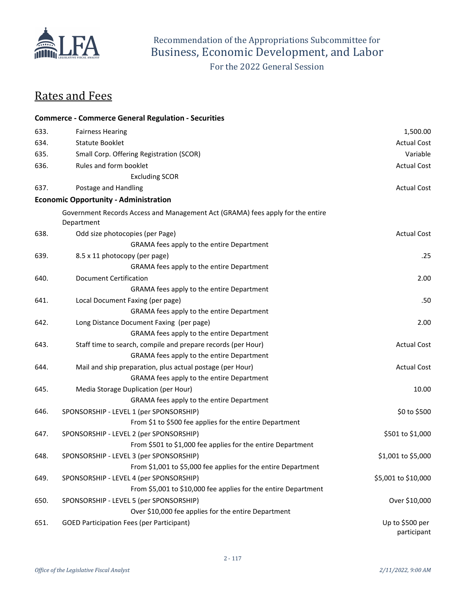

For the 2022 General Session

|      | <b>Commerce - Commerce General Regulation - Securities</b>                                   |                                |
|------|----------------------------------------------------------------------------------------------|--------------------------------|
| 633. | <b>Fairness Hearing</b>                                                                      | 1,500.00                       |
| 634. | <b>Statute Booklet</b>                                                                       | <b>Actual Cost</b>             |
| 635. | Small Corp. Offering Registration (SCOR)                                                     | Variable                       |
| 636. | Rules and form booklet                                                                       | <b>Actual Cost</b>             |
|      | <b>Excluding SCOR</b>                                                                        |                                |
| 637. | Postage and Handling                                                                         | <b>Actual Cost</b>             |
|      | <b>Economic Opportunity - Administration</b>                                                 |                                |
|      | Government Records Access and Management Act (GRAMA) fees apply for the entire<br>Department |                                |
| 638. | Odd size photocopies (per Page)                                                              | <b>Actual Cost</b>             |
|      | GRAMA fees apply to the entire Department                                                    |                                |
| 639. | 8.5 x 11 photocopy (per page)                                                                | .25                            |
|      | GRAMA fees apply to the entire Department                                                    |                                |
| 640. | <b>Document Certification</b>                                                                | 2.00                           |
|      | GRAMA fees apply to the entire Department                                                    |                                |
| 641. | Local Document Faxing (per page)                                                             | .50                            |
|      | GRAMA fees apply to the entire Department                                                    |                                |
| 642. | Long Distance Document Faxing (per page)                                                     | 2.00                           |
|      | GRAMA fees apply to the entire Department                                                    |                                |
| 643. | Staff time to search, compile and prepare records (per Hour)                                 | <b>Actual Cost</b>             |
|      | GRAMA fees apply to the entire Department                                                    |                                |
| 644. | Mail and ship preparation, plus actual postage (per Hour)                                    | <b>Actual Cost</b>             |
|      | GRAMA fees apply to the entire Department                                                    |                                |
| 645. | Media Storage Duplication (per Hour)                                                         | 10.00                          |
|      | GRAMA fees apply to the entire Department                                                    |                                |
| 646. | SPONSORSHIP - LEVEL 1 (per SPONSORSHIP)                                                      | \$0 to \$500                   |
|      | From \$1 to \$500 fee applies for the entire Department                                      |                                |
| 647. | SPONSORSHIP - LEVEL 2 (per SPONSORSHIP)                                                      | \$501 to \$1,000               |
|      | From \$501 to \$1,000 fee applies for the entire Department                                  |                                |
| 648. | SPONSORSHIP - LEVEL 3 (per SPONSORSHIP)                                                      | \$1,001 to \$5,000             |
|      | From \$1,001 to \$5,000 fee applies for the entire Department                                |                                |
| 649. | SPONSORSHIP - LEVEL 4 (per SPONSORSHIP)                                                      | \$5,001 to \$10,000            |
|      | From \$5,001 to \$10,000 fee applies for the entire Department                               |                                |
| 650. | SPONSORSHIP - LEVEL 5 (per SPONSORSHIP)                                                      | Over \$10,000                  |
|      | Over \$10,000 fee applies for the entire Department                                          |                                |
| 651. | <b>GOED Participation Fees (per Participant)</b>                                             | Up to \$500 per<br>participant |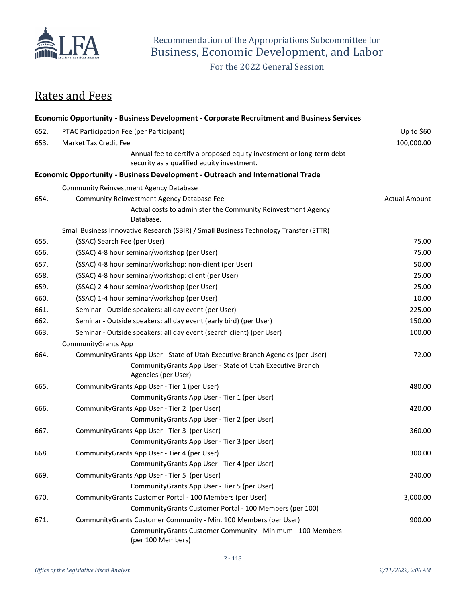

For the 2022 General Session

|      | Economic Opportunity - Business Development - Corporate Recruitment and Business Services                                                           |                      |
|------|-----------------------------------------------------------------------------------------------------------------------------------------------------|----------------------|
| 652. | PTAC Participation Fee (per Participant)                                                                                                            | Up to $$60$          |
| 653. | Market Tax Credit Fee                                                                                                                               | 100,000.00           |
|      | Annual fee to certify a proposed equity investment or long-term debt<br>security as a qualified equity investment.                                  |                      |
|      | Economic Opportunity - Business Development - Outreach and International Trade                                                                      |                      |
|      | <b>Community Reinvestment Agency Database</b>                                                                                                       |                      |
| 654. | Community Reinvestment Agency Database Fee                                                                                                          | <b>Actual Amount</b> |
|      | Actual costs to administer the Community Reinvestment Agency<br>Database.                                                                           |                      |
|      | Small Business Innovative Research (SBIR) / Small Business Technology Transfer (STTR)                                                               |                      |
| 655. | (SSAC) Search Fee (per User)                                                                                                                        | 75.00                |
| 656. | (SSAC) 4-8 hour seminar/workshop (per User)                                                                                                         | 75.00                |
| 657. | (SSAC) 4-8 hour seminar/workshop: non-client (per User)                                                                                             | 50.00                |
| 658. | (SSAC) 4-8 hour seminar/workshop: client (per User)                                                                                                 | 25.00                |
| 659. | (SSAC) 2-4 hour seminar/workshop (per User)                                                                                                         | 25.00                |
| 660. | (SSAC) 1-4 hour seminar/workshop (per User)                                                                                                         | 10.00                |
| 661. | Seminar - Outside speakers: all day event (per User)                                                                                                | 225.00               |
| 662. | Seminar - Outside speakers: all day event (early bird) (per User)                                                                                   | 150.00               |
| 663. | Seminar - Outside speakers: all day event (search client) (per User)                                                                                | 100.00               |
|      | <b>CommunityGrants App</b>                                                                                                                          |                      |
| 664. | CommunityGrants App User - State of Utah Executive Branch Agencies (per User)                                                                       | 72.00                |
|      | CommunityGrants App User - State of Utah Executive Branch<br>Agencies (per User)                                                                    |                      |
| 665. | CommunityGrants App User - Tier 1 (per User)                                                                                                        | 480.00               |
|      | CommunityGrants App User - Tier 1 (per User)                                                                                                        |                      |
| 666. | CommunityGrants App User - Tier 2 (per User)                                                                                                        | 420.00               |
|      | CommunityGrants App User - Tier 2 (per User)                                                                                                        |                      |
| 667. | CommunityGrants App User - Tier 3 (per User)                                                                                                        | 360.00               |
|      | CommunityGrants App User - Tier 3 (per User)                                                                                                        |                      |
| 668. | CommunityGrants App User - Tier 4 (per User)                                                                                                        | 300.00               |
|      | CommunityGrants App User - Tier 4 (per User)                                                                                                        |                      |
| 669. | CommunityGrants App User - Tier 5 (per User)                                                                                                        | 240.00               |
|      | CommunityGrants App User - Tier 5 (per User)                                                                                                        |                      |
| 670. | CommunityGrants Customer Portal - 100 Members (per User)                                                                                            | 3,000.00             |
|      | CommunityGrants Customer Portal - 100 Members (per 100)                                                                                             |                      |
| 671. | CommunityGrants Customer Community - Min. 100 Members (per User)<br>CommunityGrants Customer Community - Minimum - 100 Members<br>(per 100 Members) | 900.00               |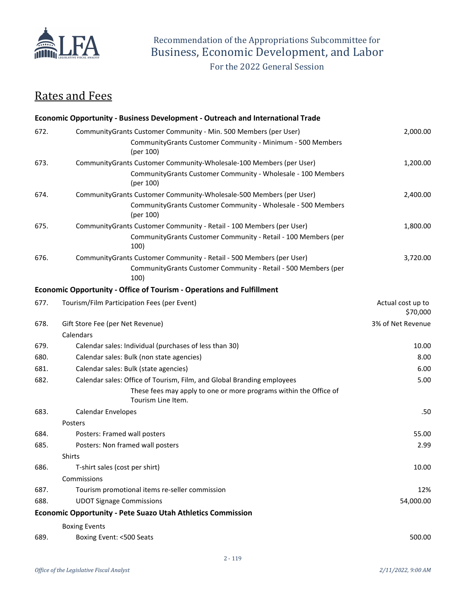

For the 2022 General Session

|      | Economic Opportunity - Business Development - Outreach and International Trade          |                               |
|------|-----------------------------------------------------------------------------------------|-------------------------------|
| 672. | CommunityGrants Customer Community - Min. 500 Members (per User)                        | 2,000.00                      |
|      | CommunityGrants Customer Community - Minimum - 500 Members<br>(per 100)                 |                               |
| 673. | CommunityGrants Customer Community-Wholesale-100 Members (per User)                     | 1,200.00                      |
|      | CommunityGrants Customer Community - Wholesale - 100 Members<br>(per 100)               |                               |
| 674. | CommunityGrants Customer Community-Wholesale-500 Members (per User)                     | 2,400.00                      |
|      | CommunityGrants Customer Community - Wholesale - 500 Members<br>(per 100)               |                               |
| 675. | CommunityGrants Customer Community - Retail - 100 Members (per User)                    | 1,800.00                      |
|      | CommunityGrants Customer Community - Retail - 100 Members (per<br>100)                  |                               |
| 676. | CommunityGrants Customer Community - Retail - 500 Members (per User)                    | 3,720.00                      |
|      | CommunityGrants Customer Community - Retail - 500 Members (per<br>100)                  |                               |
|      | <b>Economic Opportunity - Office of Tourism - Operations and Fulfillment</b>            |                               |
| 677. | Tourism/Film Participation Fees (per Event)                                             | Actual cost up to<br>\$70,000 |
| 678. | Gift Store Fee (per Net Revenue)                                                        | 3% of Net Revenue             |
|      | Calendars                                                                               |                               |
| 679. | Calendar sales: Individual (purchases of less than 30)                                  | 10.00                         |
| 680. | Calendar sales: Bulk (non state agencies)                                               | 8.00                          |
| 681. | Calendar sales: Bulk (state agencies)                                                   | 6.00                          |
| 682. | Calendar sales: Office of Tourism, Film, and Global Branding employees                  | 5.00                          |
|      | These fees may apply to one or more programs within the Office of<br>Tourism Line Item. |                               |
| 683. | <b>Calendar Envelopes</b>                                                               | .50                           |
|      | Posters                                                                                 |                               |
| 684. | Posters: Framed wall posters                                                            | 55.00                         |
| 685. | Posters: Non framed wall posters                                                        | 2.99                          |
|      | Shirts                                                                                  |                               |
| 686. | T-shirt sales (cost per shirt)                                                          | 10.00                         |
|      | Commissions                                                                             |                               |
| 687. | Tourism promotional items re-seller commission                                          | 12%                           |
| 688. | <b>UDOT Signage Commissions</b>                                                         | 54,000.00                     |
|      | <b>Economic Opportunity - Pete Suazo Utah Athletics Commission</b>                      |                               |
|      | <b>Boxing Events</b>                                                                    |                               |
| 689. | Boxing Event: <500 Seats                                                                | 500.00                        |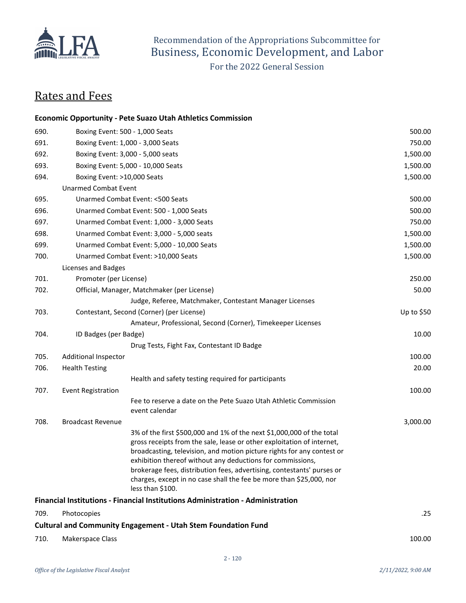

For the 2022 General Session

|      |                                 | <b>Economic Opportunity - Pete Suazo Utah Athletics Commission</b>                                                                                                                                                                                                                                                                                                                                                                                           |            |
|------|---------------------------------|--------------------------------------------------------------------------------------------------------------------------------------------------------------------------------------------------------------------------------------------------------------------------------------------------------------------------------------------------------------------------------------------------------------------------------------------------------------|------------|
| 690. | Boxing Event: 500 - 1,000 Seats |                                                                                                                                                                                                                                                                                                                                                                                                                                                              | 500.00     |
| 691. |                                 | Boxing Event: 1,000 - 3,000 Seats                                                                                                                                                                                                                                                                                                                                                                                                                            | 750.00     |
| 692. |                                 | Boxing Event: 3,000 - 5,000 seats                                                                                                                                                                                                                                                                                                                                                                                                                            | 1,500.00   |
| 693. |                                 | Boxing Event: 5,000 - 10,000 Seats                                                                                                                                                                                                                                                                                                                                                                                                                           | 1,500.00   |
| 694. | Boxing Event: >10,000 Seats     |                                                                                                                                                                                                                                                                                                                                                                                                                                                              | 1,500.00   |
|      | <b>Unarmed Combat Event</b>     |                                                                                                                                                                                                                                                                                                                                                                                                                                                              |            |
| 695. |                                 | Unarmed Combat Event: <500 Seats                                                                                                                                                                                                                                                                                                                                                                                                                             | 500.00     |
| 696. |                                 | Unarmed Combat Event: 500 - 1,000 Seats                                                                                                                                                                                                                                                                                                                                                                                                                      | 500.00     |
| 697. |                                 | Unarmed Combat Event: 1,000 - 3,000 Seats                                                                                                                                                                                                                                                                                                                                                                                                                    | 750.00     |
| 698. |                                 | Unarmed Combat Event: 3,000 - 5,000 seats                                                                                                                                                                                                                                                                                                                                                                                                                    | 1,500.00   |
| 699. |                                 | Unarmed Combat Event: 5,000 - 10,000 Seats                                                                                                                                                                                                                                                                                                                                                                                                                   | 1,500.00   |
| 700. |                                 | Unarmed Combat Event: >10,000 Seats                                                                                                                                                                                                                                                                                                                                                                                                                          | 1,500.00   |
|      | <b>Licenses and Badges</b>      |                                                                                                                                                                                                                                                                                                                                                                                                                                                              |            |
| 701. | Promoter (per License)          |                                                                                                                                                                                                                                                                                                                                                                                                                                                              | 250.00     |
| 702. |                                 | Official, Manager, Matchmaker (per License)                                                                                                                                                                                                                                                                                                                                                                                                                  | 50.00      |
|      |                                 | Judge, Referee, Matchmaker, Contestant Manager Licenses                                                                                                                                                                                                                                                                                                                                                                                                      |            |
| 703. |                                 | Contestant, Second (Corner) (per License)                                                                                                                                                                                                                                                                                                                                                                                                                    | Up to \$50 |
|      |                                 | Amateur, Professional, Second (Corner), Timekeeper Licenses                                                                                                                                                                                                                                                                                                                                                                                                  |            |
| 704. | ID Badges (per Badge)           |                                                                                                                                                                                                                                                                                                                                                                                                                                                              | 10.00      |
|      |                                 | Drug Tests, Fight Fax, Contestant ID Badge                                                                                                                                                                                                                                                                                                                                                                                                                   |            |
| 705. | <b>Additional Inspector</b>     |                                                                                                                                                                                                                                                                                                                                                                                                                                                              | 100.00     |
| 706. | <b>Health Testing</b>           |                                                                                                                                                                                                                                                                                                                                                                                                                                                              | 20.00      |
|      |                                 | Health and safety testing required for participants                                                                                                                                                                                                                                                                                                                                                                                                          |            |
| 707. | <b>Event Registration</b>       |                                                                                                                                                                                                                                                                                                                                                                                                                                                              | 100.00     |
|      |                                 | Fee to reserve a date on the Pete Suazo Utah Athletic Commission<br>event calendar                                                                                                                                                                                                                                                                                                                                                                           |            |
| 708. | <b>Broadcast Revenue</b>        |                                                                                                                                                                                                                                                                                                                                                                                                                                                              | 3,000.00   |
|      |                                 | 3% of the first \$500,000 and 1% of the next \$1,000,000 of the total<br>gross receipts from the sale, lease or other exploitation of internet,<br>broadcasting, television, and motion picture rights for any contest or<br>exhibition thereof without any deductions for commissions,<br>brokerage fees, distribution fees, advertising, contestants' purses or<br>charges, except in no case shall the fee be more than \$25,000, nor<br>less than \$100. |            |
|      |                                 | Financial Institutions - Financial Institutions Administration - Administration                                                                                                                                                                                                                                                                                                                                                                              |            |
| 709. | Photocopies                     |                                                                                                                                                                                                                                                                                                                                                                                                                                                              | .25        |
|      |                                 | <b>Cultural and Community Engagement - Utah Stem Foundation Fund</b>                                                                                                                                                                                                                                                                                                                                                                                         |            |
| 710. | Makerspace Class                |                                                                                                                                                                                                                                                                                                                                                                                                                                                              | 100.00     |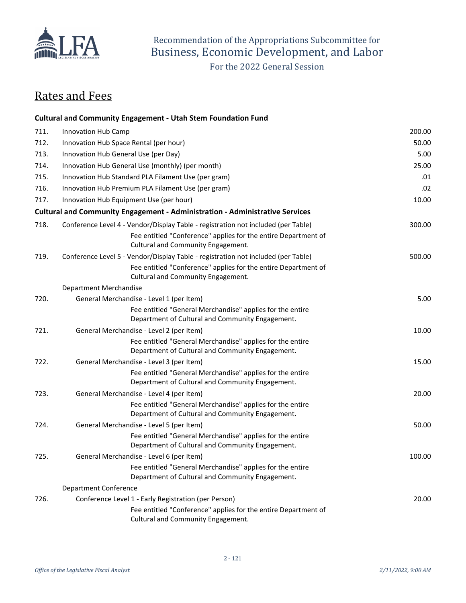

For the 2022 General Session

|      | <b>Cultural and Community Engagement - Utah Stem Foundation Fund</b>                                                                                                                      |        |
|------|-------------------------------------------------------------------------------------------------------------------------------------------------------------------------------------------|--------|
| 711. | <b>Innovation Hub Camp</b>                                                                                                                                                                | 200.00 |
| 712. | Innovation Hub Space Rental (per hour)                                                                                                                                                    | 50.00  |
| 713. | Innovation Hub General Use (per Day)                                                                                                                                                      | 5.00   |
| 714. | Innovation Hub General Use (monthly) (per month)                                                                                                                                          | 25.00  |
| 715. | Innovation Hub Standard PLA Filament Use (per gram)                                                                                                                                       | .01    |
| 716. | Innovation Hub Premium PLA Filament Use (per gram)                                                                                                                                        | .02    |
| 717. | Innovation Hub Equipment Use (per hour)                                                                                                                                                   | 10.00  |
|      | <b>Cultural and Community Engagement - Administration - Administrative Services</b>                                                                                                       |        |
| 718. | Conference Level 4 - Vendor/Display Table - registration not included (per Table)                                                                                                         | 300.00 |
|      | Fee entitled "Conference" applies for the entire Department of<br>Cultural and Community Engagement.                                                                                      |        |
| 719. | Conference Level 5 - Vendor/Display Table - registration not included (per Table)<br>Fee entitled "Conference" applies for the entire Department of<br>Cultural and Community Engagement. | 500.00 |
|      | <b>Department Merchandise</b>                                                                                                                                                             |        |
| 720. | General Merchandise - Level 1 (per Item)                                                                                                                                                  | 5.00   |
|      | Fee entitled "General Merchandise" applies for the entire<br>Department of Cultural and Community Engagement.                                                                             |        |
| 721. | General Merchandise - Level 2 (per Item)                                                                                                                                                  | 10.00  |
|      | Fee entitled "General Merchandise" applies for the entire<br>Department of Cultural and Community Engagement.                                                                             |        |
| 722. | General Merchandise - Level 3 (per Item)                                                                                                                                                  | 15.00  |
|      | Fee entitled "General Merchandise" applies for the entire<br>Department of Cultural and Community Engagement.                                                                             |        |
| 723. | General Merchandise - Level 4 (per Item)                                                                                                                                                  | 20.00  |
|      | Fee entitled "General Merchandise" applies for the entire<br>Department of Cultural and Community Engagement.                                                                             |        |
| 724. | General Merchandise - Level 5 (per Item)                                                                                                                                                  | 50.00  |
|      | Fee entitled "General Merchandise" applies for the entire<br>Department of Cultural and Community Engagement.                                                                             |        |
| 725. | General Merchandise - Level 6 (per Item)                                                                                                                                                  | 100.00 |
|      | Fee entitled "General Merchandise" applies for the entire<br>Department of Cultural and Community Engagement.                                                                             |        |
|      | <b>Department Conference</b>                                                                                                                                                              |        |
| 726. | Conference Level 1 - Early Registration (per Person)                                                                                                                                      | 20.00  |
|      | Fee entitled "Conference" applies for the entire Department of<br>Cultural and Community Engagement.                                                                                      |        |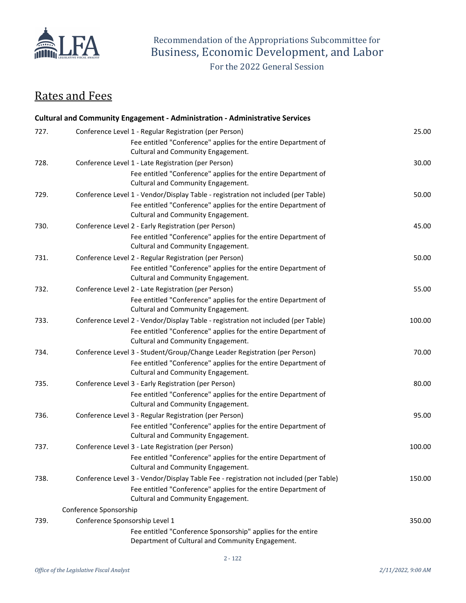

For the 2022 General Session

|      | <b>Cultural and Community Engagement - Administration - Administrative Services</b>                                                          |        |
|------|----------------------------------------------------------------------------------------------------------------------------------------------|--------|
| 727. | Conference Level 1 - Regular Registration (per Person)                                                                                       | 25.00  |
|      | Fee entitled "Conference" applies for the entire Department of                                                                               |        |
|      | Cultural and Community Engagement.                                                                                                           |        |
| 728. | Conference Level 1 - Late Registration (per Person)                                                                                          | 30.00  |
|      | Fee entitled "Conference" applies for the entire Department of                                                                               |        |
|      | Cultural and Community Engagement.                                                                                                           |        |
| 729. | Conference Level 1 - Vendor/Display Table - registration not included (per Table)                                                            | 50.00  |
|      | Fee entitled "Conference" applies for the entire Department of                                                                               |        |
|      | Cultural and Community Engagement.                                                                                                           |        |
| 730. | Conference Level 2 - Early Registration (per Person)                                                                                         | 45.00  |
|      | Fee entitled "Conference" applies for the entire Department of<br>Cultural and Community Engagement.                                         |        |
| 731. | Conference Level 2 - Regular Registration (per Person)                                                                                       | 50.00  |
|      | Fee entitled "Conference" applies for the entire Department of                                                                               |        |
|      | Cultural and Community Engagement.                                                                                                           |        |
| 732. | Conference Level 2 - Late Registration (per Person)                                                                                          | 55.00  |
|      | Fee entitled "Conference" applies for the entire Department of                                                                               |        |
|      | Cultural and Community Engagement.                                                                                                           |        |
| 733. | Conference Level 2 - Vendor/Display Table - registration not included (per Table)                                                            | 100.00 |
|      | Fee entitled "Conference" applies for the entire Department of                                                                               |        |
|      | Cultural and Community Engagement.                                                                                                           |        |
| 734. | Conference Level 3 - Student/Group/Change Leader Registration (per Person)<br>Fee entitled "Conference" applies for the entire Department of | 70.00  |
|      | Cultural and Community Engagement.                                                                                                           |        |
| 735. | Conference Level 3 - Early Registration (per Person)                                                                                         | 80.00  |
|      | Fee entitled "Conference" applies for the entire Department of                                                                               |        |
|      | Cultural and Community Engagement.                                                                                                           |        |
| 736. | Conference Level 3 - Regular Registration (per Person)                                                                                       | 95.00  |
|      | Fee entitled "Conference" applies for the entire Department of                                                                               |        |
|      | Cultural and Community Engagement.                                                                                                           |        |
| 737. | Conference Level 3 - Late Registration (per Person)                                                                                          | 100.00 |
|      | Fee entitled "Conference" applies for the entire Department of                                                                               |        |
|      | Cultural and Community Engagement.                                                                                                           |        |
| 738. | Conference Level 3 - Vendor/Display Table Fee - registration not included (per Table)                                                        | 150.00 |
|      | Fee entitled "Conference" applies for the entire Department of<br>Cultural and Community Engagement.                                         |        |
|      | Conference Sponsorship                                                                                                                       |        |
| 739. | Conference Sponsorship Level 1                                                                                                               | 350.00 |
|      | Fee entitled "Conference Sponsorship" applies for the entire                                                                                 |        |
|      | Department of Cultural and Community Engagement.                                                                                             |        |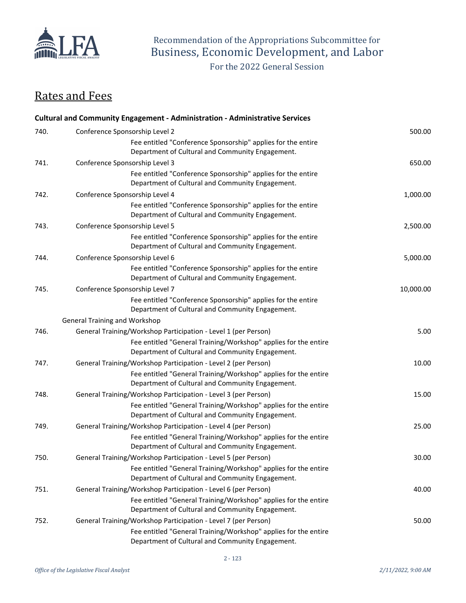

For the 2022 General Session

|      | <b>Cultural and Community Engagement - Administration - Administrative Services</b>                                 |           |
|------|---------------------------------------------------------------------------------------------------------------------|-----------|
| 740. | Conference Sponsorship Level 2                                                                                      | 500.00    |
|      | Fee entitled "Conference Sponsorship" applies for the entire                                                        |           |
|      | Department of Cultural and Community Engagement.                                                                    |           |
| 741. | Conference Sponsorship Level 3                                                                                      | 650.00    |
|      | Fee entitled "Conference Sponsorship" applies for the entire                                                        |           |
|      | Department of Cultural and Community Engagement.                                                                    |           |
| 742. | Conference Sponsorship Level 4                                                                                      | 1,000.00  |
|      | Fee entitled "Conference Sponsorship" applies for the entire<br>Department of Cultural and Community Engagement.    |           |
| 743. | Conference Sponsorship Level 5                                                                                      | 2,500.00  |
|      | Fee entitled "Conference Sponsorship" applies for the entire<br>Department of Cultural and Community Engagement.    |           |
| 744. | Conference Sponsorship Level 6                                                                                      | 5,000.00  |
|      | Fee entitled "Conference Sponsorship" applies for the entire                                                        |           |
|      | Department of Cultural and Community Engagement.                                                                    |           |
| 745. | Conference Sponsorship Level 7                                                                                      | 10,000.00 |
|      | Fee entitled "Conference Sponsorship" applies for the entire<br>Department of Cultural and Community Engagement.    |           |
|      | <b>General Training and Workshop</b>                                                                                |           |
| 746. | General Training/Workshop Participation - Level 1 (per Person)                                                      | 5.00      |
|      | Fee entitled "General Training/Workshop" applies for the entire                                                     |           |
|      | Department of Cultural and Community Engagement.                                                                    |           |
| 747. | General Training/Workshop Participation - Level 2 (per Person)                                                      | 10.00     |
|      | Fee entitled "General Training/Workshop" applies for the entire                                                     |           |
|      | Department of Cultural and Community Engagement.                                                                    |           |
| 748. | General Training/Workshop Participation - Level 3 (per Person)                                                      | 15.00     |
|      | Fee entitled "General Training/Workshop" applies for the entire                                                     |           |
|      | Department of Cultural and Community Engagement.                                                                    |           |
| 749. | General Training/Workshop Participation - Level 4 (per Person)                                                      | 25.00     |
|      | Fee entitled "General Training/Workshop" applies for the entire<br>Department of Cultural and Community Engagement. |           |
| 750. | General Training/Workshop Participation - Level 5 (per Person)                                                      | 30.00     |
|      | Fee entitled "General Training/Workshop" applies for the entire<br>Department of Cultural and Community Engagement. |           |
| 751. | General Training/Workshop Participation - Level 6 (per Person)                                                      | 40.00     |
|      | Fee entitled "General Training/Workshop" applies for the entire                                                     |           |
|      | Department of Cultural and Community Engagement.                                                                    |           |
| 752. | General Training/Workshop Participation - Level 7 (per Person)                                                      | 50.00     |
|      | Fee entitled "General Training/Workshop" applies for the entire<br>Department of Cultural and Community Engagement. |           |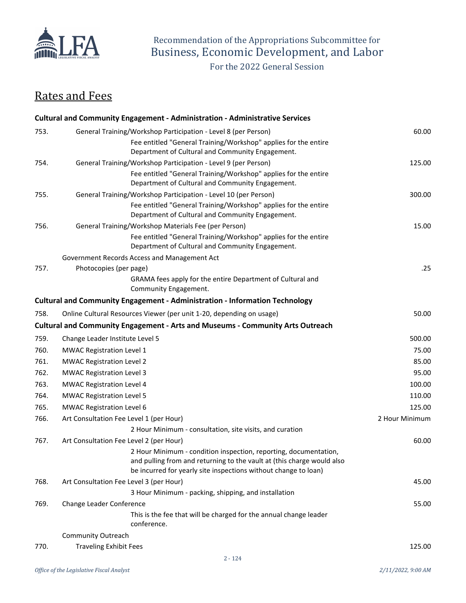

For the 2022 General Session

|      | <b>Cultural and Community Engagement - Administration - Administrative Services</b>                                                                                                                           |                |
|------|---------------------------------------------------------------------------------------------------------------------------------------------------------------------------------------------------------------|----------------|
| 753. | General Training/Workshop Participation - Level 8 (per Person)                                                                                                                                                | 60.00          |
|      | Fee entitled "General Training/Workshop" applies for the entire<br>Department of Cultural and Community Engagement.                                                                                           |                |
| 754. | General Training/Workshop Participation - Level 9 (per Person)                                                                                                                                                | 125.00         |
|      | Fee entitled "General Training/Workshop" applies for the entire<br>Department of Cultural and Community Engagement.                                                                                           |                |
| 755. | General Training/Workshop Participation - Level 10 (per Person)                                                                                                                                               | 300.00         |
|      | Fee entitled "General Training/Workshop" applies for the entire<br>Department of Cultural and Community Engagement.                                                                                           |                |
| 756. | General Training/Workshop Materials Fee (per Person)                                                                                                                                                          | 15.00          |
|      | Fee entitled "General Training/Workshop" applies for the entire<br>Department of Cultural and Community Engagement.                                                                                           |                |
|      | Government Records Access and Management Act                                                                                                                                                                  |                |
| 757. | Photocopies (per page)                                                                                                                                                                                        | .25            |
|      | GRAMA fees apply for the entire Department of Cultural and<br>Community Engagement.                                                                                                                           |                |
|      | <b>Cultural and Community Engagement - Administration - Information Technology</b>                                                                                                                            |                |
| 758. | Online Cultural Resources Viewer (per unit 1-20, depending on usage)                                                                                                                                          | 50.00          |
|      | <b>Cultural and Community Engagement - Arts and Museums - Community Arts Outreach</b>                                                                                                                         |                |
| 759. | Change Leader Institute Level 5                                                                                                                                                                               | 500.00         |
| 760. | MWAC Registration Level 1                                                                                                                                                                                     | 75.00          |
| 761. | MWAC Registration Level 2                                                                                                                                                                                     | 85.00          |
| 762. | MWAC Registration Level 3                                                                                                                                                                                     | 95.00          |
| 763. | MWAC Registration Level 4                                                                                                                                                                                     | 100.00         |
| 764. | MWAC Registration Level 5                                                                                                                                                                                     | 110.00         |
| 765. | MWAC Registration Level 6                                                                                                                                                                                     | 125.00         |
| 766. | Art Consultation Fee Level 1 (per Hour)                                                                                                                                                                       | 2 Hour Minimum |
|      | 2 Hour Minimum - consultation, site visits, and curation                                                                                                                                                      |                |
| 767. | Art Consultation Fee Level 2 (per Hour)                                                                                                                                                                       | 60.00          |
|      | 2 Hour Minimum - condition inspection, reporting, documentation,<br>and pulling from and returning to the vault at (this charge would also<br>be incurred for yearly site inspections without change to loan) |                |
| 768. | Art Consultation Fee Level 3 (per Hour)                                                                                                                                                                       | 45.00          |
|      | 3 Hour Minimum - packing, shipping, and installation                                                                                                                                                          |                |
| 769. | Change Leader Conference                                                                                                                                                                                      | 55.00          |
|      | This is the fee that will be charged for the annual change leader<br>conference.                                                                                                                              |                |
|      | <b>Community Outreach</b>                                                                                                                                                                                     |                |
| 770. | <b>Traveling Exhibit Fees</b>                                                                                                                                                                                 | 125.00         |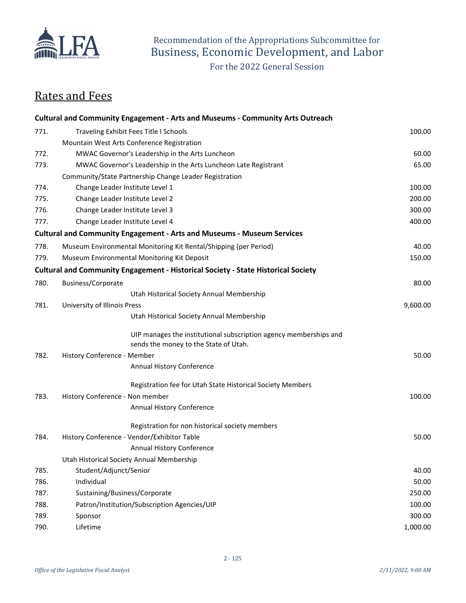

For the 2022 General Session

|      | <b>Cultural and Community Engagement - Arts and Museums - Community Arts Outreach</b>                      |          |
|------|------------------------------------------------------------------------------------------------------------|----------|
| 771. | Traveling Exhibit Fees Title I Schools                                                                     | 100.00   |
|      | Mountain West Arts Conference Registration                                                                 |          |
| 772. | MWAC Governor's Leadership in the Arts Luncheon                                                            | 60.00    |
| 773. | MWAC Governor's Leadership in the Arts Luncheon Late Registrant                                            | 65.00    |
|      | Community/State Partnership Change Leader Registration                                                     |          |
| 774. | Change Leader Institute Level 1                                                                            | 100.00   |
| 775. | Change Leader Institute Level 2                                                                            | 200.00   |
| 776. | Change Leader Institute Level 3                                                                            | 300.00   |
| 777. | Change Leader Institute Level 4                                                                            | 400.00   |
|      | <b>Cultural and Community Engagement - Arts and Museums - Museum Services</b>                              |          |
| 778. | Museum Environmental Monitoring Kit Rental/Shipping (per Period)                                           | 40.00    |
| 779. | Museum Environmental Monitoring Kit Deposit                                                                | 150.00   |
|      | <b>Cultural and Community Engagement - Historical Society - State Historical Society</b>                   |          |
| 780. | Business/Corporate                                                                                         | 80.00    |
|      | Utah Historical Society Annual Membership                                                                  |          |
| 781. | University of Illinois Press                                                                               | 9,600.00 |
|      | Utah Historical Society Annual Membership                                                                  |          |
|      | UIP manages the institutional subscription agency memberships and<br>sends the money to the State of Utah. |          |
| 782. | History Conference - Member                                                                                | 50.00    |
|      | Annual History Conference                                                                                  |          |
|      | Registration fee for Utah State Historical Society Members                                                 |          |
| 783. | History Conference - Non member                                                                            | 100.00   |
|      | Annual History Conference                                                                                  |          |
|      | Registration for non historical society members                                                            |          |
| 784. | History Conference - Vendor/Exhibitor Table                                                                | 50.00    |
|      | Annual History Conference                                                                                  |          |
|      | Utah Historical Society Annual Membership                                                                  |          |
| 785. | Student/Adjunct/Senior                                                                                     | 40.00    |
| 786. | Individual                                                                                                 | 50.00    |
| 787. | Sustaining/Business/Corporate                                                                              | 250.00   |
| 788. | Patron/Institution/Subscription Agencies/UIP                                                               | 100.00   |
| 789. | Sponsor                                                                                                    | 300.00   |
| 790. | Lifetime                                                                                                   | 1,000.00 |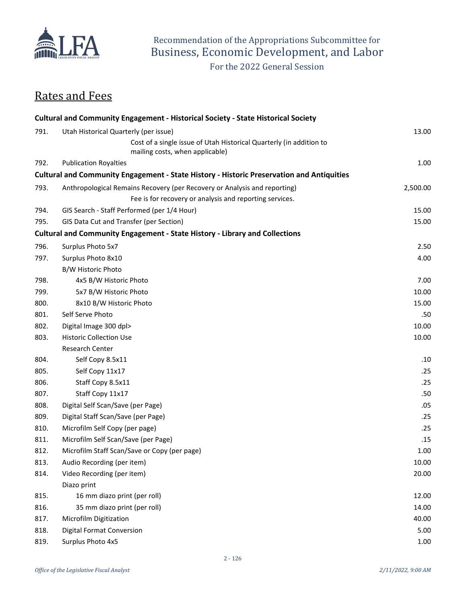

For the 2022 General Session

|      | <b>Cultural and Community Engagement - Historical Society - State Historical Society</b>  |          |
|------|-------------------------------------------------------------------------------------------|----------|
| 791. | Utah Historical Quarterly (per issue)                                                     | 13.00    |
|      | Cost of a single issue of Utah Historical Quarterly (in addition to                       |          |
|      | mailing costs, when applicable)                                                           |          |
| 792. | <b>Publication Royalties</b>                                                              | 1.00     |
|      | Cultural and Community Engagement - State History - Historic Preservation and Antiquities |          |
| 793. | Anthropological Remains Recovery (per Recovery or Analysis and reporting)                 | 2,500.00 |
|      | Fee is for recovery or analysis and reporting services.                                   |          |
| 794. | GIS Search - Staff Performed (per 1/4 Hour)                                               | 15.00    |
| 795. | GIS Data Cut and Transfer (per Section)                                                   | 15.00    |
|      | <b>Cultural and Community Engagement - State History - Library and Collections</b>        |          |
| 796. | Surplus Photo 5x7                                                                         | 2.50     |
| 797. | Surplus Photo 8x10                                                                        | 4.00     |
|      | <b>B/W Historic Photo</b>                                                                 |          |
| 798. | 4x5 B/W Historic Photo                                                                    | 7.00     |
| 799. | 5x7 B/W Historic Photo                                                                    | 10.00    |
| 800. | 8x10 B/W Historic Photo                                                                   | 15.00    |
| 801. | Self Serve Photo                                                                          | .50      |
| 802. | Digital Image 300 dpl>                                                                    | 10.00    |
| 803. | <b>Historic Collection Use</b>                                                            | 10.00    |
|      | Research Center                                                                           |          |
| 804. | Self Copy 8.5x11                                                                          | .10      |
| 805. | Self Copy 11x17                                                                           | .25      |
| 806. | Staff Copy 8.5x11                                                                         | .25      |
| 807. | Staff Copy 11x17                                                                          | .50      |
| 808. | Digital Self Scan/Save (per Page)                                                         | .05      |
| 809. | Digital Staff Scan/Save (per Page)                                                        | .25      |
| 810. | Microfilm Self Copy (per page)                                                            | .25      |
| 811. | Microfilm Self Scan/Save (per Page)                                                       | .15      |
| 812. | Microfilm Staff Scan/Save or Copy (per page)                                              | 1.00     |
| 813. | Audio Recording (per item)                                                                | 10.00    |
| 814. | Video Recording (per item)                                                                | 20.00    |
|      | Diazo print                                                                               |          |
| 815. | 16 mm diazo print (per roll)                                                              | 12.00    |
| 816. | 35 mm diazo print (per roll)                                                              | 14.00    |
| 817. | Microfilm Digitization                                                                    | 40.00    |
| 818. | <b>Digital Format Conversion</b>                                                          | 5.00     |
| 819. | Surplus Photo 4x5                                                                         | 1.00     |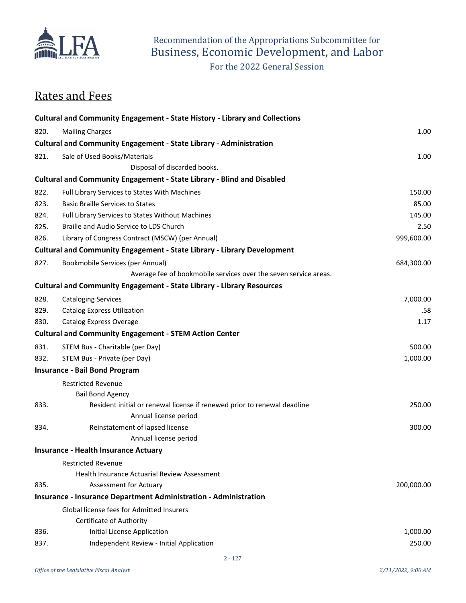

For the 2022 General Session

|      | Cultural and Community Engagement - State History - Library and Collections    |            |
|------|--------------------------------------------------------------------------------|------------|
| 820. | <b>Mailing Charges</b>                                                         | 1.00       |
|      | <b>Cultural and Community Engagement - State Library - Administration</b>      |            |
| 821. | Sale of Used Books/Materials                                                   | 1.00       |
|      | Disposal of discarded books.                                                   |            |
|      | <b>Cultural and Community Engagement - State Library - Blind and Disabled</b>  |            |
| 822. | Full Library Services to States With Machines                                  | 150.00     |
| 823. | <b>Basic Braille Services to States</b>                                        | 85.00      |
| 824. | Full Library Services to States Without Machines                               | 145.00     |
| 825. | Braille and Audio Service to LDS Church                                        | 2.50       |
| 826. | Library of Congress Contract (MSCW) (per Annual)                               | 999,600.00 |
|      | <b>Cultural and Community Engagement - State Library - Library Development</b> |            |
| 827. | <b>Bookmobile Services (per Annual)</b>                                        | 684,300.00 |
|      | Average fee of bookmobile services over the seven service areas.               |            |
|      | <b>Cultural and Community Engagement - State Library - Library Resources</b>   |            |
| 828. | <b>Cataloging Services</b>                                                     | 7,000.00   |
| 829. | <b>Catalog Express Utilization</b>                                             | .58        |
| 830. | <b>Catalog Express Overage</b>                                                 | 1.17       |
|      | <b>Cultural and Community Engagement - STEM Action Center</b>                  |            |
| 831. | STEM Bus - Charitable (per Day)                                                | 500.00     |
| 832. | STEM Bus - Private (per Day)                                                   | 1,000.00   |
|      | <b>Insurance - Bail Bond Program</b>                                           |            |
|      | <b>Restricted Revenue</b>                                                      |            |
|      | <b>Bail Bond Agency</b>                                                        |            |
| 833. | Resident initial or renewal license if renewed prior to renewal deadline       | 250.00     |
|      | Annual license period                                                          |            |
| 834. | Reinstatement of lapsed license                                                | 300.00     |
|      | Annual license period                                                          |            |
|      | <b>Insurance - Health Insurance Actuary</b>                                    |            |
|      | <b>Restricted Revenue</b>                                                      |            |
|      | <b>Health Insurance Actuarial Review Assessment</b>                            |            |
| 835. | Assessment for Actuary                                                         | 200,000.00 |
|      | <b>Insurance - Insurance Department Administration - Administration</b>        |            |
|      | Global license fees for Admitted Insurers                                      |            |
|      | Certificate of Authority                                                       |            |
| 836. | Initial License Application                                                    | 1,000.00   |
| 837. | Independent Review - Initial Application                                       | 250.00     |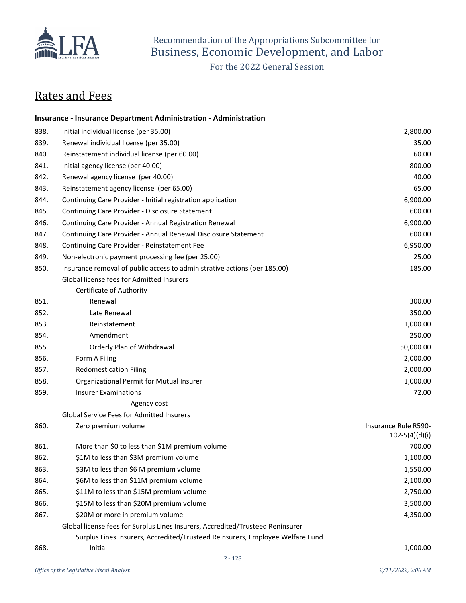

For the 2022 General Session

|      | <b>Insurance - Insurance Department Administration - Administration</b>        |                                                 |
|------|--------------------------------------------------------------------------------|-------------------------------------------------|
| 838. | Initial individual license (per 35.00)                                         | 2,800.00                                        |
| 839. | Renewal individual license (per 35.00)                                         | 35.00                                           |
| 840. | Reinstatement individual license (per 60.00)                                   | 60.00                                           |
| 841. | Initial agency license (per 40.00)                                             | 800.00                                          |
| 842. | Renewal agency license (per 40.00)                                             | 40.00                                           |
| 843. | Reinstatement agency license (per 65.00)                                       | 65.00                                           |
| 844. | Continuing Care Provider - Initial registration application                    | 6,900.00                                        |
| 845. | Continuing Care Provider - Disclosure Statement                                | 600.00                                          |
| 846. | Continuing Care Provider - Annual Registration Renewal                         | 6,900.00                                        |
| 847. | Continuing Care Provider - Annual Renewal Disclosure Statement                 | 600.00                                          |
| 848. | Continuing Care Provider - Reinstatement Fee                                   | 6,950.00                                        |
| 849. | Non-electronic payment processing fee (per 25.00)                              | 25.00                                           |
| 850. | Insurance removal of public access to administrative actions (per 185.00)      | 185.00                                          |
|      | Global license fees for Admitted Insurers                                      |                                                 |
|      | Certificate of Authority                                                       |                                                 |
| 851. | Renewal                                                                        | 300.00                                          |
| 852. | Late Renewal                                                                   | 350.00                                          |
| 853. | Reinstatement                                                                  | 1,000.00                                        |
| 854. | Amendment                                                                      | 250.00                                          |
| 855. | Orderly Plan of Withdrawal                                                     | 50,000.00                                       |
| 856. | Form A Filing                                                                  | 2,000.00                                        |
| 857. | <b>Redomestication Filing</b>                                                  | 2,000.00                                        |
| 858. | Organizational Permit for Mutual Insurer                                       | 1,000.00                                        |
| 859. | <b>Insurer Examinations</b>                                                    | 72.00                                           |
|      | Agency cost                                                                    |                                                 |
|      | <b>Global Service Fees for Admitted Insurers</b>                               |                                                 |
| 860. | Zero premium volume                                                            | <b>Insurance Rule R590-</b><br>$102-5(4)(d)(i)$ |
| 861. | More than \$0 to less than \$1M premium volume                                 | 700.00                                          |
| 862. | \$1M to less than \$3M premium volume                                          | 1,100.00                                        |
| 863. | \$3M to less than \$6 M premium volume                                         | 1,550.00                                        |
| 864. | \$6M to less than \$11M premium volume                                         | 2,100.00                                        |
| 865. | \$11M to less than \$15M premium volume                                        | 2,750.00                                        |
| 866. | \$15M to less than \$20M premium volume                                        | 3,500.00                                        |
| 867. | \$20M or more in premium volume                                                | 4,350.00                                        |
|      | Global license fees for Surplus Lines Insurers, Accredited/Trusteed Reninsurer |                                                 |
|      | Surplus Lines Insurers, Accredited/Trusteed Reinsurers, Employee Welfare Fund  |                                                 |
| 868. | Initial                                                                        | 1,000.00                                        |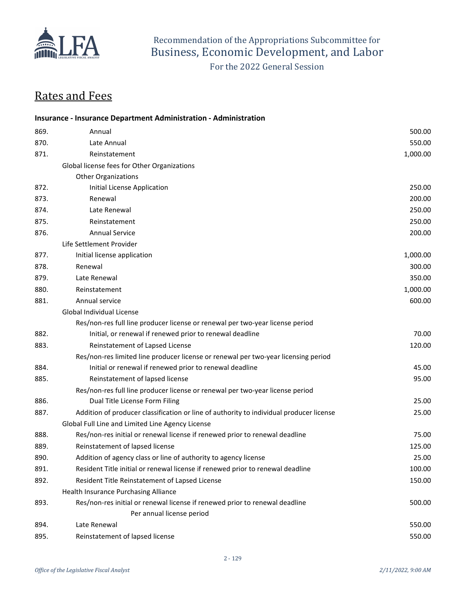

For the 2022 General Session

|      | <b>Insurance - Insurance Department Administration - Administration</b>                 |          |
|------|-----------------------------------------------------------------------------------------|----------|
| 869. | Annual                                                                                  | 500.00   |
| 870. | Late Annual                                                                             | 550.00   |
| 871. | Reinstatement                                                                           | 1,000.00 |
|      | Global license fees for Other Organizations                                             |          |
|      | <b>Other Organizations</b>                                                              |          |
| 872. | Initial License Application                                                             | 250.00   |
| 873. | Renewal                                                                                 | 200.00   |
| 874. | Late Renewal                                                                            | 250.00   |
| 875. | Reinstatement                                                                           | 250.00   |
| 876. | <b>Annual Service</b>                                                                   | 200.00   |
|      | Life Settlement Provider                                                                |          |
| 877. | Initial license application                                                             | 1,000.00 |
| 878. | Renewal                                                                                 | 300.00   |
| 879. | Late Renewal                                                                            | 350.00   |
| 880. | Reinstatement                                                                           | 1,000.00 |
| 881. | Annual service                                                                          | 600.00   |
|      | Global Individual License                                                               |          |
|      | Res/non-res full line producer license or renewal per two-year license period           |          |
| 882. | Initial, or renewal if renewed prior to renewal deadline                                | 70.00    |
| 883. | Reinstatement of Lapsed License                                                         | 120.00   |
|      | Res/non-res limited line producer license or renewal per two-year licensing period      |          |
| 884. | Initial or renewal if renewed prior to renewal deadline                                 | 45.00    |
| 885. | Reinstatement of lapsed license                                                         | 95.00    |
|      | Res/non-res full line producer license or renewal per two-year license period           |          |
| 886. | Dual Title License Form Filing                                                          | 25.00    |
| 887. | Addition of producer classification or line of authority to individual producer license | 25.00    |
|      | Global Full Line and Limited Line Agency License                                        |          |
| 888. | Res/non-res initial or renewal license if renewed prior to renewal deadline             | 75.00    |
| 889. | Reinstatement of lapsed license                                                         | 125.00   |
| 890. | Addition of agency class or line of authority to agency license                         | 25.00    |
| 891. | Resident Title initial or renewal license if renewed prior to renewal deadline          | 100.00   |
| 892. | Resident Title Reinstatement of Lapsed License                                          | 150.00   |
|      | Health Insurance Purchasing Alliance                                                    |          |
| 893. | Res/non-res initial or renewal license if renewed prior to renewal deadline             | 500.00   |
|      | Per annual license period                                                               |          |
| 894. | Late Renewal                                                                            | 550.00   |
| 895. | Reinstatement of lapsed license                                                         | 550.00   |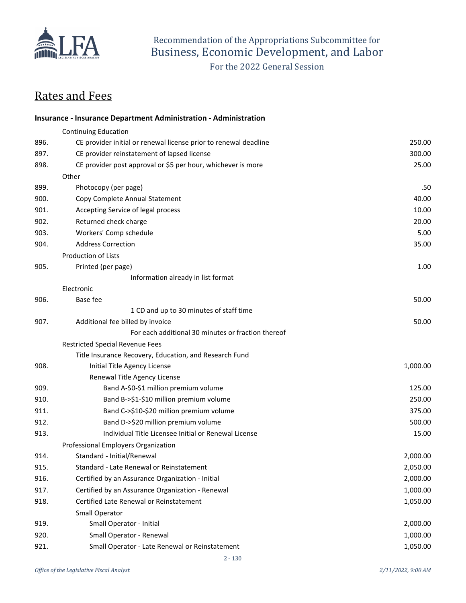

For the 2022 General Session

|      | <b>Insurance - Insurance Department Administration - Administration</b> |          |
|------|-------------------------------------------------------------------------|----------|
|      | <b>Continuing Education</b>                                             |          |
| 896. | CE provider initial or renewal license prior to renewal deadline        | 250.00   |
| 897. | CE provider reinstatement of lapsed license                             | 300.00   |
| 898. | CE provider post approval or \$5 per hour, whichever is more            | 25.00    |
|      | Other                                                                   |          |
| 899. | Photocopy (per page)                                                    | .50      |
| 900. | Copy Complete Annual Statement                                          | 40.00    |
| 901. | Accepting Service of legal process                                      | 10.00    |
| 902. | Returned check charge                                                   | 20.00    |
| 903. | Workers' Comp schedule                                                  | 5.00     |
| 904. | <b>Address Correction</b>                                               | 35.00    |
|      | Production of Lists                                                     |          |
| 905. | Printed (per page)                                                      | 1.00     |
|      | Information already in list format                                      |          |
|      | Electronic                                                              |          |
| 906. | Base fee                                                                | 50.00    |
|      | 1 CD and up to 30 minutes of staff time                                 |          |
| 907. | Additional fee billed by invoice                                        | 50.00    |
|      | For each additional 30 minutes or fraction thereof                      |          |
|      | <b>Restricted Special Revenue Fees</b>                                  |          |
|      | Title Insurance Recovery, Education, and Research Fund                  |          |
| 908. | Initial Title Agency License                                            | 1,000.00 |
|      | Renewal Title Agency License                                            |          |
| 909. | Band A-\$0-\$1 million premium volume                                   | 125.00   |
| 910. | Band B->\$1-\$10 million premium volume                                 | 250.00   |
| 911. | Band C->\$10-\$20 million premium volume                                | 375.00   |
| 912. | Band D->\$20 million premium volume                                     | 500.00   |
| 913. | Individual Title Licensee Initial or Renewal License                    | 15.00    |
|      | Professional Employers Organization                                     |          |
| 914. | Standard - Initial/Renewal                                              | 2,000.00 |
| 915. | Standard - Late Renewal or Reinstatement                                | 2,050.00 |
| 916. | Certified by an Assurance Organization - Initial                        | 2,000.00 |
| 917. | Certified by an Assurance Organization - Renewal                        | 1,000.00 |
| 918. | Certified Late Renewal or Reinstatement                                 | 1,050.00 |
|      | Small Operator                                                          |          |
| 919. | Small Operator - Initial                                                | 2,000.00 |
| 920. | Small Operator - Renewal                                                | 1,000.00 |
| 921. | Small Operator - Late Renewal or Reinstatement                          | 1,050.00 |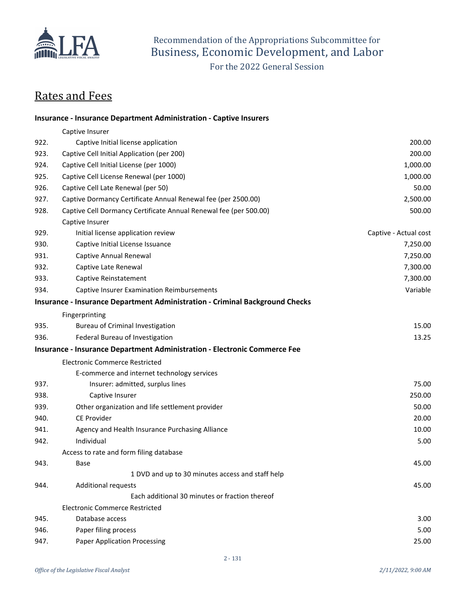

For the 2022 General Session

|      | Insurance - Insurance Department Administration - Captive Insurers                  |                       |
|------|-------------------------------------------------------------------------------------|-----------------------|
|      | Captive Insurer                                                                     |                       |
| 922. | Captive Initial license application                                                 | 200.00                |
| 923. | Captive Cell Initial Application (per 200)                                          | 200.00                |
| 924. | Captive Cell Initial License (per 1000)                                             | 1,000.00              |
| 925. | Captive Cell License Renewal (per 1000)                                             | 1,000.00              |
| 926. | Captive Cell Late Renewal (per 50)                                                  | 50.00                 |
| 927. | Captive Dormancy Certificate Annual Renewal fee (per 2500.00)                       | 2,500.00              |
| 928. | Captive Cell Dormancy Certificate Annual Renewal fee (per 500.00)                   | 500.00                |
|      | Captive Insurer                                                                     |                       |
| 929. | Initial license application review                                                  | Captive - Actual cost |
| 930. | Captive Initial License Issuance                                                    | 7,250.00              |
| 931. | Captive Annual Renewal                                                              | 7,250.00              |
| 932. | Captive Late Renewal                                                                | 7,300.00              |
| 933. | Captive Reinstatement                                                               | 7,300.00              |
| 934. | <b>Captive Insurer Examination Reimbursements</b>                                   | Variable              |
|      | <b>Insurance - Insurance Department Administration - Criminal Background Checks</b> |                       |
|      | Fingerprinting                                                                      |                       |
| 935. | Bureau of Criminal Investigation                                                    | 15.00                 |
| 936. | Federal Bureau of Investigation                                                     | 13.25                 |
|      | <b>Insurance - Insurance Department Administration - Electronic Commerce Fee</b>    |                       |
|      | <b>Electronic Commerce Restricted</b>                                               |                       |
|      | E-commerce and internet technology services                                         |                       |
| 937. | Insurer: admitted, surplus lines                                                    | 75.00                 |
| 938. | Captive Insurer                                                                     | 250.00                |
| 939. | Other organization and life settlement provider                                     | 50.00                 |
| 940. | <b>CE Provider</b>                                                                  | 20.00                 |
| 941. | Agency and Health Insurance Purchasing Alliance                                     | 10.00                 |
| 942. | Individual                                                                          | 5.00                  |
|      | Access to rate and form filing database                                             |                       |
| 943. | Base                                                                                | 45.00                 |
|      | 1 DVD and up to 30 minutes access and staff help                                    |                       |
| 944. | <b>Additional requests</b>                                                          | 45.00                 |
|      | Each additional 30 minutes or fraction thereof                                      |                       |
|      | Electronic Commerce Restricted                                                      |                       |
| 945. | Database access                                                                     | 3.00                  |
| 946. | Paper filing process                                                                | 5.00                  |
| 947. | <b>Paper Application Processing</b>                                                 | 25.00                 |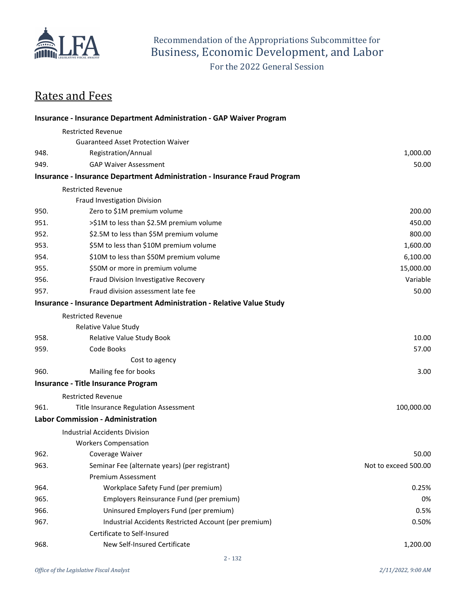

For the 2022 General Session

|      | Insurance - Insurance Department Administration - GAP Waiver Program      |                      |
|------|---------------------------------------------------------------------------|----------------------|
|      | <b>Restricted Revenue</b>                                                 |                      |
|      | <b>Guaranteed Asset Protection Waiver</b>                                 |                      |
| 948. | Registration/Annual                                                       | 1,000.00             |
| 949. | <b>GAP Waiver Assessment</b>                                              | 50.00                |
|      | Insurance - Insurance Department Administration - Insurance Fraud Program |                      |
|      | <b>Restricted Revenue</b>                                                 |                      |
|      | Fraud Investigation Division                                              |                      |
| 950. | Zero to \$1M premium volume                                               | 200.00               |
| 951. | >\$1M to less than \$2.5M premium volume                                  | 450.00               |
| 952. | \$2.5M to less than \$5M premium volume                                   | 800.00               |
| 953. | \$5M to less than \$10M premium volume                                    | 1,600.00             |
| 954. | \$10M to less than \$50M premium volume                                   | 6,100.00             |
| 955. | \$50M or more in premium volume                                           | 15,000.00            |
| 956. | Fraud Division Investigative Recovery                                     | Variable             |
| 957. | Fraud division assessment late fee                                        | 50.00                |
|      | Insurance - Insurance Department Administration - Relative Value Study    |                      |
|      | <b>Restricted Revenue</b>                                                 |                      |
|      | Relative Value Study                                                      |                      |
| 958. | Relative Value Study Book                                                 | 10.00                |
| 959. | Code Books                                                                | 57.00                |
|      | Cost to agency                                                            |                      |
| 960. | Mailing fee for books                                                     | 3.00                 |
|      | Insurance - Title Insurance Program                                       |                      |
|      | <b>Restricted Revenue</b>                                                 |                      |
| 961. | Title Insurance Regulation Assessment                                     | 100,000.00           |
|      | <b>Labor Commission - Administration</b>                                  |                      |
|      | <b>Industrial Accidents Division</b>                                      |                      |
|      | <b>Workers Compensation</b>                                               |                      |
| 962. | Coverage Waiver                                                           | 50.00                |
| 963. | Seminar Fee (alternate years) (per registrant)                            | Not to exceed 500.00 |
|      | <b>Premium Assessment</b>                                                 |                      |
| 964. | Workplace Safety Fund (per premium)                                       | 0.25%                |
| 965. | Employers Reinsurance Fund (per premium)                                  | 0%                   |
| 966. | Uninsured Employers Fund (per premium)                                    | 0.5%                 |
| 967. | Industrial Accidents Restricted Account (per premium)                     | 0.50%                |
|      | Certificate to Self-Insured                                               |                      |
| 968. | New Self-Insured Certificate                                              | 1,200.00             |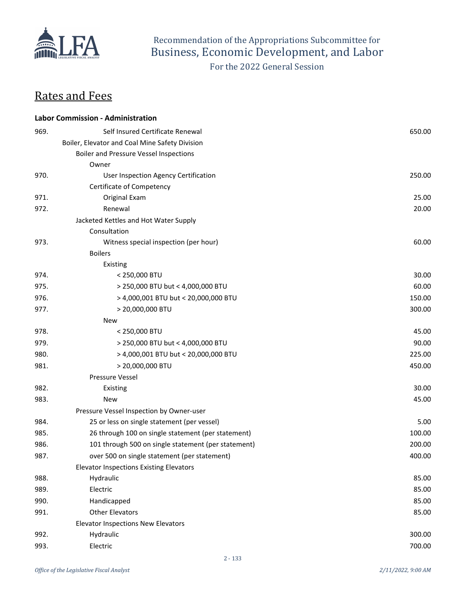

For the 2022 General Session

|      | <b>Labor Commission - Administration</b>            |        |
|------|-----------------------------------------------------|--------|
| 969. | Self Insured Certificate Renewal                    | 650.00 |
|      | Boiler, Elevator and Coal Mine Safety Division      |        |
|      | Boiler and Pressure Vessel Inspections              |        |
|      | Owner                                               |        |
| 970. | User Inspection Agency Certification                | 250.00 |
|      | Certificate of Competency                           |        |
| 971. | Original Exam                                       | 25.00  |
| 972. | Renewal                                             | 20.00  |
|      | Jacketed Kettles and Hot Water Supply               |        |
|      | Consultation                                        |        |
| 973. | Witness special inspection (per hour)               | 60.00  |
|      | <b>Boilers</b>                                      |        |
|      | Existing                                            |        |
| 974. | < 250,000 BTU                                       | 30.00  |
| 975. | > 250,000 BTU but < 4,000,000 BTU                   | 60.00  |
| 976. | > 4,000,001 BTU but < 20,000,000 BTU                | 150.00 |
| 977. | > 20,000,000 BTU                                    | 300.00 |
|      | New                                                 |        |
| 978. | < 250,000 BTU                                       | 45.00  |
| 979. | > 250,000 BTU but < 4,000,000 BTU                   | 90.00  |
| 980. | > 4,000,001 BTU but < 20,000,000 BTU                | 225.00 |
| 981. | > 20,000,000 BTU                                    | 450.00 |
|      | Pressure Vessel                                     |        |
| 982. | Existing                                            | 30.00  |
| 983. | <b>New</b>                                          | 45.00  |
|      | Pressure Vessel Inspection by Owner-user            |        |
| 984. | 25 or less on single statement (per vessel)         | 5.00   |
| 985. | 26 through 100 on single statement (per statement)  | 100.00 |
| 986. | 101 through 500 on single statement (per statement) | 200.00 |
| 987. | over 500 on single statement (per statement)        | 400.00 |
|      | <b>Elevator Inspections Existing Elevators</b>      |        |
| 988. | Hydraulic                                           | 85.00  |
| 989. | Electric                                            | 85.00  |
| 990. | Handicapped                                         | 85.00  |
| 991. | <b>Other Elevators</b>                              | 85.00  |
|      | <b>Elevator Inspections New Elevators</b>           |        |
| 992. | Hydraulic                                           | 300.00 |
| 993. | Electric                                            | 700.00 |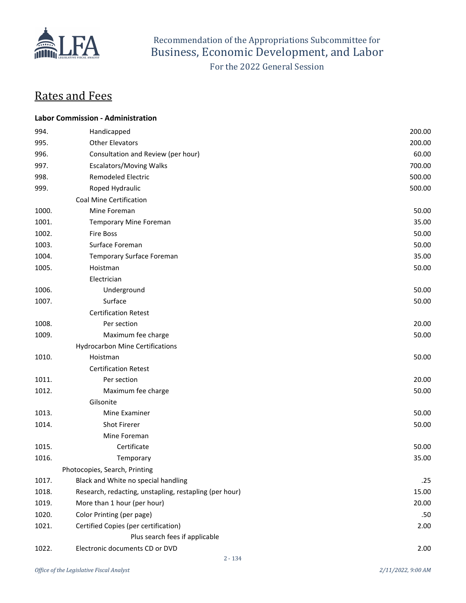

For the 2022 General Session

|       | <b>Labor Commission - Administration</b>               |        |
|-------|--------------------------------------------------------|--------|
| 994.  | Handicapped                                            | 200.00 |
| 995.  | <b>Other Elevators</b>                                 | 200.00 |
| 996.  | Consultation and Review (per hour)                     | 60.00  |
| 997.  | <b>Escalators/Moving Walks</b>                         | 700.00 |
| 998.  | <b>Remodeled Electric</b>                              | 500.00 |
| 999.  | Roped Hydraulic                                        | 500.00 |
|       | <b>Coal Mine Certification</b>                         |        |
| 1000. | Mine Foreman                                           | 50.00  |
| 1001. | <b>Temporary Mine Foreman</b>                          | 35.00  |
| 1002. | <b>Fire Boss</b>                                       | 50.00  |
| 1003. | Surface Foreman                                        | 50.00  |
| 1004. | Temporary Surface Foreman                              | 35.00  |
| 1005. | Hoistman                                               | 50.00  |
|       | Electrician                                            |        |
| 1006. | Underground                                            | 50.00  |
| 1007. | Surface                                                | 50.00  |
|       | <b>Certification Retest</b>                            |        |
| 1008. | Per section                                            | 20.00  |
| 1009. | Maximum fee charge                                     | 50.00  |
|       | <b>Hydrocarbon Mine Certifications</b>                 |        |
| 1010. | Hoistman                                               | 50.00  |
|       | <b>Certification Retest</b>                            |        |
| 1011. | Per section                                            | 20.00  |
| 1012. | Maximum fee charge                                     | 50.00  |
|       | Gilsonite                                              |        |
| 1013. | Mine Examiner                                          | 50.00  |
| 1014. | Shot Firerer                                           | 50.00  |
|       | Mine Foreman                                           |        |
| 1015. | Certificate                                            | 50.00  |
| 1016. | Temporary                                              | 35.00  |
|       | Photocopies, Search, Printing                          |        |
| 1017. | Black and White no special handling                    | .25    |
| 1018. | Research, redacting, unstapling, restapling (per hour) | 15.00  |
| 1019. | More than 1 hour (per hour)                            | 20.00  |
| 1020. | Color Printing (per page)                              | .50    |
| 1021. | Certified Copies (per certification)                   | 2.00   |
|       | Plus search fees if applicable                         |        |
| 1022. | Electronic documents CD or DVD                         | 2.00   |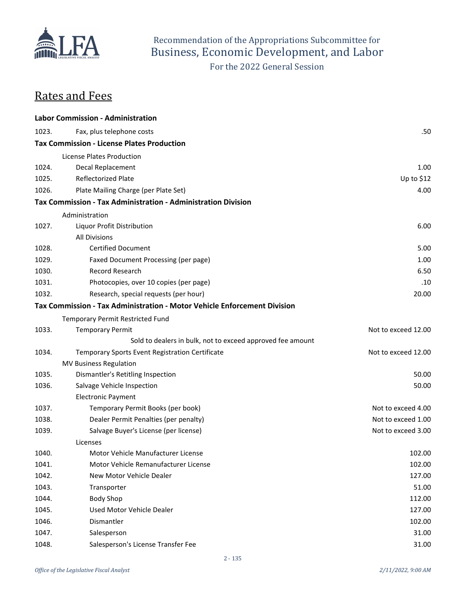

For the 2022 General Session

| <b>Labor Commission - Administration</b> |                                                                          |                     |  |  |
|------------------------------------------|--------------------------------------------------------------------------|---------------------|--|--|
| 1023.                                    | Fax, plus telephone costs                                                | .50                 |  |  |
|                                          | <b>Tax Commission - License Plates Production</b>                        |                     |  |  |
|                                          | License Plates Production                                                |                     |  |  |
| 1024.                                    | Decal Replacement                                                        | 1.00                |  |  |
| 1025.                                    | <b>Reflectorized Plate</b>                                               | Up to $$12$         |  |  |
| 1026.                                    | Plate Mailing Charge (per Plate Set)                                     | 4.00                |  |  |
|                                          | Tax Commission - Tax Administration - Administration Division            |                     |  |  |
|                                          | Administration                                                           |                     |  |  |
| 1027.                                    | Liquor Profit Distribution                                               | 6.00                |  |  |
|                                          | <b>All Divisions</b>                                                     |                     |  |  |
| 1028.                                    | <b>Certified Document</b>                                                | 5.00                |  |  |
| 1029.                                    | Faxed Document Processing (per page)                                     | 1.00                |  |  |
| 1030.                                    | <b>Record Research</b>                                                   | 6.50                |  |  |
| 1031.                                    | Photocopies, over 10 copies (per page)                                   | .10                 |  |  |
| 1032.                                    | Research, special requests (per hour)                                    | 20.00               |  |  |
|                                          | Tax Commission - Tax Administration - Motor Vehicle Enforcement Division |                     |  |  |
|                                          | Temporary Permit Restricted Fund                                         |                     |  |  |
| 1033.                                    | <b>Temporary Permit</b>                                                  | Not to exceed 12.00 |  |  |
|                                          | Sold to dealers in bulk, not to exceed approved fee amount               |                     |  |  |
| 1034.                                    | Temporary Sports Event Registration Certificate                          | Not to exceed 12.00 |  |  |
|                                          | <b>MV Business Regulation</b>                                            |                     |  |  |
| 1035.                                    | Dismantler's Retitling Inspection                                        | 50.00               |  |  |
| 1036.                                    | Salvage Vehicle Inspection                                               | 50.00               |  |  |
|                                          | <b>Electronic Payment</b>                                                |                     |  |  |
| 1037.                                    | Temporary Permit Books (per book)                                        | Not to exceed 4.00  |  |  |
| 1038.                                    | Dealer Permit Penalties (per penalty)                                    | Not to exceed 1.00  |  |  |
| 1039.                                    | Salvage Buyer's License (per license)                                    | Not to exceed 3.00  |  |  |
|                                          | Licenses                                                                 |                     |  |  |
| 1040                                     | Motor Vehicle Manufacturer License                                       | 102.00              |  |  |
| 1041.                                    | Motor Vehicle Remanufacturer License                                     | 102.00              |  |  |
| 1042.                                    | New Motor Vehicle Dealer                                                 | 127.00              |  |  |
| 1043.                                    | Transporter                                                              | 51.00               |  |  |
| 1044.                                    | <b>Body Shop</b>                                                         | 112.00              |  |  |
| 1045.                                    | Used Motor Vehicle Dealer                                                | 127.00              |  |  |
| 1046.                                    | Dismantler                                                               | 102.00              |  |  |
| 1047.                                    | Salesperson                                                              | 31.00               |  |  |
| 1048.                                    | Salesperson's License Transfer Fee                                       | 31.00               |  |  |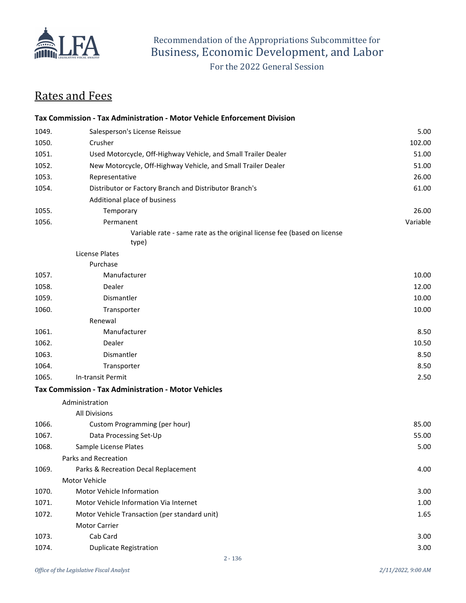

For the 2022 General Session

|       | Tax Commission - Tax Administration - Motor Vehicle Enforcement Division         |          |
|-------|----------------------------------------------------------------------------------|----------|
| 1049. | Salesperson's License Reissue                                                    | 5.00     |
| 1050. | Crusher                                                                          | 102.00   |
| 1051. | Used Motorcycle, Off-Highway Vehicle, and Small Trailer Dealer                   | 51.00    |
| 1052. | New Motorcycle, Off-Highway Vehicle, and Small Trailer Dealer                    | 51.00    |
| 1053. | Representative                                                                   | 26.00    |
| 1054. | Distributor or Factory Branch and Distributor Branch's                           | 61.00    |
|       | Additional place of business                                                     |          |
| 1055. | Temporary                                                                        | 26.00    |
| 1056. | Permanent                                                                        | Variable |
|       | Variable rate - same rate as the original license fee (based on license<br>type) |          |
|       | License Plates                                                                   |          |
|       | Purchase                                                                         |          |
| 1057. | Manufacturer                                                                     | 10.00    |
| 1058. | Dealer                                                                           | 12.00    |
| 1059. | Dismantler                                                                       | 10.00    |
| 1060. | Transporter                                                                      | 10.00    |
|       | Renewal                                                                          |          |
| 1061. | Manufacturer                                                                     | 8.50     |
| 1062. | Dealer                                                                           | 10.50    |
| 1063. | Dismantler                                                                       | 8.50     |
| 1064. | Transporter                                                                      | 8.50     |
| 1065. | In-transit Permit                                                                | 2.50     |
|       | <b>Tax Commission - Tax Administration - Motor Vehicles</b>                      |          |
|       | Administration                                                                   |          |
|       | <b>All Divisions</b>                                                             |          |
| 1066. | Custom Programming (per hour)                                                    | 85.00    |
| 1067. | Data Processing Set-Up                                                           | 55.00    |
| 1068. | Sample License Plates                                                            | 5.00     |
|       | Parks and Recreation                                                             |          |
| 1069. | Parks & Recreation Decal Replacement                                             | 4.00     |
|       | Motor Vehicle                                                                    |          |
| 1070. | Motor Vehicle Information                                                        | 3.00     |
| 1071. | Motor Vehicle Information Via Internet                                           | 1.00     |
| 1072. | Motor Vehicle Transaction (per standard unit)                                    | 1.65     |
|       | <b>Motor Carrier</b>                                                             |          |
| 1073. | Cab Card                                                                         | 3.00     |
| 1074. | <b>Duplicate Registration</b>                                                    | 3.00     |